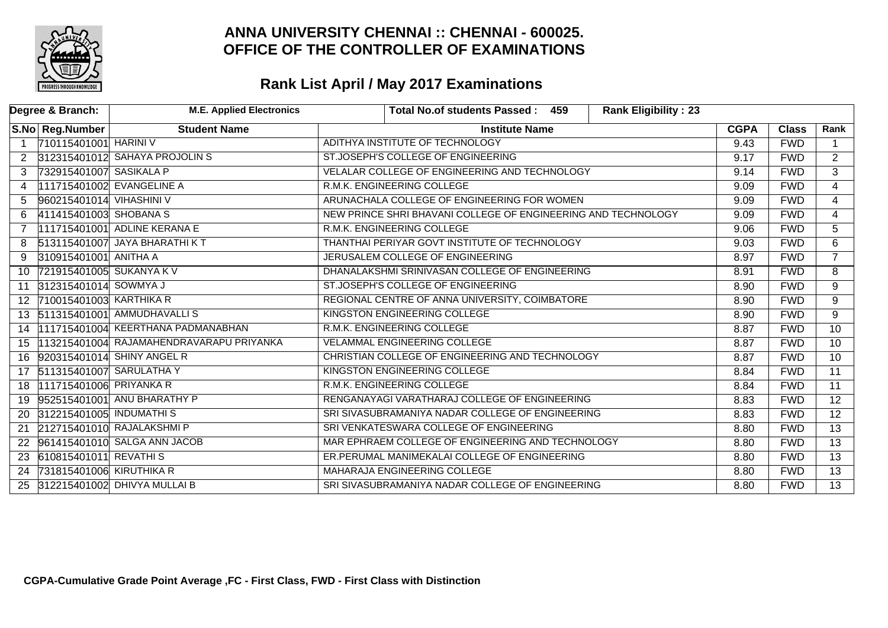

| Degree & Branch:           | <b>M.E. Applied Electronics</b>          | <b>Rank Eligibility: 23</b><br>Total No.of students Passed: 459 |             |              |                 |
|----------------------------|------------------------------------------|-----------------------------------------------------------------|-------------|--------------|-----------------|
| S.No Reg.Number            | <b>Student Name</b>                      | <b>Institute Name</b>                                           | <b>CGPA</b> | <b>Class</b> | Rank            |
| 710115401001 HARINI V      |                                          | ADITHYA INSTITUTE OF TECHNOLOGY                                 | 9.43        | <b>FWD</b>   |                 |
| $\overline{2}$             | 312315401012 SAHAYA PROJOLIN S           | ST.JOSEPH'S COLLEGE OF ENGINEERING                              | 9.17        | <b>FWD</b>   | $\overline{2}$  |
| 3                          | 732915401007 SASIKALA P                  | VELALAR COLLEGE OF ENGINEERING AND TECHNOLOGY                   | 9.14        | <b>FWD</b>   | $\overline{3}$  |
| 4                          | 111715401002 EVANGELINE A                | R.M.K. ENGINEERING COLLEGE                                      | 9.09        | <b>FWD</b>   | $\overline{4}$  |
| 5                          | 960215401014 VIHASHINI V                 | ARUNACHALA COLLEGE OF ENGINEERING FOR WOMEN                     | 9.09        | <b>FWD</b>   | $\overline{4}$  |
| 6                          | 411415401003 SHOBANA S                   | NEW PRINCE SHRI BHAVANI COLLEGE OF ENGINEERING AND TECHNOLOGY   | 9.09        | <b>FWD</b>   | 4               |
|                            | 111715401001 ADLINE KERANA E             | R.M.K. ENGINEERING COLLEGE                                      | 9.06        | <b>FWD</b>   | $\overline{5}$  |
| 8                          | 513115401007 JAYA BHARATHI KT            | THANTHAI PERIYAR GOVT INSTITUTE OF TECHNOLOGY                   | 9.03        | <b>FWD</b>   | 6               |
| 310915401001 ANITHA A<br>9 |                                          | JERUSALEM COLLEGE OF ENGINEERING                                | 8.97        | <b>FWD</b>   | $\overline{7}$  |
| 10                         | 721915401005 SUKANYA K V                 | DHANALAKSHMI SRINIVASAN COLLEGE OF ENGINEERING                  | 8.91        | <b>FWD</b>   | 8               |
| 11                         | 312315401014 SOWMYA J                    | ST.JOSEPH'S COLLEGE OF ENGINEERING                              | 8.90        | <b>FWD</b>   | $\overline{9}$  |
| 12 <sup>1</sup>            | 710015401003 KARTHIKA R                  | REGIONAL CENTRE OF ANNA UNIVERSITY, COIMBATORE                  | 8.90        | <b>FWD</b>   | 9               |
| 13                         | 511315401001 AMMUDHAVALLIS               | KINGSTON ENGINEERING COLLEGE                                    | 8.90        | <b>FWD</b>   | 9               |
| 14                         | 111715401004 KEERTHANA PADMANABHAN       | R.M.K. ENGINEERING COLLEGE                                      | 8.87        | <b>FWD</b>   | $\overline{10}$ |
| 15                         | 113215401004 RAJAMAHENDRAVARAPU PRIYANKA | <b>VELAMMAL ENGINEERING COLLEGE</b>                             | 8.87        | <b>FWD</b>   | $\overline{10}$ |
| 16                         | 920315401014 SHINY ANGEL R               | CHRISTIAN COLLEGE OF ENGINEERING AND TECHNOLOGY                 | 8.87        | <b>FWD</b>   | $\overline{10}$ |
| 17                         | 511315401007 SARULATHA Y                 | KINGSTON ENGINEERING COLLEGE                                    | 8.84        | <b>FWD</b>   | 11              |
| 18                         | 111715401006 PRIYANKA R                  | R.M.K. ENGINEERING COLLEGE                                      | 8.84        | <b>FWD</b>   | $\overline{11}$ |
| 19                         | 952515401001 ANU BHARATHY P              | RENGANAYAGI VARATHARAJ COLLEGE OF ENGINEERING                   | 8.83        | <b>FWD</b>   | $\overline{12}$ |
| 20                         | 312215401005 INDUMATHIS                  | SRI SIVASUBRAMANIYA NADAR COLLEGE OF ENGINEERING                | 8.83        | <b>FWD</b>   | $\overline{12}$ |
| 21                         | 212715401010 RAJALAKSHMI P               | SRI VENKATESWARA COLLEGE OF ENGINEERING                         | 8.80        | <b>FWD</b>   | $\overline{13}$ |
| 22                         | 961415401010 SALGA ANN JACOB             | MAR EPHRAEM COLLEGE OF ENGINEERING AND TECHNOLOGY               | 8.80        | <b>FWD</b>   | $\overline{13}$ |
| 23 610815401011 REVATHIS   |                                          | ER.PERUMAL MANIMEKALAI COLLEGE OF ENGINEERING                   | 8.80        | <b>FWD</b>   | $\overline{13}$ |
| 24                         | 731815401006 KIRUTHIKA R                 | MAHARAJA ENGINEERING COLLEGE                                    | 8.80        | <b>FWD</b>   | $\overline{13}$ |
| 25                         | 312215401002 DHIVYA MULLAI B             | SRI SIVASUBRAMANIYA NADAR COLLEGE OF ENGINEERING                | 8.80        | <b>FWD</b>   | $\overline{13}$ |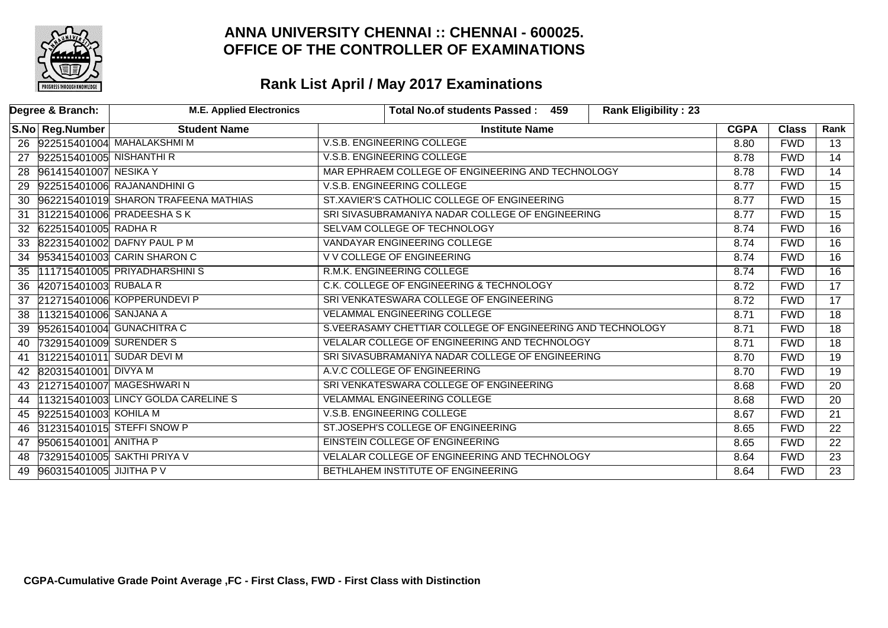

|    | Degree & Branch:          | <b>M.E. Applied Electronics</b>      | Total No.of students Passed: 459<br><b>Rank Eligibility: 23</b> |             |              |                 |
|----|---------------------------|--------------------------------------|-----------------------------------------------------------------|-------------|--------------|-----------------|
|    | S.No Reg.Number           | <b>Student Name</b>                  | <b>Institute Name</b>                                           | <b>CGPA</b> | <b>Class</b> | Rank            |
|    |                           | 26 922515401004 MAHALAKSHMI M        | V.S.B. ENGINEERING COLLEGE                                      | 8.80        | <b>FWD</b>   | 13              |
| 27 | 922515401005 NISHANTHI R  |                                      | V.S.B. ENGINEERING COLLEGE                                      | 8.78        | <b>FWD</b>   | $\overline{14}$ |
|    | 28 961415401007 NESIKA Y  |                                      | MAR EPHRAEM COLLEGE OF ENGINEERING AND TECHNOLOGY               | 8.78        | <b>FWD</b>   | 14              |
| 29 |                           | 922515401006 RAJANANDHINI G          | V.S.B. ENGINEERING COLLEGE                                      | 8.77        | <b>FWD</b>   | 15              |
| 30 |                           | 962215401019 SHARON TRAFEENA MATHIAS | ST.XAVIER'S CATHOLIC COLLEGE OF ENGINEERING                     | 8.77        | <b>FWD</b>   | $\overline{15}$ |
| 31 |                           | 312215401006 PRADEESHA SK            | SRI SIVASUBRAMANIYA NADAR COLLEGE OF ENGINEERING                | 8.77        | <b>FWD</b>   | $\overline{15}$ |
| 32 | 622515401005 RADHA R      |                                      | SELVAM COLLEGE OF TECHNOLOGY                                    | 8.74        | <b>FWD</b>   | $\overline{16}$ |
|    |                           | 33 822315401002 DAFNY PAUL P M       | VANDAYAR ENGINEERING COLLEGE                                    | 8.74        | <b>FWD</b>   | 16              |
| 34 |                           | 953415401003 CARIN SHARON C          | <b>V V COLLEGE OF ENGINEERING</b>                               | 8.74        | <b>FWD</b>   | $\overline{16}$ |
| 35 |                           | [111715401005] PRIYADHARSHINIS       | R.M.K. ENGINEERING COLLEGE                                      | 8.74        | <b>FWD</b>   | 16              |
| 36 | 420715401003 RUBALA R     |                                      | C.K. COLLEGE OF ENGINEERING & TECHNOLOGY                        | 8.72        | <b>FWD</b>   | $\overline{17}$ |
| 37 |                           | 212715401006 KOPPERUNDEVI P          | SRI VENKATESWARA COLLEGE OF ENGINEERING                         | 8.72        | <b>FWD</b>   | $\overline{17}$ |
| 38 | 113215401006 SANJANA A    |                                      | <b>VELAMMAL ENGINEERING COLLEGE</b>                             | 8.71        | <b>FWD</b>   | 18              |
| 39 |                           | 952615401004 GUNACHITRA C            | S.VEERASAMY CHETTIAR COLLEGE OF ENGINEERING AND TECHNOLOGY      | 8.71        | <b>FWD</b>   | $\overline{18}$ |
| 40 | 732915401009 SURENDER S   |                                      | VELALAR COLLEGE OF ENGINEERING AND TECHNOLOGY                   | 8.71        | <b>FWD</b>   | 18              |
| 41 | 312215401011 SUDAR DEVI M |                                      | SRI SIVASUBRAMANIYA NADAR COLLEGE OF ENGINEERING                | 8.70        | <b>FWD</b>   | $\overline{19}$ |
| 42 | 820315401001 DIVYA M      |                                      | A.V.C COLLEGE OF ENGINEERING                                    | 8.70        | <b>FWD</b>   | 19              |
| 43 |                           | 212715401007 MAGESHWARIN             | SRI VENKATESWARA COLLEGE OF ENGINEERING                         | 8.68        | <b>FWD</b>   | 20              |
| 44 |                           | 113215401003 LINCY GOLDA CARELINES   | <b>VELAMMAL ENGINEERING COLLEGE</b>                             | 8.68        | <b>FWD</b>   | $\overline{20}$ |
| 45 | 922515401003 KOHILA M     |                                      | V.S.B. ENGINEERING COLLEGE                                      | 8.67        | <b>FWD</b>   | $\overline{21}$ |
| 46 |                           | 312315401015 STEFFI SNOW P           | ST.JOSEPH'S COLLEGE OF ENGINEERING                              | 8.65        | <b>FWD</b>   | $\overline{22}$ |
| 47 | 950615401001 ANITHA P     |                                      | EINSTEIN COLLEGE OF ENGINEERING                                 | 8.65        | <b>FWD</b>   | 22              |
| 48 |                           | 732915401005 SAKTHI PRIYA V          | VELALAR COLLEGE OF ENGINEERING AND TECHNOLOGY                   | 8.64        | <b>FWD</b>   | $\overline{23}$ |
| 49 | 960315401005 JIJITHA P V  |                                      | BETHLAHEM INSTITUTE OF ENGINEERING                              | 8.64        | <b>FWD</b>   | $\overline{23}$ |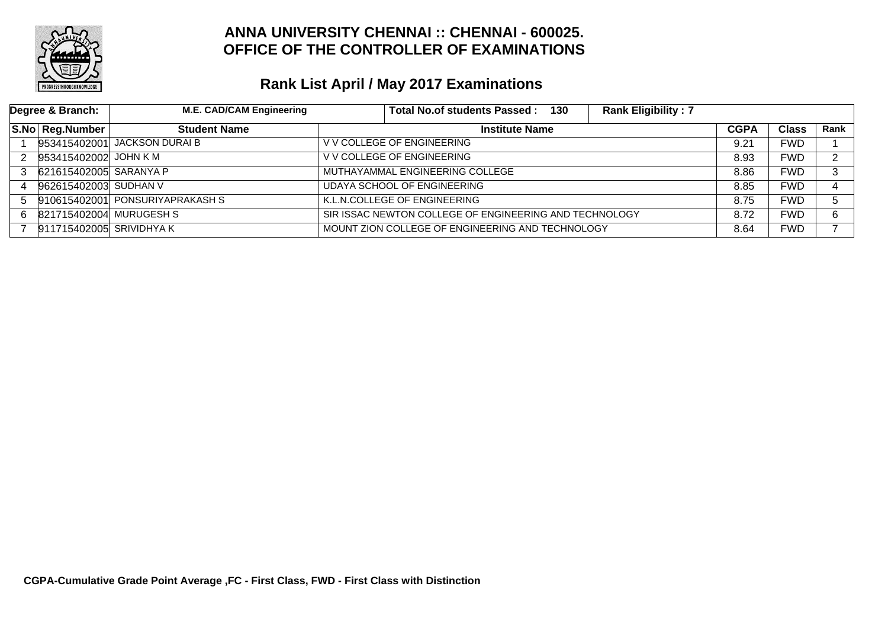

|    | Degree & Branch:         | <b>M.E. CAD/CAM Engineering</b> | <b>Rank Eligibility: 7</b><br>Total No.of students Passed :<br>130 |             |              |      |
|----|--------------------------|---------------------------------|--------------------------------------------------------------------|-------------|--------------|------|
|    | S.No Reg.Number          | <b>Student Name</b>             | <b>Institute Name</b>                                              | <b>CGPA</b> | <b>Class</b> | Rank |
|    |                          | 953415402001 JACKSON DURAI B    | V V COLLEGE OF ENGINEERING                                         | 9.21        | <b>FWD</b>   |      |
|    | 953415402002 JOHN K M    |                                 | V V COLLEGE OF ENGINEERING                                         | 8.93        | FWD          | ົ    |
|    | 621615402005 SARANYA P   |                                 | MUTHAYAMMAL ENGINEERING COLLEGE                                    | 8.86        | FWD          | 3    |
|    | 962615402003 SUDHAN V    |                                 | UDAYA SCHOOL OF ENGINEERING                                        | 8.85        | <b>FWD</b>   |      |
|    |                          | 910615402001 PONSURIYAPRAKASH S | K.L.N.COLLEGE OF ENGINEERING                                       | 8.75        | FWD.         | 5.   |
| 6. | 821715402004 MURUGESH S  |                                 | SIR ISSAC NEWTON COLLEGE OF ENGINEERING AND TECHNOLOGY             | 8.72        | FWD          | 6    |
|    | 911715402005 SRIVIDHYA K |                                 | MOUNT ZION COLLEGE OF ENGINEERING AND TECHNOLOGY                   | 8.64        | <b>FWD</b>   |      |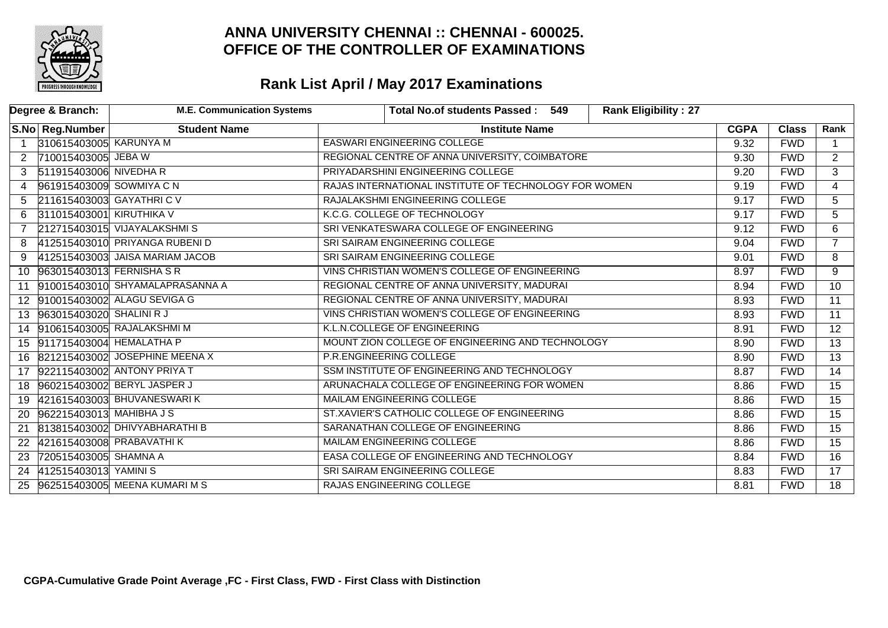

|                      | Degree & Branch:            | <b>M.E. Communication Systems</b> | <b>Rank Eligibility: 27</b><br>Total No.of students Passed: 549 |             |              |                 |
|----------------------|-----------------------------|-----------------------------------|-----------------------------------------------------------------|-------------|--------------|-----------------|
|                      | S.No   Reg.Number           | <b>Student Name</b>               | <b>Institute Name</b>                                           | <b>CGPA</b> | <b>Class</b> | Rank            |
| $\overline{1}$       | 310615403005 KARUNYA M      |                                   | <b>EASWARI ENGINEERING COLLEGE</b>                              | 9.32        | <b>FWD</b>   |                 |
| $\mathbf{2}^{\circ}$ | 710015403005 JEBA W         |                                   | REGIONAL CENTRE OF ANNA UNIVERSITY, COIMBATORE                  | 9.30        | <b>FWD</b>   | $\overline{2}$  |
| 3                    | 511915403006 NIVEDHA R      |                                   | PRIYADARSHINI ENGINEERING COLLEGE                               | 9.20        | <b>FWD</b>   | $\overline{3}$  |
| 4                    | 961915403009 SOWMIYA C N    |                                   | RAJAS INTERNATIONAL INSTITUTE OF TECHNOLOGY FOR WOMEN           | 9.19        | <b>FWD</b>   | $\overline{4}$  |
| 5                    | 211615403003 GAYATHRIC V    |                                   | RAJALAKSHMI ENGINEERING COLLEGE                                 | 9.17        | <b>FWD</b>   | 5               |
| 6.                   | 311015403001 KIRUTHIKA V    |                                   | K.C.G. COLLEGE OF TECHNOLOGY                                    | 9.17        | <b>FWD</b>   | 5               |
| $\overline{7}$       |                             | 212715403015 VIJAYALAKSHMIS       | SRI VENKATESWARA COLLEGE OF ENGINEERING                         | 9.12        | <b>FWD</b>   | 6               |
| 8                    |                             | 412515403010 PRIYANGA RUBENI D    | SRI SAIRAM ENGINEERING COLLEGE                                  | 9.04        | <b>FWD</b>   | $7^{\circ}$     |
| 9                    |                             | 412515403003 JAISA MARIAM JACOB   | SRI SAIRAM ENGINEERING COLLEGE                                  | 9.01        | <b>FWD</b>   | 8               |
| 10                   | 963015403013 FERNISHA S R   |                                   | VINS CHRISTIAN WOMEN'S COLLEGE OF ENGINEERING                   | 8.97        | <b>FWD</b>   | 9               |
| 11                   |                             | 910015403010 SHYAMALAPRASANNA A   | REGIONAL CENTRE OF ANNA UNIVERSITY, MADURAI                     | 8.94        | <b>FWD</b>   | 10              |
|                      |                             | 12 910015403002 ALAGU SEVIGA G    | REGIONAL CENTRE OF ANNA UNIVERSITY, MADURAI                     | 8.93        | <b>FWD</b>   | $\overline{11}$ |
|                      | 13 963015403020 SHALINI R J |                                   | VINS CHRISTIAN WOMEN'S COLLEGE OF ENGINEERING                   | 8.93        | <b>FWD</b>   | 11              |
|                      |                             | 14 910615403005 RAJALAKSHMIM      | K.L.N.COLLEGE OF ENGINEERING                                    | 8.91        | <b>FWD</b>   | $\overline{12}$ |
|                      | 15 911715403004 HEMALATHA P |                                   | MOUNT ZION COLLEGE OF ENGINEERING AND TECHNOLOGY                | 8.90        | <b>FWD</b>   | $\overline{13}$ |
|                      |                             | 16 821215403002 JOSEPHINE MEENA X | P.R.ENGINEERING COLLEGE                                         | 8.90        | <b>FWD</b>   | $\overline{13}$ |
|                      |                             | 17 922115403002 ANTONY PRIYA T    | SSM INSTITUTE OF ENGINEERING AND TECHNOLOGY                     | 8.87        | <b>FWD</b>   | 14              |
|                      |                             | 18 960215403002 BERYL JASPER J    | ARUNACHALA COLLEGE OF ENGINEERING FOR WOMEN                     | 8.86        | <b>FWD</b>   | $\overline{15}$ |
|                      |                             | 19 421615403003 BHUVANESWARIK     | <b>MAILAM ENGINEERING COLLEGE</b>                               | 8.86        | <b>FWD</b>   | $\overline{15}$ |
| 20                   | 962215403013 MAHIBHA J S    |                                   | ST.XAVIER'S CATHOLIC COLLEGE OF ENGINEERING                     | 8.86        | <b>FWD</b>   | $\overline{15}$ |
| 21                   |                             | 813815403002 DHIVYABHARATHI B     | SARANATHAN COLLEGE OF ENGINEERING                               | 8.86        | <b>FWD</b>   | $\overline{15}$ |
|                      |                             | 22 421615403008 PRABAVATHI K      | MAILAM ENGINEERING COLLEGE                                      | 8.86        | <b>FWD</b>   | $\overline{15}$ |
| 23                   | 720515403005 SHAMNA A       |                                   | EASA COLLEGE OF ENGINEERING AND TECHNOLOGY                      | 8.84        | <b>FWD</b>   | $\overline{16}$ |
| 24                   | 412515403013 YAMINIS        |                                   | SRI SAIRAM ENGINEERING COLLEGE                                  | 8.83        | <b>FWD</b>   | $\overline{17}$ |
| 25                   |                             | 962515403005 MEENA KUMARI M S     | RAJAS ENGINEERING COLLEGE                                       | 8.81        | <b>FWD</b>   | $\overline{18}$ |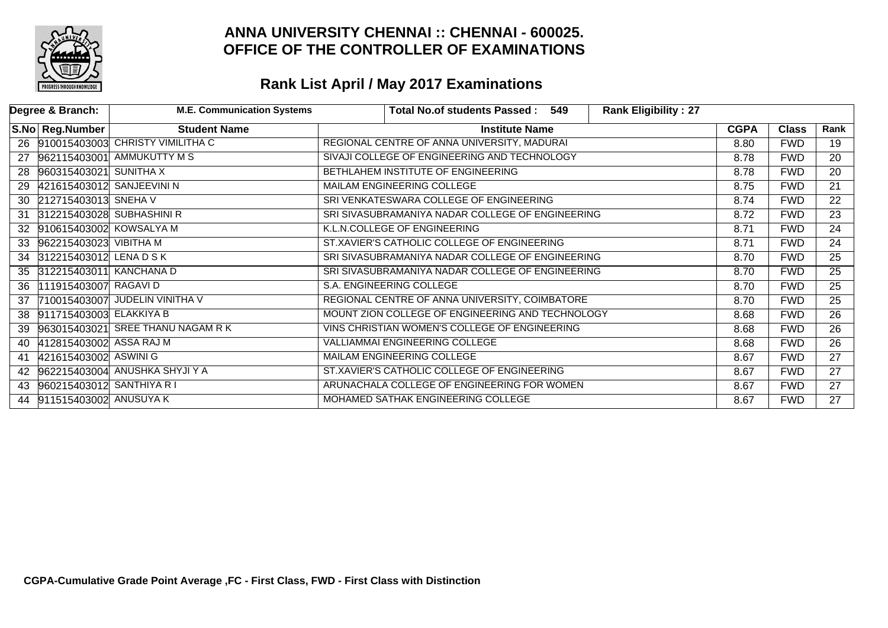

|    | Degree & Branch:           | <b>M.E. Communication Systems</b>   |                                                  | Total No.of students Passed: 549                 | <b>Rank Eligibility: 27</b> |             |              |                 |
|----|----------------------------|-------------------------------------|--------------------------------------------------|--------------------------------------------------|-----------------------------|-------------|--------------|-----------------|
|    | S.No Reg.Number            | <b>Student Name</b>                 |                                                  | <b>Institute Name</b>                            |                             | <b>CGPA</b> | <b>Class</b> | Rank            |
|    |                            | 26 910015403003 CHRISTY VIMILITHA C | REGIONAL CENTRE OF ANNA UNIVERSITY, MADURAI      |                                                  |                             | 8.80        | <b>FWD</b>   | 19              |
| 27 |                            | 962115403001 AMMUKUTTY M S          | SIVAJI COLLEGE OF ENGINEERING AND TECHNOLOGY     |                                                  |                             | 8.78        | <b>FWD</b>   | $\overline{20}$ |
| 28 | 960315403021 SUNITHA X     |                                     | BETHLAHEM INSTITUTE OF ENGINEERING               |                                                  |                             | 8.78        | <b>FWD</b>   | $\overline{20}$ |
| 29 | 421615403012 SANJEEVINI N  |                                     | <b>MAILAM ENGINEERING COLLEGE</b>                |                                                  |                             | 8.75        | <b>FWD</b>   | $\overline{21}$ |
|    | 30 212715403013 SNEHA V    |                                     | SRI VENKATESWARA COLLEGE OF ENGINEERING          |                                                  |                             | 8.74        | <b>FWD</b>   | $\overline{22}$ |
| 31 |                            | 312215403028 SUBHASHINI R           |                                                  | SRI SIVASUBRAMANIYA NADAR COLLEGE OF ENGINEERING |                             |             | <b>FWD</b>   | $\overline{23}$ |
|    | 32 910615403002 KOWSALYA M |                                     | K.L.N.COLLEGE OF ENGINEERING                     |                                                  |                             | 8.71        | <b>FWD</b>   | 24              |
| 33 | 962215403023 VIBITHA M     |                                     | ST.XAVIER'S CATHOLIC COLLEGE OF ENGINEERING      |                                                  |                             | 8.71        | <b>FWD</b>   | $\overline{24}$ |
|    | 34 312215403012 LENA D S K |                                     | SRI SIVASUBRAMANIYA NADAR COLLEGE OF ENGINEERING |                                                  |                             | 8.70        | <b>FWD</b>   | 25              |
|    | 35 312215403011 KANCHANA D |                                     | SRI SIVASUBRAMANIYA NADAR COLLEGE OF ENGINEERING |                                                  |                             | 8.70        | <b>FWD</b>   | $\overline{25}$ |
| 36 | 111915403007 RAGAVID       |                                     | S.A. ENGINEERING COLLEGE                         |                                                  |                             | 8.70        | <b>FWD</b>   | $\overline{25}$ |
| 37 |                            | 710015403007 JUDELIN VINITHA V      | REGIONAL CENTRE OF ANNA UNIVERSITY, COIMBATORE   |                                                  |                             | 8.70        | <b>FWD</b>   | $\overline{25}$ |
| 38 | 911715403003 ELAKKIYA B    |                                     | MOUNT ZION COLLEGE OF ENGINEERING AND TECHNOLOGY |                                                  |                             | 8.68        | <b>FWD</b>   | 26              |
| 39 |                            | 963015403021 SREE THANU NAGAM R K   | VINS CHRISTIAN WOMEN'S COLLEGE OF ENGINEERING    |                                                  |                             | 8.68        | <b>FWD</b>   | $\overline{26}$ |
| 40 | 412815403002 ASSA RAJ M    |                                     | VALLIAMMAI ENGINEERING COLLEGE                   |                                                  |                             | 8.68        | <b>FWD</b>   | $\overline{26}$ |
| 41 | 421615403002 ASWINI G      |                                     | MAILAM ENGINEERING COLLEGE                       |                                                  |                             | 8.67        | <b>FWD</b>   | $\overline{27}$ |
| 42 |                            | 962215403004 ANUSHKA SHYJI Y A      | ST.XAVIER'S CATHOLIC COLLEGE OF ENGINEERING      |                                                  |                             | 8.67        | <b>FWD</b>   | $\overline{27}$ |
| 43 | 960215403012 SANTHIYA R I  |                                     | ARUNACHALA COLLEGE OF ENGINEERING FOR WOMEN      |                                                  |                             | 8.67        | <b>FWD</b>   | $\overline{27}$ |
| 44 | 911515403002 ANUSUYA K     |                                     | MOHAMED SATHAK ENGINEERING COLLEGE               |                                                  |                             | 8.67        | <b>FWD</b>   | $\overline{27}$ |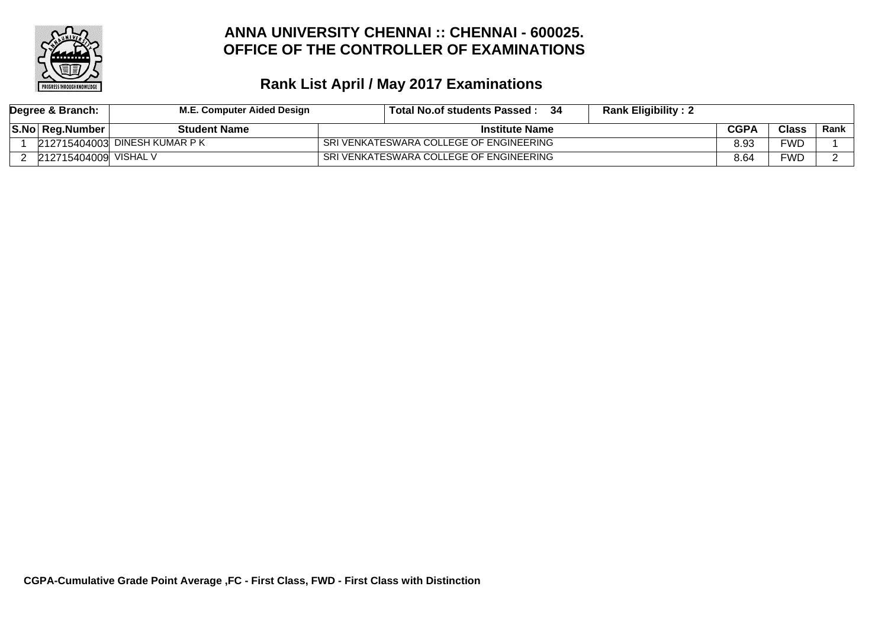

| Degree & Branch: |                        | M.E. Computer Aided Design    | <b>Rank Eligibility: 2</b><br>Total No.of students Passed : |             |              |        |
|------------------|------------------------|-------------------------------|-------------------------------------------------------------|-------------|--------------|--------|
|                  | <b>S.No Reg.Number</b> | <b>Student Name</b>           | <b>Institute Name</b>                                       | <b>CGPA</b> | <b>Class</b> | Rank l |
|                  |                        | 212715404003 DINESH KUMAR P K | SRI VENKATESWARA COLLEGE OF ENGINEERING                     | 8.93        | FWD          |        |
|                  | 212715404009           | VISHAL V                      | SRI VENKATESWARA COLLEGE OF ENGINEERING                     | 8.64        | FWD          |        |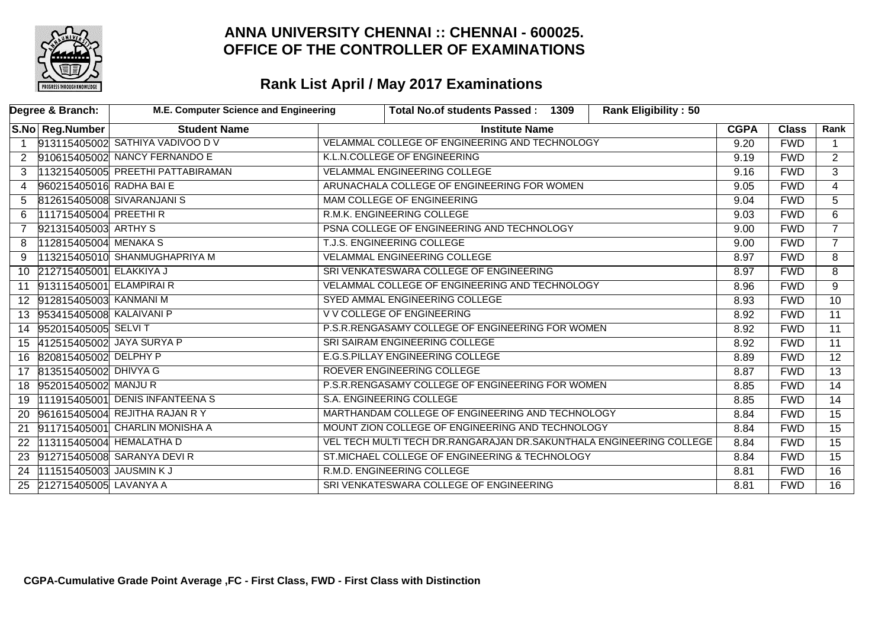

|                      | Degree & Branch:             | M.E. Computer Science and Engineering | <b>Rank Eligibility: 50</b><br>Total No.of students Passed: 1309    |             |              |                 |
|----------------------|------------------------------|---------------------------------------|---------------------------------------------------------------------|-------------|--------------|-----------------|
|                      | S.No Reg.Number              | <b>Student Name</b>                   | <b>Institute Name</b>                                               | <b>CGPA</b> | <b>Class</b> | Rank            |
| $\overline{1}$       |                              | 913115405002 SATHIYA VADIVOO D V      | VELAMMAL COLLEGE OF ENGINEERING AND TECHNOLOGY                      | 9.20        | <b>FWD</b>   | $\mathbf{1}$    |
| $\mathbf{2}^{\circ}$ |                              | 910615405002 NANCY FERNANDO E         | K.L.N.COLLEGE OF ENGINEERING                                        | 9.19        | <b>FWD</b>   | $\overline{2}$  |
| 3                    |                              | 113215405005 PREETHI PATTABIRAMAN     | <b>VELAMMAL ENGINEERING COLLEGE</b>                                 | 9.16        | <b>FWD</b>   | $\overline{3}$  |
| 4                    | 960215405016 RADHA BAI E     |                                       | ARUNACHALA COLLEGE OF ENGINEERING FOR WOMEN                         | 9.05        | <b>FWD</b>   | $\overline{4}$  |
| 5.                   |                              | 812615405008 SIVARANJANI S            | MAM COLLEGE OF ENGINEERING<br>9.04                                  |             | <b>FWD</b>   | 5               |
| 6.                   | 111715405004 PREETHIR        |                                       | R.M.K. ENGINEERING COLLEGE<br>9.03                                  |             | <b>FWD</b>   | 6               |
|                      | 921315405003 ARTHY S         |                                       | PSNA COLLEGE OF ENGINEERING AND TECHNOLOGY                          | 9.00        | <b>FWD</b>   | $\overline{7}$  |
| 8                    | 112815405004 MENAKA S        |                                       | T.J.S. ENGINEERING COLLEGE                                          | 9.00        | <b>FWD</b>   | $7^{\circ}$     |
| 9                    |                              | 113215405010 SHANMUGHAPRIYA M         | <b>VELAMMAL ENGINEERING COLLEGE</b>                                 | 8.97        | <b>FWD</b>   | 8               |
|                      | 10 212715405001 ELAKKIYA J   |                                       | SRI VENKATESWARA COLLEGE OF ENGINEERING                             | 8.97        | <b>FWD</b>   | 8               |
|                      | 11 913115405001 ELAMPIRAIR   |                                       | VELAMMAL COLLEGE OF ENGINEERING AND TECHNOLOGY                      | 8.96        | <b>FWD</b>   | 9               |
|                      | 12 912815405003 KANMANI M    |                                       | SYED AMMAL ENGINEERING COLLEGE                                      | 8.93        | <b>FWD</b>   | 10 <sup>°</sup> |
|                      | 13 953415405008 KALAIVANI P  |                                       | V V COLLEGE OF ENGINEERING                                          | 8.92        | <b>FWD</b>   | $\overline{11}$ |
|                      | 14 952015405005 SELVIT       |                                       | P.S.R.RENGASAMY COLLEGE OF ENGINEERING FOR WOMEN                    | 8.92        | <b>FWD</b>   | $\overline{11}$ |
|                      | 15 412515405002 JAYA SURYA P |                                       | SRI SAIRAM ENGINEERING COLLEGE                                      | 8.92        | <b>FWD</b>   | $\overline{11}$ |
| 16                   | 820815405002 DELPHY P        |                                       | E.G.S.PILLAY ENGINEERING COLLEGE                                    | 8.89        | <b>FWD</b>   | $\overline{12}$ |
|                      | 17 813515405002 DHIVYA G     |                                       | ROEVER ENGINEERING COLLEGE                                          | 8.87        | <b>FWD</b>   | $\overline{13}$ |
|                      | 18 952015405002 MANJUR       |                                       | P.S.R.RENGASAMY COLLEGE OF ENGINEERING FOR WOMEN                    | 8.85        | <b>FWD</b>   | $\overline{14}$ |
| 19                   |                              | 111915405001 DENIS INFANTEENA S       | S.A. ENGINEERING COLLEGE                                            | 8.85        | <b>FWD</b>   | $\overline{14}$ |
| 20                   |                              | 961615405004 REJITHA RAJAN R Y        | MARTHANDAM COLLEGE OF ENGINEERING AND TECHNOLOGY                    | 8.84        | <b>FWD</b>   | 15              |
| 21                   |                              | 911715405001 CHARLIN MONISHA A        | MOUNT ZION COLLEGE OF ENGINEERING AND TECHNOLOGY                    | 8.84        | <b>FWD</b>   | 15              |
| 22                   | 113115405004 HEMALATHA D     |                                       | VEL TECH MULTI TECH DR.RANGARAJAN DR.SAKUNTHALA ENGINEERING COLLEGE | 8.84        | <b>FWD</b>   | $\overline{15}$ |
|                      |                              | 23 912715405008 SARANYA DEVIR         | ST.MICHAEL COLLEGE OF ENGINEERING & TECHNOLOGY                      | 8.84        | <b>FWD</b>   | $\overline{15}$ |
| 24                   | 111515405003 JAUSMIN KJ      |                                       | R.M.D. ENGINEERING COLLEGE                                          | 8.81        | <b>FWD</b>   | 16              |
|                      | 25 212715405005 LAVANYA A    |                                       | SRI VENKATESWARA COLLEGE OF ENGINEERING                             | 8.81        | <b>FWD</b>   | 16              |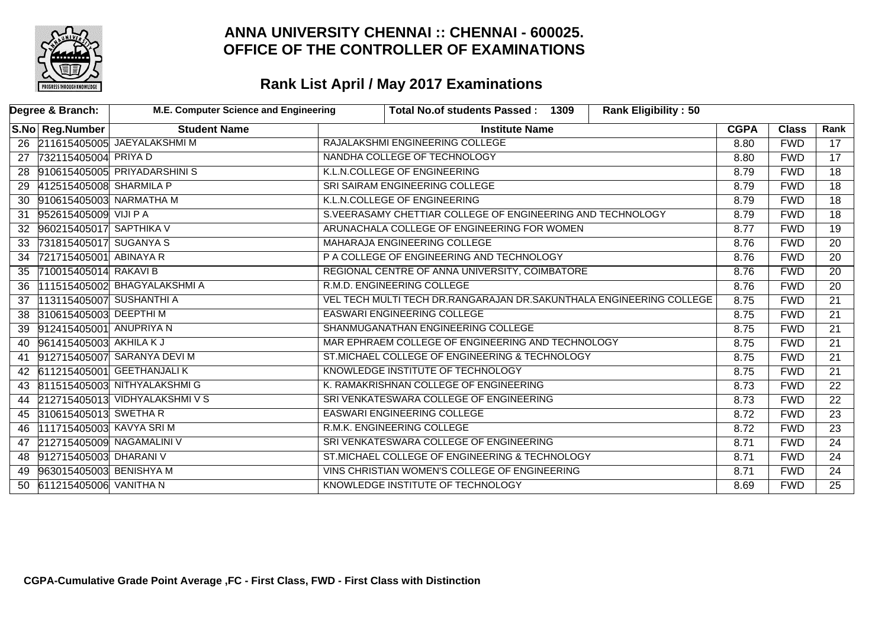

|    | Degree & Branch:             | M.E. Computer Science and Engineering |                                                | Total No.of students Passed: 1309                                   | <b>Rank Eligibility: 50</b> |             |              |                 |
|----|------------------------------|---------------------------------------|------------------------------------------------|---------------------------------------------------------------------|-----------------------------|-------------|--------------|-----------------|
|    | S.No   Reg.Number            | <b>Student Name</b>                   |                                                | <b>Institute Name</b>                                               |                             | <b>CGPA</b> | <b>Class</b> | Rank            |
|    |                              | 26 211615405005 JAEYALAKSHMI M        |                                                | RAJALAKSHMI ENGINEERING COLLEGE                                     |                             | 8.80        | <b>FWD</b>   | 17              |
| 27 | 732115405004 PRIYA D         |                                       |                                                | NANDHA COLLEGE OF TECHNOLOGY                                        |                             | 8.80        | <b>FWD</b>   | $\overline{17}$ |
|    |                              | 28 910615405005 PRIYADARSHINIS        |                                                | K.L.N.COLLEGE OF ENGINEERING                                        |                             | 8.79        | <b>FWD</b>   | $\overline{18}$ |
|    | 29 412515405008 SHARMILA P   |                                       |                                                | SRI SAIRAM ENGINEERING COLLEGE                                      |                             |             | <b>FWD</b>   | $\overline{18}$ |
| 30 | 910615405003 NARMATHA M      |                                       |                                                | K.L.N.COLLEGE OF ENGINEERING                                        |                             |             | <b>FWD</b>   | $\overline{18}$ |
| 31 | 952615405009 VIJI PA         |                                       |                                                | S.VEERASAMY CHETTIAR COLLEGE OF ENGINEERING AND TECHNOLOGY          |                             |             | <b>FWD</b>   | $\overline{18}$ |
|    | 32 960215405017 SAPTHIKA V   |                                       |                                                | ARUNACHALA COLLEGE OF ENGINEERING FOR WOMEN                         |                             |             |              | $\overline{19}$ |
| 33 | 731815405017 SUGANYA S       |                                       |                                                | MAHARAJA ENGINEERING COLLEGE                                        |                             |             |              | $\overline{20}$ |
| 34 | 721715405001 ABINAYA R       |                                       |                                                | P A COLLEGE OF ENGINEERING AND TECHNOLOGY                           |                             |             |              | 20              |
| 35 | 710015405014 RAKAVI B        |                                       |                                                | REGIONAL CENTRE OF ANNA UNIVERSITY, COIMBATORE                      |                             | 8.76        | <b>FWD</b>   | $\overline{20}$ |
| 36 |                              | 111515405002 BHAGYALAKSHMI A          |                                                | R.M.D. ENGINEERING COLLEGE                                          |                             | 8.76        | <b>FWD</b>   | $\overline{20}$ |
| 37 | 113115405007 SUSHANTHI A     |                                       |                                                | VEL TECH MULTI TECH DR.RANGARAJAN DR.SAKUNTHALA ENGINEERING COLLEGE |                             | 8.75        | <b>FWD</b>   | $\overline{21}$ |
| 38 | 310615405003 DEEPTHI M       |                                       |                                                | <b>EASWARI ENGINEERING COLLEGE</b>                                  |                             | 8.75        | <b>FWD</b>   | $\overline{21}$ |
|    | 39 912415405001 ANUPRIYA N   |                                       |                                                | SHANMUGANATHAN ENGINEERING COLLEGE                                  |                             | 8.75        | <b>FWD</b>   | $\overline{21}$ |
|    | 40 961415405003 AKHILAKJ     |                                       |                                                | MAR EPHRAEM COLLEGE OF ENGINEERING AND TECHNOLOGY                   |                             | 8.75        | <b>FWD</b>   | $\overline{21}$ |
|    |                              | 41 912715405007 SARANYA DEVI M        |                                                | ST.MICHAEL COLLEGE OF ENGINEERING & TECHNOLOGY                      |                             | 8.75        | <b>FWD</b>   | $\overline{21}$ |
|    |                              | 42 611215405001 GEETHANJALI K         |                                                | KNOWLEDGE INSTITUTE OF TECHNOLOGY                                   |                             | 8.75        | <b>FWD</b>   | $\overline{21}$ |
|    |                              | 43 811515405003 NITHYALAKSHMIG        |                                                | K. RAMAKRISHNAN COLLEGE OF ENGINEERING                              |                             | 8.73        | <b>FWD</b>   | $\overline{22}$ |
|    |                              | 44 212715405013 VIDHYALAKSHMI V S     |                                                | SRI VENKATESWARA COLLEGE OF ENGINEERING                             |                             | 8.73        | <b>FWD</b>   | $\overline{22}$ |
|    | 45 310615405013 SWETHAR      |                                       |                                                | <b>EASWARI ENGINEERING COLLEGE</b>                                  |                             | 8.72        | <b>FWD</b>   | $\overline{23}$ |
| 46 | 111715405003 KAVYA SRIM      |                                       |                                                | R.M.K. ENGINEERING COLLEGE                                          |                             | 8.72        | <b>FWD</b>   | $\overline{23}$ |
|    | 47 212715405009 NAGAMALINI V |                                       |                                                | SRI VENKATESWARA COLLEGE OF ENGINEERING                             |                             | 8.71        | <b>FWD</b>   | $\overline{24}$ |
|    | 48 912715405003 DHARANI V    |                                       | ST.MICHAEL COLLEGE OF ENGINEERING & TECHNOLOGY |                                                                     |                             | 8.71        | <b>FWD</b>   | $\overline{24}$ |
| 49 | 963015405003 BENISHYA M      |                                       |                                                | VINS CHRISTIAN WOMEN'S COLLEGE OF ENGINEERING                       |                             | 8.71        | <b>FWD</b>   | $\overline{24}$ |
|    | 50 611215405006 VANITHA N    |                                       |                                                | KNOWLEDGE INSTITUTE OF TECHNOLOGY                                   |                             | 8.69        | <b>FWD</b>   | $\overline{25}$ |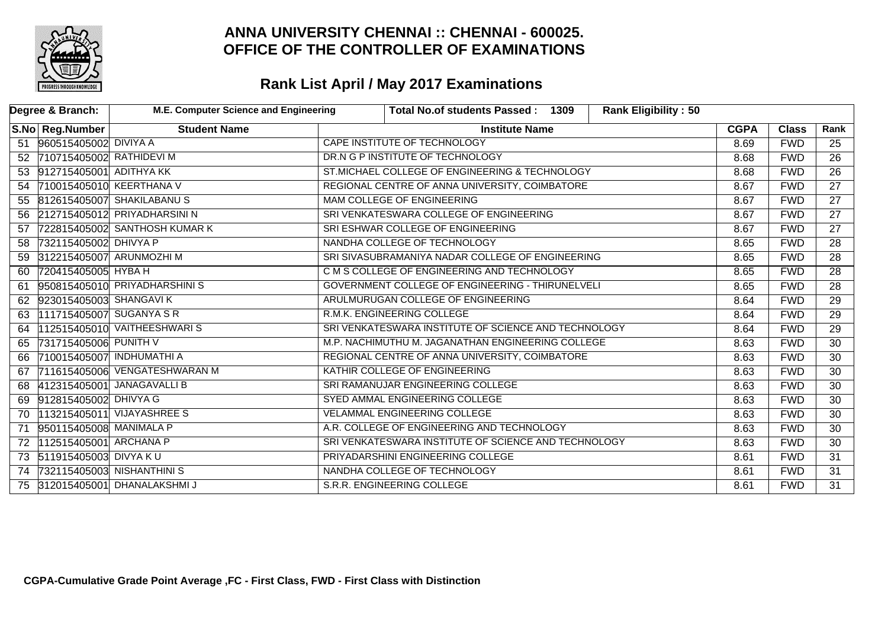

|    | Degree & Branch:            | M.E. Computer Science and Engineering |                                                      | Total No.of students Passed: 1309                       | <b>Rank Eligibility: 50</b> |             |              |                 |
|----|-----------------------------|---------------------------------------|------------------------------------------------------|---------------------------------------------------------|-----------------------------|-------------|--------------|-----------------|
|    | S.No   Reg.Number           | <b>Student Name</b>                   |                                                      | <b>Institute Name</b>                                   |                             | <b>CGPA</b> | <b>Class</b> | Rank            |
|    | 51 960515405002 DIVIYA A    |                                       |                                                      | CAPE INSTITUTE OF TECHNOLOGY                            |                             | 8.69        | <b>FWD</b>   | 25              |
|    | 52 710715405002 RATHIDEVI M |                                       |                                                      | DR.N G P INSTITUTE OF TECHNOLOGY                        |                             | 8.68        | <b>FWD</b>   | $\overline{26}$ |
|    | 53 912715405001 ADITHYA KK  |                                       |                                                      | ST.MICHAEL COLLEGE OF ENGINEERING & TECHNOLOGY          |                             | 8.68        | <b>FWD</b>   | $\overline{26}$ |
|    | 54 710015405010 KEERTHANA V |                                       |                                                      | REGIONAL CENTRE OF ANNA UNIVERSITY, COIMBATORE          |                             |             | <b>FWD</b>   | $\overline{27}$ |
|    |                             | 55 812615405007 SHAKILABANUS          |                                                      | MAM COLLEGE OF ENGINEERING                              |                             | 8.67        | <b>FWD</b>   | 27              |
|    |                             | 56 212715405012 PRIYADHARSINI N       |                                                      | SRI VENKATESWARA COLLEGE OF ENGINEERING                 |                             |             | <b>FWD</b>   | $\overline{27}$ |
| 57 |                             | 722815405002 SANTHOSH KUMAR K         |                                                      | SRI ESHWAR COLLEGE OF ENGINEERING                       |                             | 8.67        | <b>FWD</b>   | $\overline{27}$ |
| 58 | 732115405002 DHIVYA P       |                                       |                                                      | NANDHA COLLEGE OF TECHNOLOGY                            |                             | 8.65        | <b>FWD</b>   | $\overline{28}$ |
|    | 59 312215405007 ARUNMOZHI M |                                       |                                                      | SRI SIVASUBRAMANIYA NADAR COLLEGE OF ENGINEERING        |                             |             | <b>FWD</b>   | $\overline{28}$ |
| 60 | 720415405005 HYBA H         |                                       |                                                      | C M S COLLEGE OF ENGINEERING AND TECHNOLOGY             |                             | 8.65        | <b>FWD</b>   | $\overline{28}$ |
| 61 |                             | 950815405010 PRIYADHARSHINIS          |                                                      | <b>GOVERNMENT COLLEGE OF ENGINEERING - THIRUNELVELI</b> |                             | 8.65        | <b>FWD</b>   | $\overline{28}$ |
|    | 62 923015405003 SHANGAVI K  |                                       |                                                      | ARULMURUGAN COLLEGE OF ENGINEERING                      |                             | 8.64        | <b>FWD</b>   | $\overline{29}$ |
| 63 | 111715405007 SUGANYA S R    |                                       |                                                      | R.M.K. ENGINEERING COLLEGE                              |                             | 8.64        | <b>FWD</b>   | $\overline{29}$ |
| 64 |                             | 112515405010 VAITHEESHWARIS           |                                                      | SRI VENKATESWARA INSTITUTE OF SCIENCE AND TECHNOLOGY    |                             | 8.64        | <b>FWD</b>   | $\overline{29}$ |
|    | 65 731715405006 PUNITH V    |                                       |                                                      | M.P. NACHIMUTHU M. JAGANATHAN ENGINEERING COLLEGE       |                             | 8.63        | <b>FWD</b>   | $\overline{30}$ |
| 66 | 710015405007 INDHUMATHI A   |                                       |                                                      | REGIONAL CENTRE OF ANNA UNIVERSITY, COIMBATORE          |                             | 8.63        | <b>FWD</b>   | 30              |
| 67 |                             | 711615405006 VENGATESHWARAN M         |                                                      | KATHIR COLLEGE OF ENGINEERING                           |                             | 8.63        | <b>FWD</b>   | 30              |
| 68 |                             | 412315405001 JANAGAVALLI B            |                                                      | SRI RAMANUJAR ENGINEERING COLLEGE                       |                             | 8.63        | <b>FWD</b>   | $\overline{30}$ |
| 69 | 912815405002 DHIVYA G       |                                       |                                                      | SYED AMMAL ENGINEERING COLLEGE                          |                             | 8.63        | <b>FWD</b>   | $\overline{30}$ |
| 70 |                             | 113215405011 VIJAYASHREE S            |                                                      | <b>VELAMMAL ENGINEERING COLLEGE</b>                     |                             | 8.63        | <b>FWD</b>   | $\overline{30}$ |
| 71 | 950115405008 MANIMALA P     |                                       |                                                      | A.R. COLLEGE OF ENGINEERING AND TECHNOLOGY              |                             | 8.63        | <b>FWD</b>   | $\overline{30}$ |
| 72 | 112515405001 ARCHANA P      |                                       | SRI VENKATESWARA INSTITUTE OF SCIENCE AND TECHNOLOGY |                                                         |                             | 8.63        | <b>FWD</b>   | $\overline{30}$ |
|    | 73 511915405003 DIVYA KU    |                                       |                                                      | PRIYADARSHINI ENGINEERING COLLEGE                       |                             | 8.61        | <b>FWD</b>   | $\overline{31}$ |
|    |                             | 74 732115405003 NISHANTHINI S         |                                                      | NANDHA COLLEGE OF TECHNOLOGY                            |                             | 8.61        | <b>FWD</b>   | $\overline{31}$ |
|    |                             | 75 312015405001 DHANALAKSHMI J        |                                                      | S.R.R. ENGINEERING COLLEGE                              |                             | 8.61        | <b>FWD</b>   | $\overline{31}$ |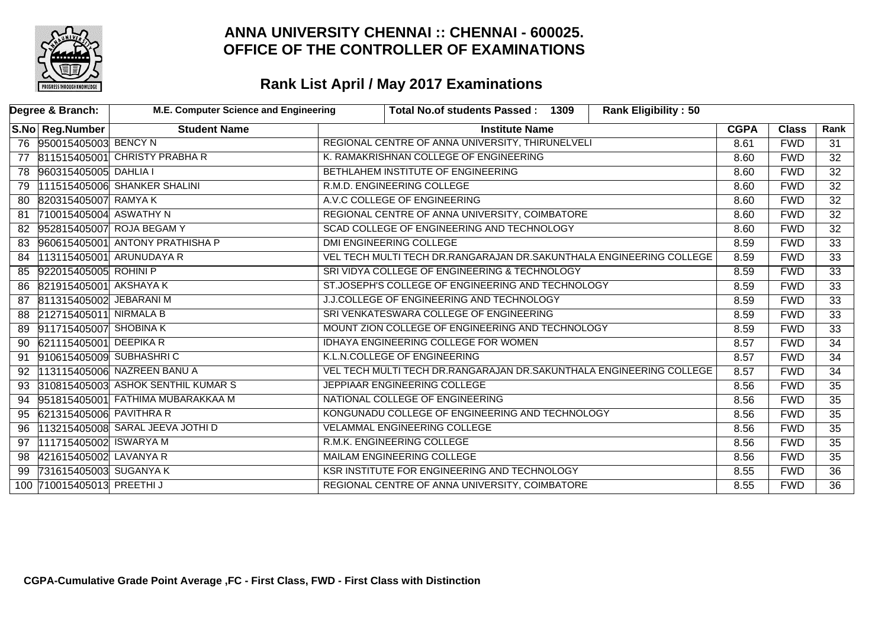

|    | Degree & Branch:          | M.E. Computer Science and Engineering |                                           | Total No.of students Passed: 1309                                   | <b>Rank Eligibility: 50</b> |             |                 |                 |
|----|---------------------------|---------------------------------------|-------------------------------------------|---------------------------------------------------------------------|-----------------------------|-------------|-----------------|-----------------|
|    | S.No   Reg.Number         | <b>Student Name</b>                   |                                           | <b>Institute Name</b>                                               |                             | <b>CGPA</b> | <b>Class</b>    | Rank            |
|    | 76 950015405003 BENCY N   |                                       |                                           | REGIONAL CENTRE OF ANNA UNIVERSITY, THIRUNELVELI                    |                             | 8.61        | <b>FWD</b>      | 31              |
| 77 |                           | 811515405001 CHRISTY PRABHA R         |                                           | K. RAMAKRISHNAN COLLEGE OF ENGINEERING                              |                             | 8.60        | <b>FWD</b>      | $\overline{32}$ |
| 78 | 960315405005 DAHLIA I     |                                       |                                           | BETHLAHEM INSTITUTE OF ENGINEERING                                  |                             |             | <b>FWD</b>      | $\overline{32}$ |
| 79 |                           | 111515405006 SHANKER SHALINI          |                                           | R.M.D. ENGINEERING COLLEGE                                          |                             | 8.60        | <b>FWD</b>      | $\overline{32}$ |
| 80 | 820315405007 RAMYAK       |                                       |                                           | A.V.C COLLEGE OF ENGINEERING                                        |                             | 8.60        | <b>FWD</b>      | $\overline{32}$ |
| 81 | 710015405004 ASWATHY N    |                                       |                                           | REGIONAL CENTRE OF ANNA UNIVERSITY, COIMBATORE                      |                             | 8.60        | <b>FWD</b>      | $\overline{32}$ |
| 82 |                           | 952815405007 ROJA BEGAM Y             |                                           | SCAD COLLEGE OF ENGINEERING AND TECHNOLOGY                          |                             |             |                 | $\overline{32}$ |
| 83 |                           | 960615405001 ANTONY PRATHISHA P       |                                           | DMI ENGINEERING COLLEGE                                             |                             | 8.59        | <b>FWD</b>      | $\overline{33}$ |
| 84 |                           | 113115405001 ARUNUDAYA R              |                                           | VEL TECH MULTI TECH DR.RANGARAJAN DR.SAKUNTHALA ENGINEERING COLLEGE |                             | 8.59        | <b>FWD</b>      | $\overline{33}$ |
| 85 | 922015405005 ROHINI P     |                                       |                                           | SRI VIDYA COLLEGE OF ENGINEERING & TECHNOLOGY                       |                             | 8.59        | <b>FWD</b>      | $\overline{33}$ |
| 86 | 821915405001 AKSHAYA K    |                                       |                                           | ST.JOSEPH'S COLLEGE OF ENGINEERING AND TECHNOLOGY                   |                             | 8.59        | <b>FWD</b>      | $\overline{33}$ |
| 87 | 811315405002 JEBARANI M   |                                       | J.J.COLLEGE OF ENGINEERING AND TECHNOLOGY |                                                                     | 8.59                        | <b>FWD</b>  | $\overline{33}$ |                 |
| 88 | 212715405011 NIRMALA B    |                                       |                                           | SRI VENKATESWARA COLLEGE OF ENGINEERING                             |                             | 8.59        | <b>FWD</b>      | $\overline{33}$ |
| 89 | 911715405007 SHOBINA K    |                                       |                                           | MOUNT ZION COLLEGE OF ENGINEERING AND TECHNOLOGY                    |                             | 8.59        | <b>FWD</b>      | $\overline{33}$ |
|    | 90 621115405001 DEEPIKA R |                                       |                                           | IDHAYA ENGINEERING COLLEGE FOR WOMEN                                |                             | 8.57        | <b>FWD</b>      | $\overline{34}$ |
| 91 | 910615405009 SUBHASHRIC   |                                       |                                           | K.L.N.COLLEGE OF ENGINEERING                                        |                             | 8.57        | <b>FWD</b>      | $\overline{34}$ |
| 92 |                           | 113115405006 NAZREEN BANU A           |                                           | VEL TECH MULTI TECH DR.RANGARAJAN DR.SAKUNTHALA ENGINEERING COLLEGE |                             | 8.57        | <b>FWD</b>      | 34              |
| 93 |                           | 310815405003 ASHOK SENTHIL KUMAR S    |                                           | JEPPIAAR ENGINEERING COLLEGE                                        |                             | 8.56        | <b>FWD</b>      | $\overline{35}$ |
|    |                           | 94 951815405001 FATHIMA MUBARAKKAA M  |                                           | NATIONAL COLLEGE OF ENGINEERING                                     |                             | 8.56        | <b>FWD</b>      | $\overline{35}$ |
| 95 | 621315405006 PAVITHRA R   |                                       |                                           | KONGUNADU COLLEGE OF ENGINEERING AND TECHNOLOGY                     |                             | 8.56        | <b>FWD</b>      | $\overline{35}$ |
| 96 |                           | 113215405008 SARAL JEEVA JOTHI D      |                                           | <b>VELAMMAL ENGINEERING COLLEGE</b>                                 |                             | 8.56        | <b>FWD</b>      | $\overline{35}$ |
| 97 | 111715405002 ISWARYA M    |                                       |                                           | R.M.K. ENGINEERING COLLEGE                                          |                             | 8.56        | <b>FWD</b>      | $\overline{35}$ |
| 98 | 421615405002 LAVANYA R    |                                       | MAILAM ENGINEERING COLLEGE                |                                                                     |                             | 8.56        | <b>FWD</b>      | $\overline{35}$ |
| 99 | 731615405003 SUGANYA K    |                                       |                                           | KSR INSTITUTE FOR ENGINEERING AND TECHNOLOGY                        |                             | 8.55        | <b>FWD</b>      | $\overline{36}$ |
|    | 100 710015405013 PREETHIJ |                                       |                                           | REGIONAL CENTRE OF ANNA UNIVERSITY, COIMBATORE                      |                             | 8.55        | <b>FWD</b>      | $\overline{36}$ |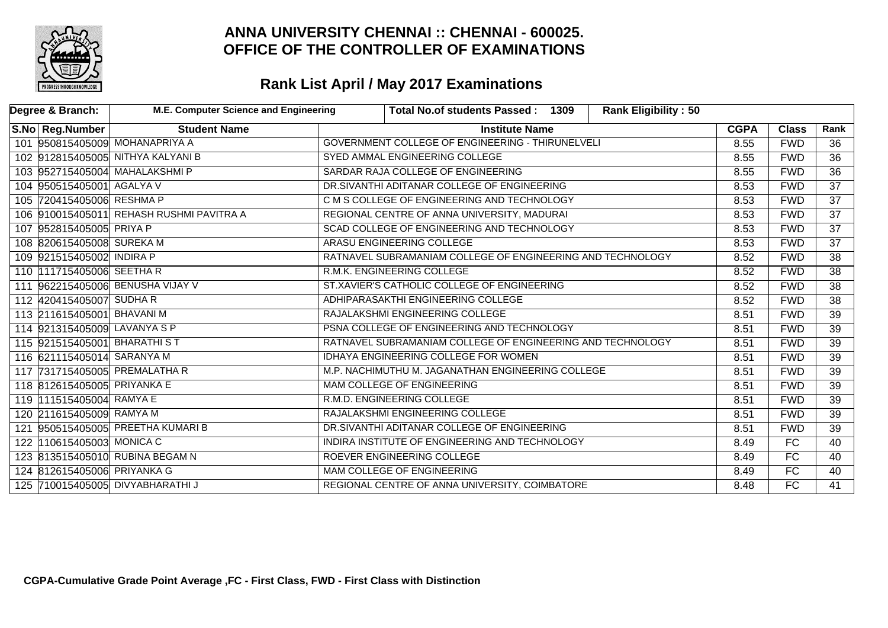

| Degree & Branch:             | M.E. Computer Science and Engineering    |                                             | Total No.of students Passed: 1309                          | <b>Rank Eligibility: 50</b> |             |              |                 |
|------------------------------|------------------------------------------|---------------------------------------------|------------------------------------------------------------|-----------------------------|-------------|--------------|-----------------|
| S.No Reg.Number              | <b>Student Name</b>                      |                                             | <b>Institute Name</b>                                      |                             | <b>CGPA</b> | <b>Class</b> | Rank            |
|                              | 101 950815405009 MOHANAPRIYA A           |                                             | GOVERNMENT COLLEGE OF ENGINEERING - THIRUNELVELI           |                             | 8.55        | <b>FWD</b>   | 36              |
|                              | 102 912815405005 NITHYA KALYANI B        |                                             | SYED AMMAL ENGINEERING COLLEGE                             |                             | 8.55        | <b>FWD</b>   | $\overline{36}$ |
|                              | 103 952715405004 MAHALAKSHMI P           |                                             | SARDAR RAJA COLLEGE OF ENGINEERING                         |                             | 8.55        | <b>FWD</b>   | $\overline{36}$ |
| 104 950515405001 AGALYA V    |                                          | DR.SIVANTHI ADITANAR COLLEGE OF ENGINEERING |                                                            |                             | 8.53        | <b>FWD</b>   | $\overline{37}$ |
| 105 720415405006 RESHMA P    |                                          |                                             | C M S COLLEGE OF ENGINEERING AND TECHNOLOGY                |                             |             | <b>FWD</b>   | $\overline{37}$ |
|                              | 106 910015405011 REHASH RUSHMI PAVITRA A | REGIONAL CENTRE OF ANNA UNIVERSITY, MADURAI |                                                            |                             |             | <b>FWD</b>   | $\overline{37}$ |
| 107 952815405005 PRIYA P     |                                          |                                             | SCAD COLLEGE OF ENGINEERING AND TECHNOLOGY                 |                             |             |              | $\overline{37}$ |
| 108 820615405008 SUREKA M    |                                          |                                             | ARASU ENGINEERING COLLEGE                                  |                             | 8.53        | <b>FWD</b>   | $\overline{37}$ |
| 109 921515405002 INDIRA P    |                                          |                                             | RATNAVEL SUBRAMANIAM COLLEGE OF ENGINEERING AND TECHNOLOGY |                             | 8.52        | <b>FWD</b>   | 38              |
| 110 111715405006 SEETHAR     |                                          |                                             | R.M.K. ENGINEERING COLLEGE                                 |                             | 8.52        | <b>FWD</b>   | $\overline{38}$ |
|                              | 111 962215405006 BENUSHA VIJAY V         |                                             | ST.XAVIER'S CATHOLIC COLLEGE OF ENGINEERING                |                             | 8.52        | <b>FWD</b>   | $\overline{38}$ |
| 112 420415405007 SUDHA R     |                                          |                                             | ADHIPARASAKTHI ENGINEERING COLLEGE                         |                             | 8.52        | <b>FWD</b>   | $\overline{38}$ |
| 113 211615405001 BHAVANI M   |                                          |                                             | RAJALAKSHMI ENGINEERING COLLEGE                            |                             | 8.51        | <b>FWD</b>   | $\overline{39}$ |
| 114 921315405009 LAVANYA S P |                                          |                                             | PSNA COLLEGE OF ENGINEERING AND TECHNOLOGY                 |                             | 8.51        | <b>FWD</b>   | $\overline{39}$ |
| 115 921515405001 BHARATHIST  |                                          |                                             | RATNAVEL SUBRAMANIAM COLLEGE OF ENGINEERING AND TECHNOLOGY |                             | 8.51        | <b>FWD</b>   | $\overline{39}$ |
| 116 621115405014 SARANYA M   |                                          |                                             | <b>IDHAYA ENGINEERING COLLEGE FOR WOMEN</b>                |                             | 8.51        | <b>FWD</b>   | $\overline{39}$ |
|                              | 117 731715405005 PREMALATHA R            |                                             | M.P. NACHIMUTHU M. JAGANATHAN ENGINEERING COLLEGE          |                             | 8.51        | <b>FWD</b>   | $\overline{39}$ |
| 118 812615405005 PRIYANKA E  |                                          |                                             | MAM COLLEGE OF ENGINEERING                                 |                             | 8.51        | <b>FWD</b>   | $\overline{39}$ |
| 119 111515405004 RAMYA E     |                                          |                                             | R.M.D. ENGINEERING COLLEGE                                 |                             | 8.51        | <b>FWD</b>   | $\overline{39}$ |
| 120 211615405009 RAMYA M     |                                          |                                             | RAJALAKSHMI ENGINEERING COLLEGE                            |                             | 8.51        | <b>FWD</b>   | $\overline{39}$ |
|                              | 121 950515405005 PREETHA KUMARI B        |                                             | DR.SIVANTHI ADITANAR COLLEGE OF ENGINEERING                |                             | 8.51        | <b>FWD</b>   | $\overline{39}$ |
| 122 110615405003 MONICA C    |                                          |                                             | INDIRA INSTITUTE OF ENGINEERING AND TECHNOLOGY             |                             | 8.49        | FC           | 40              |
|                              | 123 813515405010 RUBINA BEGAM N          |                                             | ROEVER ENGINEERING COLLEGE                                 |                             | 8.49        | FC           | 40              |
| 124 812615405006 PRIYANKA G  |                                          |                                             | <b>MAM COLLEGE OF ENGINEERING</b>                          |                             | 8.49        | FC           | 40              |
|                              | 125 710015405005 DIVYABHARATHI J         |                                             | REGIONAL CENTRE OF ANNA UNIVERSITY, COIMBATORE             |                             | 8.48        | FC           | 41              |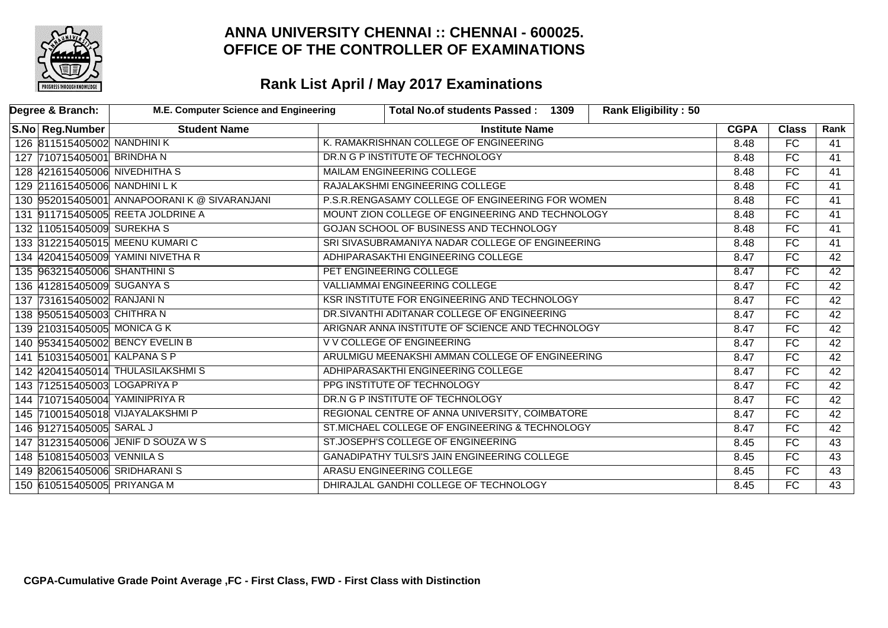

| Degree & Branch:                | M.E. Computer Science and Engineering       |                                                     | Total No.of students Passed: 1309                | <b>Rank Eligibility: 50</b> |             |                 |                 |
|---------------------------------|---------------------------------------------|-----------------------------------------------------|--------------------------------------------------|-----------------------------|-------------|-----------------|-----------------|
| S.No   Reg.Number               | <b>Student Name</b>                         |                                                     | <b>Institute Name</b>                            |                             | <b>CGPA</b> | <b>Class</b>    | Rank            |
| 126 811515405002 NANDHINI K     |                                             |                                                     | K. RAMAKRISHNAN COLLEGE OF ENGINEERING           |                             | 8.48        | $\overline{FC}$ | 41              |
| 127 710715405001 BRINDHAN       |                                             |                                                     | DR.N G P INSTITUTE OF TECHNOLOGY                 |                             | 8.48        | FC              | 41              |
| 128 421615405006 NIVEDHITHA S   |                                             |                                                     | <b>MAILAM ENGINEERING COLLEGE</b>                |                             |             | $\overline{FC}$ | $\overline{41}$ |
| 129 211615405006 NANDHINI LK    |                                             |                                                     | RAJALAKSHMI ENGINEERING COLLEGE                  |                             |             | FC              | 41              |
|                                 | 130 952015405001 ANNAPOORANIK @ SIVARANJANI |                                                     | P.S.R.RENGASAMY COLLEGE OF ENGINEERING FOR WOMEN |                             |             | FC              | $\overline{41}$ |
|                                 | 131 91715405005 REETA JOLDRINE A            |                                                     | MOUNT ZION COLLEGE OF ENGINEERING AND TECHNOLOGY |                             |             |                 | 41              |
| 132 110515405009 SUREKHA S      |                                             |                                                     | GOJAN SCHOOL OF BUSINESS AND TECHNOLOGY          |                             |             |                 | $\overline{41}$ |
|                                 | 133 312215405015 MEENU KUMARIC              |                                                     | SRI SIVASUBRAMANIYA NADAR COLLEGE OF ENGINEERING |                             |             |                 | 41              |
|                                 | 134 420415405009 YAMINI NIVETHA R           |                                                     | ADHIPARASAKTHI ENGINEERING COLLEGE               |                             | 8.47        | <b>FC</b>       | 42              |
| 135 963215405006 SHANTHINIS     |                                             |                                                     | PET ENGINEERING COLLEGE                          |                             | 8.47        | FC              | 42              |
| 136 412815405009 SUGANYA S      |                                             |                                                     | <b>VALLIAMMAI ENGINEERING COLLEGE</b>            |                             | 8.47        | FC              | 42              |
| 137 731615405002 RANJANI N      |                                             |                                                     | KSR INSTITUTE FOR ENGINEERING AND TECHNOLOGY     |                             | 8.47        | FC              | 42              |
| 138 950515405003 CHITHRA N      |                                             |                                                     | DR.SIVANTHI ADITANAR COLLEGE OF ENGINEERING      |                             | 8.47        | FC              | 42              |
| 139 210315405005 MONICA G K     |                                             |                                                     | ARIGNAR ANNA INSTITUTE OF SCIENCE AND TECHNOLOGY |                             | 8.47        | $\overline{FC}$ | 42              |
| 140 953415405002 BENCY EVELIN B |                                             |                                                     | V V COLLEGE OF ENGINEERING                       |                             | 8.47        | FC              | 42              |
| 141 510315405001 KALPANA S P    |                                             |                                                     | ARULMIGU MEENAKSHI AMMAN COLLEGE OF ENGINEERING  |                             | 8.47        | FC              | 42              |
|                                 | 142 420415405014 THULASILAKSHMIS            |                                                     | ADHIPARASAKTHI ENGINEERING COLLEGE               |                             | 8.47        | FC              | 42              |
| 143 712515405003 LOGAPRIYA P    |                                             |                                                     | PPG INSTITUTE OF TECHNOLOGY                      |                             | 8.47        | $\overline{FC}$ | $\overline{42}$ |
| 144 710715405004 YAMINIPRIYA R  |                                             |                                                     | DR.N G P INSTITUTE OF TECHNOLOGY                 |                             | 8.47        | FC              | $\overline{42}$ |
|                                 | 145 710015405018 VIJAYALAKSHMI P            |                                                     | REGIONAL CENTRE OF ANNA UNIVERSITY, COIMBATORE   |                             | 8.47        | FC              | 42              |
| 146 912715405005 SARAL J        |                                             | ST.MICHAEL COLLEGE OF ENGINEERING & TECHNOLOGY      |                                                  |                             | 8.47        | FC              | 42              |
|                                 | 147 312315405006 JENIF D SOUZA W S          |                                                     | ST.JOSEPH'S COLLEGE OF ENGINEERING               |                             | 8.45        | FC              | 43              |
| 148 510815405003 VENNILA S      |                                             | <b>GANADIPATHY TULSI'S JAIN ENGINEERING COLLEGE</b> |                                                  |                             | 8.45        | FC              | 43              |
| 149 820615405006 SRIDHARANIS    |                                             |                                                     | <b>ARASU ENGINEERING COLLEGE</b>                 |                             | 8.45        | FC              | 43              |
| 150 610515405005 PRIYANGA M     |                                             |                                                     | DHIRAJLAL GANDHI COLLEGE OF TECHNOLOGY           |                             | 8.45        | FC              | 43              |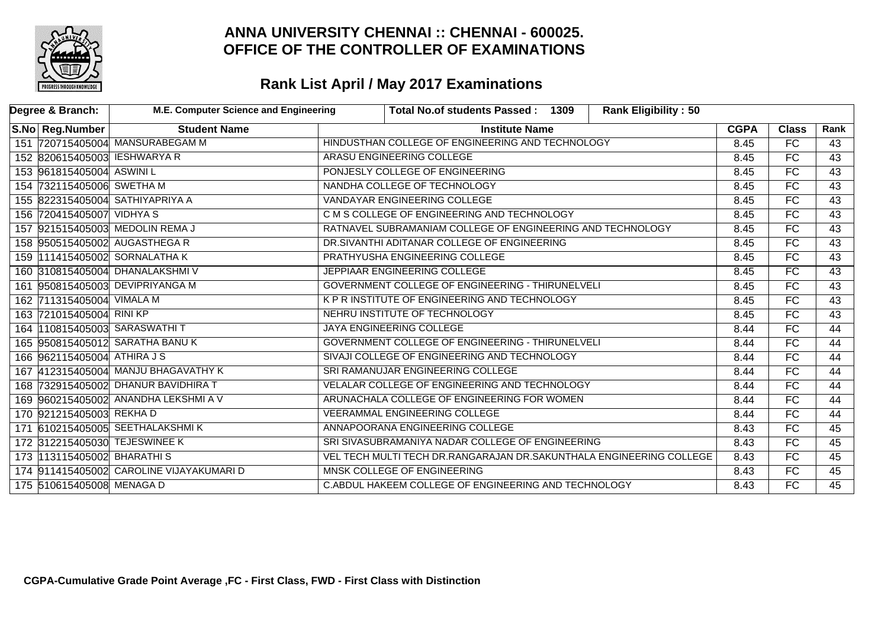

| Degree & Branch:             | M.E. Computer Science and Engineering    | Total No.of students Passed: 1309                                   |  | <b>Rank Eligibility: 50</b> |             |                 |                 |
|------------------------------|------------------------------------------|---------------------------------------------------------------------|--|-----------------------------|-------------|-----------------|-----------------|
| S.No Reg.Number              | <b>Student Name</b>                      | <b>Institute Name</b>                                               |  |                             | <b>CGPA</b> | <b>Class</b>    | Rank            |
|                              | 151 720715405004 MANSURABEGAM M          | HINDUSTHAN COLLEGE OF ENGINEERING AND TECHNOLOGY                    |  |                             | 8.45        | FC              | 43              |
| 152 820615405003 IESHWARYA R |                                          | ARASU ENGINEERING COLLEGE                                           |  |                             | 8.45        | FC              | 43              |
| 153 961815405004 ASWINI L    |                                          | PONJESLY COLLEGE OF ENGINEERING                                     |  |                             | 8.45        | $\overline{FC}$ | $\overline{43}$ |
| 154 732115405006 SWETHA M    |                                          | NANDHA COLLEGE OF TECHNOLOGY                                        |  |                             | 8.45        | FC              | 43              |
|                              | 155 822315405004 SATHIYAPRIYA A          | VANDAYAR ENGINEERING COLLEGE                                        |  |                             | 8.45        | FC              | $\overline{43}$ |
| 156 720415405007 VIDHYA S    |                                          | C M S COLLEGE OF ENGINEERING AND TECHNOLOGY                         |  |                             | 8.45        | FC              | $\overline{43}$ |
|                              | 157 921515405003 MEDOLIN REMA J          | RATNAVEL SUBRAMANIAM COLLEGE OF ENGINEERING AND TECHNOLOGY          |  |                             | 8.45        | FC              | $\overline{43}$ |
|                              | 158 950515405002 AUGASTHEGA R            | DR.SIVANTHI ADITANAR COLLEGE OF ENGINEERING                         |  |                             | 8.45        | FC              | 43              |
|                              | 159 111415405002 SORNALATHA K            | PRATHYUSHA ENGINEERING COLLEGE                                      |  |                             | 8.45        | FC              | $\overline{43}$ |
|                              | 160 310815405004 DHANALAKSHMIV           | JEPPIAAR ENGINEERING COLLEGE                                        |  |                             | 8.45        | FC              | 43              |
|                              | 161 950815405003 DEVIPRIYANGA M          | GOVERNMENT COLLEGE OF ENGINEERING - THIRUNELVELI                    |  |                             | 8.45        | FC              | 43              |
| 162 711315405004 VIMALA M    |                                          | K P R INSTITUTE OF ENGINEERING AND TECHNOLOGY                       |  |                             | 8.45        | FC              | 43              |
| 163 721015405004 RINI KP     |                                          | NEHRU INSTITUTE OF TECHNOLOGY                                       |  |                             | 8.45        | FC              | 43              |
|                              | 164   10815405003 SARASWATHIT            | <b>JAYA ENGINEERING COLLEGE</b>                                     |  |                             | 8.44        | FC              | 44              |
|                              | 165 950815405012 SARATHA BANUK           | GOVERNMENT COLLEGE OF ENGINEERING - THIRUNELVELI                    |  |                             | 8.44        | FC              | 44              |
| 166 962115405004 ATHIRA JS   |                                          | SIVAJI COLLEGE OF ENGINEERING AND TECHNOLOGY                        |  |                             | 8.44        | FC              | 44              |
|                              | 167 412315405004 MANJU BHAGAVATHY K      | SRI RAMANUJAR ENGINEERING COLLEGE                                   |  |                             | 8.44        | FC              | 44              |
|                              | 168 732915405002 DHANUR BAVIDHIRA T      | VELALAR COLLEGE OF ENGINEERING AND TECHNOLOGY                       |  |                             | 8.44        | FC              | 44              |
|                              | 169 960215405002 ANANDHA LEKSHMI A V     | ARUNACHALA COLLEGE OF ENGINEERING FOR WOMEN                         |  |                             | 8.44        | FC              | 44              |
| 170 921215405003 REKHAD      |                                          | <b>VEERAMMAL ENGINEERING COLLEGE</b>                                |  |                             | 8.44        | $\overline{FC}$ | $\overline{44}$ |
|                              | 171 610215405005 SEETHALAKSHMIK          | ANNAPOORANA ENGINEERING COLLEGE                                     |  |                             | 8.43        | FC              | 45              |
|                              | 172 312215405030 TEJESWINEE K            | SRI SIVASUBRAMANIYA NADAR COLLEGE OF ENGINEERING                    |  | 8.43                        | FC          | $\overline{45}$ |                 |
| 173 113115405002 BHARATHIS   |                                          | VEL TECH MULTI TECH DR.RANGARAJAN DR.SAKUNTHALA ENGINEERING COLLEGE |  |                             | 8.43        | FC              | 45              |
|                              | 174 911415405002 CAROLINE VIJAYAKUMARI D | MNSK COLLEGE OF ENGINEERING                                         |  |                             | 8.43        | FC              | 45              |
| 175 510615405008 MENAGA D    |                                          | C.ABDUL HAKEEM COLLEGE OF ENGINEERING AND TECHNOLOGY                |  |                             |             | FC              | 45              |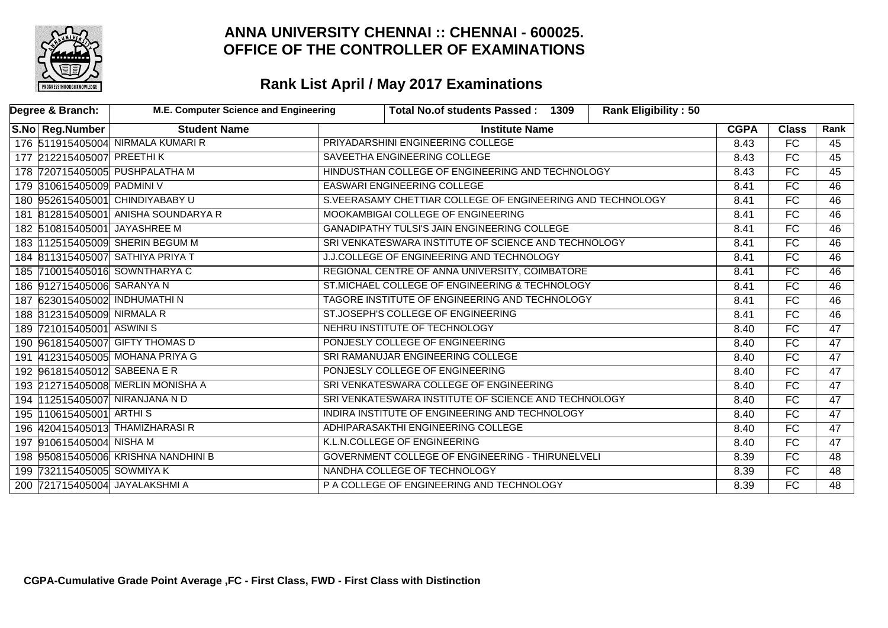

| Degree & Branch:                 | M.E. Computer Science and Engineering |                                                  | Total No.of students Passed: 1309                          | <b>Rank Eligibility: 50</b> |             |                 |                 |
|----------------------------------|---------------------------------------|--------------------------------------------------|------------------------------------------------------------|-----------------------------|-------------|-----------------|-----------------|
| S.No   Reg.Number                | <b>Student Name</b>                   |                                                  | <b>Institute Name</b>                                      |                             | <b>CGPA</b> | <b>Class</b>    | Rank            |
|                                  | 176 511915405004 NIRMALA KUMARI R     |                                                  | PRIYADARSHINI ENGINEERING COLLEGE                          |                             | 8.43        | $\overline{FC}$ | 45              |
| 177 212215405007 PREETHIK        |                                       |                                                  | SAVEETHA ENGINEERING COLLEGE                               |                             | 8.43        | FC              | 45              |
| 178 720715405005 PUSHPALATHA M   |                                       | HINDUSTHAN COLLEGE OF ENGINEERING AND TECHNOLOGY |                                                            |                             | 8.43        | $\overline{FC}$ | 45              |
| 179 310615405009 PADMINI V       |                                       | <b>EASWARI ENGINEERING COLLEGE</b>               |                                                            |                             | 8.41        | FC              | $\overline{46}$ |
| 180 952615405001 CHINDIYABABY U  |                                       |                                                  | S.VEERASAMY CHETTIAR COLLEGE OF ENGINEERING AND TECHNOLOGY |                             | 8.41        | FC              | $\overline{46}$ |
|                                  | 181 812815405001 ANISHA SOUNDARYA R   |                                                  | MOOKAMBIGAI COLLEGE OF ENGINEERING                         |                             | 8.41        | FC              | 46              |
| 182 510815405001 JAYASHREE M     |                                       |                                                  | <b>GANADIPATHY TULSI'S JAIN ENGINEERING COLLEGE</b>        |                             | 8.41        | FC              | 46              |
|                                  | 183 112515405009 SHERIN BEGUM M       |                                                  | SRI VENKATESWARA INSTITUTE OF SCIENCE AND TECHNOLOGY       |                             | 8.41        | FC              | $\overline{46}$ |
| 184 811315405007 SATHIYA PRIYA T |                                       |                                                  | J.J.COLLEGE OF ENGINEERING AND TECHNOLOGY                  |                             | 8.41        | FC              | 46              |
| 185 710015405016 SOWNTHARYA C    |                                       |                                                  | REGIONAL CENTRE OF ANNA UNIVERSITY, COIMBATORE             |                             | 8.41        | FC              | 46              |
| 186 912715405006 SARANYA N       |                                       | ST.MICHAEL COLLEGE OF ENGINEERING & TECHNOLOGY   |                                                            |                             |             | FC              | 46              |
| 187 623015405002 INDHUMATHIN     |                                       | TAGORE INSTITUTE OF ENGINEERING AND TECHNOLOGY   |                                                            |                             | 8.41        | FC              | $\overline{46}$ |
| 188 312315405009 NIRMALA R       |                                       |                                                  | ST.JOSEPH'S COLLEGE OF ENGINEERING                         |                             | 8.41        | FC              | 46              |
| 189 721015405001 ASWINIS         |                                       |                                                  | NEHRU INSTITUTE OF TECHNOLOGY                              |                             | 8.40        | $\overline{FC}$ | $\overline{47}$ |
| 190 961815405007 GIFTY THOMAS D  |                                       |                                                  | PONJESLY COLLEGE OF ENGINEERING                            |                             | 8.40        | FC              | $\overline{47}$ |
|                                  | 191 412315405005 MOHANA PRIYA G       |                                                  | SRI RAMANUJAR ENGINEERING COLLEGE                          |                             | 8.40        | FC              | $\overline{47}$ |
| 192 961815405012 SABEENA ER      |                                       |                                                  | PONJESLY COLLEGE OF ENGINEERING                            |                             | 8.40        | FC              | $\overline{47}$ |
|                                  | 193 212715405008 MERLIN MONISHA A     |                                                  | SRI VENKATESWARA COLLEGE OF ENGINEERING                    |                             | 8.40        | $\overline{FC}$ | $\overline{47}$ |
| 194 112515405007 NIRANJANA N D   |                                       |                                                  | SRI VENKATESWARA INSTITUTE OF SCIENCE AND TECHNOLOGY       |                             | 8.40        | FC              | $\overline{47}$ |
| 195 110615405001 ARTHIS          |                                       |                                                  | INDIRA INSTITUTE OF ENGINEERING AND TECHNOLOGY             |                             | 8.40        | FC              | 47              |
| 196 420415405013 THAMIZHARASI R  |                                       | ADHIPARASAKTHI ENGINEERING COLLEGE               |                                                            |                             | 8.40        | FC              | 47              |
| 197 910615405004 NISHA M         |                                       | K.L.N.COLLEGE OF ENGINEERING                     |                                                            |                             | 8.40        | FC              | $\overline{47}$ |
|                                  | 198 950815405006 KRISHNA NANDHINI B   | GOVERNMENT COLLEGE OF ENGINEERING - THIRUNELVELI |                                                            |                             | 8.39        | FC              | 48              |
| 199 732115405005 SOWMIYA K       |                                       | NANDHA COLLEGE OF TECHNOLOGY                     |                                                            |                             | 8.39        | FC              | $\overline{48}$ |
| 200 721715405004 JAYALAKSHMI A   |                                       |                                                  | P A COLLEGE OF ENGINEERING AND TECHNOLOGY                  |                             | 8.39        | FC              | $\overline{48}$ |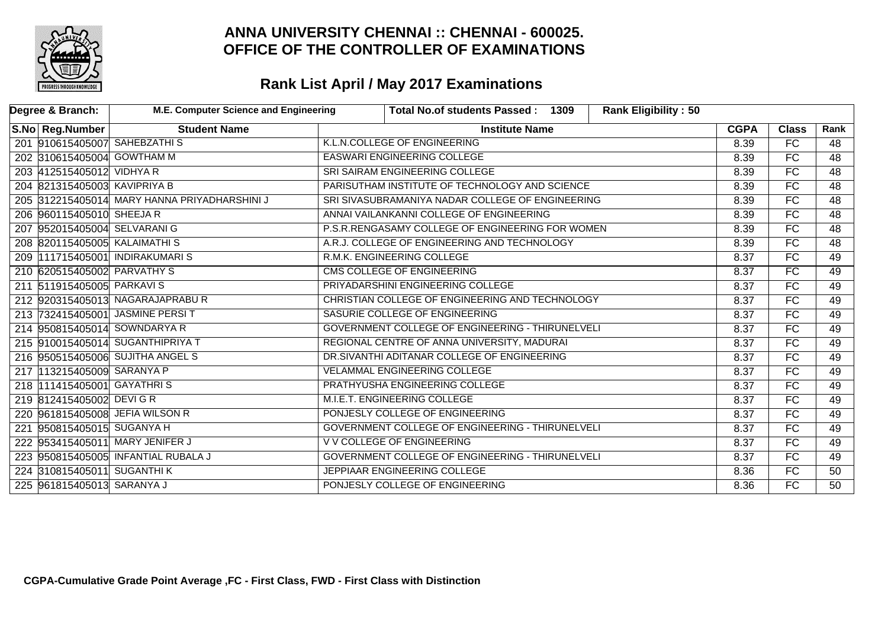

| Degree & Branch:             | <b>M.E. Computer Science and Engineering</b> |                                                  | <b>Total No.of students Passed:</b><br>1309      | <b>Rank Eligibility: 50</b> |             |                 |                 |
|------------------------------|----------------------------------------------|--------------------------------------------------|--------------------------------------------------|-----------------------------|-------------|-----------------|-----------------|
| S.No Reg.Number              | <b>Student Name</b>                          |                                                  | <b>Institute Name</b>                            |                             | <b>CGPA</b> | <b>Class</b>    | Rank            |
|                              | 201 910615405007 SAHEBZATHIS                 |                                                  | K.L.N.COLLEGE OF ENGINEERING                     |                             | 8.39        | $\overline{FC}$ | 48              |
| 202 310615405004 GOWTHAM M   |                                              |                                                  | <b>EASWARI ENGINEERING COLLEGE</b>               |                             |             |                 | $\overline{48}$ |
| 203 412515405012 VIDHYA R    |                                              |                                                  | SRI SAIRAM ENGINEERING COLLEGE                   |                             |             | $\overline{FC}$ | $\overline{48}$ |
| 204 821315405003 KAVIPRIYA B |                                              |                                                  | PARISUTHAM INSTITUTE OF TECHNOLOGY AND SCIENCE   |                             | 8.39        | FC              | $\overline{48}$ |
|                              | 205 312215405014 MARY HANNA PRIYADHARSHINI J |                                                  | SRI SIVASUBRAMANIYA NADAR COLLEGE OF ENGINEERING |                             | 8.39        | <b>FC</b>       | 48              |
| 206 960115405010 SHEEJA R    |                                              |                                                  | ANNAI VAILANKANNI COLLEGE OF ENGINEERING         |                             | 8.39        | $\overline{FC}$ | $\overline{48}$ |
| 207 952015405004 SELVARANI G |                                              |                                                  | P.S.R.RENGASAMY COLLEGE OF ENGINEERING FOR WOMEN |                             | 8.39        | FC              | $\overline{48}$ |
| 208 820115405005 KALAIMATHIS |                                              |                                                  | A.R.J. COLLEGE OF ENGINEERING AND TECHNOLOGY     |                             | 8.39        | FC              | $\overline{48}$ |
|                              | 209 111715405001 INDIRAKUMARIS               |                                                  | R.M.K. ENGINEERING COLLEGE                       |                             | 8.37        | FC              | 49              |
| 210 620515405002 PARVATHY S  |                                              |                                                  | <b>CMS COLLEGE OF ENGINEERING</b>                |                             | 8.37        | $\overline{FC}$ | 49              |
| 211 511915405005 PARKAVIS    |                                              |                                                  | PRIYADARSHINI ENGINEERING COLLEGE                |                             | 8.37        | $\overline{FC}$ | 49              |
|                              | 212 920315405013 NAGARAJAPRABUR              |                                                  | CHRISTIAN COLLEGE OF ENGINEERING AND TECHNOLOGY  |                             |             |                 | 49              |
|                              | 213 732415405001 JASMINE PERSIT              |                                                  | SASURIE COLLEGE OF ENGINEERING                   |                             | 8.37        | FC              | 49              |
|                              | 214 950815405014 SOWNDARYA R                 |                                                  | GOVERNMENT COLLEGE OF ENGINEERING - THIRUNELVELI |                             | 8.37        | FC              | 49              |
|                              | 215 910015405014 SUGANTHIPRIYA T             |                                                  | REGIONAL CENTRE OF ANNA UNIVERSITY, MADURAI      |                             | 8.37        | <b>FC</b>       | 49              |
|                              | 216 950515405006 SUJITHA ANGEL S             |                                                  | DR.SIVANTHI ADITANAR COLLEGE OF ENGINEERING      |                             | 8.37        | FC              | 49              |
| 217 113215405009 SARANYA P   |                                              |                                                  | <b>VELAMMAL ENGINEERING COLLEGE</b>              |                             | 8.37        | $\overline{FC}$ | 49              |
| 218 111415405001 GAYATHRIS   |                                              |                                                  | PRATHYUSHA ENGINEERING COLLEGE                   |                             | 8.37        | FC              | 49              |
| 219 812415405002 DEVIGR      |                                              |                                                  | M.I.E.T. ENGINEERING COLLEGE                     |                             | 8.37        | FC              | 49              |
|                              | 220 961815405008 JEFIA WILSON R              |                                                  | PONJESLY COLLEGE OF ENGINEERING                  |                             | 8.37        | FC              | 49              |
| 221 950815405015 SUGANYA H   |                                              |                                                  | GOVERNMENT COLLEGE OF ENGINEERING - THIRUNELVELI |                             | 8.37        | $\overline{FC}$ | 49              |
|                              | 222 953415405011 MARY JENIFER J              | <b>V V COLLEGE OF ENGINEERING</b>                |                                                  |                             | 8.37        | FC              | 49              |
|                              | 223 950815405005 INFANTIAL RUBALA J          | GOVERNMENT COLLEGE OF ENGINEERING - THIRUNELVELI |                                                  |                             | 8.37        | FC              | 49              |
| 224 310815405011 SUGANTHIK   |                                              | JEPPIAAR ENGINEERING COLLEGE                     |                                                  |                             | 8.36        | <b>FC</b>       | 50              |
| 225 961815405013 SARANYA J   |                                              | PONJESLY COLLEGE OF ENGINEERING                  |                                                  |                             |             | FC              | 50              |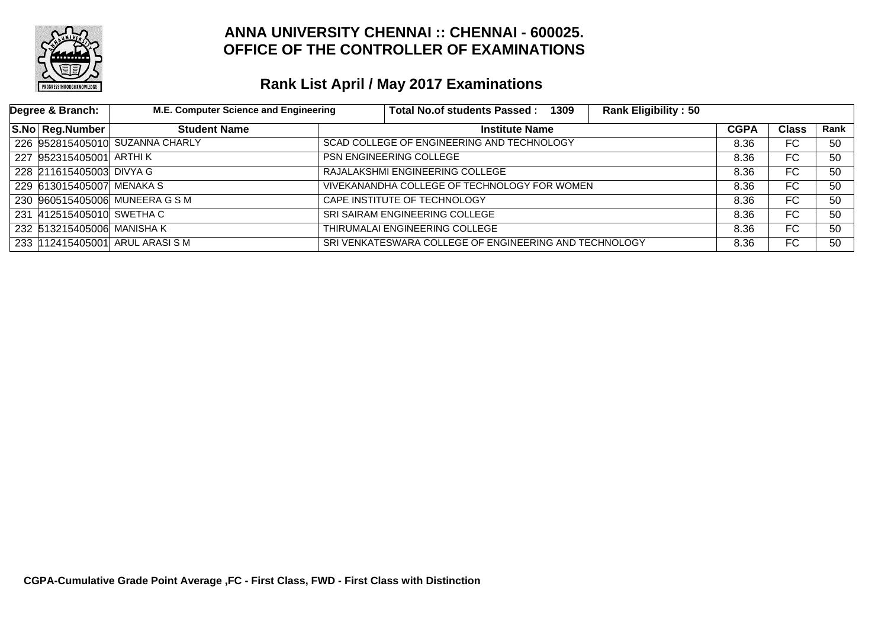

| Degree & Branch:          | M.E. Computer Science and Engineering |                                            | Total No.of students Passed: 1309                      | <b>Rank Eligibility: 50</b> |             |              |      |
|---------------------------|---------------------------------------|--------------------------------------------|--------------------------------------------------------|-----------------------------|-------------|--------------|------|
| S.No Reg.Number           | <b>Student Name</b>                   |                                            | <b>Institute Name</b>                                  |                             | <b>CGPA</b> | <b>Class</b> | Rank |
|                           | 226 952815405010 SUZANNA CHARLY       | SCAD COLLEGE OF ENGINEERING AND TECHNOLOGY |                                                        | 8.36                        | FC.         | 50           |      |
| 227 952315405001 ARTHIK   |                                       |                                            | <b>PSN ENGINEERING COLLEGE</b>                         |                             |             | FC.          | 50   |
| 228 211615405003 DIVYA G  |                                       |                                            | RAJALAKSHMI ENGINEERING COLLEGE                        |                             |             | FC.          | 50   |
| 229 613015405007 MENAKA S |                                       |                                            | VIVEKANANDHA COLLEGE OF TECHNOLOGY FOR WOMEN           |                             | 8.36        | FC           | 50   |
|                           | 230 960515405006 MUNEERA G S M        |                                            | CAPE INSTITUTE OF TECHNOLOGY                           |                             | 8.36        | FC.          | 50   |
| 231 412515405010 SWETHAC  |                                       |                                            | SRI SAIRAM ENGINEERING COLLEGE                         |                             | 8.36        | FC.          | 50   |
| 232 513215405006 MANISHAK |                                       |                                            | THIRUMALAI ENGINEERING COLLEGE                         |                             | 8.36        | FC.          | 50   |
|                           | 233 112415405001 ARUL ARASI S M       |                                            | SRI VENKATESWARA COLLEGE OF ENGINEERING AND TECHNOLOGY |                             | 8.36        | FC           | 50   |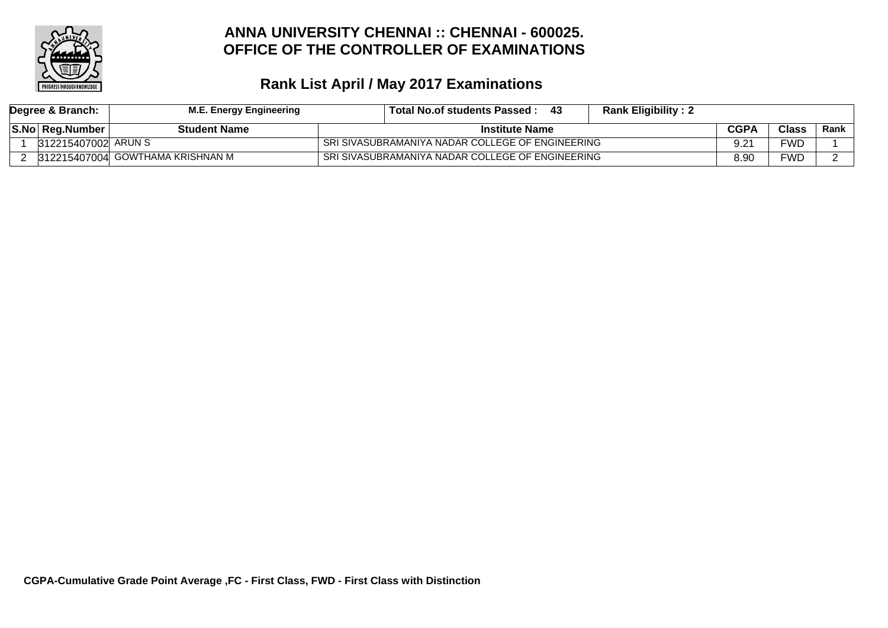

| Degree & Branch: |                     | <b>M.E. Energy Engineering</b>   | Total No.of students Passed :                    | - 43 | <b>Rank Eligibility: 2</b> |             |       |        |
|------------------|---------------------|----------------------------------|--------------------------------------------------|------|----------------------------|-------------|-------|--------|
|                  | S.No Reg.Number     | <b>Student Name</b>              | <b>Institute Name</b>                            |      |                            | <b>CGPA</b> | Class | Rank l |
|                  | 312215407002 ARUN S |                                  | SRI SIVASUBRAMANIYA NADAR COLLEGE OF ENGINEERING |      |                            |             | FWD.  |        |
|                  |                     | 312215407004 GOWTHAMA KRISHNAN M | SRI SIVASUBRAMANIYA NADAR COLLEGE OF ENGINEERING |      |                            | 8.90        | FWD   |        |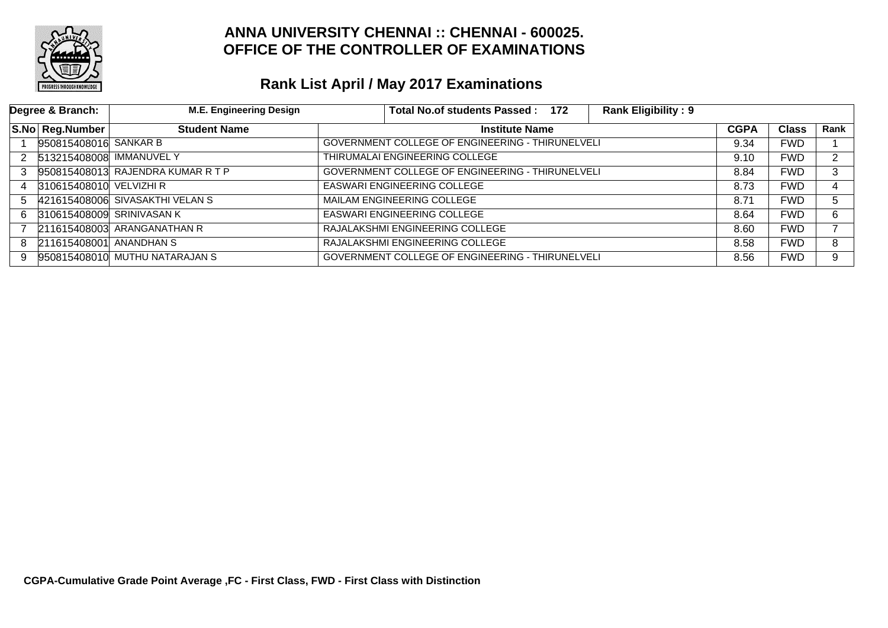

|                      | Degree & Branch:         | <b>M.E. Engineering Design</b>    | Total No.of students Passed: 172                        | <b>Rank Eligibility: 9</b> |      |            |      |
|----------------------|--------------------------|-----------------------------------|---------------------------------------------------------|----------------------------|------|------------|------|
|                      | S.No Reg.Number          | <b>Student Name</b>               | <b>Institute Name</b>                                   |                            |      |            | Rank |
|                      | 950815408016 SANKAR B    |                                   | GOVERNMENT COLLEGE OF ENGINEERING - THIRUNELVELI        |                            | 9.34 | <b>FWD</b> |      |
| $\mathbf{2}^{\circ}$ | 513215408008 IMMANUVEL Y |                                   | THIRUMALAI ENGINEERING COLLEGE                          |                            | 9.10 | FWD        | C.   |
| 3                    |                          | 950815408013 RAJENDRA KUMAR R T P | <b>GOVERNMENT COLLEGE OF ENGINEERING - THIRUNELVELI</b> |                            | 8.84 | <b>FWD</b> | 3    |
| 4                    | 310615408010 VELVIZHI R  |                                   | <b>EASWARI ENGINEERING COLLEGE</b>                      |                            | 8.73 | <b>FWD</b> | 4    |
| 5.                   |                          | 421615408006 SIVASAKTHI VELAN S   | MAILAM ENGINEERING COLLEGE                              |                            | 8.71 | <b>FWD</b> | 5.   |
| 6.                   |                          | 310615408009 SRINIVASAN K         | <b>EASWARI ENGINEERING COLLEGE</b>                      |                            | 8.64 | <b>FWD</b> | 6    |
|                      |                          | 211615408003 ARANGANATHAN R       | RAJALAKSHMI ENGINEERING COLLEGE                         |                            | 8.60 | <b>FWD</b> |      |
| 8                    | 211615408001 ANANDHAN S  |                                   | RAJALAKSHMI ENGINEERING COLLEGE                         |                            | 8.58 | FWD.       | 8    |
| 9                    |                          | 950815408010 MUTHU NATARAJAN S    | GOVERNMENT COLLEGE OF ENGINEERING - THIRUNELVELI        |                            | 8.56 | <b>FWD</b> | 9    |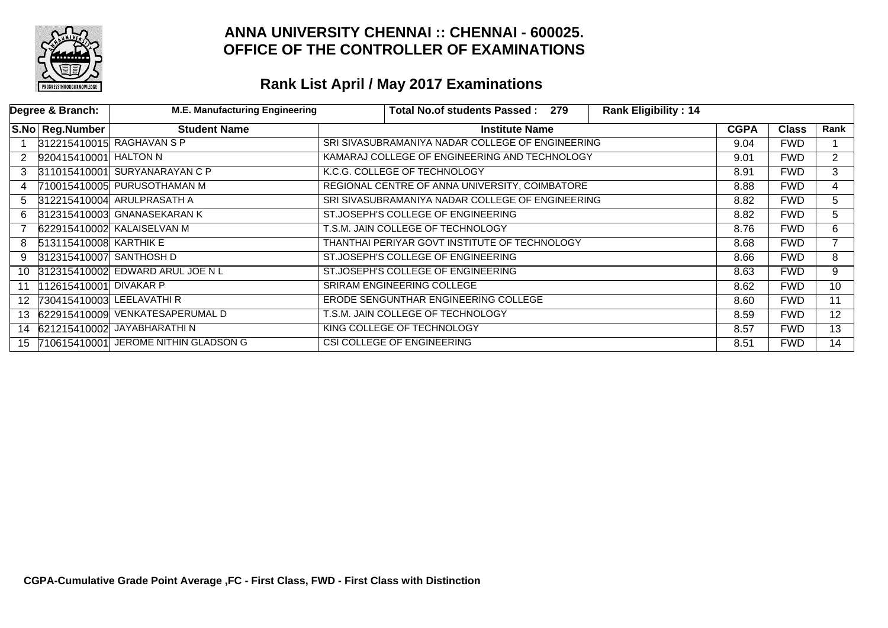

|               | Degree & Branch:             | <b>M.E. Manufacturing Engineering</b>   | <b>Total No.of students Passed:</b>              | 279 | <b>Rank Eligibility: 14</b> |             |                |                |
|---------------|------------------------------|-----------------------------------------|--------------------------------------------------|-----|-----------------------------|-------------|----------------|----------------|
|               | S.No Reg.Number              | <b>Student Name</b>                     | <b>Institute Name</b>                            |     |                             | <b>CGPA</b> | <b>Class</b>   | Rank           |
|               |                              | 312215410015 RAGHAVAN S P               | SRI SIVASUBRAMANIYA NADAR COLLEGE OF ENGINEERING |     |                             | 9.04        | <b>FWD</b>     |                |
| 2             | 920415410001 HALTON N        |                                         | KAMARAJ COLLEGE OF ENGINEERING AND TECHNOLOGY    |     | 9.01                        | <b>FWD</b>  | $\overline{2}$ |                |
| $\mathcal{S}$ |                              | 311015410001 SURYANARAYAN C P           | K.C.G. COLLEGE OF TECHNOLOGY                     |     |                             | 8.91        | <b>FWD</b>     | 3              |
|               |                              | 710015410005 PURUSOTHAMAN M             | REGIONAL CENTRE OF ANNA UNIVERSITY, COIMBATORE   |     |                             | 8.88        | <b>FWD</b>     | 4              |
| 5.            |                              | 312215410004 ARULPRASATH A              | SRI SIVASUBRAMANIYA NADAR COLLEGE OF ENGINEERING |     |                             | 8.82        | <b>FWD</b>     | 5              |
| 6.            |                              | 312315410003 GNANASEKARAN K             | ST.JOSEPH'S COLLEGE OF ENGINEERING               |     |                             | 8.82        | <b>FWD</b>     | 5.             |
|               |                              | 622915410002 KALAISELVAN M              | T.S.M. JAIN COLLEGE OF TECHNOLOGY                |     |                             | 8.76        | <b>FWD</b>     | 6              |
| 8             | 513115410008 KARTHIK E       |                                         | THANTHAI PERIYAR GOVT INSTITUTE OF TECHNOLOGY    |     |                             | 8.68        | <b>FWD</b>     | $\overline{7}$ |
| 9             | 312315410007 SANTHOSH D      |                                         | ST.JOSEPH'S COLLEGE OF ENGINEERING               |     |                             | 8.66        | <b>FWD</b>     | 8              |
| 10            |                              | 312315410002 EDWARD ARUL JOE N L        | ST.JOSEPH'S COLLEGE OF ENGINEERING               |     |                             | 8.63        | <b>FWD</b>     | 9              |
| 11            | 112615410001 DIVAKAR P       |                                         | SRIRAM ENGINEERING COLLEGE                       |     |                             | 8.62        | <b>FWD</b>     | 10             |
|               | 12 730415410003 LEELAVATHI R |                                         | ERODE SENGUNTHAR ENGINEERING COLLEGE             |     |                             | 8.60        | <b>FWD</b>     | 11             |
|               |                              | 13 622915410009 VENKATESAPERUMAL D      | T.S.M. JAIN COLLEGE OF TECHNOLOGY                |     |                             | 8.59        | <b>FWD</b>     | 12             |
|               |                              | 14 621215410002 JAYABHARATHIN           | KING COLLEGE OF TECHNOLOGY                       |     |                             | 8.57        | <b>FWD</b>     | 13             |
|               |                              | 15 710615410001 JEROME NITHIN GLADSON G | CSI COLLEGE OF ENGINEERING                       |     |                             | 8.51        | <b>FWD</b>     | 14             |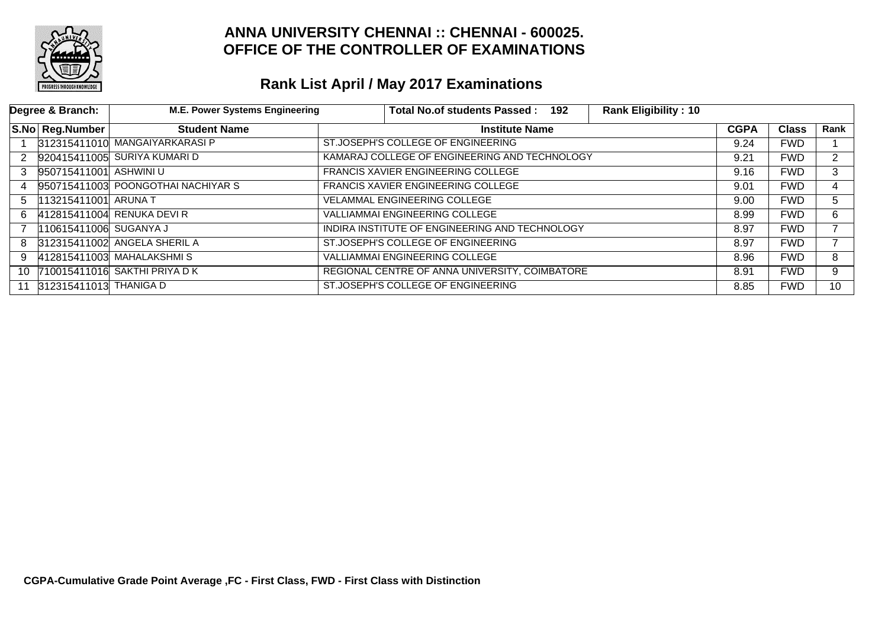

|    | Degree & Branch:       | <b>M.E. Power Systems Engineering</b> | Total No.of students Passed: 192               | <b>Rank Eligibility: 10</b> |             |              |                 |
|----|------------------------|---------------------------------------|------------------------------------------------|-----------------------------|-------------|--------------|-----------------|
|    | S.No Reg.Number        | <b>Student Name</b>                   | <b>Institute Name</b>                          |                             | <b>CGPA</b> | <b>Class</b> | Rank            |
|    |                        | 312315411010 MANGAIYARKARASI P        | ST.JOSEPH'S COLLEGE OF ENGINEERING             |                             | 9.24        | <b>FWD</b>   |                 |
| 2  |                        | 920415411005 SURIYA KUMARI D          | KAMARAJ COLLEGE OF ENGINEERING AND TECHNOLOGY  |                             |             | <b>FWD</b>   | $\overline{2}$  |
| 3  | 950715411001 ASHWINI U |                                       | FRANCIS XAVIER ENGINEERING COLLEGE             |                             | 9.16        | <b>FWD</b>   | 3               |
| 4  |                        | 950715411003 POONGOTHAI NACHIYAR S    | <b>FRANCIS XAVIER ENGINEERING COLLEGE</b>      |                             | 9.01        | <b>FWD</b>   | 4               |
| 5. | 113215411001 ARUNA T   |                                       | <b>VELAMMAL ENGINEERING COLLEGE</b>            |                             |             | <b>FWD</b>   | 5               |
| 6. |                        | 412815411004 RENUKA DEVI R            | <b>VALLIAMMAI ENGINEERING COLLEGE</b>          |                             | 8.99        | <b>FWD</b>   | 6.              |
|    | 110615411006 SUGANYA J |                                       | INDIRA INSTITUTE OF ENGINEERING AND TECHNOLOGY |                             | 8.97        | <b>FWD</b>   |                 |
| 8  |                        | 312315411002 ANGELA SHERIL A          | ST.JOSEPH'S COLLEGE OF ENGINEERING             |                             | 8.97        | <b>FWD</b>   |                 |
| 9  |                        | 412815411003 MAHALAKSHMIS             | <b>VALLIAMMAI ENGINEERING COLLEGE</b>          |                             | 8.96        | <b>FWD</b>   | 8               |
|    |                        | 10 710015411016 SAKTHI PRIYA DK       | REGIONAL CENTRE OF ANNA UNIVERSITY, COIMBATORE |                             | 8.91        | <b>FWD</b>   | 9               |
| 11 | 312315411013 THANIGA D |                                       | ST.JOSEPH'S COLLEGE OF ENGINEERING             |                             | 8.85        | <b>FWD</b>   | 10 <sup>°</sup> |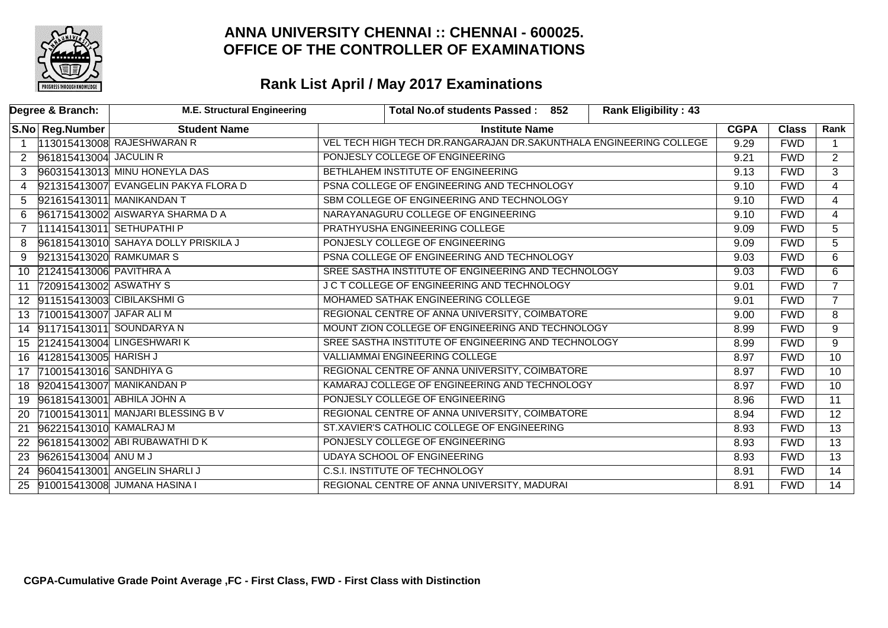

|                      | Degree & Branch:             | <b>M.E. Structural Engineering</b>   | Total No.of students Passed: 852<br><b>Rank Eligibility: 43</b>    |             |              |                 |
|----------------------|------------------------------|--------------------------------------|--------------------------------------------------------------------|-------------|--------------|-----------------|
|                      | S.No Reg.Number              | <b>Student Name</b>                  | <b>Institute Name</b>                                              | <b>CGPA</b> | <b>Class</b> | Rank            |
| $\overline{1}$       |                              | 113015413008 RAJESHWARAN R           | VEL TECH HIGH TECH DR.RANGARAJAN DR.SAKUNTHALA ENGINEERING COLLEGE | 9.29        | <b>FWD</b>   |                 |
| $\mathbf{2}^{\circ}$ | 961815413004 JACULIN R       |                                      | PONJESLY COLLEGE OF ENGINEERING                                    | 9.21        | <b>FWD</b>   | 2               |
| 3                    |                              | 960315413013 MINU HONEYLA DAS        | BETHLAHEM INSTITUTE OF ENGINEERING                                 | 9.13        | <b>FWD</b>   | $\overline{3}$  |
| 4                    |                              | 921315413007 EVANGELIN PAKYA FLORA D | PSNA COLLEGE OF ENGINEERING AND TECHNOLOGY                         | 9.10        | <b>FWD</b>   | $\overline{4}$  |
| 5                    |                              | 921615413011 MANIKANDAN T            | SBM COLLEGE OF ENGINEERING AND TECHNOLOGY                          | 9.10        | <b>FWD</b>   | $\overline{4}$  |
| 6                    |                              | 961715413002 AISWARYA SHARMA D A     | NARAYANAGURU COLLEGE OF ENGINEERING                                | 9.10        | <b>FWD</b>   | $\overline{4}$  |
| $\overline{7}$       |                              | 111415413011 SETHUPATHI P            | PRATHYUSHA ENGINEERING COLLEGE                                     | 9.09        | <b>FWD</b>   | $\overline{5}$  |
| 8                    |                              | 961815413010 SAHAYA DOLLY PRISKILA J | PONJESLY COLLEGE OF ENGINEERING                                    | 9.09        | <b>FWD</b>   | 5               |
| 9                    | 921315413020 RAMKUMAR S      |                                      | PSNA COLLEGE OF ENGINEERING AND TECHNOLOGY                         | 9.03        | <b>FWD</b>   | 6               |
|                      | 10 212415413006 PAVITHRA A   |                                      | SREE SASTHA INSTITUTE OF ENGINEERING AND TECHNOLOGY                | 9.03        | <b>FWD</b>   | 6               |
| 11                   | 720915413002 ASWATHY S       |                                      | J C T COLLEGE OF ENGINEERING AND TECHNOLOGY                        | 9.01        | <b>FWD</b>   | $\overline{7}$  |
|                      | 12 911515413003 CIBILAKSHMIG |                                      | MOHAMED SATHAK ENGINEERING COLLEGE                                 | 9.01        | <b>FWD</b>   | $\overline{7}$  |
| 13                   | 710015413007 JAFAR ALI M     |                                      | REGIONAL CENTRE OF ANNA UNIVERSITY, COIMBATORE                     | 9.00        | <b>FWD</b>   | 8               |
|                      |                              | 14 911715413011 SOUNDARYA N          | MOUNT ZION COLLEGE OF ENGINEERING AND TECHNOLOGY                   | 8.99        | <b>FWD</b>   | 9               |
|                      |                              | 15 212415413004 LINGESHWARIK         | SREE SASTHA INSTITUTE OF ENGINEERING AND TECHNOLOGY                | 8.99        | <b>FWD</b>   | $\overline{9}$  |
|                      | 16 412815413005 HARISH J     |                                      | <b>VALLIAMMAI ENGINEERING COLLEGE</b>                              | 8.97        | <b>FWD</b>   | $\overline{10}$ |
|                      | 17 710015413016 SANDHIYA G   |                                      | REGIONAL CENTRE OF ANNA UNIVERSITY, COIMBATORE                     | 8.97        | <b>FWD</b>   | 10              |
|                      |                              | 18 920415413007 MANIKANDAN P         | KAMARAJ COLLEGE OF ENGINEERING AND TECHNOLOGY                      | 8.97        | <b>FWD</b>   | $\overline{10}$ |
|                      |                              | 19 961815413001 ABHILA JOHN A        | PONJESLY COLLEGE OF ENGINEERING                                    | 8.96        | <b>FWD</b>   | 11              |
| <b>20</b>            |                              | 710015413011 MANJARI BLESSING BV     | REGIONAL CENTRE OF ANNA UNIVERSITY, COIMBATORE                     | 8.94        | <b>FWD</b>   | 12              |
| 21                   | 962215413010 KAMALRAJ M      |                                      | ST.XAVIER'S CATHOLIC COLLEGE OF ENGINEERING                        | 8.93        | <b>FWD</b>   | $\overline{13}$ |
| 22                   |                              | 961815413002 ABI RUBAWATHI DK        | PONJESLY COLLEGE OF ENGINEERING                                    | 8.93        | <b>FWD</b>   | $\overline{13}$ |
| 23                   | 962615413004 ANU M J         |                                      | <b>UDAYA SCHOOL OF ENGINEERING</b>                                 | 8.93        | <b>FWD</b>   | $\overline{13}$ |
| 24                   |                              | 960415413001 ANGELIN SHARLI J        | <b>C.S.I. INSTITUTE OF TECHNOLOGY</b>                              | 8.91        | <b>FWD</b>   | $\overline{14}$ |
| 25                   |                              | 910015413008 JUMANA HASINA I         | REGIONAL CENTRE OF ANNA UNIVERSITY, MADURAI                        | 8.91        | <b>FWD</b>   | $\overline{14}$ |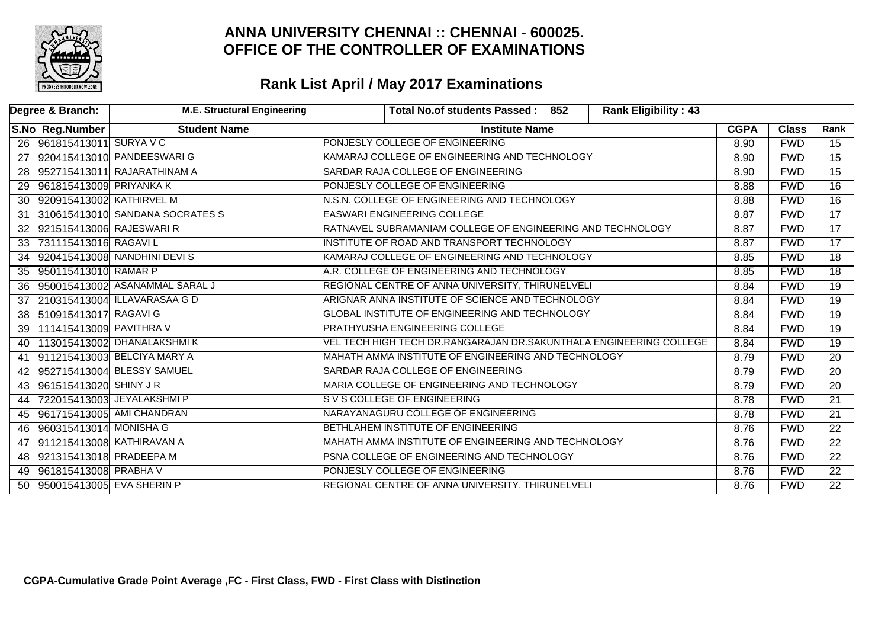

|    | Degree & Branch:            | <b>M.E. Structural Engineering</b> | <b>Rank Eligibility: 43</b><br>Total No.of students Passed: 852    |             |              |                 |
|----|-----------------------------|------------------------------------|--------------------------------------------------------------------|-------------|--------------|-----------------|
|    | S.No Reg.Number             | <b>Student Name</b>                | <b>Institute Name</b>                                              | <b>CGPA</b> | <b>Class</b> | Rank            |
|    | 26 961815413011 SURYA V C   |                                    | PONJESLY COLLEGE OF ENGINEERING                                    | 8.90        | <b>FWD</b>   | 15              |
| 27 |                             | 920415413010 PANDEESWARIG          | KAMARAJ COLLEGE OF ENGINEERING AND TECHNOLOGY                      | 8.90        | <b>FWD</b>   | $\overline{15}$ |
| 28 |                             | 952715413011 RAJARATHINAM A        | SARDAR RAJA COLLEGE OF ENGINEERING                                 | 8.90        | <b>FWD</b>   | $\overline{15}$ |
|    | 29 961815413009 PRIYANKA K  |                                    | PONJESLY COLLEGE OF ENGINEERING                                    | 8.88        | <b>FWD</b>   | $\overline{16}$ |
| 30 | 920915413002 KATHIRVEL M    |                                    | N.S.N. COLLEGE OF ENGINEERING AND TECHNOLOGY                       | 8.88        | <b>FWD</b>   | $\overline{16}$ |
| 31 |                             | 310615413010 SANDANA SOCRATES S    | <b>EASWARI ENGINEERING COLLEGE</b>                                 | 8.87        | <b>FWD</b>   | $\overline{17}$ |
|    | 32 921515413006 RAJESWARI R |                                    | RATNAVEL SUBRAMANIAM COLLEGE OF ENGINEERING AND TECHNOLOGY         | 8.87        | <b>FWD</b>   | $\overline{17}$ |
| 33 | 731115413016 RAGAVIL        |                                    | INSTITUTE OF ROAD AND TRANSPORT TECHNOLOGY                         | 8.87        | <b>FWD</b>   | $\overline{17}$ |
| 34 |                             | 920415413008 NANDHINI DEVI S       | KAMARAJ COLLEGE OF ENGINEERING AND TECHNOLOGY                      | 8.85        | <b>FWD</b>   | $\overline{18}$ |
| 35 | 950115413010 RAMAR P        |                                    | A.R. COLLEGE OF ENGINEERING AND TECHNOLOGY                         | 8.85        | <b>FWD</b>   | $\overline{18}$ |
| 36 |                             | 950015413002 ASANAMMAL SARAL J     | REGIONAL CENTRE OF ANNA UNIVERSITY, THIRUNELVELI                   | 8.84        | <b>FWD</b>   | $\overline{19}$ |
| 37 |                             | 210315413004 ILLAVARASAA G D       | ARIGNAR ANNA INSTITUTE OF SCIENCE AND TECHNOLOGY                   | 8.84        | <b>FWD</b>   | 19              |
| 38 | 510915413017 RAGAVI G       |                                    | GLOBAL INSTITUTE OF ENGINEERING AND TECHNOLOGY                     | 8.84        | <b>FWD</b>   | 19              |
| 39 | 111415413009 PAVITHRA V     |                                    | PRATHYUSHA ENGINEERING COLLEGE                                     | 8.84        | <b>FWD</b>   | $\overline{19}$ |
| 40 |                             | 113015413002 DHANALAKSHMIK         | VEL TECH HIGH TECH DR.RANGARAJAN DR.SAKUNTHALA ENGINEERING COLLEGE | 8.84        | <b>FWD</b>   | $\overline{19}$ |
| 41 |                             | 911215413003 BELCIYA MARY A        | MAHATH AMMA INSTITUTE OF ENGINEERING AND TECHNOLOGY                | 8.79        | <b>FWD</b>   | $\overline{20}$ |
| 42 |                             | 952715413004 BLESSY SAMUEL         | SARDAR RAJA COLLEGE OF ENGINEERING                                 | 8.79        | <b>FWD</b>   | $\overline{20}$ |
| 43 | 961515413020 SHINY JR       |                                    | MARIA COLLEGE OF ENGINEERING AND TECHNOLOGY                        | 8.79        | <b>FWD</b>   | $\overline{20}$ |
| 44 |                             | 722015413003 JEYALAKSHMI P         | S V S COLLEGE OF ENGINEERING                                       | 8.78        | <b>FWD</b>   | $\overline{21}$ |
|    |                             | 45 961715413005 AMI CHANDRAN       | NARAYANAGURU COLLEGE OF ENGINEERING                                | 8.78        | <b>FWD</b>   | $\overline{21}$ |
| 46 | 960315413014 MONISHA G      |                                    | BETHLAHEM INSTITUTE OF ENGINEERING                                 | 8.76        | <b>FWD</b>   | $\overline{22}$ |
|    |                             | 47 911215413008 KATHIRAVAN A       | MAHATH AMMA INSTITUTE OF ENGINEERING AND TECHNOLOGY                | 8.76        | <b>FWD</b>   | $\overline{22}$ |
|    | 48 921315413018 PRADEEPA M  |                                    | PSNA COLLEGE OF ENGINEERING AND TECHNOLOGY                         | 8.76        | <b>FWD</b>   | $\overline{22}$ |
| 49 | 961815413008 PRABHA V       |                                    | PONJESLY COLLEGE OF ENGINEERING                                    | 8.76        | <b>FWD</b>   | $\overline{22}$ |
| 50 | 950015413005 EVA SHERIN P   |                                    | REGIONAL CENTRE OF ANNA UNIVERSITY, THIRUNELVELI                   | 8.76        | <b>FWD</b>   | $\overline{22}$ |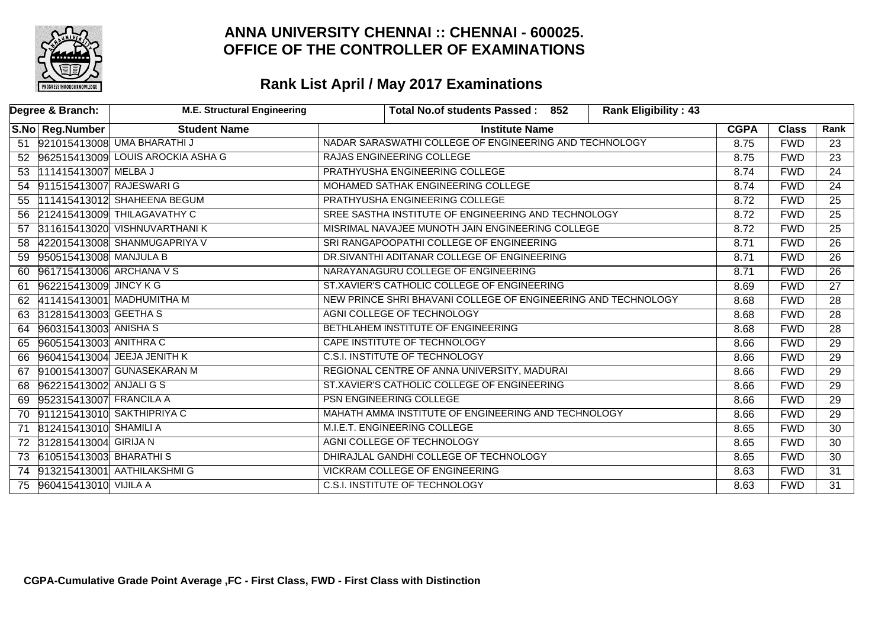

|    | Degree & Branch:            | <b>M.E. Structural Engineering</b>   |                                                               | Total No.of students Passed: 852                       | <b>Rank Eligibility: 43</b> |             |              |                 |
|----|-----------------------------|--------------------------------------|---------------------------------------------------------------|--------------------------------------------------------|-----------------------------|-------------|--------------|-----------------|
|    | S.No Reg.Number             | <b>Student Name</b>                  |                                                               | <b>Institute Name</b>                                  |                             | <b>CGPA</b> | <b>Class</b> | Rank            |
|    |                             | 51 921015413008 UMA BHARATHIJ        |                                                               | NADAR SARASWATHI COLLEGE OF ENGINEERING AND TECHNOLOGY |                             | 8.75        | <b>FWD</b>   | 23              |
|    |                             | 52 962515413009 LOUIS AROCKIA ASHA G |                                                               | RAJAS ENGINEERING COLLEGE                              |                             | 8.75        | <b>FWD</b>   | $\overline{23}$ |
|    | 53 111415413007 MELBA J     |                                      |                                                               | PRATHYUSHA ENGINEERING COLLEGE                         |                             |             | <b>FWD</b>   | $\overline{24}$ |
|    | 54 911515413007 RAJESWARI G |                                      |                                                               | MOHAMED SATHAK ENGINEERING COLLEGE                     |                             | 8.74        | <b>FWD</b>   | $\overline{24}$ |
| 55 |                             | 111415413012 SHAHEENA BEGUM          |                                                               | PRATHYUSHA ENGINEERING COLLEGE                         |                             | 8.72        | <b>FWD</b>   | $\overline{25}$ |
|    |                             | 56 212415413009 THILAGAVATHY C       |                                                               | SREE SASTHA INSTITUTE OF ENGINEERING AND TECHNOLOGY    |                             | 8.72        | <b>FWD</b>   | $\overline{25}$ |
|    |                             | 57 311615413020 VISHNUVARTHANI K     |                                                               | MISRIMAL NAVAJEE MUNOTH JAIN ENGINEERING COLLEGE       |                             | 8.72        | <b>FWD</b>   | $\overline{25}$ |
| 58 |                             | 422015413008 SHANMUGAPRIYA V         |                                                               | SRI RANGAPOOPATHI COLLEGE OF ENGINEERING               |                             | 8.71        | <b>FWD</b>   | $\overline{26}$ |
| 59 | 950515413008 MANJULA B      |                                      |                                                               | DR.SIVANTHI ADITANAR COLLEGE OF ENGINEERING            |                             | 8.71        | <b>FWD</b>   | $\overline{26}$ |
| 60 | 961715413006 ARCHANA V S    |                                      |                                                               | NARAYANAGURU COLLEGE OF ENGINEERING                    |                             | 8.71        | <b>FWD</b>   | $\overline{26}$ |
| 61 | 962215413009 JINCY KG       |                                      |                                                               | ST.XAVIER'S CATHOLIC COLLEGE OF ENGINEERING            |                             |             | <b>FWD</b>   | $\overline{27}$ |
|    |                             | 62 411415413001 MADHUMITHA M         | NEW PRINCE SHRI BHAVANI COLLEGE OF ENGINEERING AND TECHNOLOGY |                                                        |                             | 8.68        | <b>FWD</b>   | $\overline{28}$ |
| 63 | 312815413003 GEETHA S       |                                      |                                                               | AGNI COLLEGE OF TECHNOLOGY                             |                             | 8.68        | <b>FWD</b>   | 28              |
|    | 64 960315413003 ANISHA S    |                                      |                                                               | BETHLAHEM INSTITUTE OF ENGINEERING                     |                             | 8.68        | <b>FWD</b>   | $\overline{28}$ |
|    | 65 960515413003 ANITHRAC    |                                      |                                                               | CAPE INSTITUTE OF TECHNOLOGY                           |                             | 8.66        | <b>FWD</b>   | $\overline{29}$ |
| 66 |                             | 960415413004 JEEJA JENITH K          |                                                               | <b>C.S.I. INSTITUTE OF TECHNOLOGY</b>                  |                             | 8.66        | <b>FWD</b>   | $\overline{29}$ |
| 67 |                             | 910015413007 GUNASEKARAN M           |                                                               | REGIONAL CENTRE OF ANNA UNIVERSITY, MADURAI            |                             | 8.66        | <b>FWD</b>   | $\overline{29}$ |
| 68 | 962215413002 ANJALI G S     |                                      |                                                               | ST.XAVIER'S CATHOLIC COLLEGE OF ENGINEERING            |                             | 8.66        | <b>FWD</b>   | $\overline{29}$ |
|    | 69 952315413007 FRANCILA A  |                                      |                                                               | PSN ENGINEERING COLLEGE                                |                             | 8.66        | <b>FWD</b>   | $\overline{29}$ |
|    |                             | 70 911215413010 SAKTHIPRIYA C        |                                                               | MAHATH AMMA INSTITUTE OF ENGINEERING AND TECHNOLOGY    |                             | 8.66        | <b>FWD</b>   | $\overline{29}$ |
| 71 | 812415413010 SHAMILI A      |                                      |                                                               | M.I.E.T. ENGINEERING COLLEGE                           |                             | 8.65        | <b>FWD</b>   | $\overline{30}$ |
|    | 72 312815413004 GIRIJA N    |                                      |                                                               | AGNI COLLEGE OF TECHNOLOGY                             |                             | 8.65        | <b>FWD</b>   | $\overline{30}$ |
|    | 73 610515413003 BHARATHIS   |                                      | DHIRAJLAL GANDHI COLLEGE OF TECHNOLOGY                        |                                                        |                             | 8.65        | <b>FWD</b>   | $\overline{30}$ |
|    |                             | 74 913215413001 AATHILAKSHMIG        | <b>VICKRAM COLLEGE OF ENGINEERING</b>                         |                                                        |                             | 8.63        | <b>FWD</b>   | $\overline{31}$ |
|    | 75 960415413010 VIJILA A    |                                      |                                                               | C.S.I. INSTITUTE OF TECHNOLOGY                         |                             | 8.63        | <b>FWD</b>   | $\overline{31}$ |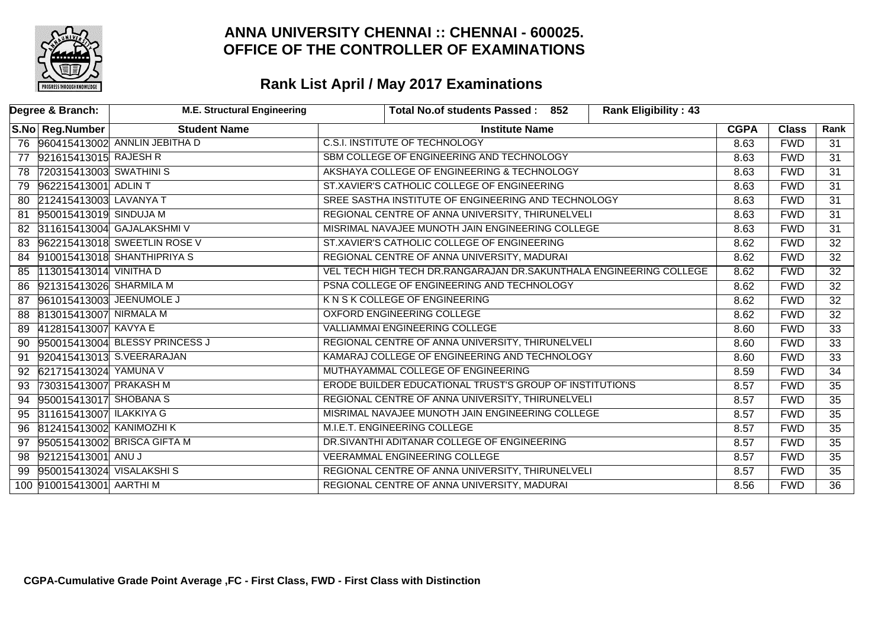

|    | Degree & Branch:            | <b>M.E. Structural Engineering</b> | Total No.of students Passed: 852                                   |                       |  | <b>Rank Eligibility: 43</b> |             |                 |                 |
|----|-----------------------------|------------------------------------|--------------------------------------------------------------------|-----------------------|--|-----------------------------|-------------|-----------------|-----------------|
|    | S.No Reg.Number             | <b>Student Name</b>                |                                                                    | <b>Institute Name</b> |  |                             | <b>CGPA</b> | <b>Class</b>    | Rank            |
|    |                             | 76 960415413002 ANNLIN JEBITHA D   | C.S.I. INSTITUTE OF TECHNOLOGY                                     |                       |  |                             | 8.63        | <b>FWD</b>      | 31              |
| 77 | 921615413015 RAJESH R       |                                    | SBM COLLEGE OF ENGINEERING AND TECHNOLOGY                          |                       |  |                             | 8.63        | <b>FWD</b>      | $\overline{31}$ |
| 78 | 720315413003 SWATHINIS      |                                    | AKSHAYA COLLEGE OF ENGINEERING & TECHNOLOGY                        |                       |  | 8.63                        | <b>FWD</b>  | $\overline{31}$ |                 |
|    | 79 962215413001 ADLIN T     |                                    | ST.XAVIER'S CATHOLIC COLLEGE OF ENGINEERING                        |                       |  | 8.63                        | <b>FWD</b>  | $\overline{31}$ |                 |
|    | 80 212415413003 LAVANYA T   |                                    | SREE SASTHA INSTITUTE OF ENGINEERING AND TECHNOLOGY                |                       |  |                             | 8.63        | <b>FWD</b>      | $\overline{31}$ |
| 81 | 950015413019 SINDUJA M      |                                    | REGIONAL CENTRE OF ANNA UNIVERSITY, THIRUNELVELI                   |                       |  |                             | 8.63        | <b>FWD</b>      | $\overline{31}$ |
|    |                             | 82 311615413004 GAJALAKSHMI V      | MISRIMAL NAVAJEE MUNOTH JAIN ENGINEERING COLLEGE                   |                       |  |                             | 8.63        | <b>FWD</b>      | $\overline{31}$ |
| 83 |                             | 962215413018 SWEETLIN ROSE V       | ST.XAVIER'S CATHOLIC COLLEGE OF ENGINEERING                        |                       |  |                             | 8.62        | <b>FWD</b>      | $\overline{32}$ |
|    |                             | 84 910015413018 SHANTHIPRIYA S     | REGIONAL CENTRE OF ANNA UNIVERSITY, MADURAI                        |                       |  |                             | 8.62        | <b>FWD</b>      | 32              |
| 85 | 113015413014 VINITHA D      |                                    | VEL TECH HIGH TECH DR.RANGARAJAN DR.SAKUNTHALA ENGINEERING COLLEGE |                       |  |                             | 8.62        | <b>FWD</b>      | $\overline{32}$ |
| 86 | 921315413026 SHARMILA M     |                                    | PSNA COLLEGE OF ENGINEERING AND TECHNOLOGY                         |                       |  |                             | 8.62        | <b>FWD</b>      | $\overline{32}$ |
|    | 87 961015413003 JEENUMOLE J |                                    | K N S K COLLEGE OF ENGINEERING                                     |                       |  | 8.62                        | <b>FWD</b>  | $\overline{32}$ |                 |
| 88 | 813015413007 NIRMALA M      |                                    | <b>OXFORD ENGINEERING COLLEGE</b>                                  |                       |  |                             | 8.62        | <b>FWD</b>      | $\overline{32}$ |
| 89 | 412815413007 KAVYA E        |                                    | <b>VALLIAMMAI ENGINEERING COLLEGE</b>                              |                       |  |                             | 8.60        | <b>FWD</b>      | $\overline{33}$ |
|    |                             | 90 950015413004 BLESSY PRINCESS J  | REGIONAL CENTRE OF ANNA UNIVERSITY, THIRUNELVELI                   |                       |  |                             | 8.60        | <b>FWD</b>      | $\overline{33}$ |
| 91 |                             | 920415413013 S.VEERARAJAN          | KAMARAJ COLLEGE OF ENGINEERING AND TECHNOLOGY                      |                       |  |                             | 8.60        | <b>FWD</b>      | $\overline{33}$ |
|    | 92 621715413024 YAMUNA V    |                                    | MUTHAYAMMAL COLLEGE OF ENGINEERING                                 |                       |  |                             | 8.59        | <b>FWD</b>      | $\overline{34}$ |
| 93 | 730315413007 PRAKASH M      |                                    | ERODE BUILDER EDUCATIONAL TRUST'S GROUP OF INSTITUTIONS            |                       |  |                             | 8.57        | <b>FWD</b>      | $\overline{35}$ |
|    | 94 950015413017 SHOBANA S   |                                    | REGIONAL CENTRE OF ANNA UNIVERSITY, THIRUNELVELI                   |                       |  |                             | 8.57        | <b>FWD</b>      | $\overline{35}$ |
|    | 95 311615413007 ILAKKIYA G  |                                    | MISRIMAL NAVAJEE MUNOTH JAIN ENGINEERING COLLEGE                   |                       |  |                             | 8.57        | <b>FWD</b>      | $\overline{35}$ |
| 96 | 812415413002 KANIMOZHI K    |                                    | M.I.E.T. ENGINEERING COLLEGE                                       |                       |  |                             | 8.57        | <b>FWD</b>      | $\overline{35}$ |
| 97 |                             | 950515413002 BRISCA GIFTA M        | DR.SIVANTHI ADITANAR COLLEGE OF ENGINEERING                        |                       |  |                             | 8.57        | <b>FWD</b>      | $\overline{35}$ |
|    | 98 921215413001 ANUJ        |                                    | <b>VEERAMMAL ENGINEERING COLLEGE</b>                               |                       |  |                             | 8.57        | <b>FWD</b>      | $\overline{35}$ |
| 99 | 950015413024 VISALAKSHIS    |                                    | REGIONAL CENTRE OF ANNA UNIVERSITY, THIRUNELVELI                   |                       |  | 8.57                        | <b>FWD</b>  | $\overline{35}$ |                 |
|    | 100 910015413001 AARTHI M   |                                    | REGIONAL CENTRE OF ANNA UNIVERSITY, MADURAI                        |                       |  |                             | 8.56        | <b>FWD</b>      | $\overline{36}$ |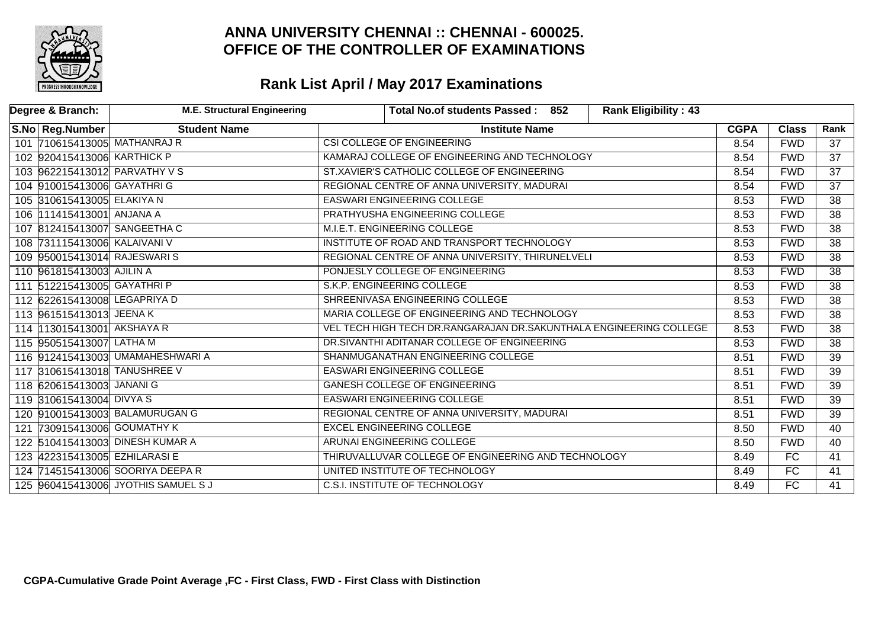

| Degree & Branch: |                               | <b>M.E. Structural Engineering</b>  | Total No.of students Passed: 852<br><b>Rank Eligibility: 43</b>    |             |              |                 |
|------------------|-------------------------------|-------------------------------------|--------------------------------------------------------------------|-------------|--------------|-----------------|
|                  | S.No Reg.Number               | <b>Student Name</b>                 | <b>Institute Name</b>                                              | <b>CGPA</b> | <b>Class</b> | Rank            |
|                  |                               | 101 710615413005 MATHANRAJ R        | CSI COLLEGE OF ENGINEERING                                         | 8.54        | <b>FWD</b>   | 37              |
|                  | 102 920415413006 KARTHICK P   |                                     | KAMARAJ COLLEGE OF ENGINEERING AND TECHNOLOGY                      | 8.54        | <b>FWD</b>   | $\overline{37}$ |
|                  |                               | 103 962215413012 PARVATHY V S       | ST.XAVIER'S CATHOLIC COLLEGE OF ENGINEERING                        | 8.54        | <b>FWD</b>   | $\overline{37}$ |
|                  | 104 910015413006 GAYATHRIG    |                                     | REGIONAL CENTRE OF ANNA UNIVERSITY, MADURAI                        | 8.54        | <b>FWD</b>   | $\overline{37}$ |
|                  | 105 310615413005 ELAKIYA N    |                                     | <b>EASWARI ENGINEERING COLLEGE</b>                                 | 8.53        | <b>FWD</b>   | 38              |
|                  | 106 111415413001 ANJANA A     |                                     | PRATHYUSHA ENGINEERING COLLEGE                                     | 8.53        | <b>FWD</b>   | 38              |
|                  |                               | 107 812415413007 SANGEETHA C        | M.I.E.T. ENGINEERING COLLEGE                                       | 8.53        | <b>FWD</b>   | $\overline{38}$ |
|                  | 108 731115413006 KALAIVANI V  |                                     | INSTITUTE OF ROAD AND TRANSPORT TECHNOLOGY                         | 8.53        | <b>FWD</b>   | $\overline{38}$ |
|                  | 109 950015413014 RAJESWARIS   |                                     | REGIONAL CENTRE OF ANNA UNIVERSITY, THIRUNELVELI                   | 8.53        | <b>FWD</b>   | $\overline{38}$ |
|                  | 110 961815413003 AJILIN A     |                                     | PONJESLY COLLEGE OF ENGINEERING                                    | 8.53        | <b>FWD</b>   | $\overline{38}$ |
|                  | 111 512215413005 GAYATHRI P   |                                     | S.K.P. ENGINEERING COLLEGE                                         | 8.53        | <b>FWD</b>   | $\overline{38}$ |
|                  | 112 622615413008 LEGAPRIYA D  |                                     | SHREENIVASA ENGINEERING COLLEGE                                    | 8.53        | <b>FWD</b>   | 38              |
|                  | 113 961515413013 JEENA K      |                                     | MARIA COLLEGE OF ENGINEERING AND TECHNOLOGY                        | 8.53        | <b>FWD</b>   | $\overline{38}$ |
|                  | 114 13015413001 AKSHAYA R     |                                     | VEL TECH HIGH TECH DR.RANGARAJAN DR.SAKUNTHALA ENGINEERING COLLEGE | 8.53        | <b>FWD</b>   | $\overline{38}$ |
|                  | 115 950515413007 LATHA M      |                                     | DR.SIVANTHI ADITANAR COLLEGE OF ENGINEERING                        | 8.53        | <b>FWD</b>   | $\overline{38}$ |
|                  |                               | 116 912415413003 UMAMAHESHWARI A    | SHANMUGANATHAN ENGINEERING COLLEGE                                 | 8.51        | <b>FWD</b>   | 39              |
|                  |                               | 117 310615413018 TANUSHREE V        | EASWARI ENGINEERING COLLEGE                                        | 8.51        | <b>FWD</b>   | 39              |
|                  | 118 620615413003 JANANI G     |                                     | <b>GANESH COLLEGE OF ENGINEERING</b>                               | 8.51        | <b>FWD</b>   | $\overline{39}$ |
|                  | 119 310615413004 DIVYA S      |                                     | <b>EASWARI ENGINEERING COLLEGE</b>                                 | 8.51        | <b>FWD</b>   | $\overline{39}$ |
|                  |                               | 120 910015413003 BALAMURUGAN G      | REGIONAL CENTRE OF ANNA UNIVERSITY, MADURAI                        | 8.51        | <b>FWD</b>   | $\overline{39}$ |
|                  | 121 730915413006 GOUMATHY K   |                                     | <b>EXCEL ENGINEERING COLLEGE</b>                                   | 8.50        | <b>FWD</b>   | 40              |
|                  |                               | 122 510415413003 DINESH KUMAR A     | <b>ARUNAI ENGINEERING COLLEGE</b>                                  | 8.50        | <b>FWD</b>   | $\overline{40}$ |
|                  | 123 422315413005 EZHILARASI E |                                     | THIRUVALLUVAR COLLEGE OF ENGINEERING AND TECHNOLOGY                | 8.49        | FC           | 41              |
|                  |                               | 124 714515413006 SOORIYA DEEPA R    | UNITED INSTITUTE OF TECHNOLOGY                                     | 8.49        | FC           | 41              |
|                  |                               | 125 960415413006 JYOTHIS SAMUEL S J | <b>C.S.I. INSTITUTE OF TECHNOLOGY</b>                              | 8.49        | FC           | 41              |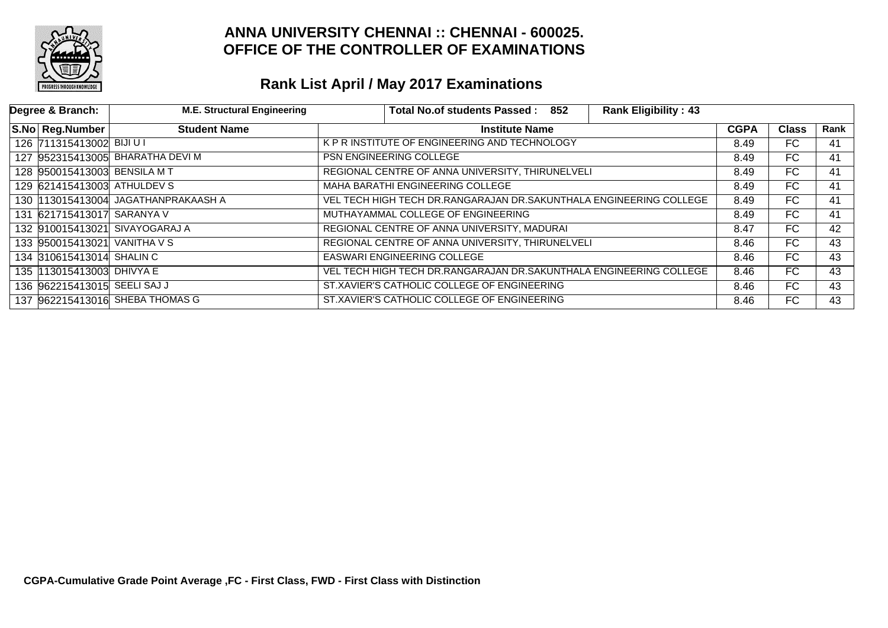

| Degree & Branch:             | <b>M.E. Structural Engineering</b>   | Total No.of students Passed: 852<br><b>Rank Eligibility: 43</b>    |             |              |      |
|------------------------------|--------------------------------------|--------------------------------------------------------------------|-------------|--------------|------|
| S.No Reg.Number              | <b>Student Name</b>                  | <b>Institute Name</b>                                              | <b>CGPA</b> | <b>Class</b> | Rank |
| 126 711315413002 BIJI U I    |                                      | K P R INSTITUTE OF ENGINEERING AND TECHNOLOGY                      | 8.49        | FC.          | 41   |
|                              | 127 952315413005 BHARATHA DEVIM      | <b>PSN ENGINEERING COLLEGE</b>                                     | 8.49        | FC.          | 41   |
| 128 950015413003 BENSILA MT  |                                      | REGIONAL CENTRE OF ANNA UNIVERSITY, THIRUNELVELI                   | 8.49        | FC.          | 41   |
| 129 621415413003 ATHULDEV S  |                                      | MAHA BARATHI ENGINEERING COLLEGE                                   | 8.49        | FC.          | 41   |
|                              | 130  113015413004 JAGATHANPRAKAASH A | VEL TECH HIGH TECH DR.RANGARAJAN DR.SAKUNTHALA ENGINEERING COLLEGE | 8.49        | FC           | 41   |
| 131 621715413017 SARANYA V   |                                      | MUTHAYAMMAL COLLEGE OF ENGINEERING                                 | 8.49        | FC.          | 41   |
|                              | 132 910015413021 SIVAYOGARAJ A       | REGIONAL CENTRE OF ANNA UNIVERSITY, MADURAI                        | 8.47        | FC.          | 42   |
| 133 950015413021 VANITHA V S |                                      | REGIONAL CENTRE OF ANNA UNIVERSITY, THIRUNELVELI                   | 8.46        | FC           | 43   |
| 134 310615413014 SHALIN C    |                                      | <b>EASWARI ENGINEERING COLLEGE</b>                                 | 8.46        | FC           | 43   |
| 135 113015413003 DHIVYA E    |                                      | VEL TECH HIGH TECH DR.RANGARAJAN DR.SAKUNTHALA ENGINEERING COLLEGE | 8.46        | FC           | 43   |
| 136 962215413015 SEELI SAJ J |                                      | ST.XAVIER'S CATHOLIC COLLEGE OF ENGINEERING                        | 8.46        | FC.          | 43   |
|                              | 137 962215413016 SHEBA THOMAS G      | ST.XAVIER'S CATHOLIC COLLEGE OF ENGINEERING                        | 8.46        | FC           | 43   |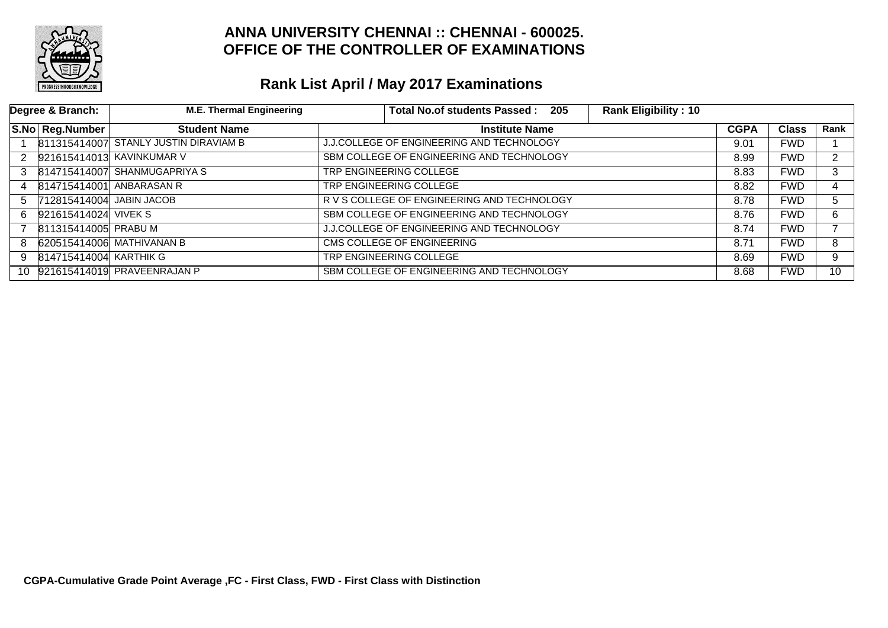

|               | Degree & Branch:         | <b>M.E. Thermal Engineering</b>       | Total No.of students Passed: 205<br><b>Rank Eligibility: 10</b> |             |              |                 |
|---------------|--------------------------|---------------------------------------|-----------------------------------------------------------------|-------------|--------------|-----------------|
|               | S.No Reg.Number          | <b>Student Name</b>                   | <b>Institute Name</b>                                           | <b>CGPA</b> | <b>Class</b> | Rank            |
|               |                          | 811315414007 STANLY JUSTIN DIRAVIAM B | <b>J.J.COLLEGE OF ENGINEERING AND TECHNOLOGY</b>                | 9.01        | <b>FWD</b>   |                 |
|               |                          | 2 921615414013 KAVINKUMAR V           | SBM COLLEGE OF ENGINEERING AND TECHNOLOGY                       | 8.99        | <b>FWD</b>   | C.              |
| $\mathcal{S}$ |                          | 814715414007 SHANMUGAPRIYA S          | TRP ENGINEERING COLLEGE                                         | 8.83        | <b>FWD</b>   | 3               |
| 4             |                          | 814715414001 ANBARASAN R              | TRP ENGINEERING COLLEGE                                         | 8.82        | <b>FWD</b>   | 4               |
| 5             | 712815414004 JABIN JACOB |                                       | R V S COLLEGE OF ENGINEERING AND TECHNOLOGY                     | 8.78        | <b>FWD</b>   | 5               |
| 6.            | 921615414024 VIVEK S     |                                       | SBM COLLEGE OF ENGINEERING AND TECHNOLOGY                       | 8.76        | <b>FWD</b>   | 6               |
|               | 811315414005 PRABU M     |                                       | J.J.COLLEGE OF ENGINEERING AND TECHNOLOGY                       | 8.74        | <b>FWD</b>   |                 |
| 8             |                          | 620515414006 MATHIVANAN B             | CMS COLLEGE OF ENGINEERING                                      | 8.71        | <b>FWD</b>   | 8               |
| 9             | 814715414004 KARTHIK G   |                                       | TRP ENGINEERING COLLEGE                                         | 8.69        | <b>FWD</b>   | 9               |
|               |                          | 10 921615414019 PRAVEENRAJAN P        | SBM COLLEGE OF ENGINEERING AND TECHNOLOGY                       | 8.68        | <b>FWD</b>   | 10 <sup>1</sup> |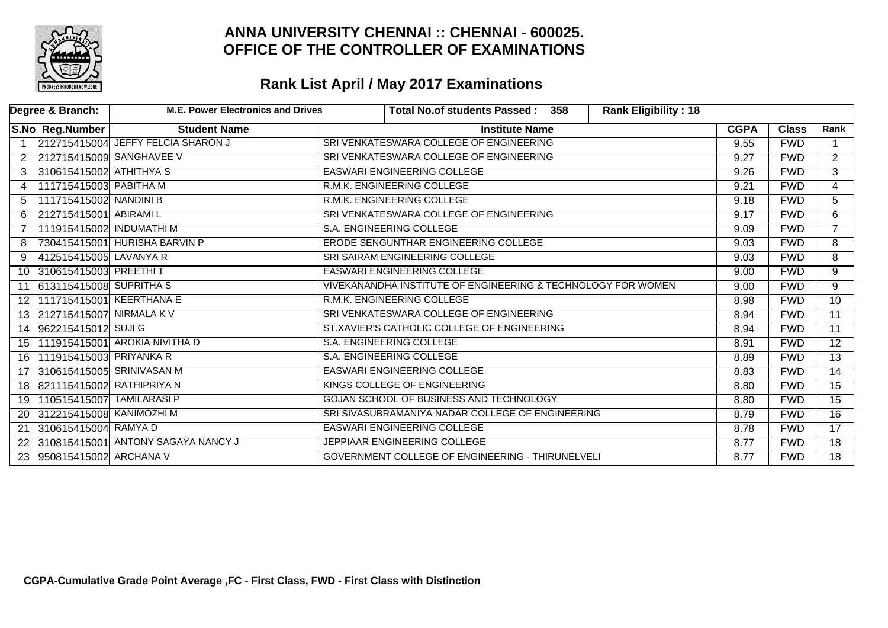

|                | Degree & Branch:            | <b>M.E. Power Electronics and Drives</b> | <b>Rank Eligibility: 18</b><br>Total No.of students Passed :<br>358 |             |              |                 |
|----------------|-----------------------------|------------------------------------------|---------------------------------------------------------------------|-------------|--------------|-----------------|
|                | S.No Reg.Number             | <b>Student Name</b>                      | <b>Institute Name</b>                                               | <b>CGPA</b> | <b>Class</b> | Rank            |
| $\mathbf{1}$   |                             | 212715415004 JEFFY FELCIA SHARON J       | SRI VENKATESWARA COLLEGE OF ENGINEERING                             | 9.55        | <b>FWD</b>   |                 |
|                |                             | 2 212715415009 SANGHAVEE V               | SRI VENKATESWARA COLLEGE OF ENGINEERING                             | 9.27        | <b>FWD</b>   | $\overline{2}$  |
| 3              | 310615415002 ATHITHYA S     |                                          | <b>EASWARI ENGINEERING COLLEGE</b>                                  | 9.26        | <b>FWD</b>   | $\overline{3}$  |
| 4              | 111715415003 PABITHA M      |                                          | R.M.K. ENGINEERING COLLEGE                                          | 9.21        | <b>FWD</b>   | $\overline{4}$  |
| 5              | 111715415002 NANDINI B      |                                          | R.M.K. ENGINEERING COLLEGE                                          | 9.18        | <b>FWD</b>   | 5               |
| 6              | 212715415001 ABIRAMI L      |                                          | SRI VENKATESWARA COLLEGE OF ENGINEERING                             | 9.17        | <b>FWD</b>   | $\overline{6}$  |
| $\overline{7}$ | 111915415002 INDUMATHI M    |                                          | S.A. ENGINEERING COLLEGE                                            | 9.09        | <b>FWD</b>   | $\overline{7}$  |
| 8              |                             | 730415415001 HURISHA BARVIN P            | ERODE SENGUNTHAR ENGINEERING COLLEGE                                | 9.03        | <b>FWD</b>   | $\overline{8}$  |
| 9              | 412515415005 LAVANYA R      |                                          | SRI SAIRAM ENGINEERING COLLEGE                                      | 9.03        | <b>FWD</b>   | 8               |
|                | 10 310615415003 PREETHIT    |                                          | <b>EASWARI ENGINEERING COLLEGE</b>                                  | 9.00        | <b>FWD</b>   | 9               |
|                | 11 613115415008 SUPRITHAS   |                                          | VIVEKANANDHA INSTITUTE OF ENGINEERING & TECHNOLOGY FOR WOMEN        |             | <b>FWD</b>   | 9               |
| 12             | 111715415001 KEERTHANA E    |                                          | R.M.K. ENGINEERING COLLEGE                                          | 8.98        | <b>FWD</b>   | $\overline{10}$ |
|                | 13 212715415007 NIRMALA K V |                                          | SRI VENKATESWARA COLLEGE OF ENGINEERING                             | 8.94        | <b>FWD</b>   | $\overline{11}$ |
|                | 14 962215415012 SUJI G      |                                          | ST.XAVIER'S CATHOLIC COLLEGE OF ENGINEERING                         | 8.94        | <b>FWD</b>   | $\overline{11}$ |
| 15             |                             | 111915415001 AROKIA NIVITHA D            | S.A. ENGINEERING COLLEGE                                            | 8.91        | <b>FWD</b>   | 12 <sup>°</sup> |
| 16             | 111915415003 PRIYANKA R     |                                          | S.A. ENGINEERING COLLEGE                                            | 8.89        | <b>FWD</b>   | $\overline{13}$ |
| 17             |                             | 310615415005 SRINIVASAN M                | <b>EASWARI ENGINEERING COLLEGE</b>                                  | 8.83        | <b>FWD</b>   | 14              |
| 18             | 821115415002 RATHIPRIYA N   |                                          | KINGS COLLEGE OF ENGINEERING                                        | 8.80        | <b>FWD</b>   | $\overline{15}$ |
| 19             | 110515415007 TAMILARASI P   |                                          | GOJAN SCHOOL OF BUSINESS AND TECHNOLOGY                             | 8.80        | <b>FWD</b>   | 15              |
| 20             | 312215415008 KANIMOZHI M    |                                          | SRI SIVASUBRAMANIYA NADAR COLLEGE OF ENGINEERING                    | 8.79        | <b>FWD</b>   | 16              |
| 21             | 310615415004 RAMYA D        |                                          | <b>EASWARI ENGINEERING COLLEGE</b>                                  | 8.78        | <b>FWD</b>   | $\overline{17}$ |
| 22             |                             | 310815415001 ANTONY SAGAYA NANCY J       | JEPPIAAR ENGINEERING COLLEGE                                        | 8.77        | <b>FWD</b>   | $\overline{18}$ |
| 23             | 950815415002 ARCHANA V      |                                          | GOVERNMENT COLLEGE OF ENGINEERING - THIRUNELVELI                    | 8.77        | <b>FWD</b>   | $\overline{18}$ |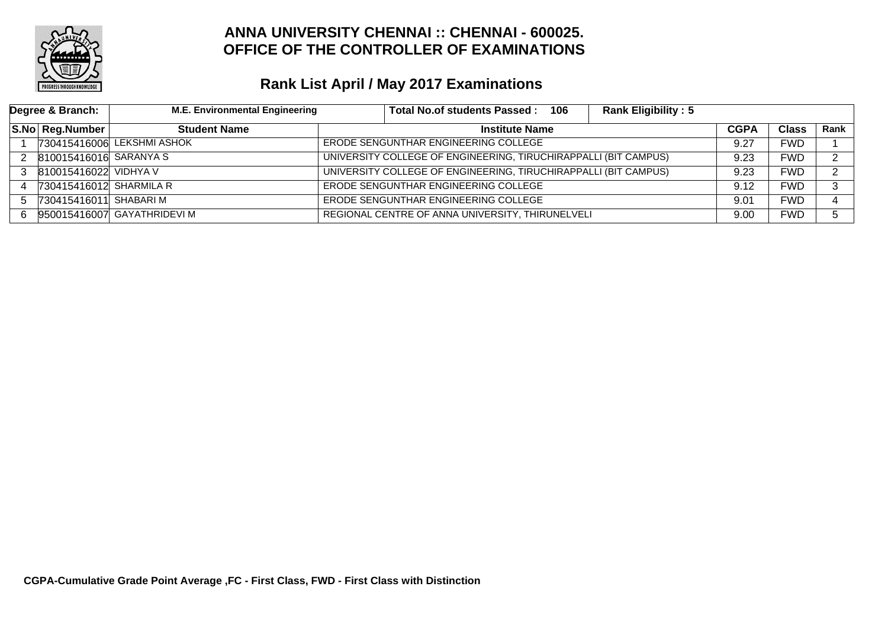

| Degree & Branch: |                         | <b>M.E. Environmental Engineering</b> | <b>Rank Eligibility: 5</b><br>Total No.of students Passed: 106  |             |              |      |
|------------------|-------------------------|---------------------------------------|-----------------------------------------------------------------|-------------|--------------|------|
|                  | S.No Reg.Number         | <b>Student Name</b>                   | <b>Institute Name</b>                                           | <b>CGPA</b> | <b>Class</b> | Rank |
|                  |                         | 730415416006 LEKSHMI ASHOK            | ERODE SENGUNTHAR ENGINEERING COLLEGE                            |             | FWD          |      |
|                  | 810015416016 SARANYA S  |                                       | UNIVERSITY COLLEGE OF ENGINEERING, TIRUCHIRAPPALLI (BIT CAMPUS) |             | FWD          | ົ    |
|                  | 810015416022 VIDHYA V   |                                       | UNIVERSITY COLLEGE OF ENGINEERING, TIRUCHIRAPPALLI (BIT CAMPUS) | 9.23        | FWD          | ົ    |
|                  | 730415416012 SHARMILA R |                                       | ERODE SENGUNTHAR ENGINEERING COLLEGE                            | 9.12        | FWD          | C.   |
|                  | 730415416011 SHABARI M  |                                       | ERODE SENGUNTHAR ENGINEERING COLLEGE                            | 9.01        | FWD          |      |
| 6.               |                         | 950015416007 GAYATHRIDEVI M           | REGIONAL CENTRE OF ANNA UNIVERSITY, THIRUNELVELI                | 9.00        | FWD          | 5.   |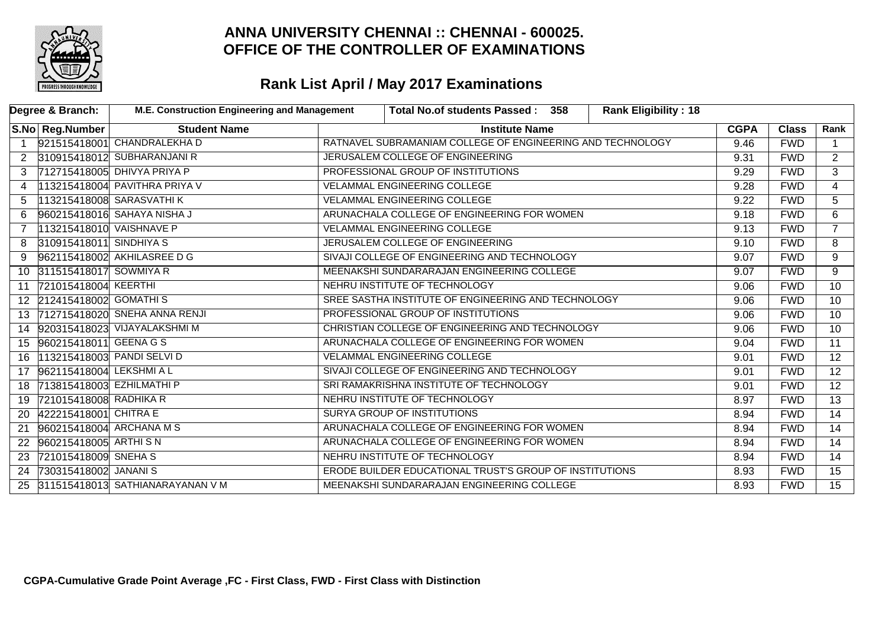

| Degree & Branch:     |                            | M.E. Construction Engineering and Management |                                    | <b>Rank Eligibility: 18</b><br>Total No.of students Passed: 358 |             |              |                 |
|----------------------|----------------------------|----------------------------------------------|------------------------------------|-----------------------------------------------------------------|-------------|--------------|-----------------|
|                      | S.No   Reg.Number          | <b>Student Name</b>                          |                                    | <b>Institute Name</b>                                           | <b>CGPA</b> | <b>Class</b> | Rank            |
| $\overline{1}$       |                            | 921515418001 CHANDRALEKHA D                  |                                    | RATNAVEL SUBRAMANIAM COLLEGE OF ENGINEERING AND TECHNOLOGY      | 9.46        | <b>FWD</b>   | $\mathbf{1}$    |
| $\mathbf{2}^{\circ}$ |                            | 310915418012 SUBHARANJANI R                  |                                    | JERUSALEM COLLEGE OF ENGINEERING                                | 9.31        | <b>FWD</b>   | $\overline{2}$  |
|                      |                            | 712715418005 DHIVYA PRIYA P                  | PROFESSIONAL GROUP OF INSTITUTIONS |                                                                 | 9.29        | <b>FWD</b>   | $\overline{3}$  |
| 4                    |                            | 113215418004 PAVITHRA PRIYA V                |                                    | <b>VELAMMAL ENGINEERING COLLEGE</b>                             | 9.28        | <b>FWD</b>   | $\overline{4}$  |
| 5                    |                            | 113215418008 SARASVATHI K                    |                                    | <b>VELAMMAL ENGINEERING COLLEGE</b>                             | 9.22        | <b>FWD</b>   | 5               |
|                      |                            | 960215418016 SAHAYA NISHA J                  |                                    | ARUNACHALA COLLEGE OF ENGINEERING FOR WOMEN                     | 9.18        | <b>FWD</b>   | 6               |
|                      | 113215418010 VAISHNAVE P   |                                              |                                    | <b>VELAMMAL ENGINEERING COLLEGE</b>                             | 9.13        | <b>FWD</b>   | $\overline{7}$  |
| 8                    | 310915418011 SINDHIYA S    |                                              |                                    | JERUSALEM COLLEGE OF ENGINEERING                                | 9.10        | <b>FWD</b>   | 8               |
| 9                    |                            | 962115418002 AKHILASREE D G                  |                                    | SIVAJI COLLEGE OF ENGINEERING AND TECHNOLOGY                    | 9.07        | <b>FWD</b>   | 9               |
|                      | 10 311515418017 SOWMIYA R  |                                              |                                    | MEENAKSHI SUNDARARAJAN ENGINEERING COLLEGE                      | 9.07        | <b>FWD</b>   | 9               |
|                      | 11 721015418004 KEERTHI    |                                              |                                    | NEHRU INSTITUTE OF TECHNOLOGY                                   | 9.06        | <b>FWD</b>   | $\overline{10}$ |
|                      | 12 212415418002 GOMATHIS   |                                              |                                    | SREE SASTHA INSTITUTE OF ENGINEERING AND TECHNOLOGY             | 9.06        | <b>FWD</b>   | 10 <sup>°</sup> |
| 13                   |                            | 712715418020 SNEHA ANNA RENJI                |                                    | PROFESSIONAL GROUP OF INSTITUTIONS                              | 9.06        | <b>FWD</b>   | 10 <sup>°</sup> |
|                      |                            | 14 920315418023 VIJAYALAKSHMI M              |                                    | CHRISTIAN COLLEGE OF ENGINEERING AND TECHNOLOGY                 | 9.06        | <b>FWD</b>   | 10              |
|                      | 15 960215418011 GEENA G S  |                                              |                                    | ARUNACHALA COLLEGE OF ENGINEERING FOR WOMEN                     | 9.04        | <b>FWD</b>   | $\overline{11}$ |
| 16                   | 113215418003 PANDI SELVI D |                                              |                                    | <b>VELAMMAL ENGINEERING COLLEGE</b>                             | 9.01        | <b>FWD</b>   | $\overline{12}$ |
|                      | 17 962115418004 LEKSHMIAL  |                                              |                                    | SIVAJI COLLEGE OF ENGINEERING AND TECHNOLOGY                    | 9.01        | <b>FWD</b>   | $\overline{12}$ |
| 18                   | 713815418003 EZHILMATHI P  |                                              |                                    | SRI RAMAKRISHNA INSTITUTE OF TECHNOLOGY                         | 9.01        | <b>FWD</b>   | $\overline{12}$ |
| 19                   | 721015418008 RADHIKA R     |                                              |                                    | NEHRU INSTITUTE OF TECHNOLOGY                                   | 8.97        | <b>FWD</b>   | $\overline{13}$ |
| 20                   | 422215418001 CHITRA E      |                                              |                                    | SURYA GROUP OF INSTITUTIONS                                     | 8.94        | <b>FWD</b>   | $\overline{14}$ |
| 21                   | 960215418004 ARCHANA M S   |                                              |                                    | ARUNACHALA COLLEGE OF ENGINEERING FOR WOMEN                     | 8.94        | <b>FWD</b>   | 14              |
| 22                   | 960215418005 ARTHISN       |                                              |                                    | ARUNACHALA COLLEGE OF ENGINEERING FOR WOMEN                     | 8.94        | <b>FWD</b>   | $\overline{14}$ |
| 23                   | 721015418009 SNEHA S       |                                              |                                    | NEHRU INSTITUTE OF TECHNOLOGY                                   | 8.94        | <b>FWD</b>   | 14              |
| 24                   | 730315418002 JANANIS       |                                              |                                    | ERODE BUILDER EDUCATIONAL TRUST'S GROUP OF INSTITUTIONS         | 8.93        | <b>FWD</b>   | 15              |
| 25                   |                            | 311515418013 SATHIANARAYANAN V M             |                                    | MEENAKSHI SUNDARARAJAN ENGINEERING COLLEGE                      | 8.93        | <b>FWD</b>   | 15              |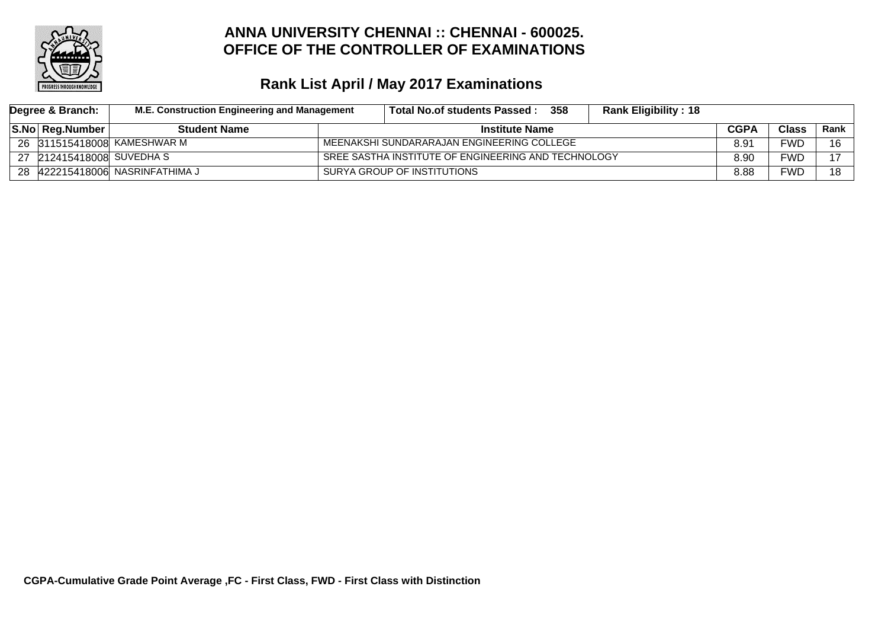

| Degree & Branch: |                        | M.E. Construction Engineering and Management |  | Total No.of students Passed :                       | 358 | <b>Rank Eligibility: 18</b> |      |              |        |
|------------------|------------------------|----------------------------------------------|--|-----------------------------------------------------|-----|-----------------------------|------|--------------|--------|
|                  | <b>S.No Reg.Number</b> | <b>Student Name</b>                          |  | <b>Institute Name</b>                               |     |                             |      | <b>Class</b> | Rank l |
|                  |                        | 26 311515418008 KAMESHWAR M                  |  | MEENAKSHI SUNDARARAJAN ENGINEERING COLLEGE          |     |                             | 8.91 | <b>FWD</b>   | 16     |
| 27               | 212415418008 SUVEDHA S |                                              |  | SREE SASTHA INSTITUTE OF ENGINEERING AND TECHNOLOGY |     |                             | 8.90 | FWD          | 17     |
|                  |                        | 28 422215418006 NASRINFATHIMA J              |  | SURYA GROUP OF INSTITUTIONS                         |     |                             | 8.88 | <b>FWD</b>   | 18     |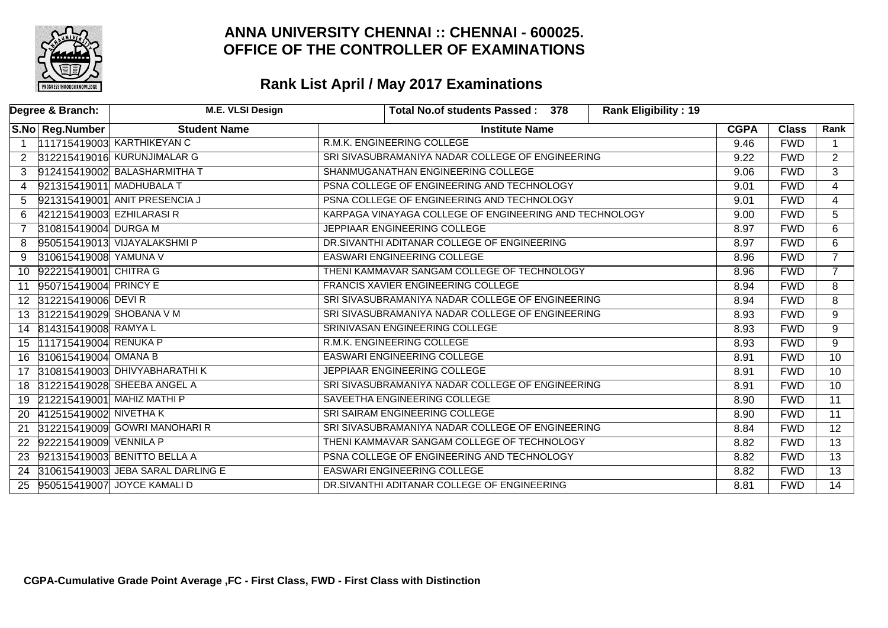

|                | Degree & Branch:            | <b>M.E. VLSI Design</b>           |                                                        | Total No.of students Passed: 378 |  | <b>Rank Eligibility: 19</b> |             |              |                 |
|----------------|-----------------------------|-----------------------------------|--------------------------------------------------------|----------------------------------|--|-----------------------------|-------------|--------------|-----------------|
|                | S.No Reg.Number             | <b>Student Name</b>               |                                                        | <b>Institute Name</b>            |  |                             | <b>CGPA</b> | <b>Class</b> | Rank            |
|                |                             | 111715419003 KARTHIKEYAN C        | R.M.K. ENGINEERING COLLEGE                             |                                  |  |                             | 9.46        | <b>FWD</b>   | $\mathbf{1}$    |
| 2              |                             | 312215419016 KURUNJIMALAR G       | SRI SIVASUBRAMANIYA NADAR COLLEGE OF ENGINEERING       |                                  |  |                             | 9.22        | <b>FWD</b>   | $\overline{2}$  |
|                |                             | 912415419002 BALASHARMITHA T      | SHANMUGANATHAN ENGINEERING COLLEGE                     |                                  |  |                             | 9.06        | <b>FWD</b>   | $\overline{3}$  |
| 4              | 921315419011 MADHUBALA T    |                                   | PSNA COLLEGE OF ENGINEERING AND TECHNOLOGY             |                                  |  |                             | 9.01        | <b>FWD</b>   | $\overline{4}$  |
| 5.             |                             | 921315419001 ANIT PRESENCIA J     | PSNA COLLEGE OF ENGINEERING AND TECHNOLOGY             |                                  |  |                             | 9.01        | <b>FWD</b>   | $\overline{4}$  |
| 6.             | 421215419003 EZHILARASI R   |                                   | KARPAGA VINAYAGA COLLEGE OF ENGINEERING AND TECHNOLOGY |                                  |  |                             | 9.00        | <b>FWD</b>   | 5               |
| $\overline{7}$ | 310815419004 DURGA M        |                                   | JEPPIAAR ENGINEERING COLLEGE                           |                                  |  |                             | 8.97        | <b>FWD</b>   | $\overline{6}$  |
| 8              |                             | 950515419013 VIJAYALAKSHMI P      | DR.SIVANTHI ADITANAR COLLEGE OF ENGINEERING            |                                  |  |                             | 8.97        | <b>FWD</b>   | 6               |
| 9              | 310615419008 YAMUNA V       |                                   | <b>EASWARI ENGINEERING COLLEGE</b>                     |                                  |  |                             | 8.96        | <b>FWD</b>   | $\overline{7}$  |
| 10             | 922215419001 CHITRA G       |                                   | THENI KAMMAVAR SANGAM COLLEGE OF TECHNOLOGY            |                                  |  |                             | 8.96        | <b>FWD</b>   | $\overline{7}$  |
| 11             | 950715419004 PRINCY E       |                                   | FRANCIS XAVIER ENGINEERING COLLEGE                     |                                  |  |                             | 8.94        | <b>FWD</b>   | 8               |
|                | 12 312215419006 DEVIR       |                                   | SRI SIVASUBRAMANIYA NADAR COLLEGE OF ENGINEERING       |                                  |  |                             | 8.94        | <b>FWD</b>   | 8               |
|                | 13 312215419029 SHOBANA V M |                                   | SRI SIVASUBRAMANIYA NADAR COLLEGE OF ENGINEERING       |                                  |  |                             | 8.93        | <b>FWD</b>   | 9               |
|                | 14 814315419008 RAMYAL      |                                   | SRINIVASAN ENGINEERING COLLEGE                         |                                  |  |                             | 8.93        | <b>FWD</b>   | $\overline{9}$  |
|                | 15 111715419004 RENUKA P    |                                   | R.M.K. ENGINEERING COLLEGE                             |                                  |  |                             | 8.93        | <b>FWD</b>   | 9               |
| 16             | 310615419004 OMANA B        |                                   | <b>EASWARI ENGINEERING COLLEGE</b>                     |                                  |  |                             | 8.91        | <b>FWD</b>   | $\overline{10}$ |
|                |                             | 17 310815419003 DHIVYABHARATHI K  | JEPPIAAR ENGINEERING COLLEGE                           |                                  |  |                             | 8.91        | <b>FWD</b>   | 10              |
|                |                             | 18 312215419028 SHEEBA ANGEL A    | SRI SIVASUBRAMANIYA NADAR COLLEGE OF ENGINEERING       |                                  |  |                             | 8.91        | <b>FWD</b>   | 10              |
|                |                             | 19 212215419001 MAHIZ MATHI P     | SAVEETHA ENGINEERING COLLEGE                           |                                  |  |                             | 8.90        | <b>FWD</b>   | $\overline{11}$ |
| 20             | 412515419002 NIVETHA K      |                                   | SRI SAIRAM ENGINEERING COLLEGE                         |                                  |  |                             | 8.90        | <b>FWD</b>   | $\overline{11}$ |
| 21             |                             | 312215419009 GOWRI MANOHARI R     | SRI SIVASUBRAMANIYA NADAR COLLEGE OF ENGINEERING       |                                  |  |                             | 8.84        | <b>FWD</b>   | $\overline{12}$ |
| 22             | 922215419009 VENNILA P      |                                   | THENI KAMMAVAR SANGAM COLLEGE OF TECHNOLOGY            |                                  |  |                             | 8.82        | <b>FWD</b>   | $\overline{13}$ |
|                |                             | 23 921315419003 BENITTO BELLA A   | PSNA COLLEGE OF ENGINEERING AND TECHNOLOGY             |                                  |  |                             | 8.82        | <b>FWD</b>   | $\overline{13}$ |
| 24             |                             | 310615419003 JEBA SARAL DARLING E | <b>EASWARI ENGINEERING COLLEGE</b>                     |                                  |  |                             | 8.82        | <b>FWD</b>   | $\overline{13}$ |
| 25             |                             | 950515419007 JOYCE KAMALI D       | DR.SIVANTHI ADITANAR COLLEGE OF ENGINEERING            |                                  |  |                             | 8.81        | <b>FWD</b>   | $\overline{14}$ |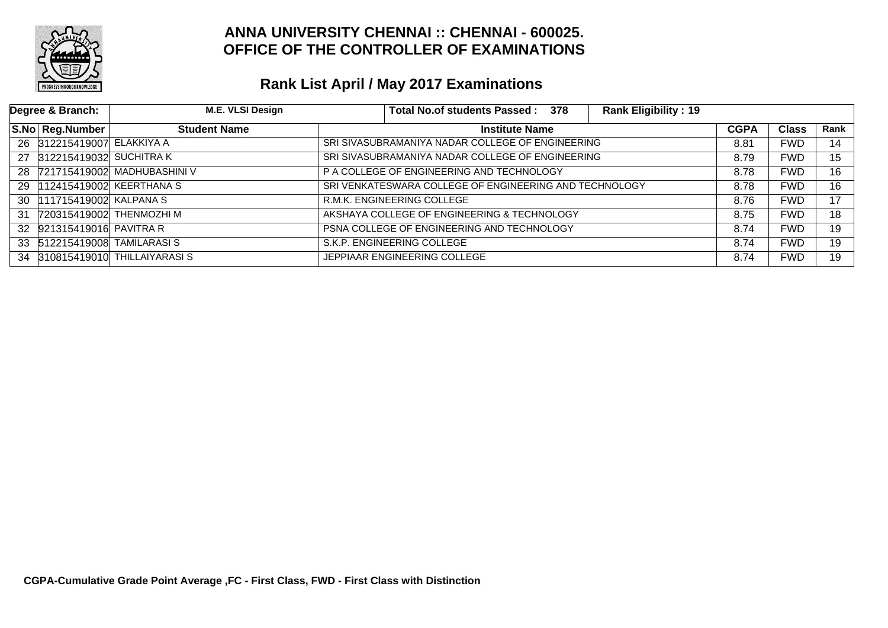

| Degree & Branch:           | M.E. VLSI Design               | Total No.of students Passed: 378<br><b>Rank Eligibility: 19</b> |             |              |      |
|----------------------------|--------------------------------|-----------------------------------------------------------------|-------------|--------------|------|
| S.No   Reg.Number          | <b>Student Name</b>            | <b>Institute Name</b>                                           | <b>CGPA</b> | <b>Class</b> | Rank |
| 26 312215419007 ELAKKIYA A |                                | SRI SIVASUBRAMANIYA NADAR COLLEGE OF ENGINEERING                | 8.81        | <b>FWD</b>   | 14   |
| 27 312215419032 SUCHITRAK  |                                | SRI SIVASUBRAMANIYA NADAR COLLEGE OF ENGINEERING                | 8.79        | <b>FWD</b>   | 15   |
|                            | 28 721715419002 MADHUBASHINI V | P A COLLEGE OF ENGINEERING AND TECHNOLOGY                       | 8.78        | <b>FWD</b>   | 16   |
|                            | 29 112415419002 KEERTHANA S    | SRI VENKATESWARA COLLEGE OF ENGINEERING AND TECHNOLOGY          | 8.78        | <b>FWD</b>   | 16   |
| 30  111715419002 KALPANA S |                                | R.M.K. ENGINEERING COLLEGE                                      | 8.76        | <b>FWD</b>   | 17   |
|                            | 31 720315419002 THENMOZHI M    | AKSHAYA COLLEGE OF ENGINEERING & TECHNOLOGY                     | 8.75        | <b>FWD</b>   | 18   |
| 32 921315419016 PAVITRA R  |                                | PSNA COLLEGE OF ENGINEERING AND TECHNOLOGY                      | 8.74        | <b>FWD</b>   | 19   |
|                            | 33 512215419008 TAMILARASIS    | S.K.P. ENGINEERING COLLEGE                                      | 8.74        | <b>FWD</b>   | 19   |
|                            | 34 310815419010 THILLAIYARASIS | JEPPIAAR ENGINEERING COLLEGE                                    | 8.74        | <b>FWD</b>   | 19   |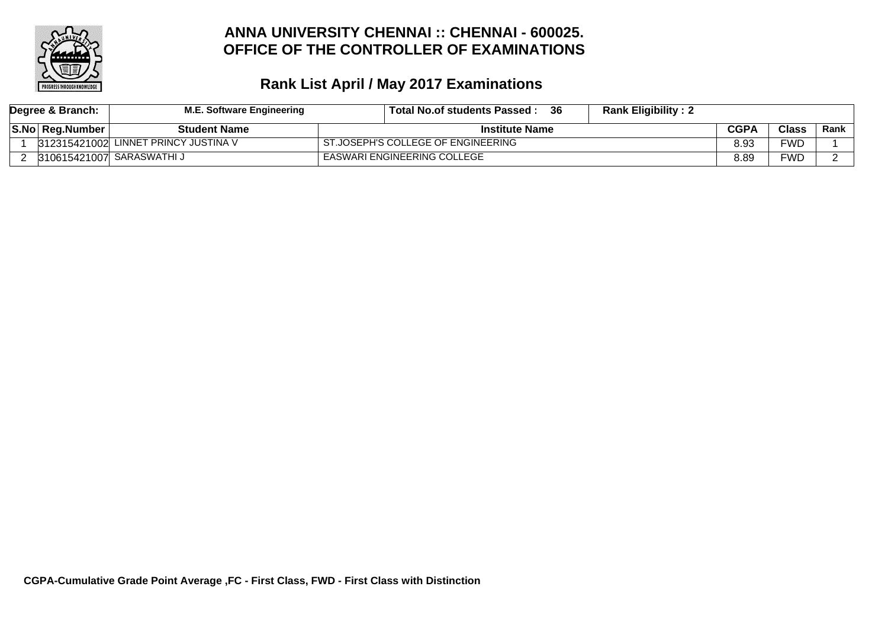

| Degree & Branch: |                        | M.E. Software Engineering            | -36<br><b>Rank Eligibility: 2</b><br>Total No.of students Passed : |             |              |        |
|------------------|------------------------|--------------------------------------|--------------------------------------------------------------------|-------------|--------------|--------|
|                  | <b>S.No Reg.Number</b> | <b>Student Name</b>                  | <b>Institute Name</b>                                              | <b>CGPA</b> | <b>Class</b> | Rank l |
|                  |                        | 312315421002 LINNET PRINCY JUSTINA V | ST.JOSEPH'S COLLEGE OF ENGINEERING                                 | 8.93        | FWD          |        |
|                  |                        | 310615421007 SARASWATHI J            | EASWARI ENGINEERING COLLEGE                                        | 8.89        | FWD          |        |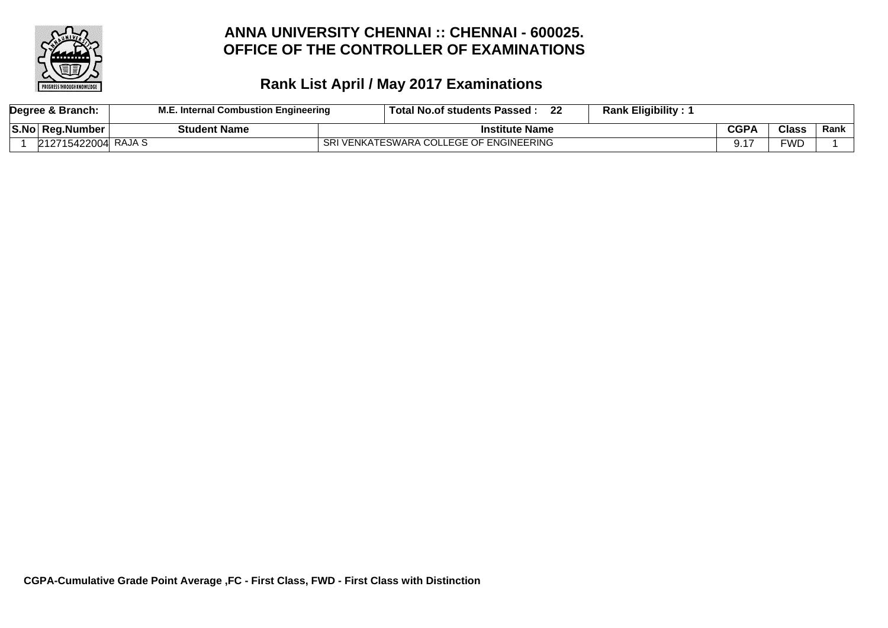

|                    | Degree & Branch:    | Internal Combustion Engineering | . Total No.of students Passed           | 22 | <b>Rank Eligibility:</b> |      |              |      |
|--------------------|---------------------|---------------------------------|-----------------------------------------|----|--------------------------|------|--------------|------|
| <sup>≀</sup> S.No⊤ | ∣ Rea.Number        | <b>Student Name</b>             | <b>Institute Name</b>                   |    |                          | CGPA | <b>Class</b> | Rank |
|                    | 212715422004 RAJA S |                                 | SRI VENKATESWARA COLLEGE OF ENGINEERING |    |                          |      | FWD          |      |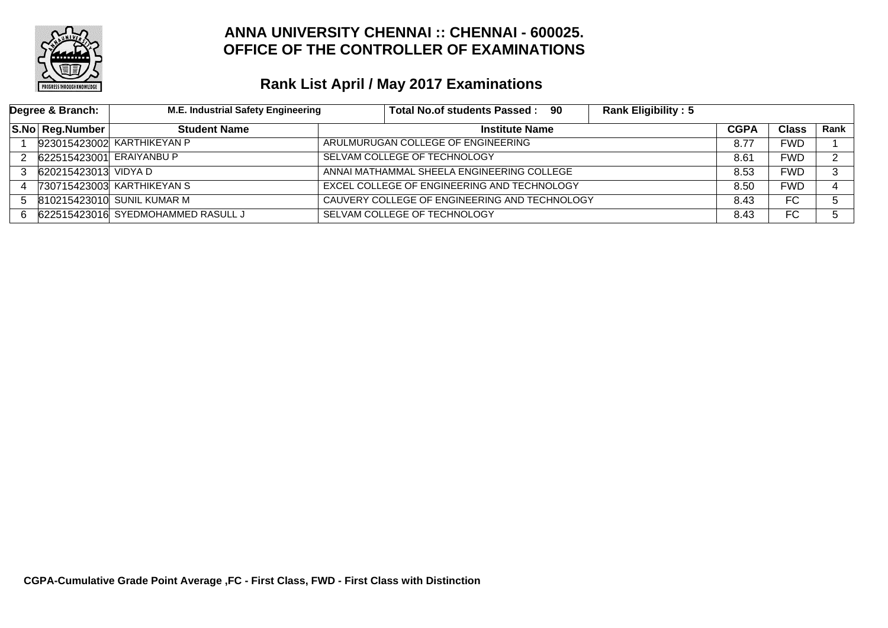

| Degree & Branch: |                          | M.E. Industrial Safety Engineering |                              | Total No.of students Passed: 90               | <b>Rank Eligibility: 5</b> |      |            |             |
|------------------|--------------------------|------------------------------------|------------------------------|-----------------------------------------------|----------------------------|------|------------|-------------|
|                  | <b>S.No Reg.Number</b>   | <b>Student Name</b>                |                              | <b>Institute Name</b>                         |                            |      |            | <b>Rank</b> |
|                  |                          | 923015423002 KARTHIKEYAN P         |                              | ARULMURUGAN COLLEGE OF ENGINEERING            |                            |      |            |             |
| 2                | 622515423001 ERAIYANBU P |                                    | SELVAM COLLEGE OF TECHNOLOGY |                                               |                            |      | <b>FWD</b> | ົ           |
| 3                | 620215423013 VIDYA D     |                                    |                              | ANNAI MATHAMMAL SHEELA ENGINEERING COLLEGE    |                            |      | <b>FWD</b> | ີ           |
| 4                |                          | 730715423003 KARTHIKEYAN S         |                              | EXCEL COLLEGE OF ENGINEERING AND TECHNOLOGY   |                            | 8.50 | <b>FWD</b> |             |
| 5                |                          | 810215423010 SUNIL KUMAR M         |                              | CAUVERY COLLEGE OF ENGINEERING AND TECHNOLOGY |                            | 8.43 | FC.        |             |
| 6.               |                          | 622515423016 SYEDMOHAMMED RASULL J |                              | SELVAM COLLEGE OF TECHNOLOGY                  |                            | 8.43 | FC         |             |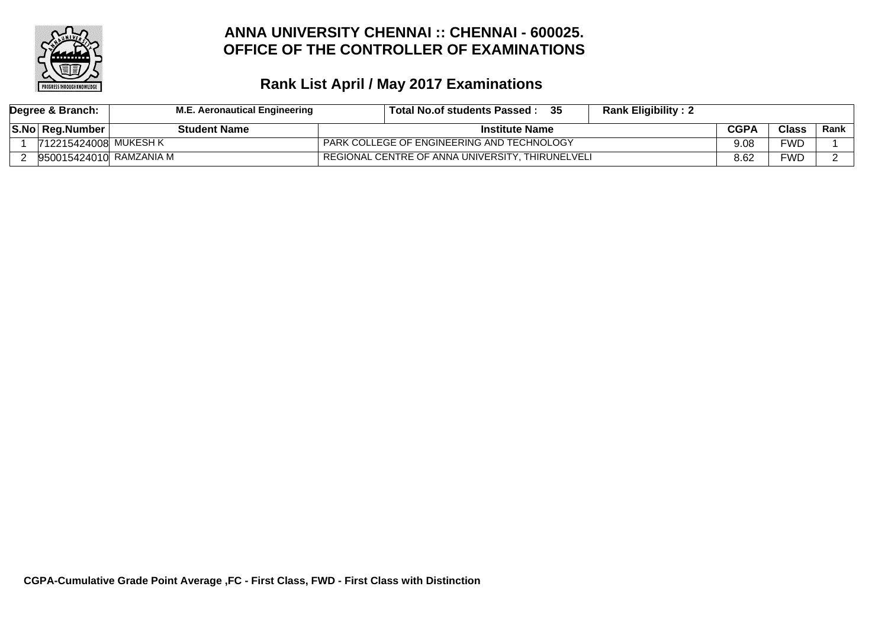

| Degree & Branch: |                                 | <b>M.E. Aeronautical Engineering</b> | -35<br><b>Rank Eligibility: 2</b><br>Total No.of students Passed : |             |              |             |
|------------------|---------------------------------|--------------------------------------|--------------------------------------------------------------------|-------------|--------------|-------------|
|                  | S.No Reg.Number<br>Student Name |                                      | <b>Institute Name</b>                                              | <b>CGPA</b> | <b>Class</b> | <b>Rank</b> |
|                  | 712215424008 MUKESH K           |                                      | PARK COLLEGE OF ENGINEERING AND TECHNOLOGY                         | 9.08        | FWD          |             |
|                  | 950015424010  RAMZANIA M        |                                      | REGIONAL CENTRE OF ANNA UNIVERSITY, THIRUNELVELI                   | 8.62        | FWD          |             |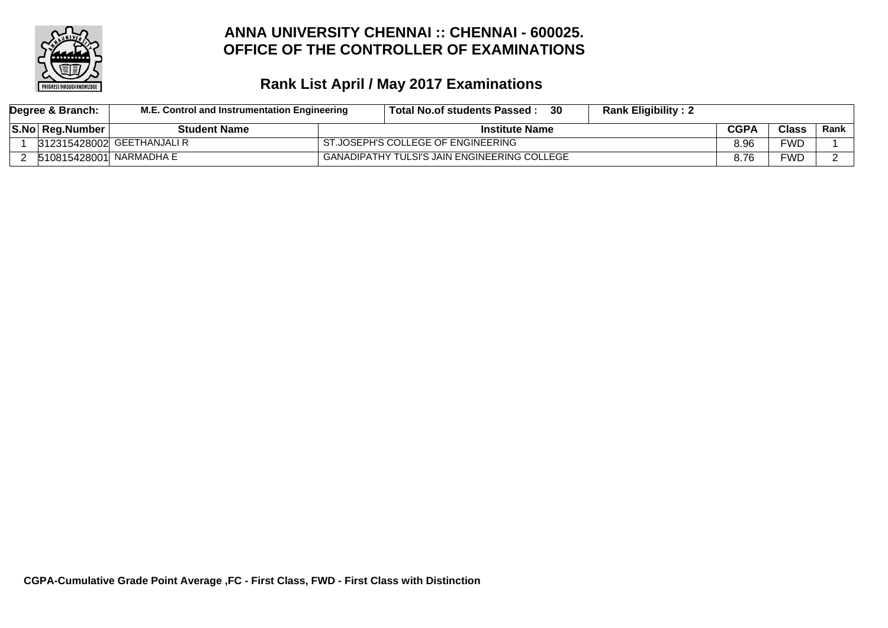

| Degree & Branch:                       | M.E. Control and Instrumentation Engineering | Total No.of students Passed:                 | 30 | <b>Rank Eligibility: 2</b> |             |              |        |
|----------------------------------------|----------------------------------------------|----------------------------------------------|----|----------------------------|-------------|--------------|--------|
| S.No Reg.Number<br><b>Student Name</b> |                                              | <b>Institute Name</b>                        |    |                            | <b>CGPA</b> | <b>Class</b> | Rank l |
|                                        | 312315428002 GEETHANJALI R                   | ST.JOSEPH'S COLLEGE OF ENGINEERING           |    |                            | 8.96        | <b>FWD</b>   |        |
| 510815428001 NARMADHA E                |                                              | GANADIPATHY TULSI'S JAIN ENGINEERING COLLEGE |    |                            | 8.76        | FWD          |        |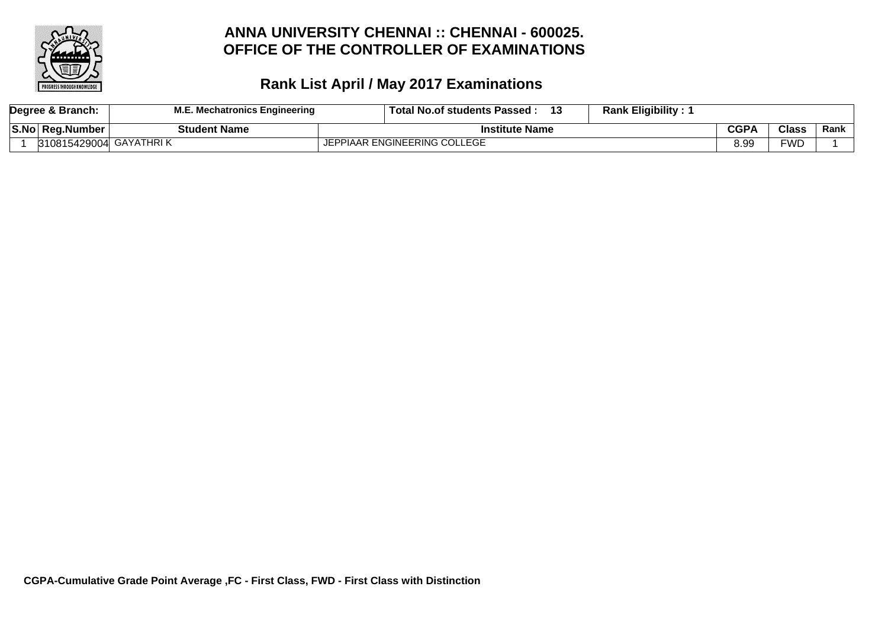

|  | Degree & Branch: | . Mechatronics Engineering | <b>Rank Eligibility:</b><br>13<br><b>Total No.of students Passed</b> |      |              |      |
|--|------------------|----------------------------|----------------------------------------------------------------------|------|--------------|------|
|  | S.No Reg.Number  | <b>Student Name</b>        | <b>Institute Name</b>                                                | CGPA | <b>Class</b> | Rank |
|  | 310815429004     | ' GAYATHRI K               | PIAAR ENGINEERING COLLEGE                                            | 8.99 | ™D           |      |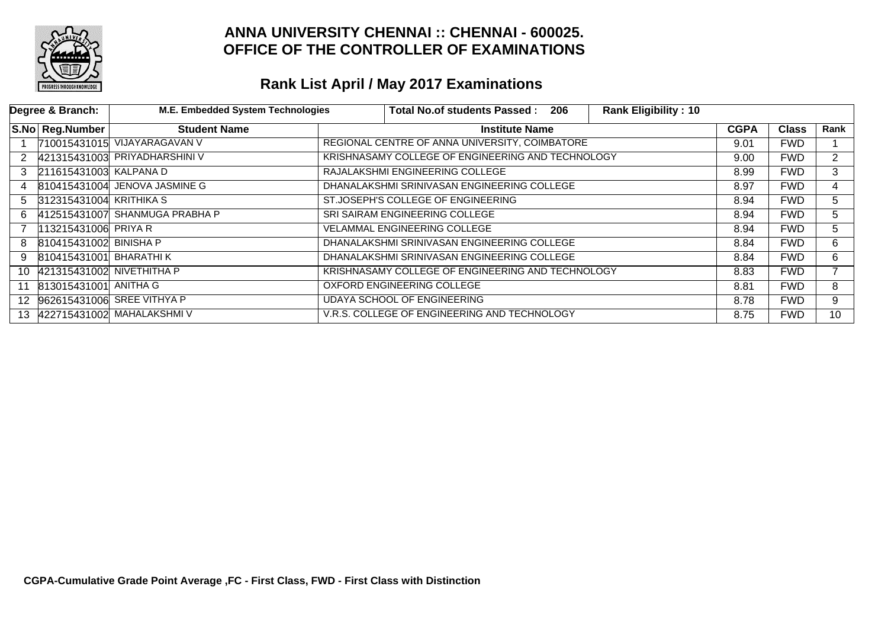

|                 | Degree & Branch:          | <b>M.E. Embedded System Technologies</b> | <b>Total No.of students Passed:</b>               |                       | 206 | <b>Rank Eligibility: 10</b> |             |              |                      |
|-----------------|---------------------------|------------------------------------------|---------------------------------------------------|-----------------------|-----|-----------------------------|-------------|--------------|----------------------|
|                 | S.No Reg.Number           | <b>Student Name</b>                      |                                                   | <b>Institute Name</b> |     |                             | <b>CGPA</b> | <b>Class</b> | Rank                 |
|                 |                           | 710015431015 VIJAYARAGAVAN V             | REGIONAL CENTRE OF ANNA UNIVERSITY, COIMBATORE    |                       |     |                             | 9.01        | <b>FWD</b>   |                      |
| 2               |                           | 421315431003 PRIYADHARSHINI V            | KRISHNASAMY COLLEGE OF ENGINEERING AND TECHNOLOGY |                       |     |                             | 9.00        | <b>FWD</b>   | $\mathbf{2}^{\circ}$ |
| 3               | 211615431003 KALPANA D    |                                          | RAJALAKSHMI ENGINEERING COLLEGE                   |                       |     |                             | 8.99        | <b>FWD</b>   | 3                    |
| 4               |                           | 810415431004 JENOVA JASMINE G            | DHANALAKSHMI SRINIVASAN ENGINEERING COLLEGE       |                       |     |                             | 8.97        | <b>FWD</b>   | 4                    |
| 5               | 312315431004 KRITHIKA S   |                                          | ST.JOSEPH'S COLLEGE OF ENGINEERING                |                       |     |                             | 8.94        | <b>FWD</b>   | 5.                   |
| 6.              |                           | 412515431007 SHANMUGA PRABHA P           | SRI SAIRAM ENGINEERING COLLEGE                    |                       |     |                             | 8.94        | <b>FWD</b>   | 5.                   |
|                 | 113215431006 PRIYA R      |                                          | <b>VELAMMAL ENGINEERING COLLEGE</b>               |                       |     |                             | 8.94        | <b>FWD</b>   | 5.                   |
| 8               | 810415431002 BINISHA P    |                                          | DHANALAKSHMI SRINIVASAN ENGINEERING COLLEGE       |                       |     |                             | 8.84        | <b>FWD</b>   | 6                    |
| 9               | $810415431001$ BHARATHI K |                                          | DHANALAKSHMI SRINIVASAN ENGINEERING COLLEGE       |                       |     |                             | 8.84        | <b>FWD</b>   | 6                    |
| 10 <sup>1</sup> | 421315431002 NIVETHITHA P |                                          | KRISHNASAMY COLLEGE OF ENGINEERING AND TECHNOLOGY |                       |     |                             | 8.83        | <b>FWD</b>   |                      |
| 11              | 813015431001 ANITHA G     |                                          | OXFORD ENGINEERING COLLEGE                        |                       |     |                             | 8.81        | <b>FWD</b>   | 8                    |
|                 |                           | 12 962615431006 SREE VITHYA P            | UDAYA SCHOOL OF ENGINEERING                       |                       |     |                             | 8.78        | <b>FWD</b>   | 9                    |
|                 |                           | 13  422715431002 MAHALAKSHMI V           | V.R.S. COLLEGE OF ENGINEERING AND TECHNOLOGY      |                       |     |                             | 8.75        | <b>FWD</b>   | 10                   |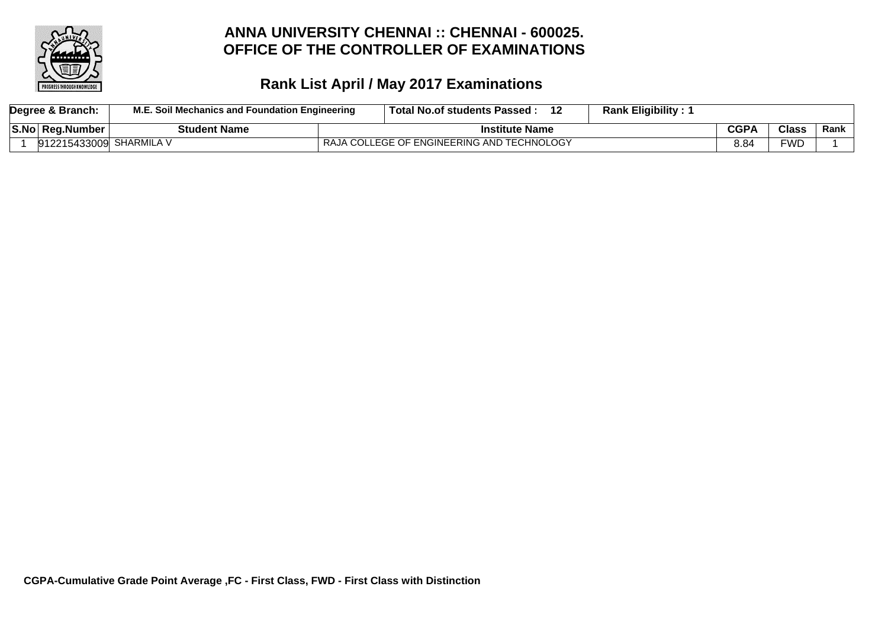

| Degree & Branch:        | M.E. Soil Mechanics and Foundation Engineering | Total No.of students Passed :              | <b>Rank Eligibility:</b> |             |              |      |
|-------------------------|------------------------------------------------|--------------------------------------------|--------------------------|-------------|--------------|------|
| S.No Reg.Number         | <b>Student Name</b>                            | <b>Institute Name</b>                      |                          | <b>CGPA</b> | <b>Class</b> | Rank |
| 912215433009 SHARMILA V |                                                | RAJA COLLEGE OF ENGINEERING AND TECHNOLOGY |                          |             | FWD          |      |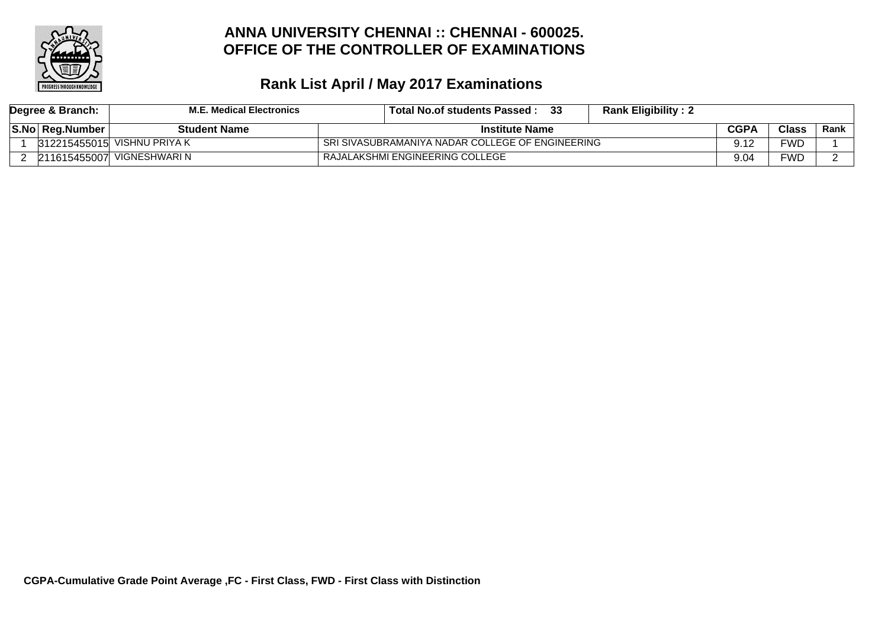

| Degree & Branch: | M.E. Medical Electronics    | -33<br>Total No.of students Passed : | <b>Rank Eligibility: 2</b>                       |             |              |        |
|------------------|-----------------------------|--------------------------------------|--------------------------------------------------|-------------|--------------|--------|
| S.No Reg.Number  | <b>Student Name</b>         | <b>Institute Name</b>                |                                                  | <b>CGPA</b> | <b>Class</b> | Rank l |
|                  | 312215455015 VISHNU PRIYA K |                                      | SRI SIVASUBRAMANIYA NADAR COLLEGE OF ENGINEERING |             |              |        |
| 211615455007     | VIGNESHWARI N               | RAJALAKSHMI ENGINEERING COLLEGE      |                                                  | 9.04        | FWD          |        |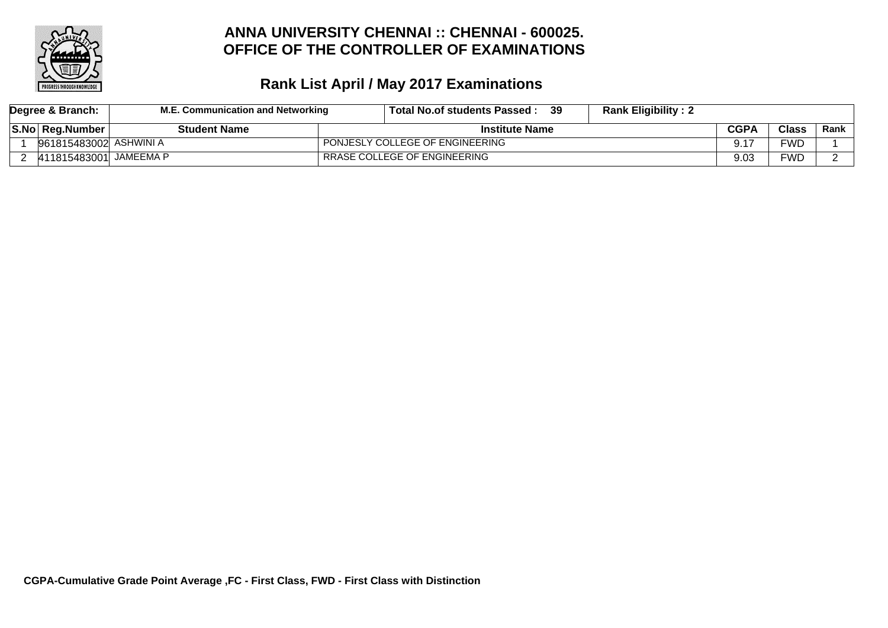

|  | Degree & Branch:        | M.E. Communication and Networking | Total No.of students Passed:    | -39 | <b>Rank Eligibility: 2</b> |              |        |  |
|--|-------------------------|-----------------------------------|---------------------------------|-----|----------------------------|--------------|--------|--|
|  | <b>S.No Reg.Number</b>  | <b>Student Name</b>               | <b>Institute Name</b>           |     | <b>CGPA</b>                | <b>Class</b> | Rank l |  |
|  | 961815483002  ASHWINI A |                                   | PONJESLY COLLEGE OF ENGINEERING |     |                            | FWD          |        |  |
|  | 411815483001 JAMEEMA P  |                                   | RRASE COLLEGE OF ENGINEERING    |     | 9.03                       | FWD          |        |  |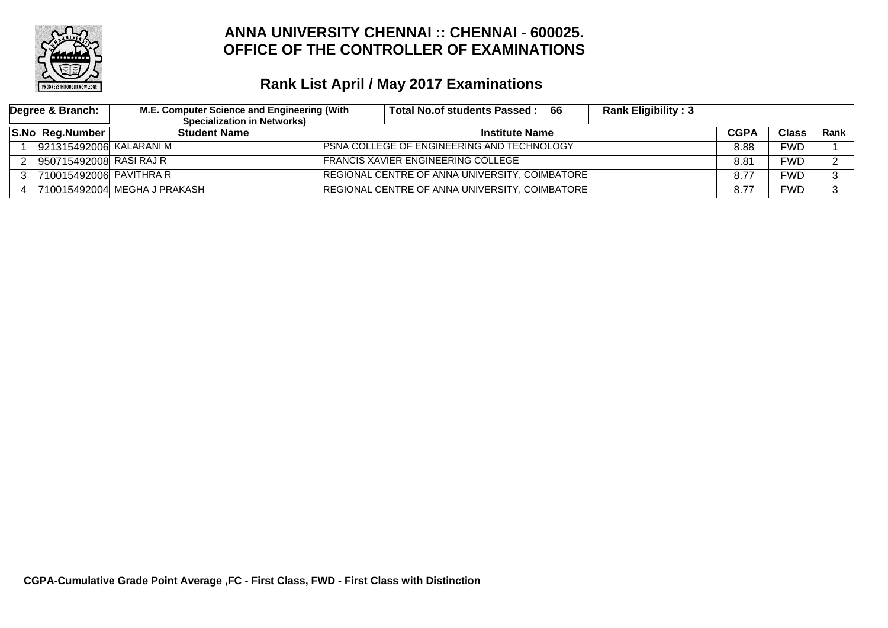

| Degree & Branch:        | M.E. Computer Science and Engineering (With | <b>Rank Eligibility: 3</b><br>Total No.of students Passed:<br>- 66 |             |              |      |
|-------------------------|---------------------------------------------|--------------------------------------------------------------------|-------------|--------------|------|
|                         | <b>Specialization in Networks)</b>          |                                                                    |             |              |      |
| S.No Reg.Number         | <b>Student Name</b>                         | <b>Institute Name</b>                                              | <b>CGPA</b> | <b>Class</b> | Rank |
| 921315492006 KALARANI M |                                             | <b>PSNA COLLEGE OF ENGINEERING AND TECHNOLOGY</b>                  | 8.88        | FWD          |      |
| 950715492008 RASI RAJ R |                                             | <b>FRANCIS XAVIER ENGINEERING COLLEGE</b>                          | 8.81        | FWD          | ົ    |
| 710015492006 PAVITHRA R |                                             | REGIONAL CENTRE OF ANNA UNIVERSITY, COIMBATORE                     | 8.77        | FWD          | n    |
|                         | 710015492004 MEGHA J PRAKASH                | REGIONAL CENTRE OF ANNA UNIVERSITY, COIMBATORE                     | 8.77        | FWD          | ົ    |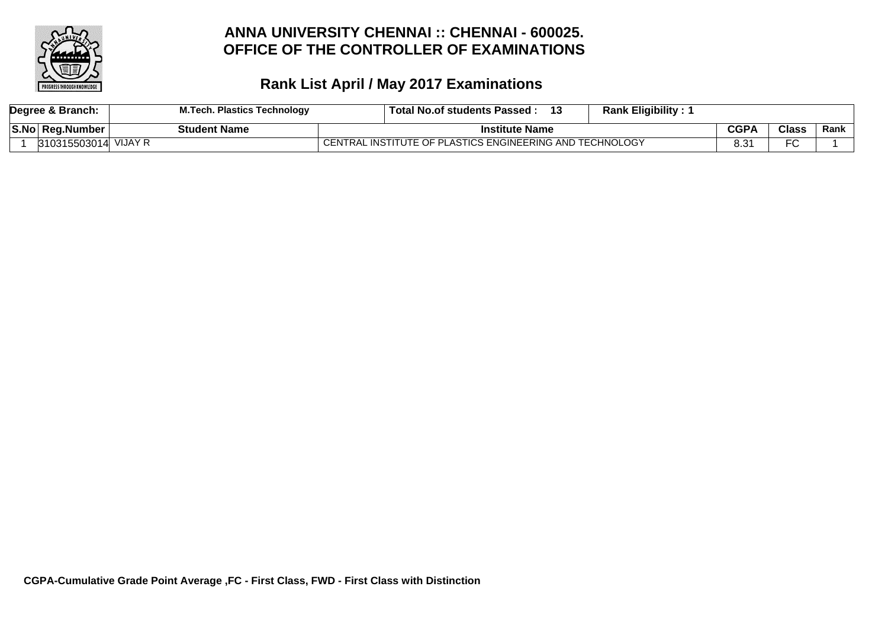

|       | Degree & Branch: | I.Tech. Plastics Technology | <b>Rank Eligibility:</b><br>⊪ Total No.of students Passed : |      |              |      |
|-------|------------------|-----------------------------|-------------------------------------------------------------|------|--------------|------|
| 'S.No | ∣ Rea.Number     | <b>Student Name</b>         | <b>Institute Name</b>                                       | CGPA | <b>Class</b> | Rank |
|       | 310315503014     | VIJAY R                     | CENTRAL INSTITUTE OF PLASTICS ENGINEERING AND TECHNOLOGY    |      | ⊷            |      |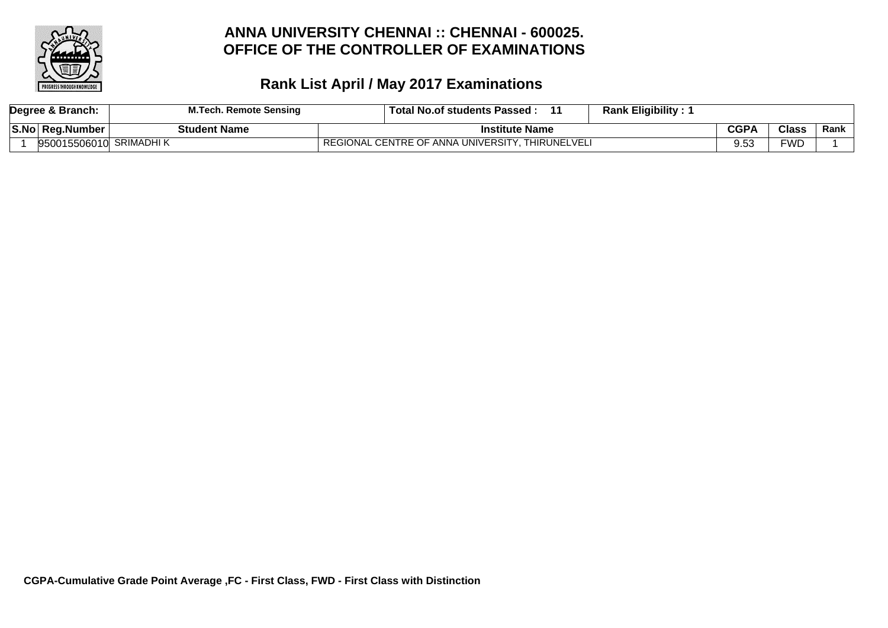

|      | Degree & Branch: | <b>M.Tech. Remote Sensing</b> | <b>Rank Eligibility:</b><br>⊩ Total No.of students Passed : |      |              |      |
|------|------------------|-------------------------------|-------------------------------------------------------------|------|--------------|------|
| S.No | ∣ Rea.Number     | <b>Student Name</b>           | <b>Institute Name</b>                                       | CGPA | <b>Class</b> | Rank |
|      | 950015506010     | <b>SRIMADHI K</b>             | REGIONAL CENTRE OF ANNA UNIVERSITY. THIRUNELVELI            |      | <b>FWD</b>   |      |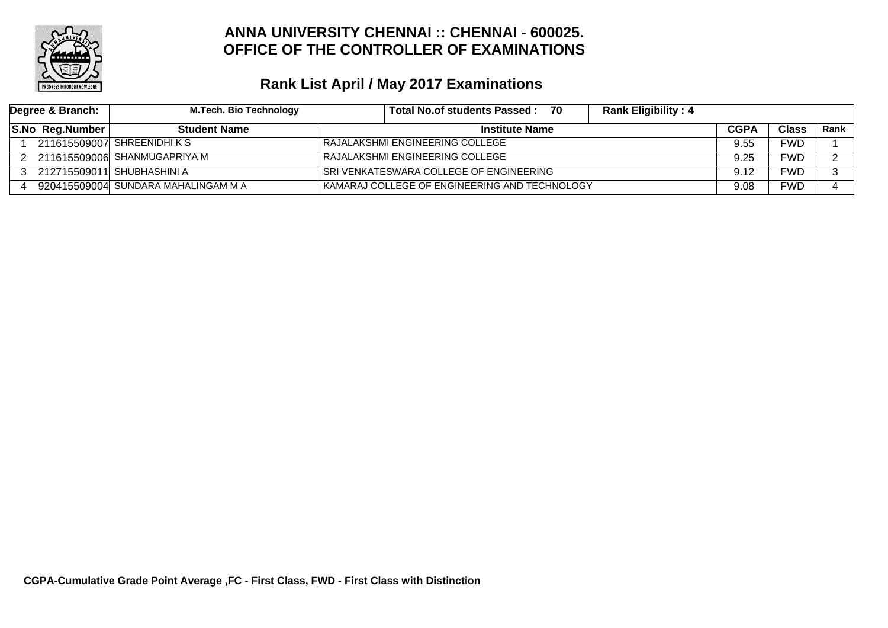

| Degree & Branch: | <b>M.Tech. Bio Technology</b>       | <b>Rank Eligibility: 4</b><br>Total No.of students Passed: 70 |             |            |             |
|------------------|-------------------------------------|---------------------------------------------------------------|-------------|------------|-------------|
| S.No Reg.Number  | <b>Student Name</b>                 | <b>Institute Name</b>                                         | <b>CGPA</b> | Class      | <b>Rank</b> |
|                  | 211615509007 SHREENIDHIKS           | RAJALAKSHMI ENGINEERING COLLEGE                               | 9.55        | <b>FWD</b> |             |
|                  | 211615509006 SHANMUGAPRIYA M        | RAJALAKSHMI ENGINEERING COLLEGE                               | 9.25        | FWD        |             |
|                  | 212715509011 SHUBHASHINI A          | SRI VENKATESWARA COLLEGE OF ENGINEERING                       | 9.12        | FWD        |             |
|                  | 920415509004 SUNDARA MAHALINGAM M A | KAMARAJ COLLEGE OF ENGINEERING AND TECHNOLOGY                 | 9.08        | <b>FWD</b> |             |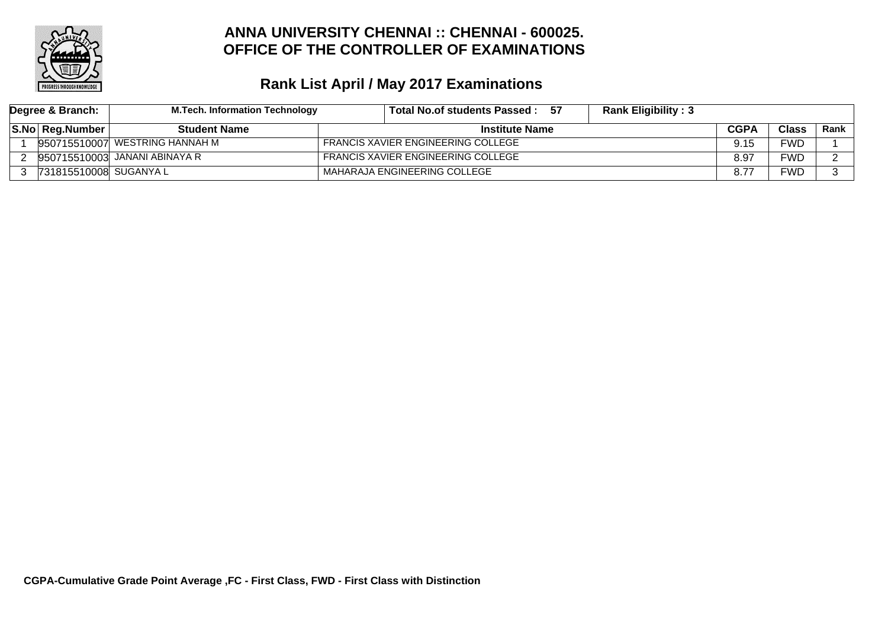

| Degree & Branch:       | M.Tech. Information Technology | Total No.of students Passed: 57           | <b>Rank Eligibility: 3</b> |             |              |        |
|------------------------|--------------------------------|-------------------------------------------|----------------------------|-------------|--------------|--------|
| S.No Reg.Number        | <b>Student Name</b>            | <b>Institute Name</b>                     |                            | <b>CGPA</b> | <b>Class</b> | Rank l |
|                        | 950715510007 WESTRING HANNAH M | <b>FRANCIS XAVIER ENGINEERING COLLEGE</b> |                            | 9.15        | <b>FWD</b>   |        |
|                        | 950715510003 JANANI ABINAYA R  | <b>FRANCIS XAVIER ENGINEERING COLLEGE</b> |                            | 8.97        | FWD          |        |
| 731815510008 SUGANYA L |                                | MAHARAJA ENGINEERING COLLEGE              |                            |             | FWD          |        |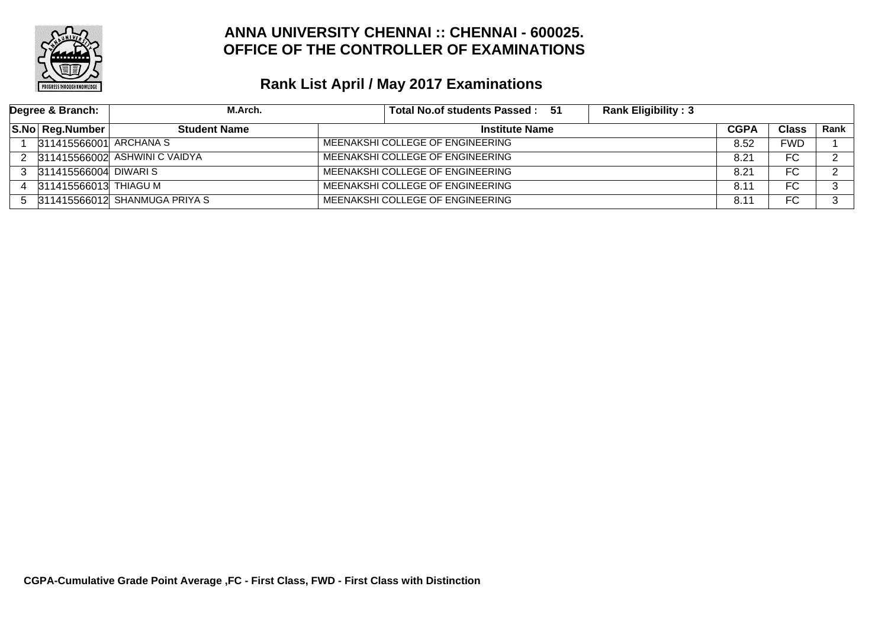

|   | Degree & Branch:       | M.Arch.                         | Total No.of students Passed: 51  | <b>Rank Eligibility: 3</b> |               |            |      |
|---|------------------------|---------------------------------|----------------------------------|----------------------------|---------------|------------|------|
|   | S.No Reg.Number        | <b>Student Name</b>             | <b>Institute Name</b>            |                            | <b>CGPA</b>   | Class      | Rank |
|   | 311415566001 ARCHANA S |                                 | MEENAKSHI COLLEGE OF ENGINEERING |                            | 8.52          | <b>FWD</b> |      |
|   |                        | 311415566002 ASHWINI C VAIDYA   | MEENAKSHI COLLEGE OF ENGINEERING |                            | 8.21          | FC         | ົ    |
| 3 | 311415566004 DIWARI S  |                                 | MEENAKSHI COLLEGE OF ENGINEERING |                            | 8.21          | FC         |      |
|   | 311415566013 THIAGU M  |                                 | MEENAKSHI COLLEGE OF ENGINEERING |                            | 8.1'          | FC         |      |
|   |                        | 5 311415566012 SHANMUGA PRIYA S | MEENAKSHI COLLEGE OF ENGINEERING |                            | $8.1^{\circ}$ | FC         | ົ    |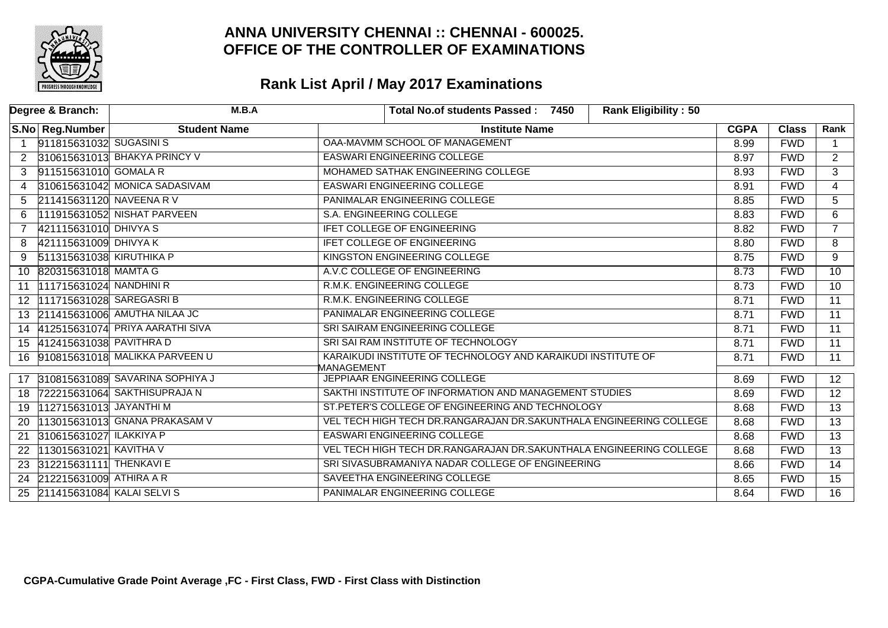

| Degree & Branch:                             | M.B.A                             | <b>Rank Eligibility: 50</b><br>Total No.of students Passed: 7450           |             |              |                 |
|----------------------------------------------|-----------------------------------|----------------------------------------------------------------------------|-------------|--------------|-----------------|
| S.No Reg.Number                              | <b>Student Name</b>               | <b>Institute Name</b>                                                      | <b>CGPA</b> | <b>Class</b> | Rank            |
| 911815631032 SUGASINIS                       |                                   | OAA-MAVMM SCHOOL OF MANAGEMENT                                             | 8.99        | <b>FWD</b>   | $\overline{1}$  |
| $\overline{2}$                               | 310615631013 BHAKYA PRINCY V      | <b>EASWARI ENGINEERING COLLEGE</b>                                         | 8.97        | <b>FWD</b>   | $\overline{2}$  |
| 911515631010 GOMALA R<br>3                   |                                   | MOHAMED SATHAK ENGINEERING COLLEGE                                         | 8.93        | <b>FWD</b>   | $\overline{3}$  |
| $\overline{4}$                               | 310615631042 MONICA SADASIVAM     | <b>EASWARI ENGINEERING COLLEGE</b>                                         | 8.91        | <b>FWD</b>   | $\overline{4}$  |
| 211415631120 NAVEENA R V<br>5                |                                   | PANIMALAR ENGINEERING COLLEGE                                              | 8.85        | <b>FWD</b>   | $\overline{5}$  |
| 6                                            | 111915631052 NISHAT PARVEEN       | S.A. ENGINEERING COLLEGE                                                   | 8.83        | <b>FWD</b>   | $\overline{6}$  |
| 421115631010 DHIVYA S                        |                                   | IFET COLLEGE OF ENGINEERING                                                | 8.82        | <b>FWD</b>   | $\overline{7}$  |
| 421115631009 DHIVYA K<br>8                   |                                   | <b>IFET COLLEGE OF ENGINEERING</b>                                         | 8.80        | <b>FWD</b>   | 8               |
| 511315631038 KIRUTHIKA P<br>9                |                                   | KINGSTON ENGINEERING COLLEGE                                               | 8.75        | <b>FWD</b>   | $\overline{9}$  |
| 10 820315631018 MAMTA G                      |                                   | A.V.C COLLEGE OF ENGINEERING                                               | 8.73        | <b>FWD</b>   | $\overline{10}$ |
| 111715631024 NANDHINI R<br>11                |                                   | R.M.K. ENGINEERING COLLEGE                                                 | 8.73        | <b>FWD</b>   | $\overline{10}$ |
| 111715631028 SAREGASRI B<br>12 <sup>12</sup> |                                   | R.M.K. ENGINEERING COLLEGE                                                 | 8.71        | <b>FWD</b>   | $\overline{11}$ |
|                                              | 13 211415631006 AMUTHA NILAA JC   | PANIMALAR ENGINEERING COLLEGE                                              | 8.71        | <b>FWD</b>   | $\overline{11}$ |
| 14                                           | 412515631074 PRIYA AARATHI SIVA   | SRI SAIRAM ENGINEERING COLLEGE                                             | 8.71        | <b>FWD</b>   | $\overline{11}$ |
| 15 412415631038 PAVITHRAD                    |                                   | SRI SAI RAM INSTITUTE OF TECHNOLOGY                                        | 8.71        | <b>FWD</b>   | $\overline{11}$ |
|                                              | 16 910815631018 MALIKKA PARVEEN U | KARAIKUDI INSTITUTE OF TECHNOLOGY AND KARAIKUDI INSTITUTE OF<br>MANAGEMENT | 8.71        | <b>FWD</b>   | 11              |
| 17                                           | 310815631089 SAVARINA SOPHIYA J   | JEPPIAAR ENGINEERING COLLEGE                                               | 8.69        | <b>FWD</b>   | 12 <sup>7</sup> |
| 18                                           | 722215631064 SAKTHISUPRAJA N      | SAKTHI INSTITUTE OF INFORMATION AND MANAGEMENT STUDIES                     | 8.69        | <b>FWD</b>   | 12 <sup>°</sup> |
| 112715631013 JAYANTHI M<br>19                |                                   | ST.PETER'S COLLEGE OF ENGINEERING AND TECHNOLOGY                           | 8.68        | <b>FWD</b>   | 13              |
| 20                                           | 113015631013 GNANA PRAKASAM V     | VEL TECH HIGH TECH DR.RANGARAJAN DR.SAKUNTHALA ENGINEERING COLLEGE         | 8.68        | <b>FWD</b>   | 13              |
| 310615631027 ILAKKIYA P<br>21                |                                   | <b>EASWARI ENGINEERING COLLEGE</b>                                         | 8.68        | <b>FWD</b>   | 13              |
| 113015631021 KAVITHA V<br>22                 |                                   | VEL TECH HIGH TECH DR.RANGARAJAN DR.SAKUNTHALA ENGINEERING COLLEGE         | 8.68        | <b>FWD</b>   | 13              |
| 312215631111 THENKAVI E<br>23                |                                   | SRI SIVASUBRAMANIYA NADAR COLLEGE OF ENGINEERING                           | 8.66        | <b>FWD</b>   | 14              |
| 212215631009 ATHIRA A R<br>24                |                                   | SAVEETHA ENGINEERING COLLEGE                                               | 8.65        | <b>FWD</b>   | 15              |
| 211415631084 KALAI SELVI S<br>25             |                                   | PANIMALAR ENGINEERING COLLEGE                                              | 8.64        | <b>FWD</b>   | 16              |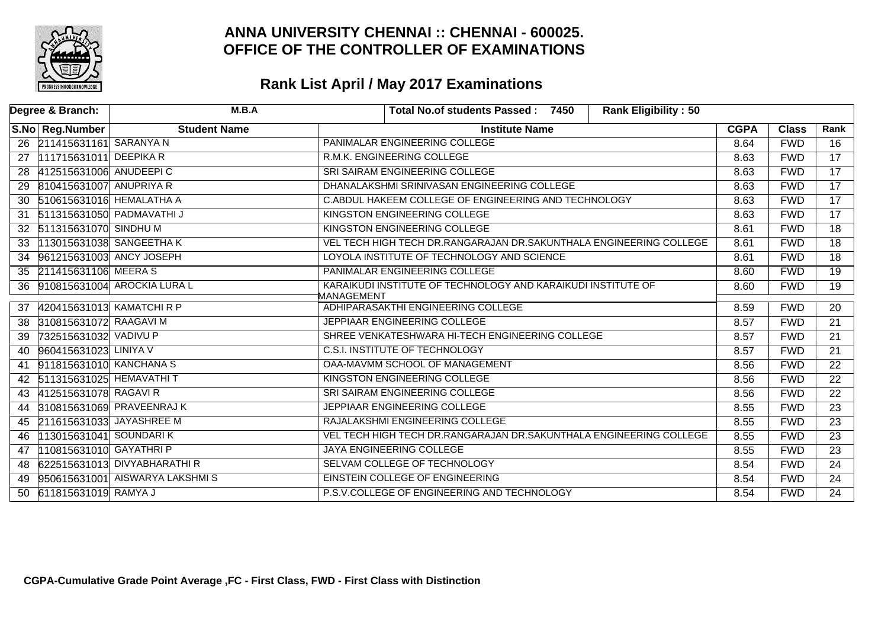

|    | Degree & Branch:            | M.B.A                          | <b>Rank Eligibility: 50</b><br>Total No.of students Passed: 7450   |             |              |                 |
|----|-----------------------------|--------------------------------|--------------------------------------------------------------------|-------------|--------------|-----------------|
|    | S.No Reg.Number             | <b>Student Name</b>            | <b>Institute Name</b>                                              | <b>CGPA</b> | <b>Class</b> | Rank            |
|    | 26 211415631161 SARANYA N   |                                | PANIMALAR ENGINEERING COLLEGE                                      | 8.64        | <b>FWD</b>   | $\overline{16}$ |
| 27 | 111715631011 DEEPIKA R      |                                | R.M.K. ENGINEERING COLLEGE                                         | 8.63        | <b>FWD</b>   | $\overline{17}$ |
| 28 | 412515631006 ANUDEEPIC      |                                | SRI SAIRAM ENGINEERING COLLEGE                                     | 8.63        | <b>FWD</b>   | $\overline{17}$ |
| 29 | 810415631007 ANUPRIYA R     |                                | DHANALAKSHMI SRINIVASAN ENGINEERING COLLEGE                        | 8.63        | <b>FWD</b>   | $\overline{17}$ |
|    | 30 510615631016 HEMALATHA A |                                | C.ABDUL HAKEEM COLLEGE OF ENGINEERING AND TECHNOLOGY               | 8.63        | <b>FWD</b>   | $\overline{17}$ |
| 31 |                             | 511315631050 PADMAVATHI J      | KINGSTON ENGINEERING COLLEGE                                       | 8.63        | <b>FWD</b>   | $\overline{17}$ |
|    | 32 511315631070 SINDHU M    |                                | KINGSTON ENGINEERING COLLEGE                                       | 8.61        | <b>FWD</b>   | $\overline{18}$ |
| 33 |                             | 113015631038 SANGEETHA K       | VEL TECH HIGH TECH DR.RANGARAJAN DR.SAKUNTHALA ENGINEERING COLLEGE | 8.61        | <b>FWD</b>   | $\overline{18}$ |
| 34 | 961215631003 ANCY JOSEPH    |                                | LOYOLA INSTITUTE OF TECHNOLOGY AND SCIENCE                         | 8.61        | <b>FWD</b>   | $\overline{18}$ |
|    | 35 211415631106 MEERA S     |                                | PANIMALAR ENGINEERING COLLEGE                                      | 8.60        | <b>FWD</b>   | 19              |
| 36 |                             | 910815631004 AROCKIA LURA L    | KARAIKUDI INSTITUTE OF TECHNOLOGY AND KARAIKUDI INSTITUTE OF       | 8.60        | <b>FWD</b>   | $\overline{19}$ |
|    | 37 420415631013 KAMATCHIRP  |                                | MANAGEMENT<br>ADHIPARASAKTHI ENGINEERING COLLEGE                   | 8.59        | <b>FWD</b>   | 20              |
| 38 | 310815631072 RAAGAVI M      |                                | JEPPIAAR ENGINEERING COLLEGE                                       | 8.57        | <b>FWD</b>   | $\overline{21}$ |
| 39 | 732515631032 VADIVU P       |                                | SHREE VENKATESHWARA HI-TECH ENGINEERING COLLEGE                    | 8.57        | <b>FWD</b>   | 21              |
| 40 | 960415631023 LINIYA V       |                                | <b>C.S.I. INSTITUTE OF TECHNOLOGY</b>                              | 8.57        | <b>FWD</b>   | 21              |
| 41 | 911815631010 KANCHANA S     |                                | OAA-MAVMM SCHOOL OF MANAGEMENT                                     | 8.56        | <b>FWD</b>   | 22              |
|    | 42 511315631025 HEMAVATHIT  |                                | KINGSTON ENGINEERING COLLEGE                                       | 8.56        | <b>FWD</b>   | 22              |
| 43 | 412515631078 RAGAVI R       |                                | SRI SAIRAM ENGINEERING COLLEGE                                     | 8.56        | <b>FWD</b>   | 22              |
| 44 |                             | 310815631069 PRAVEENRAJ K      | JEPPIAAR ENGINEERING COLLEGE                                       | 8.55        | <b>FWD</b>   | 23              |
| 45 | 211615631033 JAYASHREE M    |                                | RAJALAKSHMI ENGINEERING COLLEGE                                    | 8.55        | <b>FWD</b>   | 23              |
| 46 | 113015631041 SOUNDARIK      |                                | VEL TECH HIGH TECH DR.RANGARAJAN DR.SAKUNTHALA ENGINEERING COLLEGE | 8.55        | <b>FWD</b>   | 23              |
| 47 | 110815631010 GAYATHRI P     |                                | <b>JAYA ENGINEERING COLLEGE</b>                                    | 8.55        | <b>FWD</b>   | 23              |
| 48 |                             | 622515631013 DIVYABHARATHIR    | SELVAM COLLEGE OF TECHNOLOGY                                       | 8.54        | <b>FWD</b>   | 24              |
| 49 |                             | 950615631001 AISWARYA LAKSHMIS | EINSTEIN COLLEGE OF ENGINEERING                                    | 8.54        | <b>FWD</b>   | 24              |
| 50 | 611815631019 RAMYA J        |                                | P.S.V.COLLEGE OF ENGINEERING AND TECHNOLOGY                        | 8.54        | <b>FWD</b>   | 24              |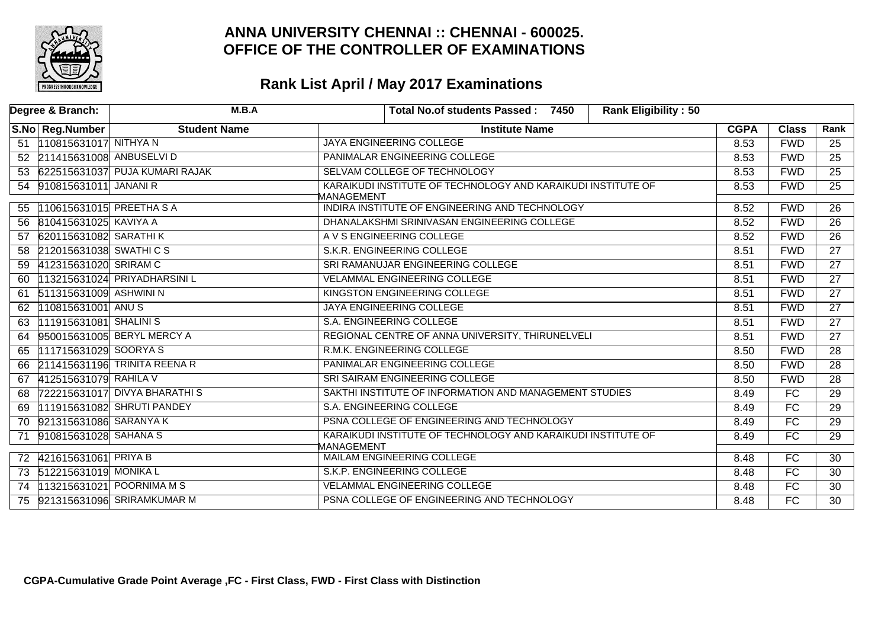

|    | Degree & Branch:            | M.B.A                             | <b>Rank Eligibility: 50</b><br>Total No.of students Passed: 7450           |             |              |                 |
|----|-----------------------------|-----------------------------------|----------------------------------------------------------------------------|-------------|--------------|-----------------|
|    | S.No Reg.Number             | <b>Student Name</b>               | <b>Institute Name</b>                                                      | <b>CGPA</b> | <b>Class</b> | Rank            |
|    | 51 10815631017 NITHYA N     |                                   | JAYA ENGINEERING COLLEGE                                                   | 8.53        | <b>FWD</b>   | 25              |
|    | 52 211415631008 ANBUSELVI D |                                   | PANIMALAR ENGINEERING COLLEGE                                              | 8.53        | <b>FWD</b>   | $\overline{25}$ |
|    |                             | 53 622515631037 PUJA KUMARI RAJAK | SELVAM COLLEGE OF TECHNOLOGY                                               | 8.53        | <b>FWD</b>   | $\overline{25}$ |
|    | 54 910815631011 JANANI R    |                                   | KARAIKUDI INSTITUTE OF TECHNOLOGY AND KARAIKUDI INSTITUTE OF               | 8.53        | <b>FWD</b>   | $\overline{25}$ |
|    |                             |                                   | MANAGEMENT<br>INDIRA INSTITUTE OF ENGINEERING AND TECHNOLOGY               |             | <b>FWD</b>   | 26              |
|    | 55 110615631015 PREETHA S A |                                   |                                                                            | 8.52        |              |                 |
|    | 56 810415631025 KAVIYA A    |                                   | DHANALAKSHMI SRINIVASAN ENGINEERING COLLEGE                                | 8.52        | <b>FWD</b>   | $\overline{26}$ |
| 57 | 620115631082 SARATHI K      |                                   | A V S ENGINEERING COLLEGE                                                  | 8.52        | <b>FWD</b>   | $\overline{26}$ |
| 58 | 212015631038 SWATHICS       |                                   | S.K.R. ENGINEERING COLLEGE                                                 | 8.51        | <b>FWD</b>   | $\overline{27}$ |
| 59 | 412315631020 SRIRAM C       |                                   | SRI RAMANUJAR ENGINEERING COLLEGE                                          | 8.51        | <b>FWD</b>   | 27              |
| 60 |                             | 113215631024 PRIYADHARSINI L      | <b>VELAMMAL ENGINEERING COLLEGE</b>                                        | 8.51        | <b>FWD</b>   | $\overline{27}$ |
| 61 | 511315631009 ASHWINI N      |                                   | KINGSTON ENGINEERING COLLEGE                                               | 8.51        | <b>FWD</b>   | $\overline{27}$ |
| 62 | 110815631001 ANUS           |                                   | <b>JAYA ENGINEERING COLLEGE</b>                                            | 8.51        | <b>FWD</b>   | 27              |
| 63 | 111915631081 SHALINIS       |                                   | S.A. ENGINEERING COLLEGE                                                   | 8.51        | <b>FWD</b>   | 27              |
| 64 |                             | 950015631005 BERYL MERCY A        | REGIONAL CENTRE OF ANNA UNIVERSITY, THIRUNELVELI                           | 8.51        | <b>FWD</b>   | 27              |
| 65 | 111715631029 SOORYA S       |                                   | R.M.K. ENGINEERING COLLEGE                                                 | 8.50        | <b>FWD</b>   | 28              |
| 66 |                             | 211415631196 TRINITA REENA R      | PANIMALAR ENGINEERING COLLEGE                                              | 8.50        | <b>FWD</b>   | 28              |
| 67 | 412515631079 RAHILA V       |                                   | SRI SAIRAM ENGINEERING COLLEGE                                             | 8.50        | <b>FWD</b>   | 28              |
|    |                             | 68 722215631017 DIVYA BHARATHIS   | SAKTHI INSTITUTE OF INFORMATION AND MANAGEMENT STUDIES                     | 8.49        | <b>FC</b>    | 29              |
| 69 |                             | 111915631082 SHRUTI PANDEY        | S.A. ENGINEERING COLLEGE                                                   | 8.49        | FC           | $\overline{29}$ |
|    | 70 921315631086 SARANYA K   |                                   | PSNA COLLEGE OF ENGINEERING AND TECHNOLOGY                                 | 8.49        | FC           | $\overline{29}$ |
| 71 | 910815631028 SAHANA S       |                                   | KARAIKUDI INSTITUTE OF TECHNOLOGY AND KARAIKUDI INSTITUTE OF<br>MANAGEMENT | 8.49        | <b>FC</b>    | 29              |
|    | 72 421615631061 PRIYA B     |                                   | <b>MAILAM ENGINEERING COLLEGE</b>                                          | 8.48        | FC           | 30              |
|    | 73 512215631019 MONIKA L    |                                   | S.K.P. ENGINEERING COLLEGE                                                 | 8.48        | FC           | $\overline{30}$ |
|    |                             | 74  13215631021 POORNIMA M S      | <b>VELAMMAL ENGINEERING COLLEGE</b>                                        | 8.48        | FC           | 30              |
|    |                             | 75 921315631096 SRIRAMKUMAR M     | PSNA COLLEGE OF ENGINEERING AND TECHNOLOGY                                 | 8.48        | FC           | $\overline{30}$ |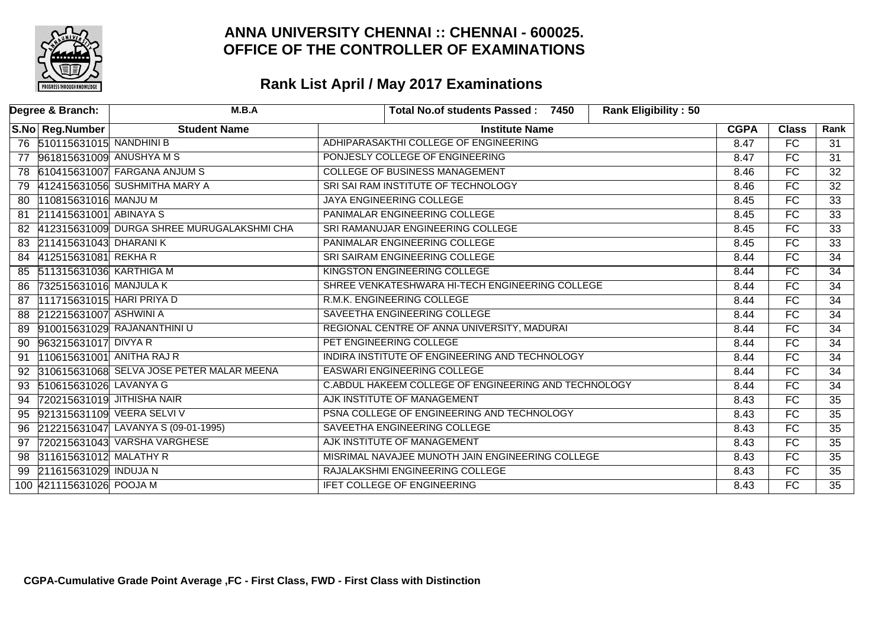

| Degree & Branch:             | M.B.A                                      | <b>Rank Eligibility: 50</b><br>Total No.of students Passed: 7450 |             |                          |                 |
|------------------------------|--------------------------------------------|------------------------------------------------------------------|-------------|--------------------------|-----------------|
| S.No Reg.Number              | <b>Student Name</b>                        | <b>Institute Name</b>                                            | <b>CGPA</b> | <b>Class</b>             | Rank            |
| 76 510115631015 NANDHINI B   |                                            | ADHIPARASAKTHI COLLEGE OF ENGINEERING                            | 8.47        | $\overline{FC}$          | 31              |
| 77                           | 961815631009 ANUSHYA M S                   | PONJESLY COLLEGE OF ENGINEERING                                  | 8.47        | FC.                      | $\overline{31}$ |
|                              | 78 610415631007 FARGANA ANJUM S            | <b>COLLEGE OF BUSINESS MANAGEMENT</b>                            | 8.46        | $\overline{\mathsf{FC}}$ | $\overline{32}$ |
| 79                           | 412415631056 SUSHMITHA MARY A              | SRI SAI RAM INSTITUTE OF TECHNOLOGY                              | 8.46        | $\overline{FC}$          | $\overline{32}$ |
| 110815631016 MANJU M<br>80   |                                            | JAYA ENGINEERING COLLEGE                                         | 8.45        | $\overline{FC}$          | $\overline{33}$ |
| 211415631001 ABINAYA S<br>81 |                                            | PANIMALAR ENGINEERING COLLEGE                                    | 8.45        | FC                       | $\overline{33}$ |
| 82                           | 412315631009 DURGA SHREE MURUGALAKSHMI CHA | SRI RAMANUJAR ENGINEERING COLLEGE                                | 8.45        | $\overline{\mathsf{FC}}$ | $\overline{33}$ |
| 83 211415631043 DHARANIK     |                                            | PANIMALAR ENGINEERING COLLEGE                                    | 8.45        | FC                       | $\overline{33}$ |
| 412515631081 REKHAR<br>84    |                                            | SRI SAIRAM ENGINEERING COLLEGE                                   | 8.44        | $\overline{FC}$          | $\overline{34}$ |
| 85                           | 511315631036 KARTHIGA M                    | KINGSTON ENGINEERING COLLEGE                                     | 8.44        | FC                       | $\overline{34}$ |
| 732515631016 MANJULA K<br>86 |                                            | SHREE VENKATESHWARA HI-TECH ENGINEERING COLLEGE                  | 8.44        | $\overline{FC}$          | $\overline{34}$ |
| 87                           | 111715631015 HARI PRIYA D                  | R.M.K. ENGINEERING COLLEGE                                       | 8.44        | FC                       | 34              |
| 212215631007 ASHWINI A<br>88 |                                            | SAVEETHA ENGINEERING COLLEGE                                     | 8.44        | FC                       | $\overline{34}$ |
| 89                           | 910015631029 RAJANANTHINI U                | REGIONAL CENTRE OF ANNA UNIVERSITY, MADURAI                      | 8.44        | $\overline{\mathsf{FC}}$ | $\overline{34}$ |
| 963215631017 DIVYA R<br>90   |                                            | PET ENGINEERING COLLEGE                                          | 8.44        | $\overline{FC}$          | $\overline{34}$ |
| 91                           | 110615631001 ANITHA RAJ R                  | INDIRA INSTITUTE OF ENGINEERING AND TECHNOLOGY                   | 8.44        | $\overline{FC}$          | 34              |
| 92                           | 310615631068 SELVA JOSE PETER MALAR MEENA  | <b>EASWARI ENGINEERING COLLEGE</b>                               | 8.44        | FC                       | 34              |
| 510615631026 LAVANYA G<br>93 |                                            | C.ABDUL HAKEEM COLLEGE OF ENGINEERING AND TECHNOLOGY             | 8.44        | $\overline{FC}$          | $\overline{34}$ |
| 94                           | 720215631019 JITHISHA NAIR                 | AJK INSTITUTE OF MANAGEMENT                                      | 8.43        | FC                       | 35              |
| 95                           | 921315631109 VEERA SELVI V                 | PSNA COLLEGE OF ENGINEERING AND TECHNOLOGY                       | 8.43        | $\overline{FC}$          | 35              |
| 96                           | 212215631047 LAVANYA S (09-01-1995)        | SAVEETHA ENGINEERING COLLEGE                                     | 8.43        | FC                       | $\overline{35}$ |
| 97                           | 720215631043 VARSHA VARGHESE               | AJK INSTITUTE OF MANAGEMENT                                      | 8.43        | $\overline{\mathsf{FC}}$ | $\overline{35}$ |
| 311615631012 MALATHY R<br>98 |                                            | MISRIMAL NAVAJEE MUNOTH JAIN ENGINEERING COLLEGE                 | 8.43        | FC.                      | 35              |
| 211615631029 INDUJA N<br>99  |                                            | RAJALAKSHMI ENGINEERING COLLEGE                                  | 8.43        | FC                       | $\overline{35}$ |
| 100 421115631026 POOJA M     |                                            | <b>IFET COLLEGE OF ENGINEERING</b>                               | 8.43        | $\overline{\mathsf{FC}}$ | $\overline{35}$ |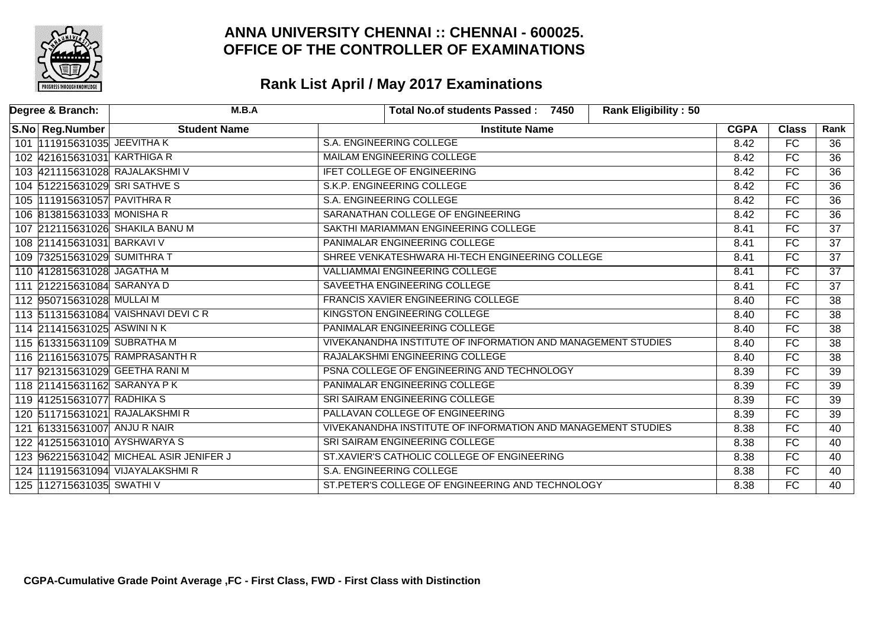

| Degree & Branch: | M.B.A                                   | <b>Rank Eligibility: 50</b><br>Total No.of students Passed: 7450 |             |                 |                 |
|------------------|-----------------------------------------|------------------------------------------------------------------|-------------|-----------------|-----------------|
| S.No Reg.Number  | <b>Student Name</b>                     | <b>Institute Name</b>                                            | <b>CGPA</b> | <b>Class</b>    | Rank            |
|                  | 101 111915631035 JEEVITHA K             | S.A. ENGINEERING COLLEGE                                         | 8.42        | FC              | 36              |
|                  | 102 421615631031 KARTHIGA R             | <b>MAILAM ENGINEERING COLLEGE</b>                                | 8.42        | FC              | $\overline{36}$ |
|                  | 103 421115631028 RAJALAKSHMI V          | <b>IFET COLLEGE OF ENGINEERING</b>                               | 8.42        | FC              | $\overline{36}$ |
|                  | 104 512215631029 SRI SATHVE S           | S.K.P. ENGINEERING COLLEGE                                       | 8.42        | FC              | $\overline{36}$ |
|                  | 105 111915631057 PAVITHRA R             | <b>S.A. ENGINEERING COLLEGE</b>                                  | 8.42        | FC              | $\overline{36}$ |
|                  | 106 813815631033 MONISHA R              | SARANATHAN COLLEGE OF ENGINEERING                                | 8.42        | FC              | $\overline{36}$ |
|                  | 107 212115631026 SHAKILA BANU M         | SAKTHI MARIAMMAN ENGINEERING COLLEGE                             | 8.41        | FC              | $\overline{37}$ |
|                  | 108 211415631031 BARKAVI V              | PANIMALAR ENGINEERING COLLEGE                                    | 8.41        | FC              | $\overline{37}$ |
|                  | 109 732515631029 SUMITHRA T             | SHREE VENKATESHWARA HI-TECH ENGINEERING COLLEGE                  | 8.41        | <b>FC</b>       | 37              |
|                  | 110 412815631028 JAGATHA M              | <b>VALLIAMMAI ENGINEERING COLLEGE</b>                            | 8.41        | FC              | $\overline{37}$ |
|                  | 111 212215631084 SARANYA D              | SAVEETHA ENGINEERING COLLEGE                                     | 8.41        | FC              | $\overline{37}$ |
|                  | 112 950715631028 MULLAI M               | FRANCIS XAVIER ENGINEERING COLLEGE                               | 8.40        | FC              | $\overline{38}$ |
|                  | 113 511315631084 VAISHNAVI DEVI C R     | KINGSTON ENGINEERING COLLEGE                                     | 8.40        | FC              | $\overline{38}$ |
|                  | 114 211415631025 ASWINI NK              | PANIMALAR ENGINEERING COLLEGE                                    | 8.40        | FC              | $\overline{38}$ |
|                  | 115 613315631109 SUBRATHA M             | VIVEKANANDHA INSTITUTE OF INFORMATION AND MANAGEMENT STUDIES     | 8.40        | FC              | $\overline{38}$ |
|                  | 116 211615631075 RAMPRASANTH R          | RAJALAKSHMI ENGINEERING COLLEGE                                  | 8.40        | FC              | $\overline{38}$ |
|                  | 117 921315631029 GEETHA RANI M          | PSNA COLLEGE OF ENGINEERING AND TECHNOLOGY                       | 8.39        | FC              | $\overline{39}$ |
|                  | 118 211415631162 SARANYA PK             | PANIMALAR ENGINEERING COLLEGE                                    | 8.39        | $\overline{FC}$ | $\overline{39}$ |
|                  | 119 412515631077 RADHIKA S              | SRI SAIRAM ENGINEERING COLLEGE                                   | 8.39        | FC              | $\overline{39}$ |
|                  | 120 511715631021 RAJALAKSHMIR           | PALLAVAN COLLEGE OF ENGINEERING                                  | 8.39        | FC              | $\overline{39}$ |
|                  | 121 613315631007 ANJU R NAIR            | VIVEKANANDHA INSTITUTE OF INFORMATION AND MANAGEMENT STUDIES     | 8.38        | FC              | 40              |
|                  | 122 412515631010 AYSHWARYA S            | SRI SAIRAM ENGINEERING COLLEGE                                   | 8.38        | FC              | 40              |
|                  | 123 962215631042 MICHEAL ASIR JENIFER J | ST.XAVIER'S CATHOLIC COLLEGE OF ENGINEERING                      | 8.38        | FC              | 40              |
|                  | 124 111915631094 VIJAYALAKSHMIR         | S.A. ENGINEERING COLLEGE                                         | 8.38        | FC              | 40              |
|                  | 125 112715631035 SWATHIV                | ST.PETER'S COLLEGE OF ENGINEERING AND TECHNOLOGY                 | 8.38        | FC              | 40              |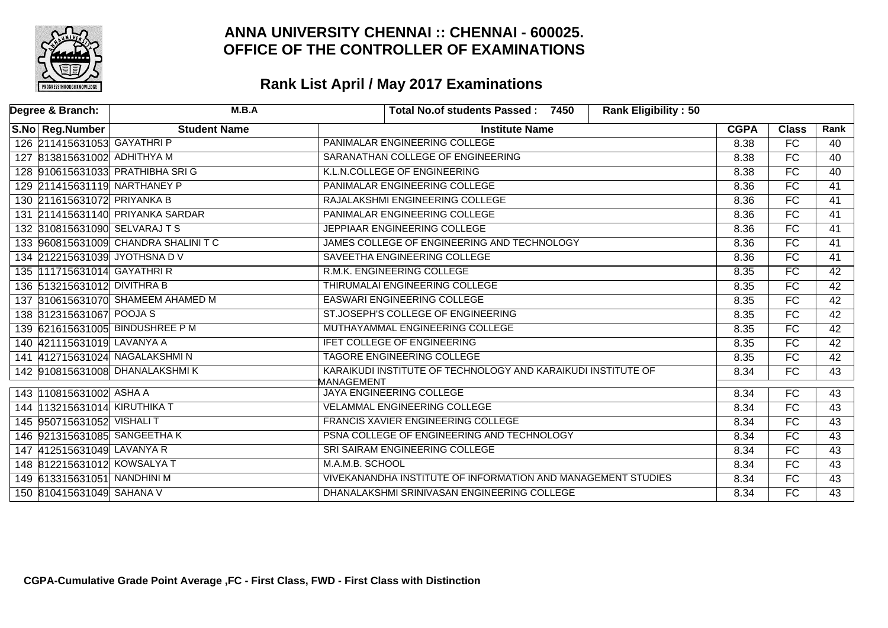

| Degree & Branch:                | M.B.A                               | <b>Rank Eligibility: 50</b><br>Total No.of students Passed: 7450           |             |                 |                 |
|---------------------------------|-------------------------------------|----------------------------------------------------------------------------|-------------|-----------------|-----------------|
| S.No Reg.Number                 | <b>Student Name</b>                 | <b>Institute Name</b>                                                      | <b>CGPA</b> | <b>Class</b>    | Rank            |
| 126 211415631053 GAYATHRI P     |                                     | PANIMALAR ENGINEERING COLLEGE                                              | 8.38        | $\overline{FC}$ | 40              |
| 127 813815631002 ADHITHYA M     |                                     | SARANATHAN COLLEGE OF ENGINEERING                                          | 8.38        | FC              | 40              |
| 128 910615631033 PRATHIBHA SRIG |                                     | K.L.N.COLLEGE OF ENGINEERING                                               | 8.38        | FC              | $\overline{40}$ |
| 129 211415631119 NARTHANEY P    |                                     | PANIMALAR ENGINEERING COLLEGE                                              | 8.36        | FC              | $\overline{41}$ |
| 130 211615631072 PRIYANKA B     |                                     | RAJALAKSHMI ENGINEERING COLLEGE                                            | 8.36        | FC              | 41              |
|                                 | 131 211415631140 PRIYANKA SARDAR    | PANIMALAR ENGINEERING COLLEGE                                              | 8.36        | FC              | $\overline{41}$ |
| 132 310815631090 SELVARAJ TS    |                                     | JEPPIAAR ENGINEERING COLLEGE                                               | 8.36        | FC              | 41              |
|                                 | 133 960815631009 CHANDRA SHALINI TC | JAMES COLLEGE OF ENGINEERING AND TECHNOLOGY                                | 8.36        | FC              | 41              |
| 134 212215631039 JYOTHSNA DV    |                                     | SAVEETHA ENGINEERING COLLEGE                                               | 8.36        | FC              | $\overline{41}$ |
| 135 111715631014 GAYATHRI R     |                                     | R.M.K. ENGINEERING COLLEGE                                                 | 8.35        | FC              | $\overline{42}$ |
| 136 513215631012 DIVITHRA B     |                                     | THIRUMALAI ENGINEERING COLLEGE                                             | 8.35        | FC              | 42              |
|                                 | 137 310615631070 SHAMEEM AHAMED M   | <b>EASWARI ENGINEERING COLLEGE</b>                                         | 8.35        | FC              | $\overline{42}$ |
| 138 312315631067 POOJA S        |                                     | ST.JOSEPH'S COLLEGE OF ENGINEERING                                         | 8.35        | FC              | $\overline{42}$ |
| 139 621615631005 BINDUSHREE P M |                                     | MUTHAYAMMAL ENGINEERING COLLEGE                                            | 8.35        | <b>FC</b>       | 42              |
| 140 421115631019 LAVANYA A      |                                     | <b>IFET COLLEGE OF ENGINEERING</b>                                         | 8.35        | $\overline{FC}$ | $\overline{42}$ |
| 141 412715631024 NAGALAKSHMIN   |                                     | <b>TAGORE ENGINEERING COLLEGE</b>                                          | 8.35        | FC              | 42              |
| 142 910815631008 DHANALAKSHMIK  |                                     | KARAIKUDI INSTITUTE OF TECHNOLOGY AND KARAIKUDI INSTITUTE OF<br>MANAGEMENT | 8.34        | FC              | 43              |
| 143 110815631002 ASHA A         |                                     | <b>JAYA ENGINEERING COLLEGE</b>                                            | 8.34        | <b>FC</b>       | 43              |
| 144 113215631014 KIRUTHIKA T    |                                     | <b>VELAMMAL ENGINEERING COLLEGE</b>                                        | 8.34        | <b>FC</b>       | 43              |
| 145 950715631052 VISHALI T      |                                     | FRANCIS XAVIER ENGINEERING COLLEGE                                         | 8.34        | FC              | 43              |
| 146 921315631085 SANGEETHA K    |                                     | PSNA COLLEGE OF ENGINEERING AND TECHNOLOGY                                 | 8.34        | <b>FC</b>       | 43              |
| 147 412515631049 LAVANYA R      |                                     | SRI SAIRAM ENGINEERING COLLEGE                                             | 8.34        | <b>FC</b>       | 43              |
| 148 812215631012 KOWSALYA T     |                                     | M.A.M.B. SCHOOL                                                            | 8.34        | FC              | 43              |
| 149 613315631051 NANDHINI M     |                                     | VIVEKANANDHA INSTITUTE OF INFORMATION AND MANAGEMENT STUDIES               | 8.34        | <b>FC</b>       | 43              |
| 150 810415631049 SAHANA V       |                                     | DHANALAKSHMI SRINIVASAN ENGINEERING COLLEGE                                | 8.34        | FC              | 43              |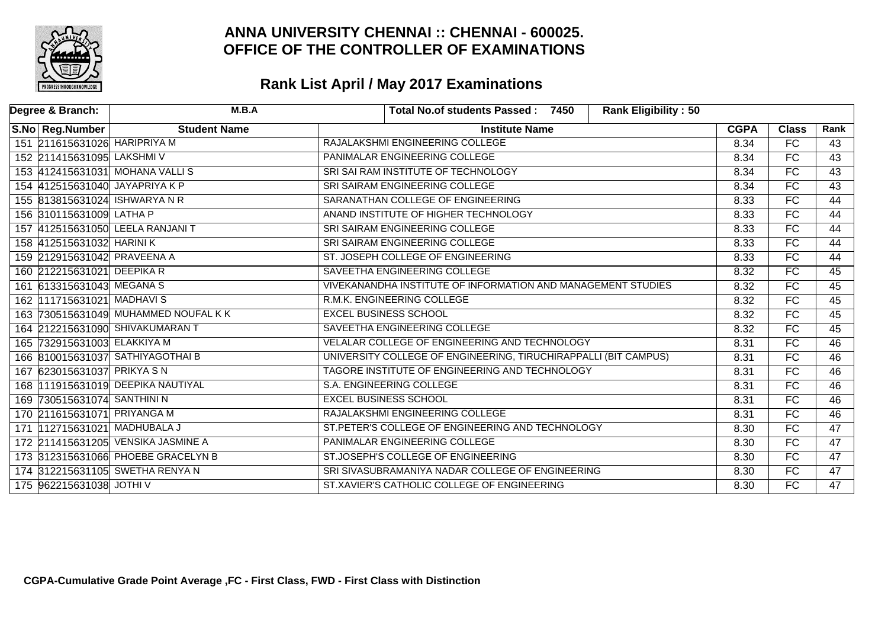

| Degree & Branch:              | M.B.A                                | <b>Rank Eligibility: 50</b><br>Total No.of students Passed: 7450 |             |                 |                 |
|-------------------------------|--------------------------------------|------------------------------------------------------------------|-------------|-----------------|-----------------|
| S.No Reg.Number               | <b>Student Name</b>                  | <b>Institute Name</b>                                            | <b>CGPA</b> | <b>Class</b>    | Rank            |
| 151 211615631026 HARIPRIYA M  |                                      | RAJALAKSHMI ENGINEERING COLLEGE                                  | 8.34        | FC              | 43              |
| 152 211415631095 LAKSHMIV     |                                      | PANIMALAR ENGINEERING COLLEGE                                    | 8.34        | FC              | $\overline{43}$ |
|                               | 153 412415631031 MOHANA VALLIS       | SRI SAI RAM INSTITUTE OF TECHNOLOGY                              | 8.34        | $\overline{FC}$ | $\overline{43}$ |
|                               | 154 412515631040 JAYAPRIYA K P       | SRI SAIRAM ENGINEERING COLLEGE                                   | 8.34        | FC              | 43              |
|                               | 155 813815631024 ISHWARYA N R        | SARANATHAN COLLEGE OF ENGINEERING                                | 8.33        | FC              | 44              |
| 156 310115631009 LATHA P      |                                      | ANAND INSTITUTE OF HIGHER TECHNOLOGY                             | 8.33        | FC              | 44              |
|                               | 157 412515631050 LEELA RANJANI T     | SRI SAIRAM ENGINEERING COLLEGE                                   | 8.33        | $\overline{FC}$ | $\overline{44}$ |
| 158 412515631032 HARINI K     |                                      | SRI SAIRAM ENGINEERING COLLEGE                                   | 8.33        | FC              | 44              |
| 159 212915631042 PRAVEENA A   |                                      | ST. JOSEPH COLLEGE OF ENGINEERING                                | 8.33        | FC              | 44              |
| 160 212215631021 DEEPIKA R    |                                      | SAVEETHA ENGINEERING COLLEGE                                     | 8.32        | FC              | 45              |
| 161 613315631043 MEGANA S     |                                      | VIVEKANANDHA INSTITUTE OF INFORMATION AND MANAGEMENT STUDIES     | 8.32        | FC              | $\overline{45}$ |
| 162 111715631021 MADHAVIS     |                                      | R.M.K. ENGINEERING COLLEGE                                       | 8.32        | FC              | 45              |
|                               | 163 730515631049 MUHAMMED NOUFAL K K | <b>EXCEL BUSINESS SCHOOL</b>                                     | 8.32        | FC              | 45              |
|                               | 164 212215631090 SHIVAKUMARAN T      | SAVEETHA ENGINEERING COLLEGE                                     | 8.32        | $\overline{FC}$ | 45              |
| 165 732915631003 ELAKKIYA M   |                                      | VELALAR COLLEGE OF ENGINEERING AND TECHNOLOGY                    | 8.31        | FC              | 46              |
|                               | 166 810015631037 SATHIYAGOTHAI B     | UNIVERSITY COLLEGE OF ENGINEERING, TIRUCHIRAPPALLI (BIT CAMPUS)  | 8.31        | FC              | $\overline{46}$ |
| 167 623015631037 PRIKYA S N   |                                      | TAGORE INSTITUTE OF ENGINEERING AND TECHNOLOGY                   | 8.31        | FC              | 46              |
|                               | 168 111915631019 DEEPIKA NAUTIYAL    | S.A. ENGINEERING COLLEGE                                         | 8.31        | FC              | 46              |
| 169 730515631074 SANTHINI N   |                                      | <b>EXCEL BUSINESS SCHOOL</b>                                     | 8.31        | FC              | 46              |
| 170 211615631071 PRIYANGA M   |                                      | RAJALAKSHMI ENGINEERING COLLEGE                                  | 8.31        | FC              | 46              |
| 171  112715631021 MADHUBALA J |                                      | ST.PETER'S COLLEGE OF ENGINEERING AND TECHNOLOGY                 | 8.30        | FC              | 47              |
|                               | 172 211415631205 VENSIKA JASMINE A   | PANIMALAR ENGINEERING COLLEGE                                    | 8.30        | FC              | $\overline{47}$ |
|                               | 173 312315631066 PHOEBE GRACELYN B   | ST.JOSEPH'S COLLEGE OF ENGINEERING                               | 8.30        | FC              | 47              |
|                               | 174 312215631105 SWETHA RENYA N      | SRI SIVASUBRAMANIYA NADAR COLLEGE OF ENGINEERING                 | 8.30        | FC              | $\overline{47}$ |
| 175 962215631038 JOTHI V      |                                      | ST.XAVIER'S CATHOLIC COLLEGE OF ENGINEERING                      | 8.30        | FC              | 47              |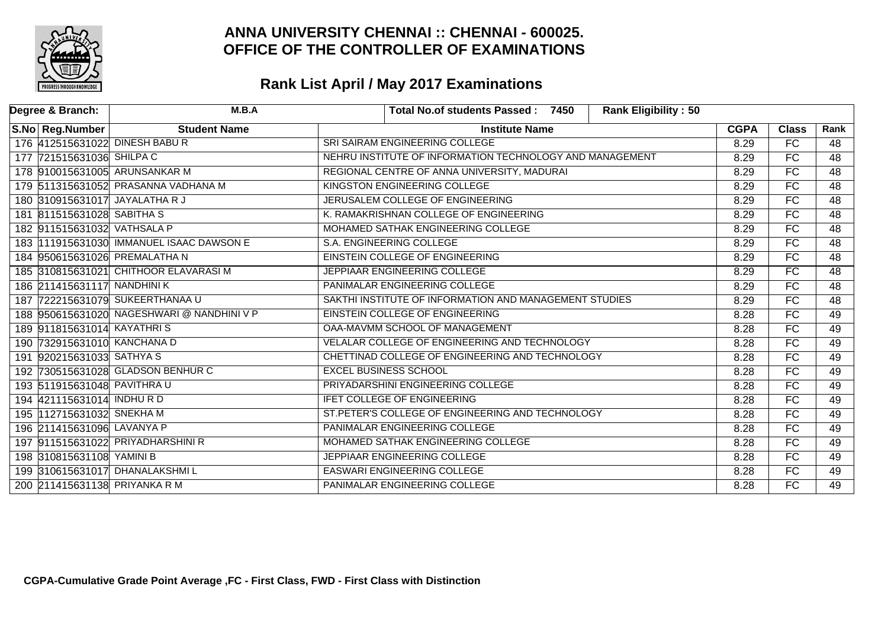

| Degree & Branch:                | M.B.A                                      | <b>Rank Eligibility: 50</b><br>Total No.of students Passed: 7450 |             |                 |                 |
|---------------------------------|--------------------------------------------|------------------------------------------------------------------|-------------|-----------------|-----------------|
| S.No   Reg.Number               | <b>Student Name</b>                        | <b>Institute Name</b>                                            | <b>CGPA</b> | <b>Class</b>    | Rank            |
| 176 412515631022 DINESH BABUR   |                                            | SRI SAIRAM ENGINEERING COLLEGE                                   | 8.29        | $\overline{FC}$ | 48              |
| 177 721515631036 SHILPAC        |                                            | NEHRU INSTITUTE OF INFORMATION TECHNOLOGY AND MANAGEMENT         | 8.29        | FC              | $\overline{48}$ |
| 178 910015631005 ARUNSANKAR M   |                                            | REGIONAL CENTRE OF ANNA UNIVERSITY, MADURAI                      | 8.29        | $\overline{FC}$ | $\overline{48}$ |
|                                 | 179 511315631052 PRASANNA VADHANA M        | <b>KINGSTON ENGINEERING COLLEGE</b>                              | 8.29        | FC              | $\overline{48}$ |
| 180 310915631017 JAYALATHA R J  |                                            | JERUSALEM COLLEGE OF ENGINEERING                                 | 8.29        | <b>FC</b>       | 48              |
| 181 811515631028 SABITHAS       |                                            | K. RAMAKRISHNAN COLLEGE OF ENGINEERING                           | 8.29        | FC              | 48              |
| 182 911515631032 VATHSALA P     |                                            | MOHAMED SATHAK ENGINEERING COLLEGE                               | 8.29        | FC              | $\overline{48}$ |
|                                 | 183  111915631030 IMMANUEL ISAAC DAWSON E  | S.A. ENGINEERING COLLEGE                                         | 8.29        | FC              | 48              |
| 184 950615631026 PREMALATHA N   |                                            | EINSTEIN COLLEGE OF ENGINEERING                                  | 8.29        | <b>FC</b>       | 48              |
|                                 | 185 310815631021 CHITHOOR ELAVARASI M      | JEPPIAAR ENGINEERING COLLEGE                                     | 8.29        | FC              | $\overline{48}$ |
| 186 211415631117 NANDHINI K     |                                            | PANIMALAR ENGINEERING COLLEGE                                    | 8.29        | FC              | 48              |
| 187 722215631079 SUKEERTHANAA U |                                            | SAKTHI INSTITUTE OF INFORMATION AND MANAGEMENT STUDIES           | 8.29        | FC              | $\overline{48}$ |
|                                 | 188 950615631020 NAGESHWARI @ NANDHINI V P | EINSTEIN COLLEGE OF ENGINEERING                                  | 8.28        | FC              | 49              |
| 189 911815631014 KAYATHRIS      |                                            | OAA-MAVMM SCHOOL OF MANAGEMENT                                   | 8.28        | $\overline{FC}$ | 49              |
| 190 732915631010 KANCHANA D     |                                            | VELALAR COLLEGE OF ENGINEERING AND TECHNOLOGY                    | 8.28        | FC              | 49              |
| 191 920215631033 SATHYA S       |                                            | CHETTINAD COLLEGE OF ENGINEERING AND TECHNOLOGY                  | 8.28        | <b>FC</b>       | 49              |
|                                 | 192 730515631028 GLADSON BENHUR C          | <b>EXCEL BUSINESS SCHOOL</b>                                     | 8.28        | $\overline{FC}$ | 49              |
| 193 511915631048 PAVITHRAU      |                                            | PRIYADARSHINI ENGINEERING COLLEGE                                | 8.28        | FC              | 49              |
| 194 421115631014 INDHU R D      |                                            | IFET COLLEGE OF ENGINEERING                                      | 8.28        | FC              | 49              |
| 195 112715631032 SNEKHA M       |                                            | ST.PETER'S COLLEGE OF ENGINEERING AND TECHNOLOGY                 | 8.28        | FC              | 49              |
| 196 211415631096 LAVANYA P      |                                            | PANIMALAR ENGINEERING COLLEGE                                    | 8.28        | $\overline{FC}$ | 49              |
|                                 | 197 911515631022 PRIYADHARSHINI R          | MOHAMED SATHAK ENGINEERING COLLEGE                               | 8.28        | FC              | 49              |
| 198 310815631108 YAMINI B       |                                            | JEPPIAAR ENGINEERING COLLEGE                                     | 8.28        | FC              | 49              |
| 199 310615631017 DHANALAKSHMIL  |                                            | <b>EASWARI ENGINEERING COLLEGE</b>                               | 8.28        | FC              | 49              |
| 200 211415631138 PRIYANKA R M   |                                            | PANIMALAR ENGINEERING COLLEGE                                    | 8.28        | FC              | 49              |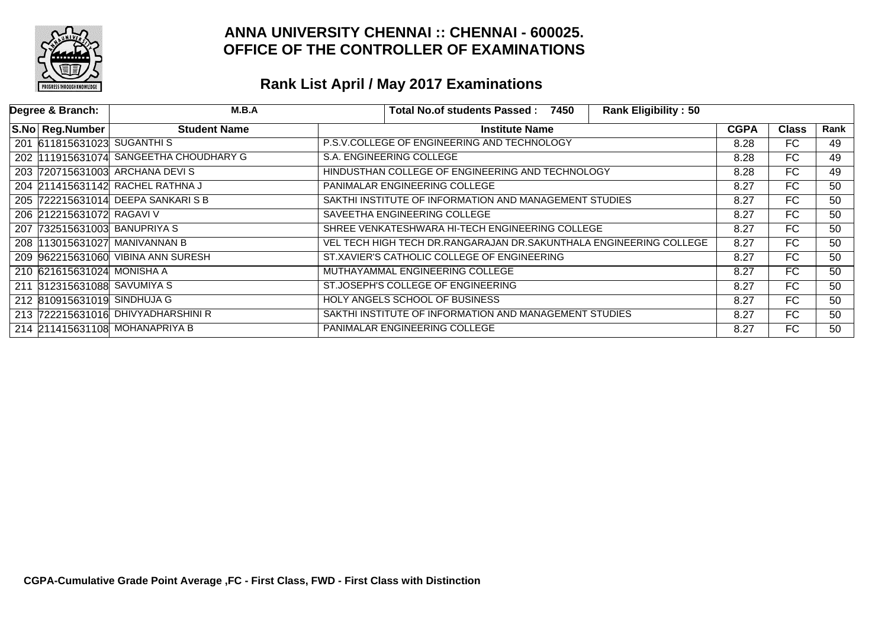

| Degree & Branch:             | M.B.A                                 | <b>Rank Eligibility: 50</b><br>Total No.of students Passed: 7450   |             |              |                 |
|------------------------------|---------------------------------------|--------------------------------------------------------------------|-------------|--------------|-----------------|
| S.No Reg.Number              | <b>Student Name</b>                   | <b>Institute Name</b>                                              | <b>CGPA</b> | <b>Class</b> | Rank            |
| 201 611815631023 SUGANTHIS   |                                       | P.S.V.COLLEGE OF ENGINEERING AND TECHNOLOGY                        | 8.28        | FC.          | 49              |
|                              | 202 11915631074 SANGEETHA CHOUDHARY G | S.A. ENGINEERING COLLEGE                                           | 8.28        | FC           | 49              |
|                              | 203 720715631003 ARCHANA DEVIS        | HINDUSTHAN COLLEGE OF ENGINEERING AND TECHNOLOGY                   | 8.28        | FC           | $\overline{49}$ |
|                              | 204 211415631142 RACHEL RATHNA J      | PANIMALAR ENGINEERING COLLEGE                                      | 8.27        | FC           | 50              |
|                              | 205 722215631014 DEEPA SANKARIS B     | SAKTHI INSTITUTE OF INFORMATION AND MANAGEMENT STUDIES             | 8.27        | FC.          | 50              |
| 206 212215631072 RAGAVI V    |                                       | SAVEETHA ENGINEERING COLLEGE                                       | 8.27        | FC           | 50              |
| 207 732515631003 BANUPRIYA S |                                       | SHREE VENKATESHWARA HI-TECH ENGINEERING COLLEGE                    | 8.27        | FC.          | 50              |
|                              | 208  113015631027 MANIVANNAN B        | VEL TECH HIGH TECH DR.RANGARAJAN DR.SAKUNTHALA ENGINEERING COLLEGE | 8.27        | FC.          | 50              |
|                              | 209 962215631060 VIBINA ANN SURESH    | ST.XAVIER'S CATHOLIC COLLEGE OF ENGINEERING                        | 8.27        | FC           | 50              |
| 210 621615631024 MONISHA A   |                                       | MUTHAYAMMAL ENGINEERING COLLEGE                                    | 8.27        | FC           | 50              |
| 211 312315631088 SAVUMIYA S  |                                       | ST.JOSEPH'S COLLEGE OF ENGINEERING                                 | 8.27        | FC.          | 50              |
| 212 810915631019 SINDHUJA G  |                                       | HOLY ANGELS SCHOOL OF BUSINESS                                     | 8.27        | FC           | 50              |
|                              | 213 722215631016 DHIVYADHARSHINI R    | SAKTHI INSTITUTE OF INFORMATION AND MANAGEMENT STUDIES             | 8.27        | FC.          | 50              |
|                              | 214 211415631108 MOHANAPRIYA B        | PANIMALAR ENGINEERING COLLEGE                                      | 8.27        | FC           | 50              |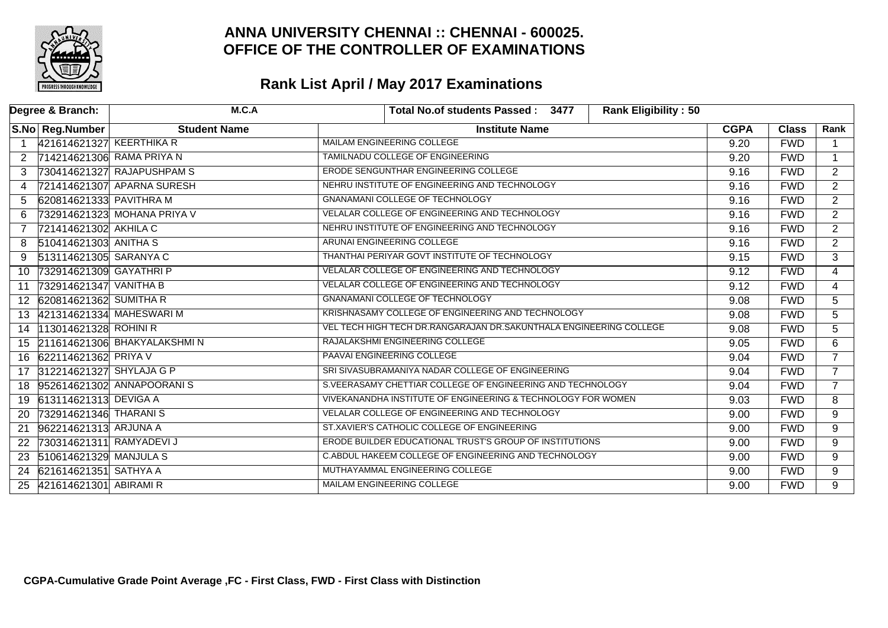

|                | Degree & Branch:          | M.C.A                          | <b>Rank Eligibility: 50</b><br>Total No.of students Passed: 3477   |             |              |                |
|----------------|---------------------------|--------------------------------|--------------------------------------------------------------------|-------------|--------------|----------------|
|                | S.No Reg.Number           | <b>Student Name</b>            | <b>Institute Name</b>                                              | <b>CGPA</b> | <b>Class</b> | Rank           |
| $\overline{1}$ | 421614621327 KEERTHIKA R  |                                | MAILAM ENGINEERING COLLEGE                                         | 9.20        | <b>FWD</b>   | $\mathbf 1$    |
| 2              |                           | 714214621306 RAMA PRIYA N      | <b>TAMILNADU COLLEGE OF ENGINEERING</b>                            | 9.20        | <b>FWD</b>   | $\overline{1}$ |
| 3              |                           | 730414621327 RAJAPUSHPAM S     | ERODE SENGUNTHAR ENGINEERING COLLEGE                               | 9.16        | <b>FWD</b>   | $\overline{2}$ |
| 4              |                           | 721414621307 APARNA SURESH     | NEHRU INSTITUTE OF ENGINEERING AND TECHNOLOGY                      | 9.16        | <b>FWD</b>   | $\overline{2}$ |
| 5              | 620814621333 PAVITHRA M   |                                | <b>GNANAMANI COLLEGE OF TECHNOLOGY</b>                             | 9.16        | <b>FWD</b>   | $\overline{2}$ |
| 6              |                           | 732914621323 MOHANA PRIYA V    | VELALAR COLLEGE OF ENGINEERING AND TECHNOLOGY                      | 9.16        | <b>FWD</b>   | $\overline{2}$ |
| 7              | 721414621302 AKHILA C     |                                | NEHRU INSTITUTE OF ENGINEERING AND TECHNOLOGY                      | 9.16        | <b>FWD</b>   | $\overline{2}$ |
| 8              | 510414621303 ANITHA S     |                                | ARUNAI ENGINEERING COLLEGE                                         | 9.16        | <b>FWD</b>   | $\overline{2}$ |
| 9              | 513114621305 SARANYA C    |                                | THANTHAI PERIYAR GOVT INSTITUTE OF TECHNOLOGY                      | 9.15        | <b>FWD</b>   | 3 <sup>1</sup> |
| 10             | 732914621309 GAYATHRI P   |                                | VELALAR COLLEGE OF ENGINEERING AND TECHNOLOGY                      | 9.12        | <b>FWD</b>   | $\overline{4}$ |
| 11             | 732914621347 VANITHA B    |                                | VELALAR COLLEGE OF ENGINEERING AND TECHNOLOGY                      | 9.12        | <b>FWD</b>   | $\overline{4}$ |
|                | 12 620814621362 SUMITHA R |                                | GNANAMANI COLLEGE OF TECHNOLOGY                                    | 9.08        | <b>FWD</b>   | 5              |
|                |                           | 13 421314621334 MAHESWARI M    | KRISHNASAMY COLLEGE OF ENGINEERING AND TECHNOLOGY                  | 9.08        | <b>FWD</b>   | 5              |
| 14             | 113014621328 ROHINI R     |                                | VEL TECH HIGH TECH DR.RANGARAJAN DR.SAKUNTHALA ENGINEERING COLLEGE | 9.08        | <b>FWD</b>   | $\overline{5}$ |
|                |                           | 15 211614621306 BHAKYALAKSHMIN | RAJALAKSHMI ENGINEERING COLLEGE                                    | 9.05        | <b>FWD</b>   | 6              |
| 16             | 622114621362 PRIYA V      |                                | PAAVAI ENGINEERING COLLEGE                                         | 9.04        | <b>FWD</b>   | $\overline{7}$ |
| 17             | 312214621327 SHYLAJA G P  |                                | SRI SIVASUBRAMANIYA NADAR COLLEGE OF ENGINEERING                   | 9.04        | <b>FWD</b>   | $\overline{7}$ |
| 18             |                           | 952614621302 ANNAPOORANIS      | S.VEERASAMY CHETTIAR COLLEGE OF ENGINEERING AND TECHNOLOGY         | 9.04        | <b>FWD</b>   | $\overline{7}$ |
|                | 19 613114621313 DEVIGA A  |                                | VIVEKANANDHA INSTITUTE OF ENGINEERING & TECHNOLOGY FOR WOMEN       | 9.03        | <b>FWD</b>   | 8              |
| <b>20</b>      | 732914621346 THARANIS     |                                | VELALAR COLLEGE OF ENGINEERING AND TECHNOLOGY                      | 9.00        | <b>FWD</b>   | 9              |
| 21             | 962214621313 ARJUNA A     |                                | ST.XAVIER'S CATHOLIC COLLEGE OF ENGINEERING                        | 9.00        | <b>FWD</b>   | $\overline{9}$ |
| 22             | 730314621311 RAMYADEVI J  |                                | ERODE BUILDER EDUCATIONAL TRUST'S GROUP OF INSTITUTIONS            | 9.00        | <b>FWD</b>   | 9              |
|                | 23 510614621329 MANJULA S |                                | C.ABDUL HAKEEM COLLEGE OF ENGINEERING AND TECHNOLOGY               | 9.00        | <b>FWD</b>   | 9              |
| 24             | 621614621351 SATHYA A     |                                | MUTHAYAMMAL ENGINEERING COLLEGE                                    | 9.00        | <b>FWD</b>   | 9              |
|                | 25 421614621301 ABIRAMIR  |                                | MAILAM ENGINEERING COLLEGE                                         | 9.00        | <b>FWD</b>   | $\overline{9}$ |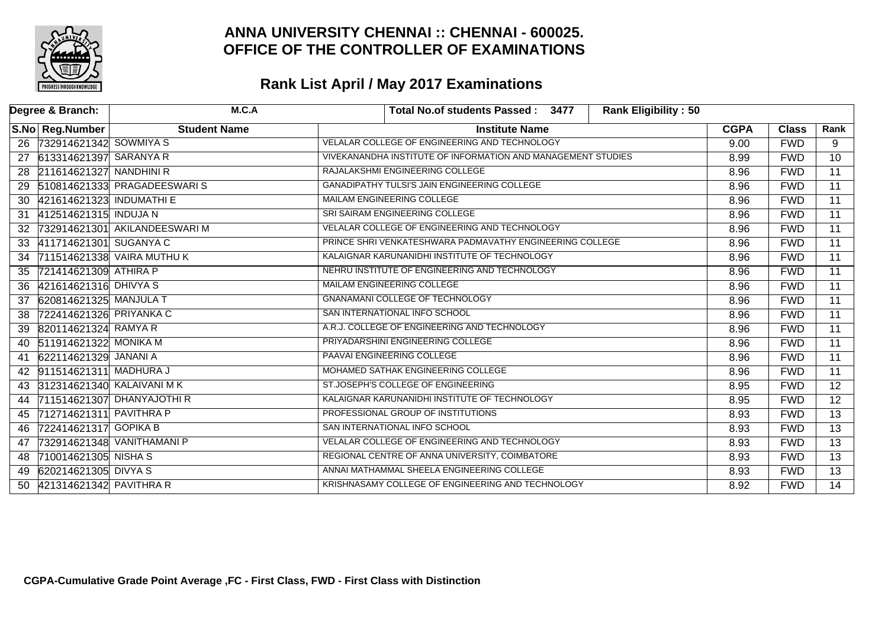

|    | Degree & Branch:           | M.C.A                          | <b>Rank Eligibility: 50</b><br>Total No.of students Passed: 3477 |             |              |                 |
|----|----------------------------|--------------------------------|------------------------------------------------------------------|-------------|--------------|-----------------|
|    | S.No Reg.Number            | <b>Student Name</b>            | <b>Institute Name</b>                                            | <b>CGPA</b> | <b>Class</b> | Rank            |
|    | 26 732914621342 SOWMIYA S  |                                | VELALAR COLLEGE OF ENGINEERING AND TECHNOLOGY                    | 9.00        | <b>FWD</b>   | 9               |
| 27 | 613314621397 SARANYA R     |                                | VIVEKANANDHA INSTITUTE OF INFORMATION AND MANAGEMENT STUDIES     | 8.99        | <b>FWD</b>   | 10              |
|    | 28 211614621327 NANDHINI R |                                | RAJALAKSHMI ENGINEERING COLLEGE                                  | 8.96        | <b>FWD</b>   | $\overline{11}$ |
|    |                            | 29 510814621333 PRAGADEESWARIS | <b>GANADIPATHY TULSI'S JAIN ENGINEERING COLLEGE</b>              | 8.96        | <b>FWD</b>   | $\overline{11}$ |
| 30 | 421614621323 INDUMATHI E   |                                | MAILAM ENGINEERING COLLEGE                                       | 8.96        | <b>FWD</b>   | $\overline{11}$ |
| 31 | 412514621315 INDUJA N      |                                | SRI SAIRAM ENGINEERING COLLEGE                                   | 8.96        | <b>FWD</b>   | $\overline{11}$ |
| 32 |                            | 732914621301 AKILANDEESWARI M  | VELALAR COLLEGE OF ENGINEERING AND TECHNOLOGY                    | 8.96        | <b>FWD</b>   | $\overline{11}$ |
| 33 | 411714621301 SUGANYA C     |                                | PRINCE SHRI VENKATESHWARA PADMAVATHY ENGINEERING COLLEGE         | 8.96        | <b>FWD</b>   | $\overline{11}$ |
| 34 |                            | 711514621338 VAIRA MUTHU K     | KALAIGNAR KARUNANIDHI INSTITUTE OF TECHNOLOGY                    | 8.96        | <b>FWD</b>   | $\overline{11}$ |
| 35 | 721414621309 ATHIRA P      |                                | NEHRU INSTITUTE OF ENGINEERING AND TECHNOLOGY                    | 8.96        | <b>FWD</b>   | $\overline{11}$ |
| 36 | 421614621316 DHIVYA S      |                                | MAILAM ENGINEERING COLLEGE                                       | 8.96        | <b>FWD</b>   | $\overline{11}$ |
| 37 | 620814621325 MANJULA T     |                                | <b>GNANAMANI COLLEGE OF TECHNOLOGY</b>                           | 8.96        | <b>FWD</b>   | $\overline{11}$ |
| 38 | 722414621326 PRIYANKA C    |                                | SAN INTERNATIONAL INFO SCHOOL                                    | 8.96        | <b>FWD</b>   | $\overline{11}$ |
| 39 | 820114621324 RAMYA R       |                                | A.R.J. COLLEGE OF ENGINEERING AND TECHNOLOGY                     | 8.96        | <b>FWD</b>   | $\overline{11}$ |
|    | 40 511914621322 MONIKA M   |                                | PRIYADARSHINI ENGINEERING COLLEGE                                | 8.96        | <b>FWD</b>   | 11              |
| 41 | 622114621329 JANANI A      |                                | <b>PAAVAI ENGINEERING COLLEGE</b>                                | 8.96        | <b>FWD</b>   | $\overline{11}$ |
| 42 | 911514621311 MADHURA J     |                                | MOHAMED SATHAK ENGINEERING COLLEGE                               | 8.96        | <b>FWD</b>   | $\overline{11}$ |
|    |                            | 43 312314621340 KALAIVANI MK   | ST.JOSEPH'S COLLEGE OF ENGINEERING                               | 8.95        | <b>FWD</b>   | $\overline{12}$ |
| 44 |                            | 711514621307 DHANYAJOTHI R     | KALAIGNAR KARUNANIDHI INSTITUTE OF TECHNOLOGY                    | 8.95        | <b>FWD</b>   | $\overline{12}$ |
| 45 | 712714621311 PAVITHRA P    |                                | PROFESSIONAL GROUP OF INSTITUTIONS                               | 8.93        | <b>FWD</b>   | $\overline{13}$ |
| 46 | 722414621317 GOPIKA B      |                                | SAN INTERNATIONAL INFO SCHOOL                                    | 8.93        | <b>FWD</b>   | $\overline{13}$ |
| 47 |                            | 732914621348 VANITHAMANI P     | VELALAR COLLEGE OF ENGINEERING AND TECHNOLOGY                    | 8.93        | <b>FWD</b>   | $\overline{13}$ |
| 48 | 710014621305 NISHA S       |                                | REGIONAL CENTRE OF ANNA UNIVERSITY, COIMBATORE                   | 8.93        | <b>FWD</b>   | $\overline{13}$ |
| 49 | 620214621305 DIVYA S       |                                | ANNAI MATHAMMAL SHEELA ENGINEERING COLLEGE                       | 8.93        | <b>FWD</b>   | $\overline{13}$ |
| 50 | 421314621342 PAVITHRA R    |                                | KRISHNASAMY COLLEGE OF ENGINEERING AND TECHNOLOGY                | 8.92        | <b>FWD</b>   | $\overline{14}$ |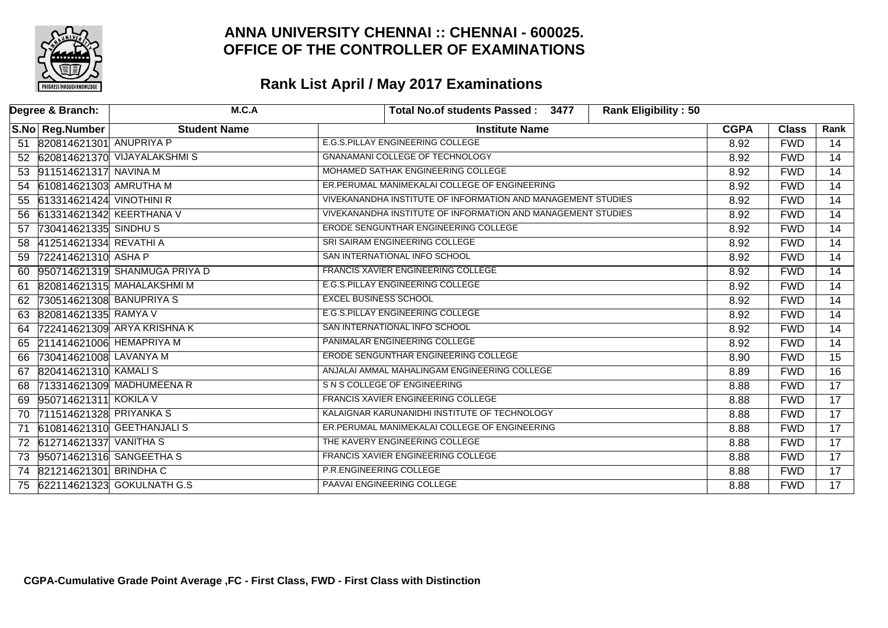

| Degree & Branch: |                             | M.C.A                          | <b>Rank Eligibility: 50</b><br>Total No.of students Passed: 3477 |             |              |                 |
|------------------|-----------------------------|--------------------------------|------------------------------------------------------------------|-------------|--------------|-----------------|
|                  | S.No Reg.Number             | <b>Student Name</b>            | <b>Institute Name</b>                                            | <b>CGPA</b> | <b>Class</b> | Rank            |
|                  | 51 820814621301 ANUPRIYA P  |                                | E.G.S. PILLAY ENGINEERING COLLEGE                                | 8.92        | <b>FWD</b>   | 14              |
|                  |                             | 52 620814621370 VIJAYALAKSHMIS | <b>GNANAMANI COLLEGE OF TECHNOLOGY</b>                           | 8.92        | <b>FWD</b>   | $\overline{14}$ |
|                  | 53 911514621317 NAVINA M    |                                | MOHAMED SATHAK ENGINEERING COLLEGE                               | 8.92        | <b>FWD</b>   | $\overline{14}$ |
|                  | 54 610814621303 AMRUTHA M   |                                | ER.PERUMAL MANIMEKALAI COLLEGE OF ENGINEERING                    | 8.92        | <b>FWD</b>   | $\overline{14}$ |
|                  | 55 613314621424 VINOTHINI R |                                | VIVEKANANDHA INSTITUTE OF INFORMATION AND MANAGEMENT STUDIES     | 8.92        | <b>FWD</b>   | $\overline{14}$ |
| 56               | 613314621342 KEERTHANA V    |                                | VIVEKANANDHA INSTITUTE OF INFORMATION AND MANAGEMENT STUDIES     | 8.92        | <b>FWD</b>   | $\overline{14}$ |
| 57               | 730414621335 SINDHU S       |                                | ERODE SENGUNTHAR ENGINEERING COLLEGE                             | 8.92        | <b>FWD</b>   | $\overline{14}$ |
| 58               | 412514621334 REVATHI A      |                                | SRI SAIRAM ENGINEERING COLLEGE                                   | 8.92        | <b>FWD</b>   | $\overline{14}$ |
| 59               | 722414621310 ASHA P         |                                | SAN INTERNATIONAL INFO SCHOOL                                    | 8.92        | <b>FWD</b>   | $\overline{14}$ |
| 60               |                             | 950714621319 SHANMUGA PRIYA D  | <b>FRANCIS XAVIER ENGINEERING COLLEGE</b>                        | 8.92        | <b>FWD</b>   | $\overline{14}$ |
| 61               |                             | 820814621315 MAHALAKSHMI M     | E.G.S.PILLAY ENGINEERING COLLEGE                                 | 8.92        | <b>FWD</b>   | $\overline{14}$ |
| 62               | 730514621308 BANUPRIYA S    |                                | <b>EXCEL BUSINESS SCHOOL</b>                                     | 8.92        | <b>FWD</b>   | $\overline{14}$ |
| 63               | 820814621335 RAMYA V        |                                | <b>E.G.S.PILLAY ENGINEERING COLLEGE</b>                          | 8.92        | <b>FWD</b>   | 14              |
| 64               |                             | 722414621309 ARYA KRISHNA K    | SAN INTERNATIONAL INFO SCHOOL                                    | 8.92        | <b>FWD</b>   | $\overline{14}$ |
|                  | 65 211414621006 HEMAPRIYA M |                                | PANIMALAR ENGINEERING COLLEGE                                    | 8.92        | <b>FWD</b>   | $\overline{14}$ |
| 66               | 730414621008 LAVANYA M      |                                | <b>ERODE SENGUNTHAR ENGINEERING COLLEGE</b>                      | 8.90        | <b>FWD</b>   | $\overline{15}$ |
| 67               | 820414621310 KAMALIS        |                                | ANJALAI AMMAL MAHALINGAM ENGINEERING COLLEGE                     | 8.89        | <b>FWD</b>   | $\overline{16}$ |
| 68               |                             | 713314621309 MADHUMEENA R      | S N S COLLEGE OF ENGINEERING                                     | 8.88        | <b>FWD</b>   | $\overline{17}$ |
| 69               | 950714621311 KOKILA V       |                                | FRANCIS XAVIER ENGINEERING COLLEGE                               | 8.88        | <b>FWD</b>   | $\overline{17}$ |
| 70               | 711514621328 PRIYANKA S     |                                | KALAIGNAR KARUNANIDHI INSTITUTE OF TECHNOLOGY                    | 8.88        | <b>FWD</b>   | $\overline{17}$ |
| 71               |                             | 610814621310 GEETHANJALIS      | ER.PERUMAL MANIMEKALAI COLLEGE OF ENGINEERING                    | 8.88        | <b>FWD</b>   | $\overline{17}$ |
|                  | 72 612714621337 VANITHA S   |                                | THE KAVERY ENGINEERING COLLEGE                                   | 8.88        | <b>FWD</b>   | $\overline{17}$ |
|                  | 73 950714621316 SANGEETHA S |                                | <b>FRANCIS XAVIER ENGINEERING COLLEGE</b>                        | 8.88        | <b>FWD</b>   | $\overline{17}$ |
|                  | 74 821214621301 BRINDHAC    |                                | P.R.ENGINEERING COLLEGE                                          | 8.88        | <b>FWD</b>   | $\overline{17}$ |
|                  |                             | 75 622114621323 GOKULNATH G.S  | PAAVAI ENGINEERING COLLEGE                                       | 8.88        | <b>FWD</b>   | $\overline{17}$ |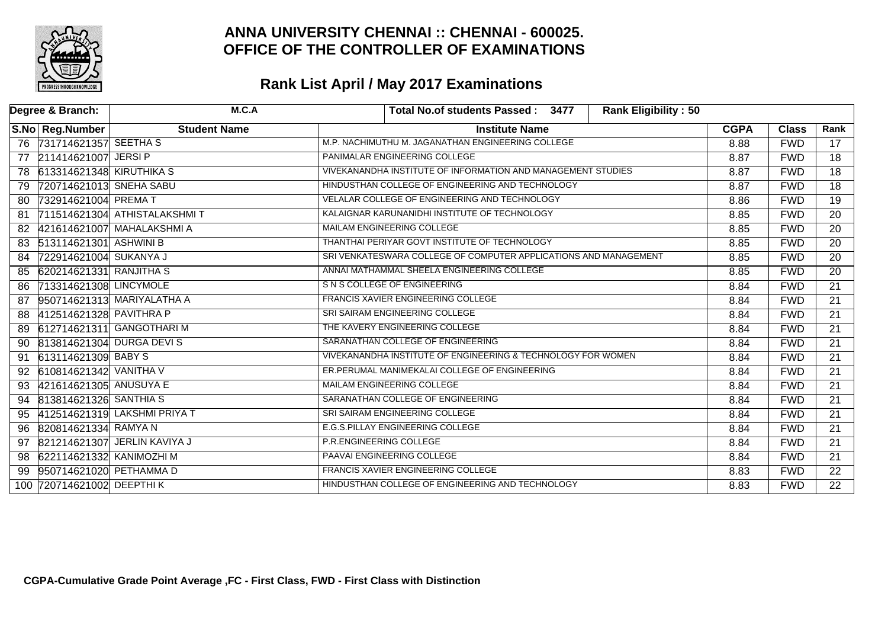

| Degree & Branch:               | M.C.A                        | <b>Rank Eligibility: 50</b><br>Total No.of students Passed: 3477 |             |              |                 |
|--------------------------------|------------------------------|------------------------------------------------------------------|-------------|--------------|-----------------|
| S.No Reg.Number                | <b>Student Name</b>          | <b>Institute Name</b>                                            | <b>CGPA</b> | <b>Class</b> | Rank            |
| 76 731714621357 SEETHA S       |                              | M.P. NACHIMUTHU M. JAGANATHAN ENGINEERING COLLEGE                | 8.88        | <b>FWD</b>   | 17              |
| 211414621007 JERSI P<br>77     |                              | PANIMALAR ENGINEERING COLLEGE                                    | 8.87        | <b>FWD</b>   | 18              |
| 78 613314621348 KIRUTHIKA S    |                              | VIVEKANANDHA INSTITUTE OF INFORMATION AND MANAGEMENT STUDIES     | 8.87        | <b>FWD</b>   | $\overline{18}$ |
| 720714621013 SNEHA SABU<br>79  |                              | HINDUSTHAN COLLEGE OF ENGINEERING AND TECHNOLOGY                 | 8.87        | <b>FWD</b>   | $\overline{18}$ |
| 732914621004 PREMA T<br>80     |                              | VELALAR COLLEGE OF ENGINEERING AND TECHNOLOGY                    | 8.86        | <b>FWD</b>   | $\overline{19}$ |
| 81                             | 711514621304 ATHISTALAKSHMIT | KALAIGNAR KARUNANIDHI INSTITUTE OF TECHNOLOGY                    | 8.85        | <b>FWD</b>   | 20              |
| 82                             | 421614621007 MAHALAKSHMI A   | MAILAM ENGINEERING COLLEGE                                       | 8.85        | <b>FWD</b>   | $\overline{20}$ |
| 83 513114621301 ASHWINI B      |                              | THANTHAI PERIYAR GOVT INSTITUTE OF TECHNOLOGY                    | 8.85        | <b>FWD</b>   | $\overline{20}$ |
| 722914621004 SUKANYA J<br>84   |                              | SRI VENKATESWARA COLLEGE OF COMPUTER APPLICATIONS AND MANAGEMENT | 8.85        | <b>FWD</b>   | 20              |
| 620214621331 RANJITHA S<br>85  |                              | ANNAI MATHAMMAL SHEELA ENGINEERING COLLEGE                       | 8.85        | <b>FWD</b>   | $\overline{20}$ |
| 713314621308 LINCYMOLE<br>86   |                              | S N S COLLEGE OF ENGINEERING                                     | 8.84        | <b>FWD</b>   | $\overline{21}$ |
| 87                             | 950714621313 MARIYALATHA A   | FRANCIS XAVIER ENGINEERING COLLEGE                               | 8.84        | <b>FWD</b>   | $\overline{21}$ |
| 412514621328 PAVITHRA P<br>88  |                              | SRI SAIRAM ENGINEERING COLLEGE                                   | 8.84        | <b>FWD</b>   | $\overline{21}$ |
| 89                             | 612714621311 GANGOTHARI M    | THE KAVERY ENGINEERING COLLEGE                                   | 8.84        | <b>FWD</b>   | $\overline{21}$ |
| 90                             | 813814621304 DURGA DEVIS     | SARANATHAN COLLEGE OF ENGINEERING                                | 8.84        | <b>FWD</b>   | $\overline{21}$ |
| 613114621309 BABY S<br>91      |                              | VIVEKANANDHA INSTITUTE OF ENGINEERING & TECHNOLOGY FOR WOMEN     | 8.84        | <b>FWD</b>   | 21              |
| 610814621342 VANITHA V<br>92   |                              | ER. PERUMAL MANIMEKALAI COLLEGE OF ENGINEERING                   | 8.84        | <b>FWD</b>   | 21              |
| 421614621305 ANUSUYA E<br>93   |                              | MAILAM ENGINEERING COLLEGE                                       | 8.84        | <b>FWD</b>   | $\overline{21}$ |
| 813814621326 SANTHIA S<br>94   |                              | SARANATHAN COLLEGE OF ENGINEERING                                | 8.84        | <b>FWD</b>   | 21              |
| 95                             | 412514621319 LAKSHMI PRIYA T | SRI SAIRAM ENGINEERING COLLEGE                                   | 8.84        | <b>FWD</b>   | 21              |
| 820814621334 RAMYAN<br>96      |                              | E.G.S.PILLAY ENGINEERING COLLEGE                                 | 8.84        | <b>FWD</b>   | $\overline{21}$ |
| 97                             | 821214621307 JERLIN KAVIYA J | P.R.ENGINEERING COLLEGE                                          | 8.84        | <b>FWD</b>   | $\overline{21}$ |
| 622114621332 KANIMOZHI M<br>98 |                              | PAAVAI ENGINEERING COLLEGE                                       | 8.84        | <b>FWD</b>   | $\overline{21}$ |
| 950714621020 PETHAMMAD<br>99   |                              | <b>FRANCIS XAVIER ENGINEERING COLLEGE</b>                        | 8.83        | <b>FWD</b>   | $\overline{22}$ |
| 720714621002 DEEPTHI K<br>100  |                              | HINDUSTHAN COLLEGE OF ENGINEERING AND TECHNOLOGY                 | 8.83        | <b>FWD</b>   | $\overline{22}$ |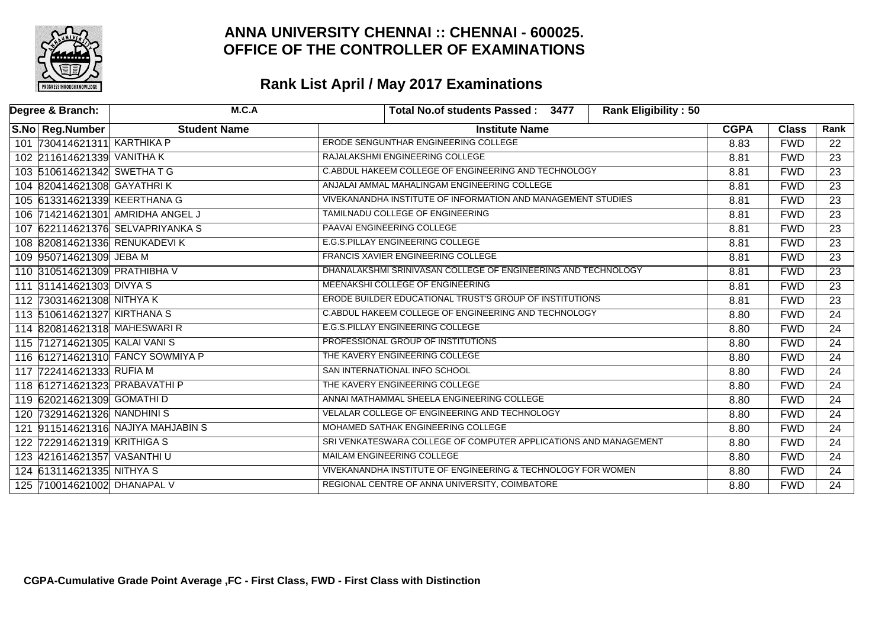

| Degree & Branch:                 | M.C.A                            | Total No.of students Passed: 3477<br><b>Rank Eligibility: 50</b> |             |              |                 |
|----------------------------------|----------------------------------|------------------------------------------------------------------|-------------|--------------|-----------------|
| S.No Reg.Number                  | <b>Student Name</b>              | <b>Institute Name</b>                                            | <b>CGPA</b> | <b>Class</b> | Rank            |
| 101 730414621311 KARTHIKA P      |                                  | ERODE SENGUNTHAR ENGINEERING COLLEGE                             | 8.83        | <b>FWD</b>   | 22              |
| 102 211614621339 VANITHA K       |                                  | RAJALAKSHMI ENGINEERING COLLEGE                                  | 8.81        | <b>FWD</b>   | $\overline{23}$ |
| 103 510614621342 SWETHATG        |                                  | C.ABDUL HAKEEM COLLEGE OF ENGINEERING AND TECHNOLOGY             | 8.81        | <b>FWD</b>   | $\overline{23}$ |
| 104 820414621308 GAYATHRIK       |                                  | ANJALAI AMMAL MAHALINGAM ENGINEERING COLLEGE                     | 8.81        | <b>FWD</b>   | $\overline{23}$ |
| 105 613314621339 KEERTHANA G     |                                  | VIVEKANANDHA INSTITUTE OF INFORMATION AND MANAGEMENT STUDIES     | 8.81        | <b>FWD</b>   | $\overline{23}$ |
| 106 714214621301 AMRIDHA ANGEL J |                                  | TAMILNADU COLLEGE OF ENGINEERING                                 | 8.81        | <b>FWD</b>   | $\overline{23}$ |
| 107 622114621376 SELVAPRIYANKA S |                                  | PAAVAI ENGINEERING COLLEGE                                       | 8.81        | <b>FWD</b>   | $\overline{23}$ |
| 108 820814621336 RENUKADEVIK     |                                  | E.G.S.PILLAY ENGINEERING COLLEGE                                 | 8.81        | <b>FWD</b>   | $\overline{23}$ |
| 109 950714621309 JEBA M          |                                  | <b>FRANCIS XAVIER ENGINEERING COLLEGE</b>                        | 8.81        | <b>FWD</b>   | 23              |
| 110 310514621309 PRATHIBHA V     |                                  | DHANALAKSHMI SRINIVASAN COLLEGE OF ENGINEERING AND TECHNOLOGY    | 8.81        | <b>FWD</b>   | $\overline{23}$ |
| 111 311414621303 DIVYA S         |                                  | MEENAKSHI COLLEGE OF ENGINEERING                                 | 8.81        | <b>FWD</b>   | $\overline{23}$ |
| 112 730314621308 NITHYA K        |                                  | ERODE BUILDER EDUCATIONAL TRUST'S GROUP OF INSTITUTIONS          | 8.81        | <b>FWD</b>   | $\overline{23}$ |
| 113 510614621327 KIRTHANA S      |                                  | C.ABDUL HAKEEM COLLEGE OF ENGINEERING AND TECHNOLOGY             | 8.80        | <b>FWD</b>   | $\overline{24}$ |
| 114 820814621318 MAHESWARI R     |                                  | <b>E.G.S.PILLAY ENGINEERING COLLEGE</b>                          | 8.80        | <b>FWD</b>   | $\overline{24}$ |
| 115 712714621305 KALAI VANIS     |                                  | PROFESSIONAL GROUP OF INSTITUTIONS                               | 8.80        | <b>FWD</b>   | $\overline{24}$ |
|                                  | 116 612714621310 FANCY SOWMIYA P | THE KAVERY ENGINEERING COLLEGE                                   | 8.80        | <b>FWD</b>   | $\overline{24}$ |
| 117 722414621333 RUFIA M         |                                  | SAN INTERNATIONAL INFO SCHOOL                                    | 8.80        | <b>FWD</b>   | $\overline{24}$ |
| 118 612714621323 PRABAVATHI P    |                                  | THE KAVERY ENGINEERING COLLEGE                                   | 8.80        | <b>FWD</b>   | $\overline{24}$ |
| 119 620214621309 GOMATHI D       |                                  | ANNAI MATHAMMAL SHEELA ENGINEERING COLLEGE                       | 8.80        | <b>FWD</b>   | $\overline{24}$ |
| 120 732914621326 NANDHINIS       |                                  | VELALAR COLLEGE OF ENGINEERING AND TECHNOLOGY                    | 8.80        | <b>FWD</b>   | $\overline{24}$ |
| 121                              | 911514621316 NAJIYA MAHJABIN S   | MOHAMED SATHAK ENGINEERING COLLEGE                               | 8.80        | <b>FWD</b>   | $\overline{24}$ |
| 122 722914621319 KRITHIGA S      |                                  | SRI VENKATESWARA COLLEGE OF COMPUTER APPLICATIONS AND MANAGEMENT | 8.80        | <b>FWD</b>   | $\overline{24}$ |
| 123 421614621357 VASANTHI U      |                                  | MAILAM ENGINEERING COLLEGE                                       | 8.80        | <b>FWD</b>   | $\overline{24}$ |
| 124 613114621335 NITHYA S        |                                  | VIVEKANANDHA INSTITUTE OF ENGINEERING & TECHNOLOGY FOR WOMEN     | 8.80        | <b>FWD</b>   | $\overline{24}$ |
| 125 710014621002 DHANAPAL V      |                                  | REGIONAL CENTRE OF ANNA UNIVERSITY, COIMBATORE                   | 8.80        | <b>FWD</b>   | $\overline{24}$ |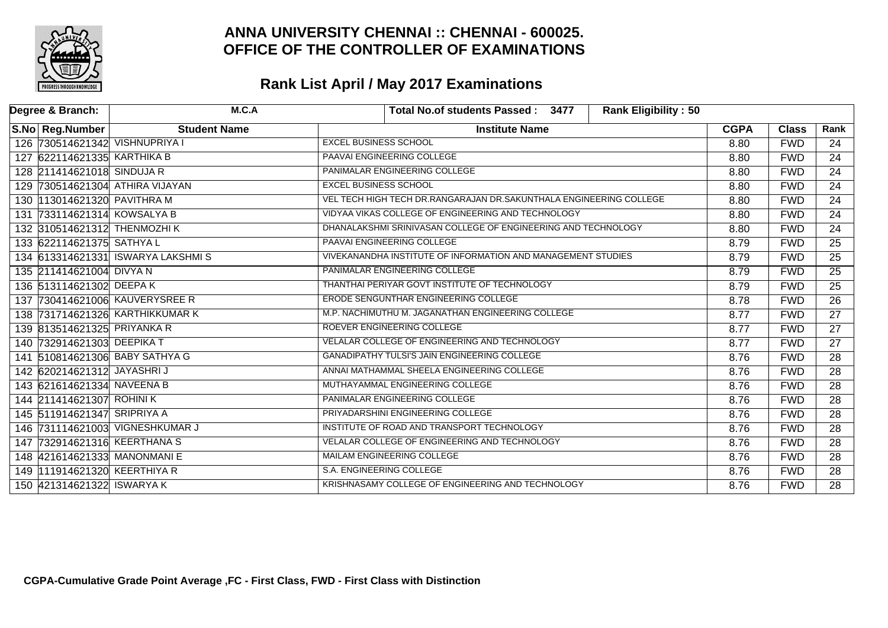

| Degree & Branch:                | M.C.A                             | <b>Rank Eligibility: 50</b><br>Total No.of students Passed: 3477   |             |              |                 |
|---------------------------------|-----------------------------------|--------------------------------------------------------------------|-------------|--------------|-----------------|
| S.No   Reg.Number               | <b>Student Name</b>               | <b>Institute Name</b>                                              | <b>CGPA</b> | <b>Class</b> | Rank            |
| 126 730514621342 VISHNUPRIYA I  |                                   | <b>EXCEL BUSINESS SCHOOL</b>                                       | 8.80        | <b>FWD</b>   | 24              |
| 127 622114621335 KARTHIKA B     |                                   | PAAVAI ENGINEERING COLLEGE                                         | 8.80        | <b>FWD</b>   | $\overline{24}$ |
| 128 211414621018 SINDUJA R      |                                   | PANIMALAR ENGINEERING COLLEGE                                      | 8.80        | <b>FWD</b>   | $\overline{24}$ |
| 129 730514621304 ATHIRA VIJAYAN |                                   | <b>EXCEL BUSINESS SCHOOL</b>                                       | 8.80        | <b>FWD</b>   | $\overline{24}$ |
| 130 113014621320 PAVITHRA M     |                                   | VEL TECH HIGH TECH DR.RANGARAJAN DR.SAKUNTHALA ENGINEERING COLLEGE | 8.80        | <b>FWD</b>   | $\overline{24}$ |
| 131 733114621314 KOWSALYA B     |                                   | VIDYAA VIKAS COLLEGE OF ENGINEERING AND TECHNOLOGY                 | 8.80        | <b>FWD</b>   | $\overline{24}$ |
| 132 310514621312 THENMOZHIK     |                                   | DHANALAKSHMI SRINIVASAN COLLEGE OF ENGINEERING AND TECHNOLOGY      | 8.80        | <b>FWD</b>   | $\overline{24}$ |
| 133 622114621375 SATHYA L       |                                   | PAAVAI ENGINEERING COLLEGE                                         | 8.79        | <b>FWD</b>   | $\overline{25}$ |
|                                 | 134 613314621331 ISWARYA LAKSHMIS | VIVEKANANDHA INSTITUTE OF INFORMATION AND MANAGEMENT STUDIES       | 8.79        | <b>FWD</b>   | $\overline{25}$ |
| 135 211414621004 DIVYA N        |                                   | PANIMALAR ENGINEERING COLLEGE                                      | 8.79        | <b>FWD</b>   | $\overline{25}$ |
| 136 513114621302 DEEPAK         |                                   | THANTHAI PERIYAR GOVT INSTITUTE OF TECHNOLOGY                      | 8.79        | <b>FWD</b>   | $\overline{25}$ |
| 137 730414621006 KAUVERYSREE R  |                                   | ERODE SENGUNTHAR ENGINEERING COLLEGE                               | 8.78        | <b>FWD</b>   | $\overline{26}$ |
| 138 731714621326 KARTHIKKUMAR K |                                   | M.P. NACHIMUTHU M. JAGANATHAN ENGINEERING COLLEGE                  | 8.77        | <b>FWD</b>   | $\overline{27}$ |
| 139 813514621325 PRIYANKA R     |                                   | ROEVER ENGINEERING COLLEGE                                         | 8.77        | <b>FWD</b>   | $\overline{27}$ |
| 140 732914621303 DEEPIKA T      |                                   | VELALAR COLLEGE OF ENGINEERING AND TECHNOLOGY                      | 8.77        | <b>FWD</b>   | $\overline{27}$ |
| 141 510814621306 BABY SATHYA G  |                                   | <b>GANADIPATHY TULSI'S JAIN ENGINEERING COLLEGE</b>                | 8.76        | <b>FWD</b>   | $\overline{28}$ |
| 142 620214621312 JAYASHRIJ      |                                   | ANNAI MATHAMMAL SHEELA ENGINEERING COLLEGE                         | 8.76        | <b>FWD</b>   | $\overline{28}$ |
| 143 621614621334 NAVEENA B      |                                   | MUTHAYAMMAL ENGINEERING COLLEGE                                    | 8.76        | <b>FWD</b>   | $\overline{28}$ |
| 144 211414621307 ROHINIK        |                                   | PANIMALAR ENGINEERING COLLEGE                                      | 8.76        | <b>FWD</b>   | $\overline{28}$ |
| 145 511914621347 SRIPRIYA A     |                                   | PRIYADARSHINI ENGINEERING COLLEGE                                  | 8.76        | <b>FWD</b>   | 28              |
| 146 731114621003 VIGNESHKUMAR J |                                   | INSTITUTE OF ROAD AND TRANSPORT TECHNOLOGY                         | 8.76        | <b>FWD</b>   | $\overline{28}$ |
| 147 732914621316 KEERTHANA S    |                                   | VELALAR COLLEGE OF ENGINEERING AND TECHNOLOGY                      | 8.76        | <b>FWD</b>   | $\overline{28}$ |
| 148 421614621333 MANONMANI E    |                                   | MAILAM ENGINEERING COLLEGE                                         | 8.76        | <b>FWD</b>   | $\overline{28}$ |
| 149 111914621320 KEERTHIYA R    |                                   | S.A. ENGINEERING COLLEGE                                           | 8.76        | <b>FWD</b>   | $\overline{28}$ |
| 150 421314621322 ISWARYA K      |                                   | KRISHNASAMY COLLEGE OF ENGINEERING AND TECHNOLOGY                  | 8.76        | <b>FWD</b>   | $\overline{28}$ |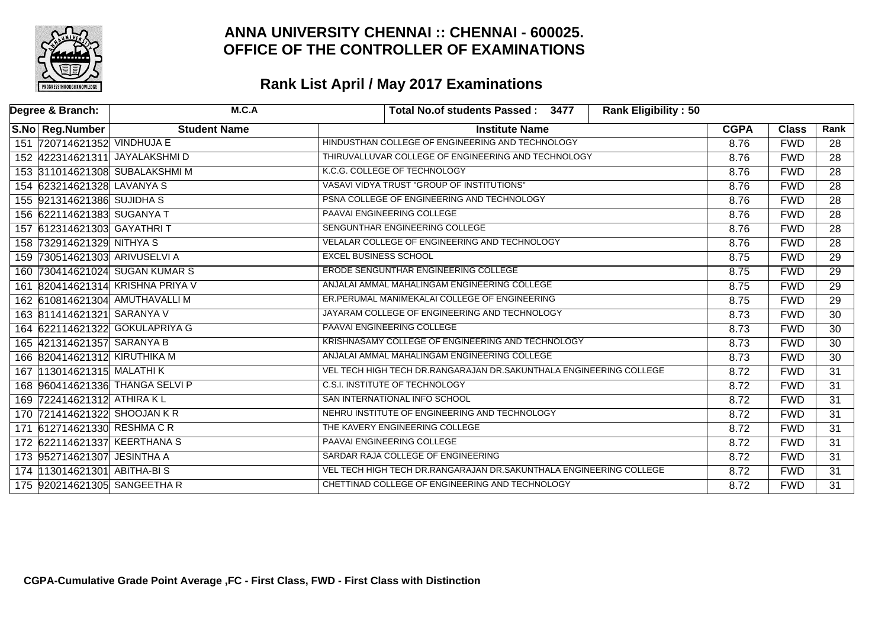

| Degree & Branch:                 | M.C.A               | Total No.of students Passed: 3477<br><b>Rank Eligibility: 50</b>   |             |              |                 |
|----------------------------------|---------------------|--------------------------------------------------------------------|-------------|--------------|-----------------|
| S.No Reg.Number                  | <b>Student Name</b> | <b>Institute Name</b>                                              | <b>CGPA</b> | <b>Class</b> | Rank            |
| 151 720714621352 VINDHUJA E      |                     | HINDUSTHAN COLLEGE OF ENGINEERING AND TECHNOLOGY                   | 8.76        | <b>FWD</b>   | 28              |
| 152 422314621311 JAYALAKSHMI D   |                     | THIRUVALLUVAR COLLEGE OF ENGINEERING AND TECHNOLOGY                | 8.76        | <b>FWD</b>   | $\overline{28}$ |
| 153 311014621308 SUBALAKSHMI M   |                     | K.C.G. COLLEGE OF TECHNOLOGY                                       | 8.76        | <b>FWD</b>   | $\overline{28}$ |
| 154 623214621328 LAVANYA S       |                     | VASAVI VIDYA TRUST "GROUP OF INSTITUTIONS"                         | 8.76        | <b>FWD</b>   | $\overline{28}$ |
| 155 921314621386 SUJIDHA S       |                     | PSNA COLLEGE OF ENGINEERING AND TECHNOLOGY                         | 8.76        | <b>FWD</b>   | $\overline{28}$ |
| 156 622114621383 SUGANYA T       |                     | PAAVAI ENGINEERING COLLEGE                                         | 8.76        | <b>FWD</b>   | 28              |
| 157 612314621303 GAYATHRIT       |                     | SENGUNTHAR ENGINEERING COLLEGE                                     | 8.76        | <b>FWD</b>   | $\overline{28}$ |
| 158 732914621329 NITHYA S        |                     | VELALAR COLLEGE OF ENGINEERING AND TECHNOLOGY                      | 8.76        | <b>FWD</b>   | $\overline{28}$ |
| 159 730514621303 ARIVUSELVI A    |                     | <b>EXCEL BUSINESS SCHOOL</b>                                       | 8.75        | <b>FWD</b>   | $\overline{29}$ |
| 160 730414621024 SUGAN KUMAR S   |                     | ERODE SENGUNTHAR ENGINEERING COLLEGE                               | 8.75        | <b>FWD</b>   | $\overline{29}$ |
| 161 820414621314 KRISHNA PRIYA V |                     | ANJALAI AMMAL MAHALINGAM ENGINEERING COLLEGE                       | 8.75        | <b>FWD</b>   | $\overline{29}$ |
| 162 610814621304 AMUTHAVALLIM    |                     | ER. PERUMAL MANIMEKALAI COLLEGE OF ENGINEERING                     | 8.75        | <b>FWD</b>   | $\overline{29}$ |
| 163 811414621321 SARANYA V       |                     | JAYARAM COLLEGE OF ENGINEERING AND TECHNOLOGY                      | 8.73        | <b>FWD</b>   | $\overline{30}$ |
| 164 622114621322 GOKULAPRIYA G   |                     | <b>PAAVAI ENGINEERING COLLEGE</b>                                  | 8.73        | <b>FWD</b>   | $\overline{30}$ |
| 165 421314621357 SARANYA B       |                     | KRISHNASAMY COLLEGE OF ENGINEERING AND TECHNOLOGY                  | 8.73        | <b>FWD</b>   | $\overline{30}$ |
| 166 820414621312 KIRUTHIKA M     |                     | ANJALAI AMMAL MAHALINGAM ENGINEERING COLLEGE                       | 8.73        | <b>FWD</b>   | $\overline{30}$ |
| 167 113014621315 MALATHI K       |                     | VEL TECH HIGH TECH DR.RANGARAJAN DR.SAKUNTHALA ENGINEERING COLLEGE | 8.72        | <b>FWD</b>   | $\overline{31}$ |
| 168 960414621336 THANGA SELVI P  |                     | <b>C.S.I. INSTITUTE OF TECHNOLOGY</b>                              | 8.72        | <b>FWD</b>   | $\overline{31}$ |
| 169 722414621312 ATHIRA KL       |                     | SAN INTERNATIONAL INFO SCHOOL                                      | 8.72        | <b>FWD</b>   | $\overline{31}$ |
| 170 721414621322 SHOOJAN KR      |                     | NEHRU INSTITUTE OF ENGINEERING AND TECHNOLOGY                      | 8.72        | <b>FWD</b>   | $\overline{31}$ |
| 171 612714621330 RESHMA CR       |                     | THE KAVERY ENGINEERING COLLEGE                                     | 8.72        | <b>FWD</b>   | $\overline{31}$ |
| 172 622114621337 KEERTHANA S     |                     | PAAVAI ENGINEERING COLLEGE                                         | 8.72        | <b>FWD</b>   | $\overline{31}$ |
| 173 952714621307 JESINTHA A      |                     | SARDAR RAJA COLLEGE OF ENGINEERING                                 | 8.72        | <b>FWD</b>   | 31              |
| 174 13014621301 ABITHA-BIS       |                     | VEL TECH HIGH TECH DR.RANGARAJAN DR.SAKUNTHALA ENGINEERING COLLEGE | 8.72        | <b>FWD</b>   | $\overline{31}$ |
| 175 920214621305 SANGEETHAR      |                     | CHETTINAD COLLEGE OF ENGINEERING AND TECHNOLOGY                    | 8.72        | <b>FWD</b>   | $\overline{31}$ |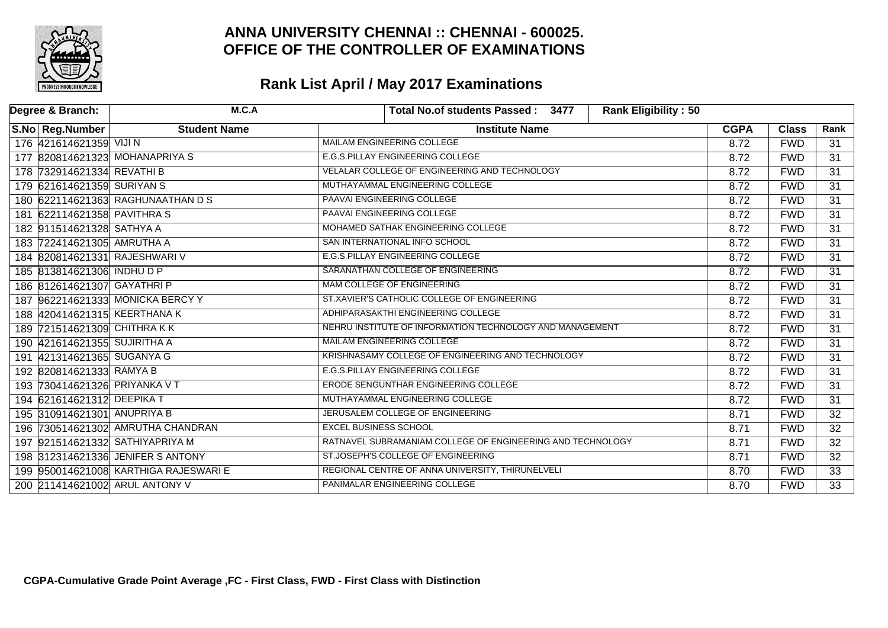

| Degree & Branch:             | M.C.A                                 | <b>Rank Eligibility: 50</b><br>Total No.of students Passed: 3477 |             |              |                 |
|------------------------------|---------------------------------------|------------------------------------------------------------------|-------------|--------------|-----------------|
| S.No Reg.Number              | <b>Student Name</b>                   | <b>Institute Name</b>                                            | <b>CGPA</b> | <b>Class</b> | Rank            |
| 176 421614621359 VIJI N      |                                       | <b>MAILAM ENGINEERING COLLEGE</b>                                | 8.72        | <b>FWD</b>   | $\overline{31}$ |
|                              | 177 820814621323 MOHANAPRIYA S        | <b>E.G.S.PILLAY ENGINEERING COLLEGE</b>                          | 8.72        | <b>FWD</b>   | $\overline{31}$ |
| 178 732914621334 REVATHI B   |                                       | VELALAR COLLEGE OF ENGINEERING AND TECHNOLOGY                    | 8.72        | <b>FWD</b>   | $\overline{31}$ |
| 179 621614621359 SURIYAN S   |                                       | MUTHAYAMMAL ENGINEERING COLLEGE                                  | 8.72        | <b>FWD</b>   | $\overline{31}$ |
|                              | 180 622114621363 RAGHUNAATHAN D S     | PAAVAI ENGINEERING COLLEGE                                       | 8.72        | <b>FWD</b>   | 31              |
| 181 622114621358 PAVITHRAS   |                                       | PAAVAI ENGINEERING COLLEGE                                       | 8.72        | <b>FWD</b>   | $\overline{31}$ |
| 182 911514621328 SATHYA A    |                                       | MOHAMED SATHAK ENGINEERING COLLEGE                               | 8.72        | <b>FWD</b>   | $\overline{31}$ |
| 183 722414621305 AMRUTHA A   |                                       | SAN INTERNATIONAL INFO SCHOOL                                    | 8.72        | <b>FWD</b>   | 31              |
|                              | 184 820814621331 RAJESHWARI V         | <b>E.G.S.PILLAY ENGINEERING COLLEGE</b>                          | 8.72        | <b>FWD</b>   | 31              |
| 185 813814621306 INDHU D P   |                                       | SARANATHAN COLLEGE OF ENGINEERING                                | 8.72        | <b>FWD</b>   | $\overline{31}$ |
| 186 812614621307 GAYATHRIP   |                                       | MAM COLLEGE OF ENGINEERING                                       | 8.72        | <b>FWD</b>   | $\overline{31}$ |
|                              | 187 962214621333 MONICKA BERCY Y      | ST.XAVIER'S CATHOLIC COLLEGE OF ENGINEERING                      | 8.72        | <b>FWD</b>   | $\overline{31}$ |
|                              | 188 420414621315 KEERTHANA K          | ADHIPARASAKTHI ENGINEERING COLLEGE                               | 8.72        | <b>FWD</b>   | $\overline{31}$ |
| 189 721514621309 CHITHRAKK   |                                       | NEHRU INSTITUTE OF INFORMATION TECHNOLOGY AND MANAGEMENT         | 8.72        | <b>FWD</b>   | $\overline{31}$ |
| 190 421614621355 SUJIRITHA A |                                       | MAILAM ENGINEERING COLLEGE                                       | 8.72        | <b>FWD</b>   | $\overline{31}$ |
| 191 421314621365 SUGANYA G   |                                       | KRISHNASAMY COLLEGE OF ENGINEERING AND TECHNOLOGY                | 8.72        | <b>FWD</b>   | 31              |
| 192 820814621333 RAMYA B     |                                       | <b>E.G.S.PILLAY ENGINEERING COLLEGE</b>                          | 8.72        | <b>FWD</b>   | $\overline{31}$ |
| 193 730414621326 PRIYANKA VT |                                       | ERODE SENGUNTHAR ENGINEERING COLLEGE                             | 8.72        | <b>FWD</b>   | $\overline{31}$ |
| 194 621614621312 DEEPIKA T   |                                       | MUTHAYAMMAL ENGINEERING COLLEGE                                  | 8.72        | <b>FWD</b>   | $\overline{31}$ |
| 195 310914621301 ANUPRIYA B  |                                       | JERUSALEM COLLEGE OF ENGINEERING                                 | 8.71        | <b>FWD</b>   | $\overline{32}$ |
|                              | 196 730514621302 AMRUTHA CHANDRAN     | <b>EXCEL BUSINESS SCHOOL</b>                                     | 8.71        | <b>FWD</b>   | $\overline{32}$ |
|                              | 197 921514621332 SATHIYAPRIYA M       | RATNAVEL SUBRAMANIAM COLLEGE OF ENGINEERING AND TECHNOLOGY       | 8.71        | <b>FWD</b>   | $\overline{32}$ |
|                              | 198 312314621336 JENIFER S ANTONY     | ST.JOSEPH'S COLLEGE OF ENGINEERING                               | 8.71        | <b>FWD</b>   | $\overline{32}$ |
|                              | 199 950014621008 KARTHIGA RAJESWARI E | REGIONAL CENTRE OF ANNA UNIVERSITY, THIRUNELVELI                 | 8.70        | <b>FWD</b>   | $\overline{33}$ |
|                              | 200 211414621002 ARUL ANTONY V        | PANIMALAR ENGINEERING COLLEGE                                    | 8.70        | <b>FWD</b>   | $\overline{33}$ |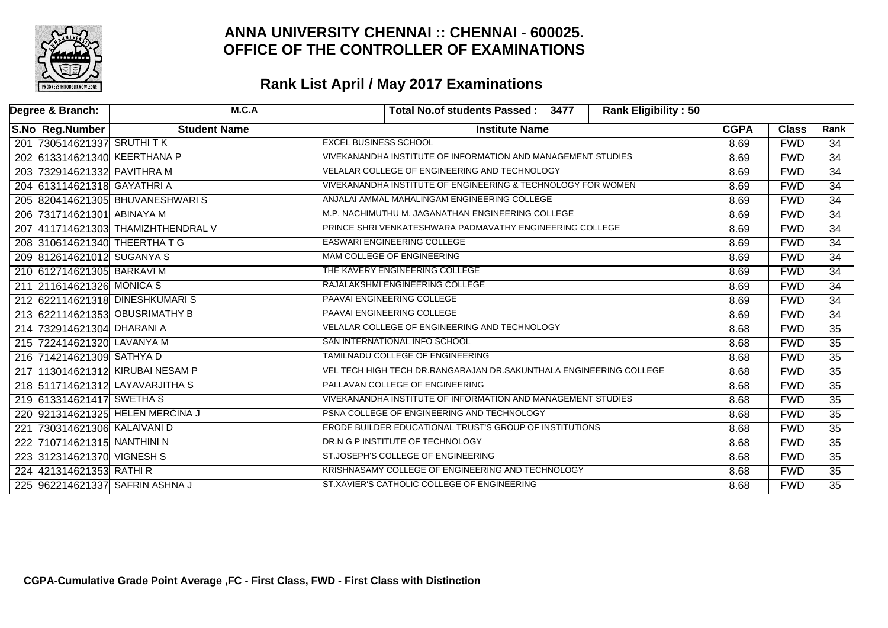

| Degree & Branch:                | M.C.A                              | <b>Rank Eligibility: 50</b><br>Total No.of students Passed: 3477   |             |              |                 |
|---------------------------------|------------------------------------|--------------------------------------------------------------------|-------------|--------------|-----------------|
| S.No Reg.Number                 | <b>Student Name</b>                | <b>Institute Name</b>                                              | <b>CGPA</b> | <b>Class</b> | Rank            |
| 201 730514621337 SRUTHITK       |                                    | <b>EXCEL BUSINESS SCHOOL</b>                                       | 8.69        | <b>FWD</b>   | 34              |
| 202 613314621340 KEERTHANA P    |                                    | VIVEKANANDHA INSTITUTE OF INFORMATION AND MANAGEMENT STUDIES       | 8.69        | <b>FWD</b>   | $\overline{34}$ |
| 203 732914621332 PAVITHRA M     |                                    | VELALAR COLLEGE OF ENGINEERING AND TECHNOLOGY                      | 8.69        | <b>FWD</b>   | $\overline{34}$ |
| 204 613114621318 GAYATHRI A     |                                    | VIVEKANANDHA INSTITUTE OF ENGINEERING & TECHNOLOGY FOR WOMEN       | 8.69        | <b>FWD</b>   | $\overline{34}$ |
|                                 | 205 820414621305 BHUVANESHWARIS    | ANJALAI AMMAL MAHALINGAM ENGINEERING COLLEGE                       | 8.69        | <b>FWD</b>   | $\overline{34}$ |
| 206 731714621301 ABINAYA M      |                                    | M.P. NACHIMUTHU M. JAGANATHAN ENGINEERING COLLEGE                  | 8.69        | <b>FWD</b>   | $\overline{34}$ |
|                                 | 207 411714621303 THAMIZHTHENDRAL V | PRINCE SHRI VENKATESHWARA PADMAVATHY ENGINEERING COLLEGE           | 8.69        | <b>FWD</b>   | $\overline{34}$ |
| 208 310614621340 THEERTHATG     |                                    | <b>EASWARI ENGINEERING COLLEGE</b>                                 | 8.69        | <b>FWD</b>   | $\overline{34}$ |
| 209 812614621012 SUGANYA S      |                                    | MAM COLLEGE OF ENGINEERING                                         | 8.69        | <b>FWD</b>   | $\overline{34}$ |
| 210 612714621305 BARKAVI M      |                                    | THE KAVERY ENGINEERING COLLEGE                                     | 8.69        | <b>FWD</b>   | $\overline{34}$ |
| 211 211614621326 MONICA S       |                                    | RAJALAKSHMI ENGINEERING COLLEGE                                    | 8.69        | <b>FWD</b>   | $\overline{34}$ |
| 212 622114621318 DINESHKUMARIS  |                                    | <b>PAAVAI ENGINEERING COLLEGE</b>                                  | 8.69        | <b>FWD</b>   | 34              |
| 213 622114621353 OBUSRIMATHY B  |                                    | PAAVAI ENGINEERING COLLEGE                                         | 8.69        | <b>FWD</b>   | $\overline{34}$ |
| 214 732914621304 DHARANI A      |                                    | VELALAR COLLEGE OF ENGINEERING AND TECHNOLOGY                      | 8.68        | <b>FWD</b>   | $\overline{35}$ |
| 215 722414621320 LAVANYA M      |                                    | SAN INTERNATIONAL INFO SCHOOL                                      | 8.68        | <b>FWD</b>   | $\overline{35}$ |
| 216 714214621309 SATHYA D       |                                    | <b>TAMILNADU COLLEGE OF ENGINEERING</b>                            | 8.68        | <b>FWD</b>   | $\overline{35}$ |
|                                 | 217 13014621312 KIRUBAI NESAM P    | VEL TECH HIGH TECH DR.RANGARAJAN DR.SAKUNTHALA ENGINEERING COLLEGE | 8.68        | <b>FWD</b>   | $\overline{35}$ |
| 218 511714621312 LAYAVARJITHA S |                                    | PALLAVAN COLLEGE OF ENGINEERING                                    | 8.68        | <b>FWD</b>   | $\overline{35}$ |
| 219 613314621417 SWETHAS        |                                    | VIVEKANANDHA INSTITUTE OF INFORMATION AND MANAGEMENT STUDIES       | 8.68        | <b>FWD</b>   | $\overline{35}$ |
|                                 | 220 921314621325 HELEN MERCINA J   | PSNA COLLEGE OF ENGINEERING AND TECHNOLOGY                         | 8.68        | <b>FWD</b>   | $\overline{35}$ |
| 221 730314621306 KALAIVANI D    |                                    | ERODE BUILDER EDUCATIONAL TRUST'S GROUP OF INSTITUTIONS            | 8.68        | <b>FWD</b>   | $\overline{35}$ |
| 222 710714621315 NANTHINI N     |                                    | DR.N G P INSTITUTE OF TECHNOLOGY                                   | 8.68        | <b>FWD</b>   | $\overline{35}$ |
| 223 312314621370 VIGNESH S      |                                    | ST.JOSEPH'S COLLEGE OF ENGINEERING                                 | 8.68        | <b>FWD</b>   | $\overline{35}$ |
| 224 421314621353 RATHI R        |                                    | KRISHNASAMY COLLEGE OF ENGINEERING AND TECHNOLOGY                  | 8.68        | <b>FWD</b>   | $\overline{35}$ |
| 225 962214621337 SAFRIN ASHNA J |                                    | ST.XAVIER'S CATHOLIC COLLEGE OF ENGINEERING                        | 8.68        | <b>FWD</b>   | $\overline{35}$ |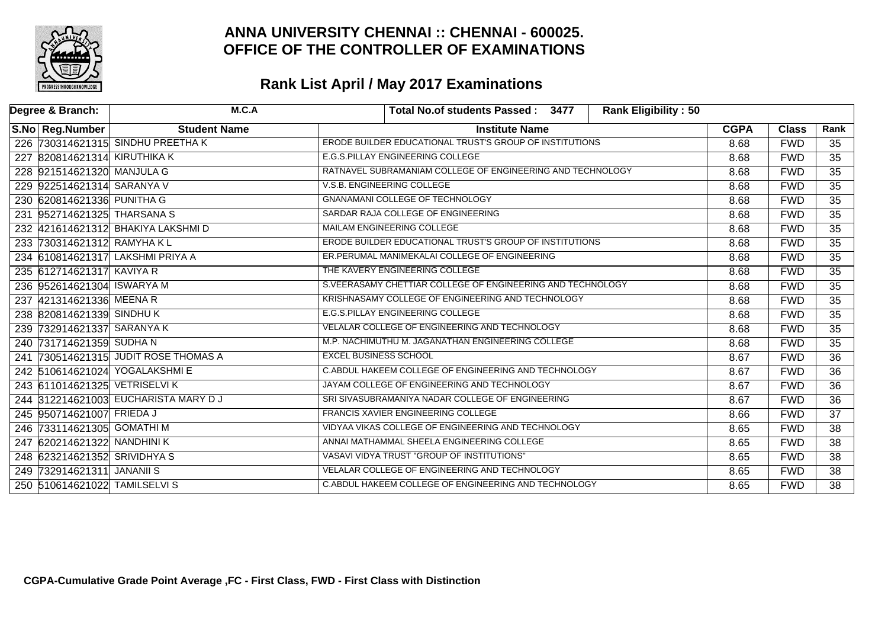

| Degree & Branch:           | M.C.A                                | <b>Rank Eligibility: 50</b><br>Total No.of students Passed: 3477 |             |              |                 |
|----------------------------|--------------------------------------|------------------------------------------------------------------|-------------|--------------|-----------------|
| S.No Reg.Number            | <b>Student Name</b>                  | <b>Institute Name</b>                                            | <b>CGPA</b> | <b>Class</b> | Rank            |
|                            | 226 730314621315 SINDHU PREETHA K    | ERODE BUILDER EDUCATIONAL TRUST'S GROUP OF INSTITUTIONS          | 8.68        | <b>FWD</b>   | 35              |
|                            | 227 820814621314 KIRUTHIKA K         | E.G.S.PILLAY ENGINEERING COLLEGE                                 | 8.68        | <b>FWD</b>   | $\overline{35}$ |
|                            | 228 921514621320 MANJULA G           | RATNAVEL SUBRAMANIAM COLLEGE OF ENGINEERING AND TECHNOLOGY       | 8.68        | <b>FWD</b>   | $\overline{35}$ |
|                            | 229 922514621314 SARANYA V           | V.S.B. ENGINEERING COLLEGE                                       | 8.68        | <b>FWD</b>   | $\overline{35}$ |
| 230 620814621336 PUNITHA G |                                      | <b>GNANAMANI COLLEGE OF TECHNOLOGY</b>                           | 8.68        | <b>FWD</b>   | $\overline{35}$ |
|                            | 231 952714621325 THARSANA S          | SARDAR RAJA COLLEGE OF ENGINEERING                               | 8.68        | <b>FWD</b>   | $\overline{35}$ |
|                            | 232 421614621312 BHAKIYA LAKSHMI D   | MAILAM ENGINEERING COLLEGE                                       | 8.68        | <b>FWD</b>   | $\overline{35}$ |
|                            | 233 730314621312 RAMYHAKL            | ERODE BUILDER EDUCATIONAL TRUST'S GROUP OF INSTITUTIONS          | 8.68        | <b>FWD</b>   | $\overline{35}$ |
|                            | 234 610814621317 LAKSHMI PRIYA A     | ER.PERUMAL MANIMEKALAI COLLEGE OF ENGINEERING                    | 8.68        | <b>FWD</b>   | $\overline{35}$ |
| 235 612714621317 KAVIYA R  |                                      | THE KAVERY ENGINEERING COLLEGE                                   | 8.68        | <b>FWD</b>   | $\overline{35}$ |
|                            | 236 952614621304 ISWARYA M           | S. VEERASAMY CHETTIAR COLLEGE OF ENGINEERING AND TECHNOLOGY      | 8.68        | <b>FWD</b>   | $\overline{35}$ |
| 237 421314621336 MEENA R   |                                      | KRISHNASAMY COLLEGE OF ENGINEERING AND TECHNOLOGY                | 8.68        | <b>FWD</b>   | $\overline{35}$ |
| 238 820814621339 SINDHUK   |                                      | E.G.S.PILLAY ENGINEERING COLLEGE                                 | 8.68        | <b>FWD</b>   | $\overline{35}$ |
|                            | 239 732914621337 SARANYA K           | VELALAR COLLEGE OF ENGINEERING AND TECHNOLOGY                    | 8.68        | <b>FWD</b>   | $\overline{35}$ |
| 240 731714621359 SUDHA N   |                                      | M.P. NACHIMUTHU M. JAGANATHAN ENGINEERING COLLEGE                | 8.68        | <b>FWD</b>   | $\overline{35}$ |
|                            | 241 730514621315 JUDIT ROSE THOMAS A | <b>EXCEL BUSINESS SCHOOL</b>                                     | 8.67        | <b>FWD</b>   | $\overline{36}$ |
|                            | 242 510614621024 YOGALAKSHMI E       | C.ABDUL HAKEEM COLLEGE OF ENGINEERING AND TECHNOLOGY             | 8.67        | <b>FWD</b>   | $\overline{36}$ |
|                            | 243 611014621325 VETRISELVIK         | JAYAM COLLEGE OF ENGINEERING AND TECHNOLOGY                      | 8.67        | <b>FWD</b>   | $\overline{36}$ |
|                            | 244 312214621003 EUCHARISTA MARY DJ  | SRI SIVASUBRAMANIYA NADAR COLLEGE OF ENGINEERING                 | 8.67        | <b>FWD</b>   | $\overline{36}$ |
| 245 950714621007 FRIEDA J  |                                      | <b>FRANCIS XAVIER ENGINEERING COLLEGE</b>                        | 8.66        | <b>FWD</b>   | $\overline{37}$ |
|                            | 246 733114621305 GOMATHI M           | VIDYAA VIKAS COLLEGE OF ENGINEERING AND TECHNOLOGY               | 8.65        | <b>FWD</b>   | $\overline{38}$ |
|                            | 247 620214621322 NANDHINI K          | ANNAI MATHAMMAL SHEELA ENGINEERING COLLEGE                       | 8.65        | <b>FWD</b>   | $\overline{38}$ |
|                            | 248 623214621352 SRIVIDHYA S         | VASAVI VIDYA TRUST "GROUP OF INSTITUTIONS"                       | 8.65        | <b>FWD</b>   | $\overline{38}$ |
| 249 732914621311 JANANII S |                                      | VELALAR COLLEGE OF ENGINEERING AND TECHNOLOGY                    | 8.65        | <b>FWD</b>   | $\overline{38}$ |
|                            | 250 510614621022 TAMILSELVIS         | C.ABDUL HAKEEM COLLEGE OF ENGINEERING AND TECHNOLOGY             | 8.65        | <b>FWD</b>   | $\overline{38}$ |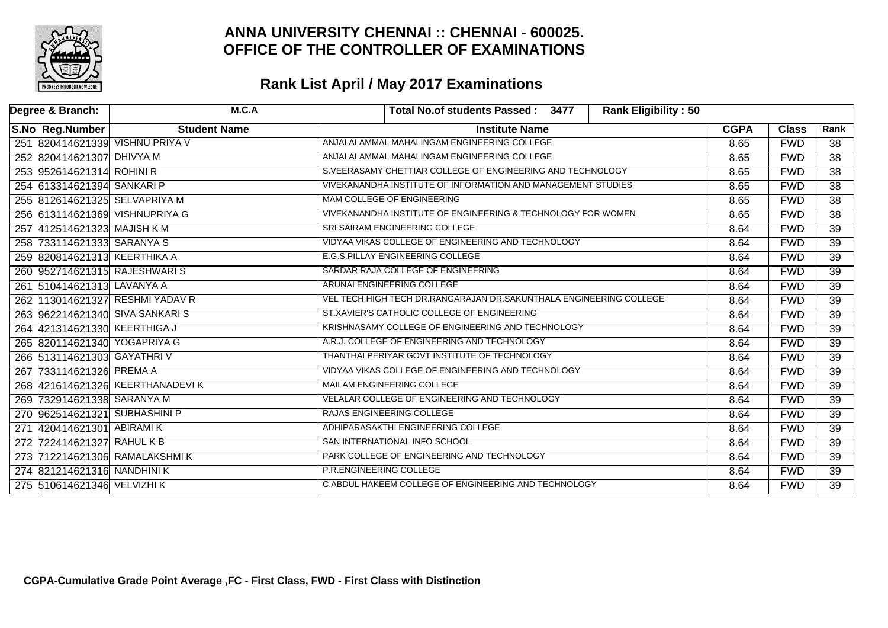

| Degree & Branch: |                             | M.C.A                           | <b>Rank Eligibility: 50</b><br>Total No.of students Passed: 3477   |             |              |                 |
|------------------|-----------------------------|---------------------------------|--------------------------------------------------------------------|-------------|--------------|-----------------|
|                  | S.No Reg.Number             | <b>Student Name</b>             | <b>Institute Name</b>                                              | <b>CGPA</b> | <b>Class</b> | Rank            |
|                  |                             | 251 820414621339 VISHNU PRIYA V | ANJALAI AMMAL MAHALINGAM ENGINEERING COLLEGE                       | 8.65        | <b>FWD</b>   | 38              |
|                  | 252 820414621307 DHIVYA M   |                                 | ANJALAI AMMAL MAHALINGAM ENGINEERING COLLEGE                       | 8.65        | <b>FWD</b>   | $\overline{38}$ |
|                  | 253 952614621314 ROHINI R   |                                 | S.VEERASAMY CHETTIAR COLLEGE OF ENGINEERING AND TECHNOLOGY         | 8.65        | <b>FWD</b>   | $\overline{38}$ |
|                  | 254 613314621394 SANKARI P  |                                 | VIVEKANANDHA INSTITUTE OF INFORMATION AND MANAGEMENT STUDIES       | 8.65        | <b>FWD</b>   | $\overline{38}$ |
|                  |                             | 255 812614621325 SELVAPRIYA M   | MAM COLLEGE OF ENGINEERING                                         | 8.65        | <b>FWD</b>   | 38              |
|                  |                             | 256 613114621369 VISHNUPRIYA G  | VIVEKANANDHA INSTITUTE OF ENGINEERING & TECHNOLOGY FOR WOMEN       | 8.65        | <b>FWD</b>   | $\overline{38}$ |
|                  | 257 412514621323 MAJISH K M |                                 | SRI SAIRAM ENGINEERING COLLEGE                                     | 8.64        | <b>FWD</b>   | $\overline{39}$ |
|                  | 258 733114621333 SARANYA S  |                                 | VIDYAA VIKAS COLLEGE OF ENGINEERING AND TECHNOLOGY                 | 8.64        | <b>FWD</b>   | $\overline{39}$ |
|                  |                             | 259 820814621313 KEERTHIKA A    | E.G.S.PILLAY ENGINEERING COLLEGE                                   | 8.64        | <b>FWD</b>   | $\overline{39}$ |
|                  |                             | 260 952714621315 RAJESHWARIS    | SARDAR RAJA COLLEGE OF ENGINEERING                                 | 8.64        | <b>FWD</b>   | $\overline{39}$ |
|                  | 261 510414621313 LAVANYA A  |                                 | ARUNAI ENGINEERING COLLEGE                                         | 8.64        | <b>FWD</b>   | $\overline{39}$ |
|                  |                             | 262 113014621327 RESHMI YADAV R | VEL TECH HIGH TECH DR.RANGARAJAN DR.SAKUNTHALA ENGINEERING COLLEGE | 8.64        | <b>FWD</b>   | $\overline{39}$ |
|                  |                             | 263 962214621340 SIVA SANKARIS  | ST.XAVIER'S CATHOLIC COLLEGE OF ENGINEERING                        | 8.64        | <b>FWD</b>   | $\overline{39}$ |
|                  |                             | 264 421314621330 KEERTHIGA J    | KRISHNASAMY COLLEGE OF ENGINEERING AND TECHNOLOGY                  | 8.64        | <b>FWD</b>   | $\overline{39}$ |
|                  |                             | 265 820114621340 YOGAPRIYA G    | A.R.J. COLLEGE OF ENGINEERING AND TECHNOLOGY                       | 8.64        | <b>FWD</b>   | $\overline{39}$ |
|                  |                             | 266 513114621303 GAYATHRIV      | THANTHAI PERIYAR GOVT INSTITUTE OF TECHNOLOGY                      | 8.64        | <b>FWD</b>   | 39              |
|                  | 267 733114621326 PREMA A    |                                 | VIDYAA VIKAS COLLEGE OF ENGINEERING AND TECHNOLOGY                 | 8.64        | <b>FWD</b>   | $\overline{39}$ |
|                  |                             | 268 421614621326 KEERTHANADEVIK | MAILAM ENGINEERING COLLEGE                                         | 8.64        | <b>FWD</b>   | $\overline{39}$ |
|                  | 269 732914621338 SARANYA M  |                                 | VELALAR COLLEGE OF ENGINEERING AND TECHNOLOGY                      | 8.64        | <b>FWD</b>   | $\overline{39}$ |
|                  |                             | 270 962514621321 SUBHASHINI P   | RAJAS ENGINEERING COLLEGE                                          | 8.64        | <b>FWD</b>   | 39              |
|                  | 271 420414621301 ABIRAMI K  |                                 | ADHIPARASAKTHI ENGINEERING COLLEGE                                 | 8.64        | <b>FWD</b>   | $\overline{39}$ |
|                  | 272 722414621327 RAHUL K B  |                                 | SAN INTERNATIONAL INFO SCHOOL                                      | 8.64        | <b>FWD</b>   | $\overline{39}$ |
|                  |                             | 273 712214621306 RAMALAKSHMIK   | PARK COLLEGE OF ENGINEERING AND TECHNOLOGY                         | 8.64        | <b>FWD</b>   | $\overline{39}$ |
|                  |                             | 274 821214621316 NANDHINIK      | <b>P.R.ENGINEERING COLLEGE</b>                                     | 8.64        | <b>FWD</b>   | $\overline{39}$ |
|                  | 275 510614621346 VELVIZHI K |                                 | C.ABDUL HAKEEM COLLEGE OF ENGINEERING AND TECHNOLOGY               | 8.64        | <b>FWD</b>   | $\overline{39}$ |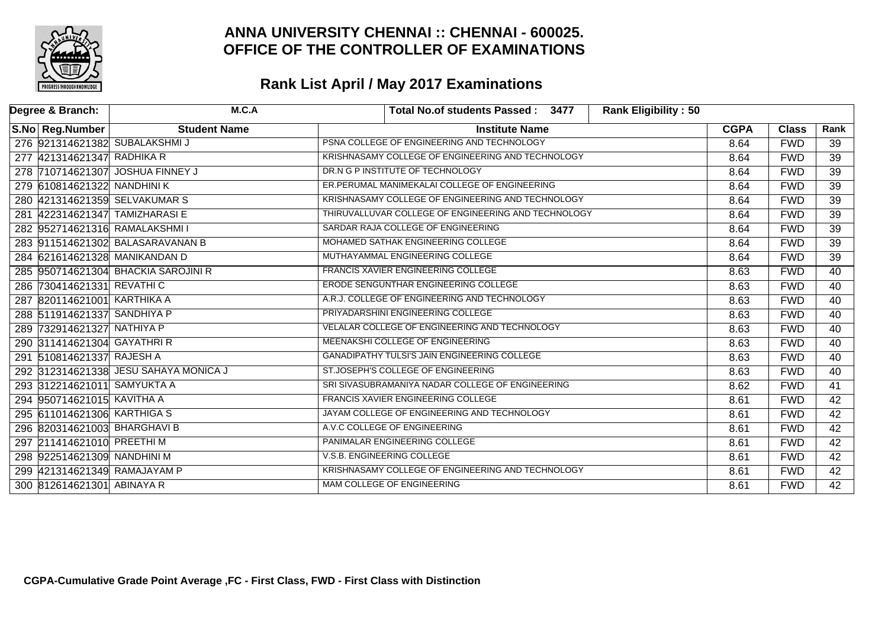

| Degree & Branch:                 | M.C.A                                 |                                            | Total No.of students Passed: 3477                   | Rank Eligibility: 50 |             |              |                 |
|----------------------------------|---------------------------------------|--------------------------------------------|-----------------------------------------------------|----------------------|-------------|--------------|-----------------|
| S.No Reg.Number                  | <b>Student Name</b>                   |                                            | <b>Institute Name</b>                               |                      | <b>CGPA</b> | <b>Class</b> | Rank            |
| 276 921314621382 SUBALAKSHMI J   |                                       | PSNA COLLEGE OF ENGINEERING AND TECHNOLOGY |                                                     |                      | 8.64        | <b>FWD</b>   | 39              |
| 277 421314621347 RADHIKA R       |                                       |                                            | KRISHNASAMY COLLEGE OF ENGINEERING AND TECHNOLOGY   |                      | 8.64        | <b>FWD</b>   | $\overline{39}$ |
| 278 710714621307 JOSHUA FINNEY J |                                       |                                            | DR.N G P INSTITUTE OF TECHNOLOGY                    |                      | 8.64        | <b>FWD</b>   | $\overline{39}$ |
| 279 610814621322 NANDHINI K      |                                       |                                            | ER.PERUMAL MANIMEKALAI COLLEGE OF ENGINEERING       |                      | 8.64        | <b>FWD</b>   | $\overline{39}$ |
| 280 421314621359 SELVAKUMAR S    |                                       |                                            | KRISHNASAMY COLLEGE OF ENGINEERING AND TECHNOLOGY   |                      | 8.64        | <b>FWD</b>   | $\overline{39}$ |
| 281 422314621347 TAMIZHARASI E   |                                       |                                            | THIRUVALLUVAR COLLEGE OF ENGINEERING AND TECHNOLOGY |                      | 8.64        | <b>FWD</b>   | $\overline{39}$ |
| 282 952714621316 RAMALAKSHMI I   |                                       |                                            | SARDAR RAJA COLLEGE OF ENGINEERING                  |                      | 8.64        | <b>FWD</b>   | $\overline{39}$ |
|                                  | 283 911514621302 BALASARAVANAN B      |                                            | MOHAMED SATHAK ENGINEERING COLLEGE                  |                      | 8.64        | <b>FWD</b>   | $\overline{39}$ |
| 284 621614621328 MANIKANDAN D    |                                       |                                            | MUTHAYAMMAL ENGINEERING COLLEGE                     |                      | 8.64        | <b>FWD</b>   | $\overline{39}$ |
|                                  | 285 950714621304 BHACKIA SAROJINI R   |                                            | FRANCIS XAVIER ENGINEERING COLLEGE                  |                      | 8.63        | <b>FWD</b>   | 40              |
| 286 730414621331 REVATHIC        |                                       |                                            | <b>ERODE SENGUNTHAR ENGINEERING COLLEGE</b>         |                      | 8.63        | <b>FWD</b>   | 40              |
| 287 820114621001 KARTHIKA A      |                                       |                                            | A.R.J. COLLEGE OF ENGINEERING AND TECHNOLOGY        |                      | 8.63        | <b>FWD</b>   | 40              |
| 288 511914621337 SANDHIYA P      |                                       |                                            | PRIYADARSHINI ENGINEERING COLLEGE                   |                      | 8.63        | <b>FWD</b>   | 40              |
| 289 732914621327 NATHIYA P       |                                       |                                            | VELALAR COLLEGE OF ENGINEERING AND TECHNOLOGY       |                      | 8.63        | <b>FWD</b>   | $\overline{40}$ |
| 290 311414621304 GAYATHRIR       |                                       |                                            | MEENAKSHI COLLEGE OF ENGINEERING                    |                      | 8.63        | <b>FWD</b>   | 40              |
| 291 510814621337 RAJESH A        |                                       |                                            | <b>GANADIPATHY TULSI'S JAIN ENGINEERING COLLEGE</b> |                      | 8.63        | <b>FWD</b>   | 40              |
|                                  | 292 312314621338 JESU SAHAYA MONICA J |                                            | ST.JOSEPH'S COLLEGE OF ENGINEERING                  |                      | 8.63        | <b>FWD</b>   | 40              |
| 293 312214621011 SAMYUKTA A      |                                       |                                            | SRI SIVASUBRAMANIYA NADAR COLLEGE OF ENGINEERING    |                      | 8.62        | <b>FWD</b>   | 41              |
| 294 950714621015 KAVITHA A       |                                       |                                            | <b>FRANCIS XAVIER ENGINEERING COLLEGE</b>           |                      | 8.61        | <b>FWD</b>   | 42              |
| 295 611014621306 KARTHIGA S      |                                       |                                            | JAYAM COLLEGE OF ENGINEERING AND TECHNOLOGY         |                      | 8.61        | <b>FWD</b>   | 42              |
| 296 820314621003 BHARGHAVI B     |                                       |                                            | A.V.C COLLEGE OF ENGINEERING                        |                      | 8.61        | <b>FWD</b>   | $\overline{42}$ |
| 297 211414621010 PREETHI M       |                                       | PANIMALAR ENGINEERING COLLEGE              |                                                     |                      | 8.61        | <b>FWD</b>   | 42              |
| 298 922514621309 NANDHINI M      |                                       | V.S.B. ENGINEERING COLLEGE                 |                                                     |                      | 8.61        | <b>FWD</b>   | 42              |
| 299 421314621349 RAMAJAYAM P     |                                       |                                            | KRISHNASAMY COLLEGE OF ENGINEERING AND TECHNOLOGY   |                      | 8.61        | <b>FWD</b>   | 42              |
| 300 812614621301 ABINAYA R       |                                       |                                            | <b>MAM COLLEGE OF ENGINEERING</b>                   |                      | 8.61        | <b>FWD</b>   | $\overline{42}$ |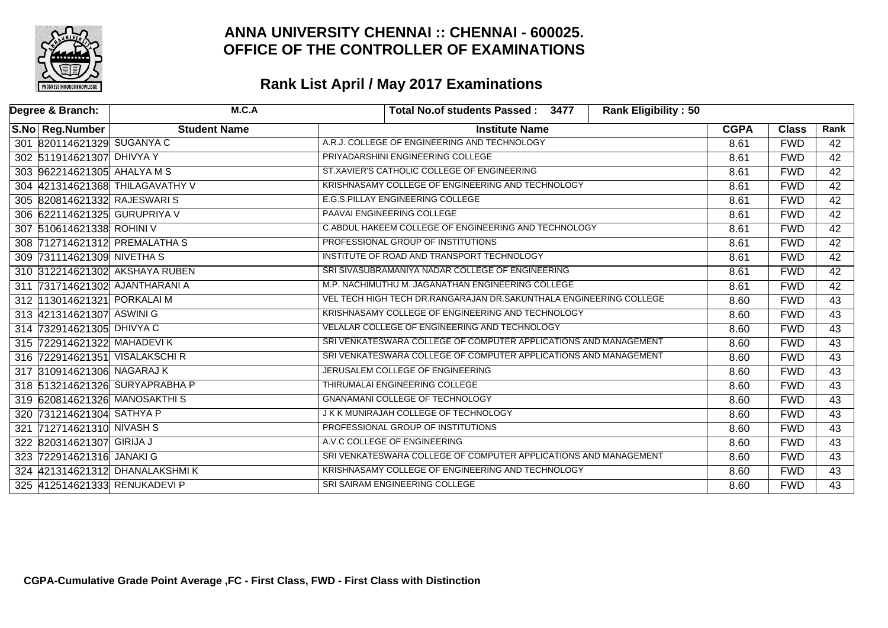

| Degree & Branch: |                              | M.C.A                           | <b>Rank Eligibility: 50</b><br>Total No.of students Passed: 3477   |             |              |                 |
|------------------|------------------------------|---------------------------------|--------------------------------------------------------------------|-------------|--------------|-----------------|
|                  | S.No Reg.Number              | <b>Student Name</b>             | <b>Institute Name</b>                                              | <b>CGPA</b> | <b>Class</b> | Rank            |
|                  | 301 820114621329 SUGANYA C   |                                 | A.R.J. COLLEGE OF ENGINEERING AND TECHNOLOGY                       | 8.61        | <b>FWD</b>   | 42              |
|                  | 302 511914621307 DHIVYA Y    |                                 | PRIYADARSHINI ENGINEERING COLLEGE                                  | 8.61        | <b>FWD</b>   | 42              |
|                  | 303 962214621305 AHALYA M S  |                                 | ST.XAVIER'S CATHOLIC COLLEGE OF ENGINEERING                        | 8.61        | <b>FWD</b>   | $\overline{42}$ |
|                  |                              | 304 421314621368 THILAGAVATHY V | KRISHNASAMY COLLEGE OF ENGINEERING AND TECHNOLOGY                  | 8.61        | <b>FWD</b>   | 42              |
|                  | 305 820814621332 RAJESWARIS  |                                 | <b>E.G.S.PILLAY ENGINEERING COLLEGE</b>                            | 8.61        | <b>FWD</b>   | 42              |
|                  | 306 622114621325 GURUPRIYA V |                                 | <b>PAAVAI ENGINEERING COLLEGE</b>                                  | 8.61        | <b>FWD</b>   | 42              |
|                  | 307 510614621338 ROHINI V    |                                 | C.ABDUL HAKEEM COLLEGE OF ENGINEERING AND TECHNOLOGY               | 8.61        | <b>FWD</b>   | $\overline{42}$ |
|                  |                              | 308 712714621312 PREMALATHAS    | PROFESSIONAL GROUP OF INSTITUTIONS                                 | 8.61        | <b>FWD</b>   | 42              |
|                  | 309 731114621309 NIVETHAS    |                                 | INSTITUTE OF ROAD AND TRANSPORT TECHNOLOGY                         | 8.61        | <b>FWD</b>   | $\overline{42}$ |
|                  |                              | 310 312214621302 AKSHAYA RUBEN  | SRI SIVASUBRAMANIYA NADAR COLLEGE OF ENGINEERING                   | 8.61        | <b>FWD</b>   | $\overline{42}$ |
|                  |                              | 311 731714621302 AJANTHARANI A  | M.P. NACHIMUTHU M. JAGANATHAN ENGINEERING COLLEGE                  | 8.61        | <b>FWD</b>   | 42              |
|                  | 312 13014621321 PORKALAI M   |                                 | VEL TECH HIGH TECH DR.RANGARAJAN DR.SAKUNTHALA ENGINEERING COLLEGE | 8.60        | <b>FWD</b>   | 43              |
|                  | 313 421314621307 ASWINI G    |                                 | KRISHNASAMY COLLEGE OF ENGINEERING AND TECHNOLOGY                  | 8.60        | <b>FWD</b>   | 43              |
|                  | 314 732914621305 DHIVYA C    |                                 | VELALAR COLLEGE OF ENGINEERING AND TECHNOLOGY                      | 8.60        | <b>FWD</b>   | 43              |
|                  | 315 722914621322 MAHADEVIK   |                                 | SRI VENKATESWARA COLLEGE OF COMPUTER APPLICATIONS AND MANAGEMENT   | 8.60        | <b>FWD</b>   | 43              |
|                  |                              | 316 722914621351 VISALAKSCHIR   | SRI VENKATESWARA COLLEGE OF COMPUTER APPLICATIONS AND MANAGEMENT   | 8.60        | <b>FWD</b>   | 43              |
|                  | 317 310914621306 NAGARAJ K   |                                 | JERUSALEM COLLEGE OF ENGINEERING                                   | 8.60        | <b>FWD</b>   | 43              |
|                  |                              | 318 513214621326 SURYAPRABHA P  | THIRUMALAI ENGINEERING COLLEGE                                     | 8.60        | <b>FWD</b>   | 43              |
|                  |                              | 319 620814621326 MANOSAKTHIS    | <b>GNANAMANI COLLEGE OF TECHNOLOGY</b>                             | 8.60        | <b>FWD</b>   | 43              |
|                  | 320 731214621304 SATHYA P    |                                 | J K K MUNIRAJAH COLLEGE OF TECHNOLOGY                              | 8.60        | <b>FWD</b>   | 43              |
|                  | 321 712714621310 NIVASH S    |                                 | PROFESSIONAL GROUP OF INSTITUTIONS                                 | 8.60        | <b>FWD</b>   | 43              |
|                  | 322 820314621307 GIRIJA J    |                                 | A.V.C COLLEGE OF ENGINEERING                                       | 8.60        | <b>FWD</b>   | 43              |
|                  | 323 722914621316 JANAKI G    |                                 | SRI VENKATESWARA COLLEGE OF COMPUTER APPLICATIONS AND MANAGEMENT   | 8.60        | <b>FWD</b>   | 43              |
|                  |                              | 324 421314621312 DHANALAKSHMIK  | KRISHNASAMY COLLEGE OF ENGINEERING AND TECHNOLOGY                  | 8.60        | <b>FWD</b>   | 43              |
|                  |                              | 325 412514621333 RENUKADEVI P   | SRI SAIRAM ENGINEERING COLLEGE                                     | 8.60        | <b>FWD</b>   | 43              |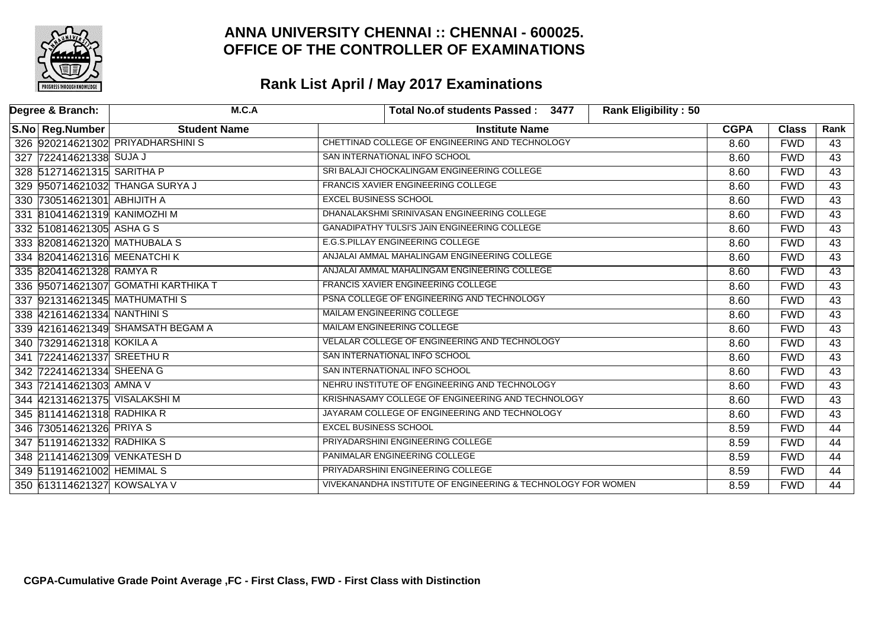

| Degree & Branch: |                               | M.C.A                               | <b>Rank Eligibility: 50</b><br>Total No.of students Passed: 3477 |             |              |                 |
|------------------|-------------------------------|-------------------------------------|------------------------------------------------------------------|-------------|--------------|-----------------|
|                  | S.No Reg.Number               | <b>Student Name</b>                 | <b>Institute Name</b>                                            | <b>CGPA</b> | <b>Class</b> | Rank            |
|                  |                               | 326 920214621302 PRIYADHARSHINIS    | CHETTINAD COLLEGE OF ENGINEERING AND TECHNOLOGY                  | 8.60        | <b>FWD</b>   | 43              |
|                  | 327 722414621338 SUJA J       |                                     | SAN INTERNATIONAL INFO SCHOOL                                    | 8.60        | <b>FWD</b>   | 43              |
|                  | 328 512714621315 SARITHA P    |                                     | SRI BALAJI CHOCKALINGAM ENGINEERING COLLEGE                      | 8.60        | <b>FWD</b>   | $\overline{43}$ |
|                  |                               | 329 950714621032 THANGA SURYA J     | <b>FRANCIS XAVIER ENGINEERING COLLEGE</b>                        | 8.60        | <b>FWD</b>   | 43              |
|                  | 330 730514621301 ABHIJITH A   |                                     | <b>EXCEL BUSINESS SCHOOL</b>                                     | 8.60        | <b>FWD</b>   | 43              |
|                  | 331 810414621319 KANIMOZHI M  |                                     | DHANALAKSHMI SRINIVASAN ENGINEERING COLLEGE                      | 8.60        | <b>FWD</b>   | 43              |
|                  | 332 510814621305 ASHA G S     |                                     | <b>GANADIPATHY TULSI'S JAIN ENGINEERING COLLEGE</b>              | 8.60        | <b>FWD</b>   | $\overline{43}$ |
|                  |                               | 333 820814621320 MATHUBALA S        | <b>E.G.S.PILLAY ENGINEERING COLLEGE</b>                          | 8.60        | <b>FWD</b>   | 43              |
|                  | 334 820414621316 MEENATCHIK   |                                     | ANJALAI AMMAL MAHALINGAM ENGINEERING COLLEGE                     | 8.60        | <b>FWD</b>   | 43              |
|                  | 335 820414621328 RAMYA R      |                                     | ANJALAI AMMAL MAHALINGAM ENGINEERING COLLEGE                     | 8.60        | <b>FWD</b>   | 43              |
|                  |                               | 336 950714621307 GOMATHI KARTHIKA T | FRANCIS XAVIER ENGINEERING COLLEGE                               | 8.60        | <b>FWD</b>   | 43              |
|                  |                               | 337 921314621345 MATHUMATHIS        | PSNA COLLEGE OF ENGINEERING AND TECHNOLOGY                       | 8.60        | <b>FWD</b>   | 43              |
|                  | 338 421614621334 NANTHINIS    |                                     | MAILAM ENGINEERING COLLEGE                                       | 8.60        | <b>FWD</b>   | 43              |
|                  |                               | 339 421614621349 SHAMSATH BEGAM A   | MAILAM ENGINEERING COLLEGE                                       | 8.60        | <b>FWD</b>   | 43              |
|                  | 340 732914621318 KOKILA A     |                                     | VELALAR COLLEGE OF ENGINEERING AND TECHNOLOGY                    | 8.60        | <b>FWD</b>   | 43              |
|                  | 341 722414621337 SREETHUR     |                                     | SAN INTERNATIONAL INFO SCHOOL                                    | 8.60        | <b>FWD</b>   | 43              |
|                  | 342 722414621334 SHEENA G     |                                     | SAN INTERNATIONAL INFO SCHOOL                                    | 8.60        | <b>FWD</b>   | 43              |
|                  | 343 721414621303 AMNA V       |                                     | NEHRU INSTITUTE OF ENGINEERING AND TECHNOLOGY                    | 8.60        | <b>FWD</b>   | 43              |
|                  | 344 421314621375 VISALAKSHI M |                                     | KRISHNASAMY COLLEGE OF ENGINEERING AND TECHNOLOGY                | 8.60        | <b>FWD</b>   | 43              |
|                  | 345 811414621318 RADHIKA R    |                                     | JAYARAM COLLEGE OF ENGINEERING AND TECHNOLOGY                    | 8.60        | <b>FWD</b>   | 43              |
|                  | 346 730514621326 PRIYA S      |                                     | <b>EXCEL BUSINESS SCHOOL</b>                                     | 8.59        | <b>FWD</b>   | 44              |
|                  | 347 511914621332 RADHIKA S    |                                     | PRIYADARSHINI ENGINEERING COLLEGE                                | 8.59        | <b>FWD</b>   | 44              |
|                  |                               | 348 211414621309 VENKATESH D        | PANIMALAR ENGINEERING COLLEGE                                    | 8.59        | <b>FWD</b>   | 44              |
|                  | 349 511914621002 HEMIMAL S    |                                     | PRIYADARSHINI ENGINEERING COLLEGE                                | 8.59        | <b>FWD</b>   | 44              |
|                  | 350 613114621327 KOWSALYA V   |                                     | VIVEKANANDHA INSTITUTE OF ENGINEERING & TECHNOLOGY FOR WOMEN     | 8.59        | <b>FWD</b>   | 44              |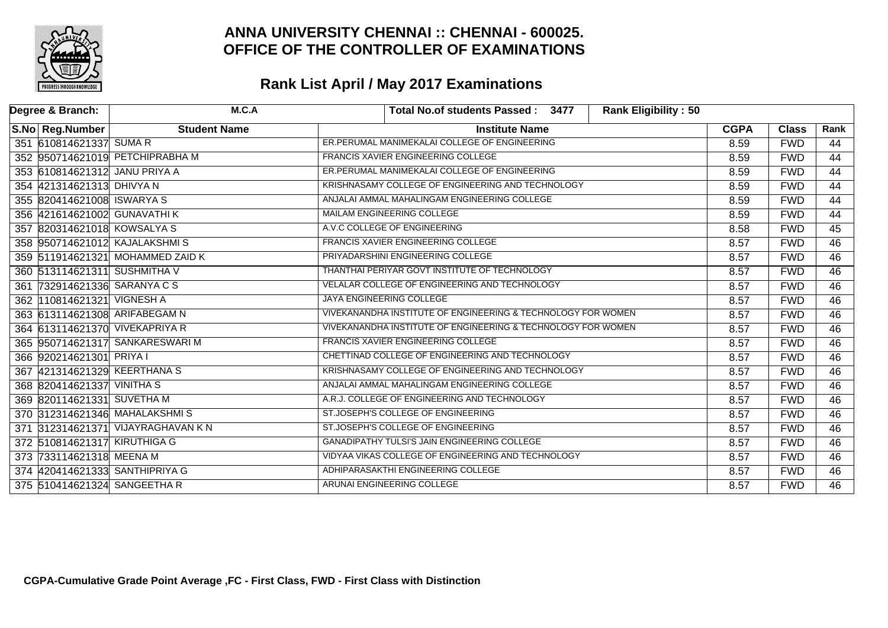

| Degree & Branch:                       |                               | M.C.A                             | <b>Rank Eligibility: 50</b><br>Total No.of students Passed: 3477 |             |              |                 |
|----------------------------------------|-------------------------------|-----------------------------------|------------------------------------------------------------------|-------------|--------------|-----------------|
| S.No Reg.Number<br><b>Student Name</b> |                               |                                   | <b>Institute Name</b>                                            | <b>CGPA</b> | <b>Class</b> | Rank            |
|                                        | 351 610814621337 SUMA R       |                                   | ER. PERUMAL MANIMEKALAI COLLEGE OF ENGINEERING                   | 8.59        | <b>FWD</b>   | 44              |
|                                        |                               | 352 950714621019 РЕТСНІРКАВНА М   | FRANCIS XAVIER ENGINEERING COLLEGE                               | 8.59        | <b>FWD</b>   | 44              |
|                                        | 353 610814621312 JANU PRIYA A |                                   | ER.PERUMAL MANIMEKALAI COLLEGE OF ENGINEERING                    | 8.59        | <b>FWD</b>   | $\overline{44}$ |
|                                        | 354 421314621313 DHIVYA N     |                                   | KRISHNASAMY COLLEGE OF ENGINEERING AND TECHNOLOGY                | 8.59        | <b>FWD</b>   | 44              |
|                                        | 355 820414621008 ISWARYA S    |                                   | ANJALAI AMMAL MAHALINGAM ENGINEERING COLLEGE                     | 8.59        | <b>FWD</b>   | $\overline{44}$ |
|                                        | 356 421614621002 GUNAVATHI K  |                                   | <b>MAILAM ENGINEERING COLLEGE</b>                                | 8.59        | <b>FWD</b>   | 44              |
|                                        | 357 820314621018 KOWSALYA S   |                                   | A.V.C COLLEGE OF ENGINEERING                                     | 8.58        | <b>FWD</b>   | $\overline{45}$ |
|                                        |                               | 358 950714621012 KAJALAKSHMIS     | <b>FRANCIS XAVIER ENGINEERING COLLEGE</b>                        | 8.57        | <b>FWD</b>   | $\overline{46}$ |
|                                        |                               | 359 511914621321 MOHAMMED ZAID K  | PRIYADARSHINI ENGINEERING COLLEGE                                | 8.57        | <b>FWD</b>   | 46              |
|                                        | 360 513114621311 SUSHMITHA V  |                                   | THANTHAI PERIYAR GOVT INSTITUTE OF TECHNOLOGY                    | 8.57        | <b>FWD</b>   | 46              |
|                                        | 361 732914621336 SARANYA C S  |                                   | VELALAR COLLEGE OF ENGINEERING AND TECHNOLOGY                    | 8.57        | <b>FWD</b>   | 46              |
|                                        | 362  110814621321  VIGNESH A  |                                   | JAYA ENGINEERING COLLEGE                                         | 8.57        | <b>FWD</b>   | 46              |
|                                        |                               | 363 613114621308 ARIFABEGAM N     | VIVEKANANDHA INSTITUTE OF ENGINEERING & TECHNOLOGY FOR WOMEN     | 8.57        | <b>FWD</b>   | 46              |
|                                        |                               | 364 613114621370 VIVEKAPRIYA R    | VIVEKANANDHA INSTITUTE OF ENGINEERING & TECHNOLOGY FOR WOMEN     |             |              | $\overline{46}$ |
|                                        |                               | 365 950714621317 SANKARESWARIM    | FRANCIS XAVIER ENGINEERING COLLEGE                               | 8.57        | <b>FWD</b>   | 46              |
|                                        | 366 920214621301 PRIYA I      |                                   | CHETTINAD COLLEGE OF ENGINEERING AND TECHNOLOGY                  | 8.57        | <b>FWD</b>   | $\overline{46}$ |
|                                        |                               | 367 421314621329 KEERTHANA S      | KRISHNASAMY COLLEGE OF ENGINEERING AND TECHNOLOGY                | 8.57        | <b>FWD</b>   | 46              |
|                                        | 368 820414621337 VINITHAS     |                                   | ANJALAI AMMAL MAHALINGAM ENGINEERING COLLEGE                     | 8.57        | <b>FWD</b>   | 46              |
|                                        | 369 820114621331 SUVETHA M    |                                   | A.R.J. COLLEGE OF ENGINEERING AND TECHNOLOGY                     | 8.57        | <b>FWD</b>   | $\overline{46}$ |
|                                        |                               | 370 312314621346 MAHALAKSHMIS     | ST.JOSEPH'S COLLEGE OF ENGINEERING                               | 8.57        | <b>FWD</b>   | 46              |
|                                        |                               | 371 312314621371 VIJAYRAGHAVAN KN | ST.JOSEPH'S COLLEGE OF ENGINEERING                               | 8.57        | <b>FWD</b>   | $\overline{46}$ |
|                                        | 372 510814621317 KIRUTHIGA G  |                                   | <b>GANADIPATHY TULSI'S JAIN ENGINEERING COLLEGE</b>              | 8.57        | <b>FWD</b>   | 46              |
|                                        | 373 733114621318 MEENA M      |                                   | VIDYAA VIKAS COLLEGE OF ENGINEERING AND TECHNOLOGY               | 8.57        | <b>FWD</b>   | 46              |
|                                        |                               | 374 420414621333 SANTHIPRIYA G    | ADHIPARASAKTHI ENGINEERING COLLEGE                               | 8.57        | <b>FWD</b>   | 46              |
|                                        |                               | 375 510414621324 SANGEETHA R      | ARUNAI ENGINEERING COLLEGE                                       | 8.57        | <b>FWD</b>   | $\overline{46}$ |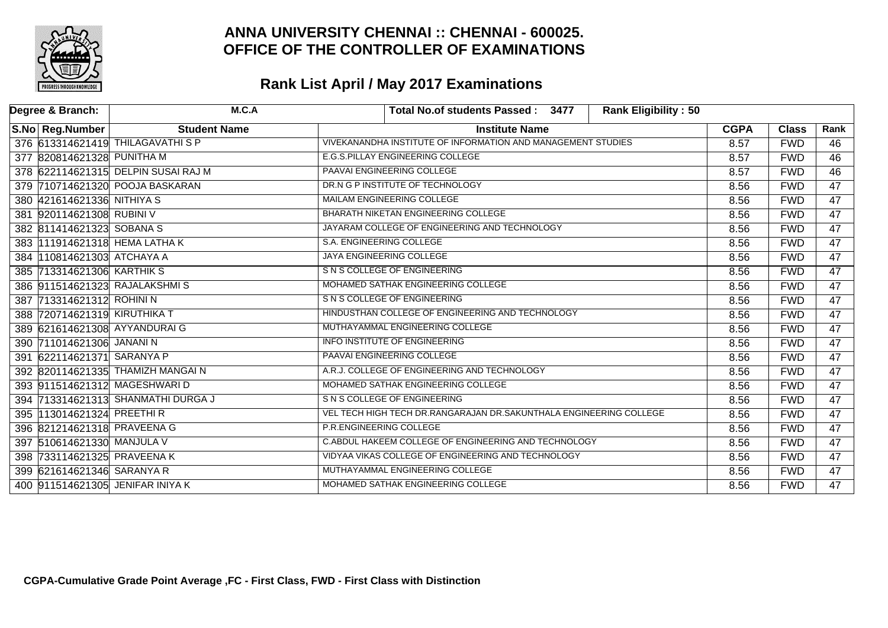

| Degree & Branch: |                              | M.C.A                               |                                                                    | Total No.of students Passed: 3477             | <b>Rank Eligibility: 50</b> |             |              |                 |
|------------------|------------------------------|-------------------------------------|--------------------------------------------------------------------|-----------------------------------------------|-----------------------------|-------------|--------------|-----------------|
|                  | S.No Reg.Number              | <b>Student Name</b>                 | <b>Institute Name</b>                                              |                                               |                             | <b>CGPA</b> | <b>Class</b> | Rank            |
|                  |                              | 376 613314621419 THILAGAVATHI S P   | VIVEKANANDHA INSTITUTE OF INFORMATION AND MANAGEMENT STUDIES       |                                               |                             | 8.57        | <b>FWD</b>   | 46              |
|                  | 377 820814621328 PUNITHA M   |                                     | E.G.S.PILLAY ENGINEERING COLLEGE                                   |                                               |                             | 8.57        | <b>FWD</b>   | 46              |
|                  |                              | 378 622114621315 DELPIN SUSAI RAJ M | PAAVAI ENGINEERING COLLEGE                                         |                                               |                             | 8.57        | <b>FWD</b>   | $\overline{46}$ |
|                  |                              | 379 710714621320 POOJA BASKARAN     | DR.N G P INSTITUTE OF TECHNOLOGY                                   |                                               |                             | 8.56        | <b>FWD</b>   | 47              |
|                  | 380 421614621336 NITHIYA S   |                                     | MAILAM ENGINEERING COLLEGE                                         |                                               |                             | 8.56        | <b>FWD</b>   | 47              |
|                  | 381 920114621308 RUBINI V    |                                     | <b>BHARATH NIKETAN ENGINEERING COLLEGE</b>                         |                                               |                             | 8.56        | <b>FWD</b>   | 47              |
|                  | 382 811414621323 SOBANA S    |                                     |                                                                    | JAYARAM COLLEGE OF ENGINEERING AND TECHNOLOGY |                             | 8.56        | <b>FWD</b>   | $\overline{47}$ |
|                  |                              | 383 111914621318 HEMA LATHA K       | S.A. ENGINEERING COLLEGE                                           |                                               |                             | 8.56        | <b>FWD</b>   | $\overline{47}$ |
|                  | 384 110814621303 ATCHAYA A   |                                     | <b>JAYA ENGINEERING COLLEGE</b>                                    |                                               |                             | 8.56        | <b>FWD</b>   | $\overline{47}$ |
|                  | 385 713314621306 KARTHIK S   |                                     | S N S COLLEGE OF ENGINEERING                                       |                                               |                             | 8.56        | <b>FWD</b>   | $\overline{47}$ |
|                  |                              | 386 911514621323 RAJALAKSHMIS       | MOHAMED SATHAK ENGINEERING COLLEGE                                 |                                               |                             | 8.56        | <b>FWD</b>   | $\overline{47}$ |
|                  | 387 713314621312 ROHINI N    |                                     | S N S COLLEGE OF ENGINEERING                                       |                                               |                             | 8.56        | <b>FWD</b>   | $\overline{47}$ |
|                  | 388 720714621319 KIRUTHIKA T |                                     | HINDUSTHAN COLLEGE OF ENGINEERING AND TECHNOLOGY                   |                                               |                             | 8.56        | <b>FWD</b>   | $\overline{47}$ |
|                  |                              | 389 621614621308 AYYANDURAIG        | MUTHAYAMMAL ENGINEERING COLLEGE                                    |                                               |                             | 8.56        | <b>FWD</b>   | $\overline{47}$ |
|                  | 390 711014621306 JANANI N    |                                     | <b>INFO INSTITUTE OF ENGINEERING</b>                               |                                               |                             | 8.56        | <b>FWD</b>   | $\overline{47}$ |
|                  | 391 622114621371 SARANYA P   |                                     | PAAVAI ENGINEERING COLLEGE                                         |                                               |                             | 8.56        | <b>FWD</b>   | $\overline{47}$ |
|                  |                              | 392 820114621335 THAMIZH MANGAI N   |                                                                    | A.R.J. COLLEGE OF ENGINEERING AND TECHNOLOGY  |                             | 8.56        | <b>FWD</b>   | $\overline{47}$ |
|                  |                              | 393 911514621312 MAGESHWARID        | MOHAMED SATHAK ENGINEERING COLLEGE                                 |                                               |                             | 8.56        | <b>FWD</b>   | $\overline{47}$ |
|                  |                              | 394 713314621313 SHANMATHI DURGA J  | S N S COLLEGE OF ENGINEERING                                       |                                               |                             | 8.56        | <b>FWD</b>   | 47              |
|                  | 395 113014621324 PREETHIR    |                                     | VEL TECH HIGH TECH DR.RANGARAJAN DR.SAKUNTHALA ENGINEERING COLLEGE |                                               |                             | 8.56        | <b>FWD</b>   | 47              |
|                  |                              | 396 821214621318 PRAVEENA G         | P.R.ENGINEERING COLLEGE                                            |                                               |                             | 8.56        | <b>FWD</b>   | $\overline{47}$ |
|                  | 397 510614621330 MANJULA V   |                                     | C. ABDUL HAKEEM COLLEGE OF ENGINEERING AND TECHNOLOGY              |                                               |                             | 8.56        | <b>FWD</b>   | $\overline{47}$ |
|                  |                              | 398 733114621325 PRAVEENA K         | VIDYAA VIKAS COLLEGE OF ENGINEERING AND TECHNOLOGY                 |                                               |                             | 8.56        | <b>FWD</b>   | $\overline{47}$ |
|                  | 399 621614621346 SARANYA R   |                                     | MUTHAYAMMAL ENGINEERING COLLEGE                                    |                                               |                             | 8.56        | <b>FWD</b>   | 47              |
|                  |                              | 400 911514621305 JENIFAR INIYA K    | MOHAMED SATHAK ENGINEERING COLLEGE                                 |                                               |                             | 8.56        | <b>FWD</b>   | $\overline{47}$ |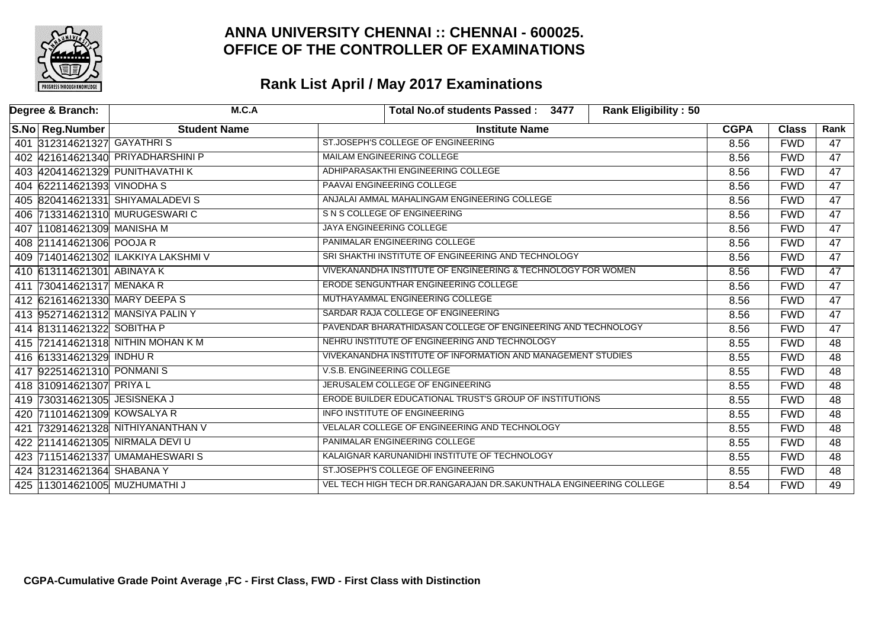

| Degree & Branch:                 | M.C.A                               | <b>Rank Eligibility: 50</b><br>Total No.of students Passed: 3477     |             |              |                 |
|----------------------------------|-------------------------------------|----------------------------------------------------------------------|-------------|--------------|-----------------|
| S.No Reg.Number                  | <b>Student Name</b>                 | <b>Institute Name</b>                                                | <b>CGPA</b> | <b>Class</b> | Rank            |
| 401 312314621327 GAYATHRIS       |                                     | ST.JOSEPH'S COLLEGE OF ENGINEERING                                   | 8.56        | <b>FWD</b>   | 47              |
|                                  | 402 421614621340 PRIYADHARSHINI P   | <b>MAILAM ENGINEERING COLLEGE</b>                                    | 8.56        | <b>FWD</b>   | $\overline{47}$ |
| 403 420414621329 PUNITHAVATHI K  |                                     | ADHIPARASAKTHI ENGINEERING COLLEGE                                   | 8.56        | <b>FWD</b>   | $\overline{47}$ |
| 404 622114621393 VINODHAS        |                                     | PAAVAI ENGINEERING COLLEGE                                           | 8.56        | <b>FWD</b>   | 47              |
|                                  | 405 820414621331 SHIYAMALADEVIS     | ANJALAI AMMAL MAHALINGAM ENGINEERING COLLEGE                         | 8.56        | <b>FWD</b>   | 47              |
| 406 713314621310 MURUGESWARIC    |                                     | S N S COLLEGE OF ENGINEERING                                         | 8.56        | <b>FWD</b>   | 47              |
| 407 110814621309 MANISHA M       |                                     | JAYA ENGINEERING COLLEGE                                             | 8.56        | <b>FWD</b>   | $\overline{47}$ |
| 408 211414621306 POOJA R         |                                     | PANIMALAR ENGINEERING COLLEGE                                        | 8.56        | <b>FWD</b>   | $\overline{47}$ |
|                                  | 409 714014621302 ILAKKIYA LAKSHMI V | SRI SHAKTHI INSTITUTE OF ENGINEERING AND TECHNOLOGY                  | 8.56        | <b>FWD</b>   | 47              |
| 410 613114621301 ABINAYA K       |                                     | VIVEKANANDHA INSTITUTE OF ENGINEERING & TECHNOLOGY FOR WOMEN         | 8.56        | <b>FWD</b>   | 47              |
| 411 730414621317 MENAKA R        |                                     | ERODE SENGUNTHAR ENGINEERING COLLEGE                                 |             | <b>FWD</b>   | $\overline{47}$ |
| 412 621614621330 MARY DEEPA S    |                                     | MUTHAYAMMAL ENGINEERING COLLEGE                                      | 8.56        | <b>FWD</b>   | 47              |
| 413 952714621312 MANSIYA PALIN Y |                                     | SARDAR RAJA COLLEGE OF ENGINEERING                                   | 8.56        | <b>FWD</b>   | $\overline{47}$ |
| 414 813114621322 SOBITHA P       |                                     | PAVENDAR BHARATHIDASAN COLLEGE OF ENGINEERING AND TECHNOLOGY         | 8.56        | <b>FWD</b>   | $\overline{47}$ |
|                                  | 415 721414621318 NITHIN MOHAN K M   | NEHRU INSTITUTE OF ENGINEERING AND TECHNOLOGY                        | 8.55        | <b>FWD</b>   | $\overline{48}$ |
| 416 613314621329 INDHUR          |                                     | VIVEKANANDHA INSTITUTE OF INFORMATION AND MANAGEMENT STUDIES         | 8.55        | <b>FWD</b>   | $\overline{48}$ |
| 417 922514621310 PONMANIS        |                                     | V.S.B. ENGINEERING COLLEGE                                           | 8.55        | <b>FWD</b>   | 48              |
| 418 310914621307 PRIYAL          |                                     | JERUSALEM COLLEGE OF ENGINEERING                                     | 8.55        | <b>FWD</b>   | $\overline{48}$ |
| 419 730314621305 JESISNEKA J     |                                     | ERODE BUILDER EDUCATIONAL TRUST'S GROUP OF INSTITUTIONS              | 8.55        | <b>FWD</b>   | $\overline{48}$ |
| 420 711014621309 KOWSALYA R      |                                     | INFO INSTITUTE OF ENGINEERING                                        | 8.55        | <b>FWD</b>   | $\overline{48}$ |
|                                  | 421 732914621328 NITHIYANANTHAN V   | VELALAR COLLEGE OF ENGINEERING AND TECHNOLOGY                        | 8.55        | <b>FWD</b>   | $\overline{48}$ |
| 422 211414621305 NIRMALA DEVI U  |                                     | PANIMALAR ENGINEERING COLLEGE                                        |             | <b>FWD</b>   | $\overline{48}$ |
|                                  | 423 711514621337 UMAMAHESWARIS      | KALAIGNAR KARUNANIDHI INSTITUTE OF TECHNOLOGY                        |             | <b>FWD</b>   | $\overline{48}$ |
| 424 312314621364 SHABANA Y       |                                     | ST.JOSEPH'S COLLEGE OF ENGINEERING                                   | 8.55        | <b>FWD</b>   | $\overline{48}$ |
| 425 113014621005 MUZHUMATHI J    |                                     | VEL TECH HIGH TECH DR. RANGARAJAN DR. SAKUNTHALA ENGINEERING COLLEGE | 8.54        | <b>FWD</b>   | 49              |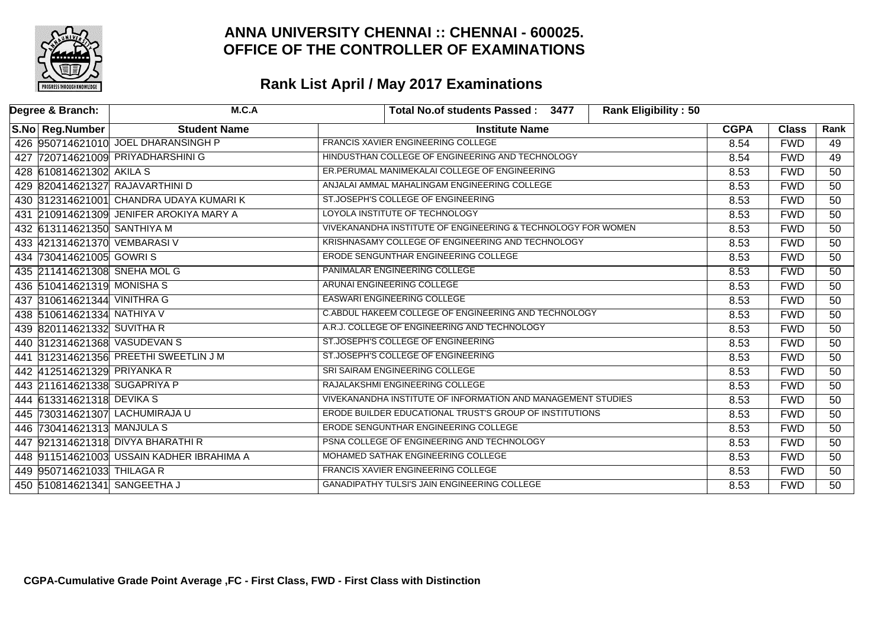

| Degree & Branch: |                              | M.C.A                                     | Total No.of students Passed: 3477                            | <b>Rank Eligibility: 50</b> |             |              |                 |
|------------------|------------------------------|-------------------------------------------|--------------------------------------------------------------|-----------------------------|-------------|--------------|-----------------|
|                  | S.No Reg.Number              | <b>Student Name</b>                       | <b>Institute Name</b>                                        |                             | <b>CGPA</b> | <b>Class</b> | Rank            |
|                  |                              | 426 950714621010 JOEL DHARANSINGH P       | <b>FRANCIS XAVIER ENGINEERING COLLEGE</b>                    |                             |             | <b>FWD</b>   | 49              |
|                  |                              | 427 720714621009 PRIYADHARSHINI G         | HINDUSTHAN COLLEGE OF ENGINEERING AND TECHNOLOGY             |                             |             | <b>FWD</b>   | 49              |
|                  | 428 610814621302 AKILA S     |                                           | ER.PERUMAL MANIMEKALAI COLLEGE OF ENGINEERING                |                             | 8.53        | <b>FWD</b>   | $\overline{50}$ |
|                  |                              | 429 820414621327 RAJAVARTHINI D           | ANJALAI AMMAL MAHALINGAM ENGINEERING COLLEGE                 |                             | 8.53        | <b>FWD</b>   | $\overline{50}$ |
|                  |                              | 430 312314621001 CHANDRA UDAYA KUMARI K   | ST.JOSEPH'S COLLEGE OF ENGINEERING                           |                             | 8.53        | <b>FWD</b>   | 50              |
|                  |                              | 431 210914621309 JENIFER AROKIYA MARY A   | LOYOLA INSTITUTE OF TECHNOLOGY                               |                             | 8.53        | <b>FWD</b>   | 50              |
|                  | 432 613114621350 SANTHIYA M  |                                           | VIVEKANANDHA INSTITUTE OF ENGINEERING & TECHNOLOGY FOR WOMEN |                             | 8.53        | <b>FWD</b>   | $\overline{50}$ |
|                  | 433 421314621370 VEMBARASI V |                                           | KRISHNASAMY COLLEGE OF ENGINEERING AND TECHNOLOGY            |                             | 8.53        | <b>FWD</b>   | $\overline{50}$ |
|                  | 434 730414621005 GOWRIS      |                                           | ERODE SENGUNTHAR ENGINEERING COLLEGE                         |                             | 8.53        | <b>FWD</b>   | 50              |
|                  | 435 211414621308 SNEHA MOL G |                                           | PANIMALAR ENGINEERING COLLEGE                                |                             | 8.53        | <b>FWD</b>   | 50              |
|                  | 436 510414621319 MONISHA S   |                                           | ARUNAI ENGINEERING COLLEGE                                   |                             |             | <b>FWD</b>   | $\overline{50}$ |
|                  | 437 310614621344 VINITHRA G  |                                           | <b>EASWARI ENGINEERING COLLEGE</b>                           |                             |             | <b>FWD</b>   | $\overline{50}$ |
|                  | 438 510614621334 NATHIYA V   |                                           | C.ABDUL HAKEEM COLLEGE OF ENGINEERING AND TECHNOLOGY         |                             |             | <b>FWD</b>   | 50              |
|                  | 439 820114621332 SUVITHA R   |                                           | A.R.J. COLLEGE OF ENGINEERING AND TECHNOLOGY                 |                             |             | <b>FWD</b>   | 50              |
|                  |                              | 440 312314621368 VASUDEVAN S              | ST.JOSEPH'S COLLEGE OF ENGINEERING                           |                             |             | <b>FWD</b>   | 50              |
|                  |                              | 441 312314621356 PREETHI SWEETLIN J M     | ST.JOSEPH'S COLLEGE OF ENGINEERING                           |                             | 8.53        | <b>FWD</b>   | $\overline{50}$ |
|                  | 442 412514621329 PRIYANKA R  |                                           | SRI SAIRAM ENGINEERING COLLEGE                               |                             | 8.53        | <b>FWD</b>   | $\overline{50}$ |
|                  | 443 211614621338 SUGAPRIYA P |                                           | RAJALAKSHMI ENGINEERING COLLEGE                              |                             | 8.53        | <b>FWD</b>   | $\overline{50}$ |
|                  | 444 613314621318 DEVIKA S    |                                           | VIVEKANANDHA INSTITUTE OF INFORMATION AND MANAGEMENT STUDIES |                             | 8.53        | <b>FWD</b>   | $\overline{50}$ |
|                  |                              | 445 730314621307 LACHUMIRAJA U            | ERODE BUILDER EDUCATIONAL TRUST'S GROUP OF INSTITUTIONS      |                             |             | <b>FWD</b>   | 50              |
|                  | 446 730414621313 MANJULA S   |                                           | ERODE SENGUNTHAR ENGINEERING COLLEGE                         |                             |             | <b>FWD</b>   | $\overline{50}$ |
|                  |                              | 447 921314621318 DIVYA BHARATHI R         | PSNA COLLEGE OF ENGINEERING AND TECHNOLOGY                   |                             |             | <b>FWD</b>   | 50              |
|                  |                              | 448 911514621003 USSAIN KADHER IBRAHIMA A | MOHAMED SATHAK ENGINEERING COLLEGE                           |                             |             | <b>FWD</b>   | 50              |
|                  | 449 950714621033 THILAGA R   |                                           | <b>FRANCIS XAVIER ENGINEERING COLLEGE</b>                    |                             |             | <b>FWD</b>   | 50              |
|                  | 450 510814621341 SANGEETHA J |                                           | <b>GANADIPATHY TULSI'S JAIN ENGINEERING COLLEGE</b>          |                             |             | <b>FWD</b>   | 50              |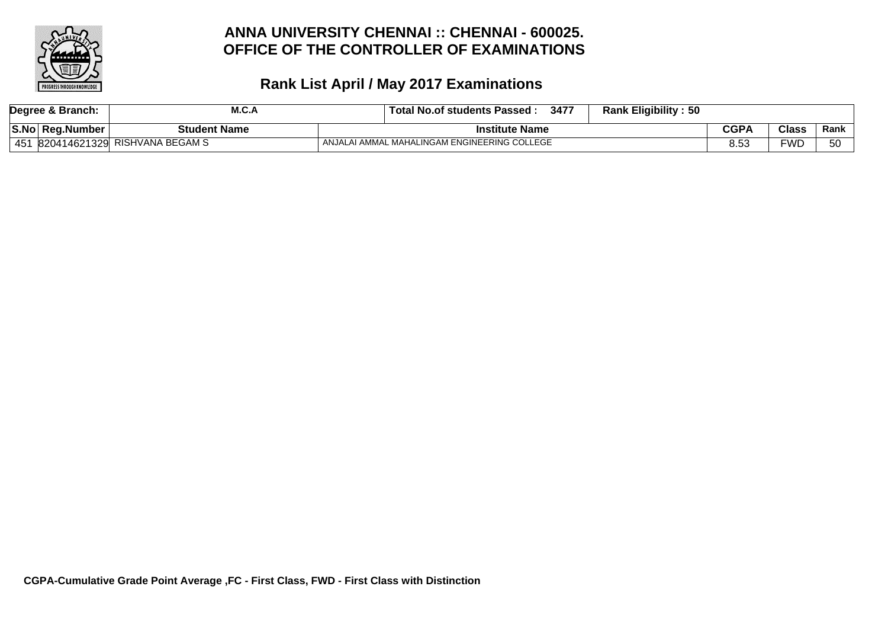

|     | Degree & Branch: | M.C.A                         |                | ⊤ Total No.of students Passed <sup>⊹</sup>   | 3477        | <b>Rank Eligibility: 50</b> |      |     |    |
|-----|------------------|-------------------------------|----------------|----------------------------------------------|-------------|-----------------------------|------|-----|----|
|     | S.No Reg.Number  | <b>Student Name</b>           | Institute Name |                                              | <b>CGPA</b> | <b>Class</b>                | Rank |     |    |
| 451 |                  | 820414621329 RISHVANA BEGAM S |                | ANJALAI AMMAL MAHALINGAM ENGINEERING COLLEGE |             |                             | 8.53 | FWD | БC |